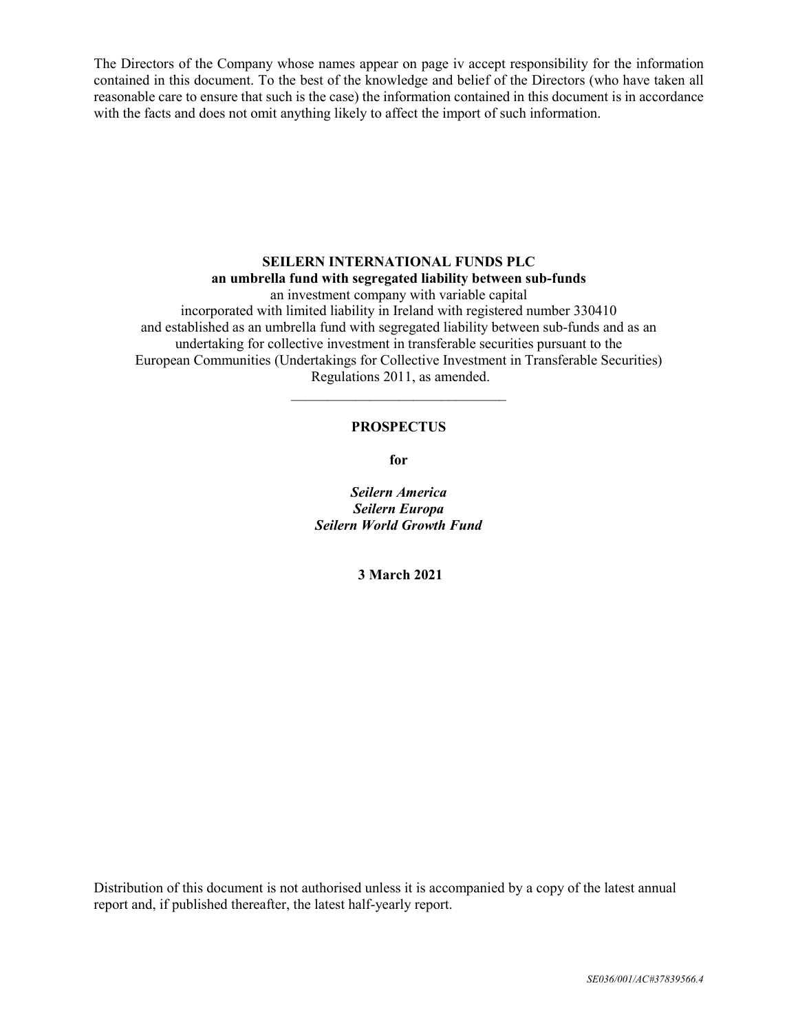The Directors of the Company whose names appear on page iv accept responsibility for the information contained in this document. To the best of the knowledge and belief of the Directors (who have taken all reasonable care to ensure that such is the case) the information contained in this document is in accordance with the facts and does not omit anything likely to affect the import of such information.

# **SEILERN INTERNATIONAL FUNDS PLC an umbrella fund with segregated liability between sub-funds** an investment company with variable capital

incorporated with limited liability in Ireland with registered number 330410 and established as an umbrella fund with segregated liability between sub-funds and as an undertaking for collective investment in transferable securities pursuant to the European Communities (Undertakings for Collective Investment in Transferable Securities) Regulations 2011, as amended.

# **PROSPECTUS**

 $\mathcal{L}_\text{max}$ 

**for** 

*Seilern America Seilern Europa Seilern World Growth Fund* 

 **3 March 2021** 

Distribution of this document is not authorised unless it is accompanied by a copy of the latest annual report and, if published thereafter, the latest half-yearly report.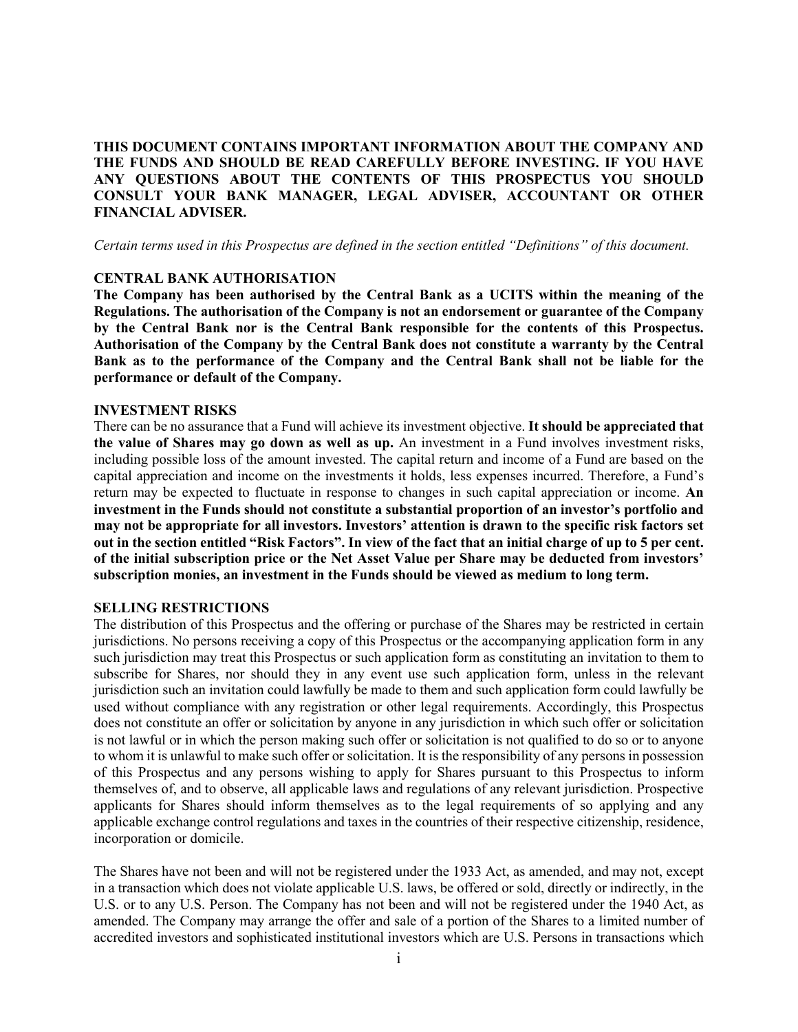**THIS DOCUMENT CONTAINS IMPORTANT INFORMATION ABOUT THE COMPANY AND THE FUNDS AND SHOULD BE READ CAREFULLY BEFORE INVESTING. IF YOU HAVE ANY QUESTIONS ABOUT THE CONTENTS OF THIS PROSPECTUS YOU SHOULD CONSULT YOUR BANK MANAGER, LEGAL ADVISER, ACCOUNTANT OR OTHER FINANCIAL ADVISER.**

*Certain terms used in this Prospectus are defined in the section entitled "Definitions" of this document.* 

## **CENTRAL BANK AUTHORISATION**

**The Company has been authorised by the Central Bank as a UCITS within the meaning of the Regulations. The authorisation of the Company is not an endorsement or guarantee of the Company by the Central Bank nor is the Central Bank responsible for the contents of this Prospectus. Authorisation of the Company by the Central Bank does not constitute a warranty by the Central Bank as to the performance of the Company and the Central Bank shall not be liable for the performance or default of the Company.**

#### **INVESTMENT RISKS**

There can be no assurance that a Fund will achieve its investment objective. **It should be appreciated that the value of Shares may go down as well as up.** An investment in a Fund involves investment risks, including possible loss of the amount invested. The capital return and income of a Fund are based on the capital appreciation and income on the investments it holds, less expenses incurred. Therefore, a Fund's return may be expected to fluctuate in response to changes in such capital appreciation or income. **An investment in the Funds should not constitute a substantial proportion of an investor's portfolio and may not be appropriate for all investors. Investors' attention is drawn to the specific risk factors set out in the section entitled "Risk Factors". In view of the fact that an initial charge of up to 5 per cent. of the initial subscription price or the Net Asset Value per Share may be deducted from investors' subscription monies, an investment in the Funds should be viewed as medium to long term.** 

#### **SELLING RESTRICTIONS**

The distribution of this Prospectus and the offering or purchase of the Shares may be restricted in certain jurisdictions. No persons receiving a copy of this Prospectus or the accompanying application form in any such jurisdiction may treat this Prospectus or such application form as constituting an invitation to them to subscribe for Shares, nor should they in any event use such application form, unless in the relevant jurisdiction such an invitation could lawfully be made to them and such application form could lawfully be used without compliance with any registration or other legal requirements. Accordingly, this Prospectus does not constitute an offer or solicitation by anyone in any jurisdiction in which such offer or solicitation is not lawful or in which the person making such offer or solicitation is not qualified to do so or to anyone to whom it is unlawful to make such offer or solicitation. It is the responsibility of any persons in possession of this Prospectus and any persons wishing to apply for Shares pursuant to this Prospectus to inform themselves of, and to observe, all applicable laws and regulations of any relevant jurisdiction. Prospective applicants for Shares should inform themselves as to the legal requirements of so applying and any applicable exchange control regulations and taxes in the countries of their respective citizenship, residence, incorporation or domicile.

The Shares have not been and will not be registered under the 1933 Act, as amended, and may not, except in a transaction which does not violate applicable U.S. laws, be offered or sold, directly or indirectly, in the U.S. or to any U.S. Person. The Company has not been and will not be registered under the 1940 Act, as amended. The Company may arrange the offer and sale of a portion of the Shares to a limited number of accredited investors and sophisticated institutional investors which are U.S. Persons in transactions which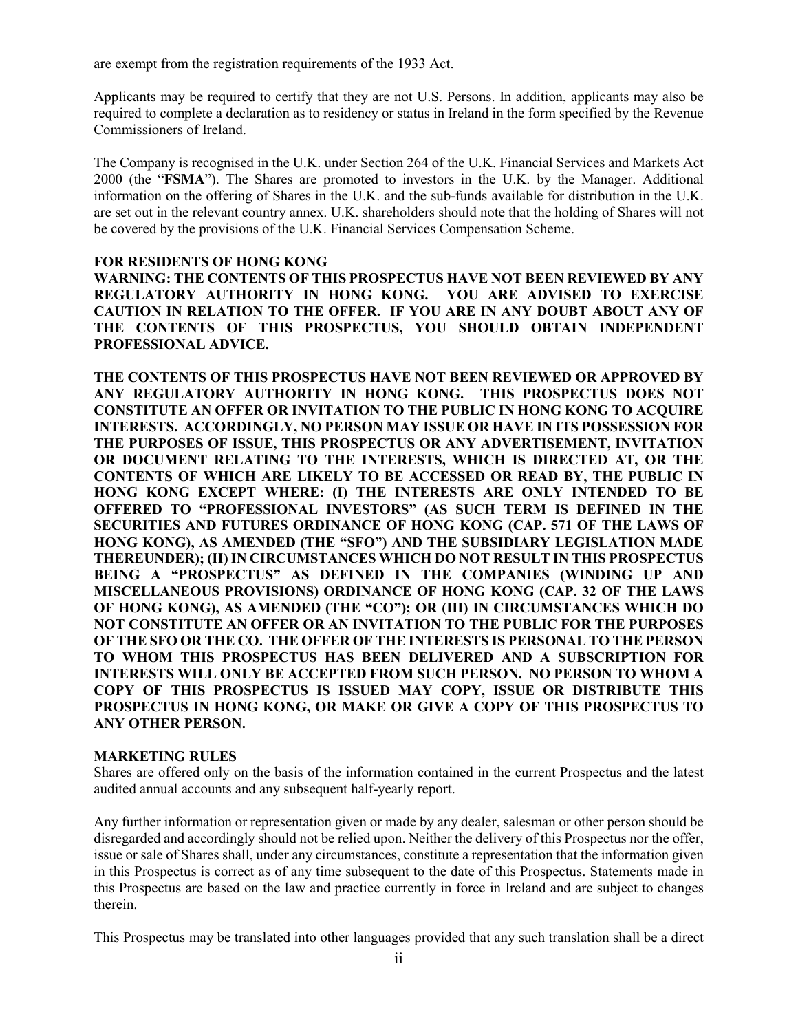are exempt from the registration requirements of the 1933 Act.

Applicants may be required to certify that they are not U.S. Persons. In addition, applicants may also be required to complete a declaration as to residency or status in Ireland in the form specified by the Revenue Commissioners of Ireland.

The Company is recognised in the U.K. under Section 264 of the U.K. Financial Services and Markets Act 2000 (the "**FSMA**"). The Shares are promoted to investors in the U.K. by the Manager. Additional information on the offering of Shares in the U.K. and the sub-funds available for distribution in the U.K. are set out in the relevant country annex. U.K. shareholders should note that the holding of Shares will not be covered by the provisions of the U.K. Financial Services Compensation Scheme.

# **FOR RESIDENTS OF HONG KONG**

**WARNING: THE CONTENTS OF THIS PROSPECTUS HAVE NOT BEEN REVIEWED BY ANY REGULATORY AUTHORITY IN HONG KONG. YOU ARE ADVISED TO EXERCISE CAUTION IN RELATION TO THE OFFER. IF YOU ARE IN ANY DOUBT ABOUT ANY OF THE CONTENTS OF THIS PROSPECTUS, YOU SHOULD OBTAIN INDEPENDENT PROFESSIONAL ADVICE.** 

**THE CONTENTS OF THIS PROSPECTUS HAVE NOT BEEN REVIEWED OR APPROVED BY ANY REGULATORY AUTHORITY IN HONG KONG. THIS PROSPECTUS DOES NOT CONSTITUTE AN OFFER OR INVITATION TO THE PUBLIC IN HONG KONG TO ACQUIRE INTERESTS. ACCORDINGLY, NO PERSON MAY ISSUE OR HAVE IN ITS POSSESSION FOR THE PURPOSES OF ISSUE, THIS PROSPECTUS OR ANY ADVERTISEMENT, INVITATION OR DOCUMENT RELATING TO THE INTERESTS, WHICH IS DIRECTED AT, OR THE CONTENTS OF WHICH ARE LIKELY TO BE ACCESSED OR READ BY, THE PUBLIC IN HONG KONG EXCEPT WHERE: (I) THE INTERESTS ARE ONLY INTENDED TO BE OFFERED TO "PROFESSIONAL INVESTORS" (AS SUCH TERM IS DEFINED IN THE SECURITIES AND FUTURES ORDINANCE OF HONG KONG (CAP. 571 OF THE LAWS OF HONG KONG), AS AMENDED (THE "SFO") AND THE SUBSIDIARY LEGISLATION MADE THEREUNDER); (II) IN CIRCUMSTANCES WHICH DO NOT RESULT IN THIS PROSPECTUS BEING A "PROSPECTUS" AS DEFINED IN THE COMPANIES (WINDING UP AND MISCELLANEOUS PROVISIONS) ORDINANCE OF HONG KONG (CAP. 32 OF THE LAWS OF HONG KONG), AS AMENDED (THE "CO"); OR (III) IN CIRCUMSTANCES WHICH DO NOT CONSTITUTE AN OFFER OR AN INVITATION TO THE PUBLIC FOR THE PURPOSES OF THE SFO OR THE CO. THE OFFER OF THE INTERESTS IS PERSONAL TO THE PERSON TO WHOM THIS PROSPECTUS HAS BEEN DELIVERED AND A SUBSCRIPTION FOR INTERESTS WILL ONLY BE ACCEPTED FROM SUCH PERSON. NO PERSON TO WHOM A COPY OF THIS PROSPECTUS IS ISSUED MAY COPY, ISSUE OR DISTRIBUTE THIS PROSPECTUS IN HONG KONG, OR MAKE OR GIVE A COPY OF THIS PROSPECTUS TO ANY OTHER PERSON.** 

# **MARKETING RULES**

Shares are offered only on the basis of the information contained in the current Prospectus and the latest audited annual accounts and any subsequent half-yearly report.

Any further information or representation given or made by any dealer, salesman or other person should be disregarded and accordingly should not be relied upon. Neither the delivery of this Prospectus nor the offer, issue or sale of Shares shall, under any circumstances, constitute a representation that the information given in this Prospectus is correct as of any time subsequent to the date of this Prospectus. Statements made in this Prospectus are based on the law and practice currently in force in Ireland and are subject to changes therein.

This Prospectus may be translated into other languages provided that any such translation shall be a direct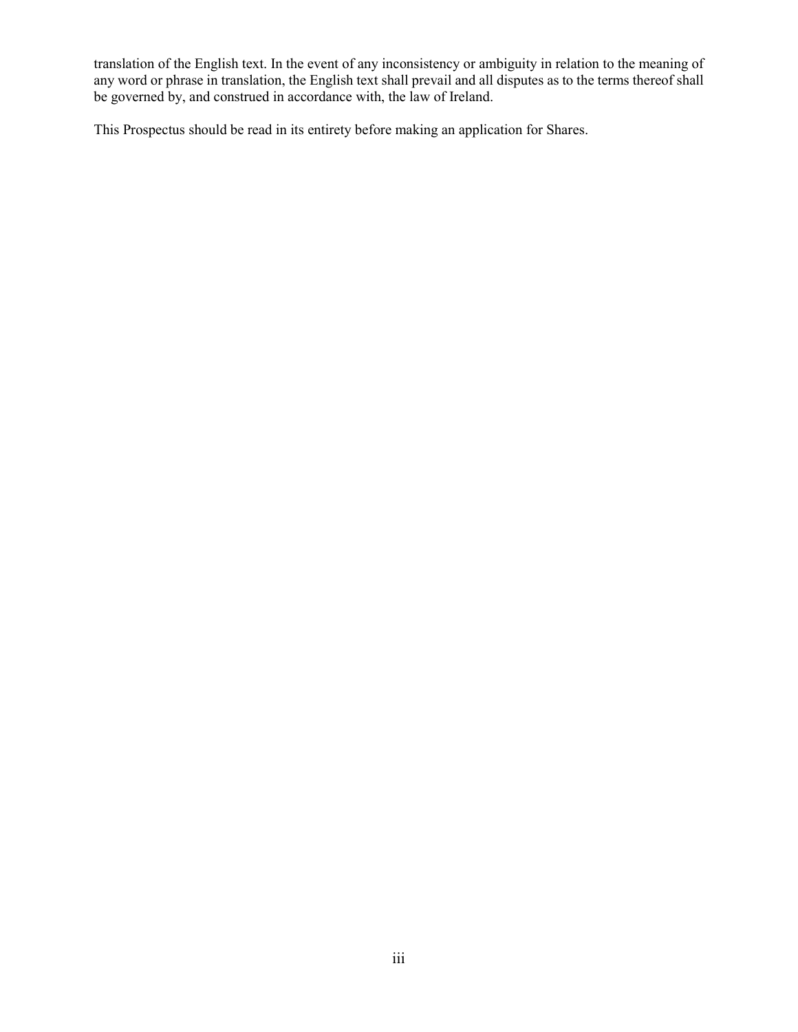translation of the English text. In the event of any inconsistency or ambiguity in relation to the meaning of any word or phrase in translation, the English text shall prevail and all disputes as to the terms thereof shall be governed by, and construed in accordance with, the law of Ireland.

This Prospectus should be read in its entirety before making an application for Shares.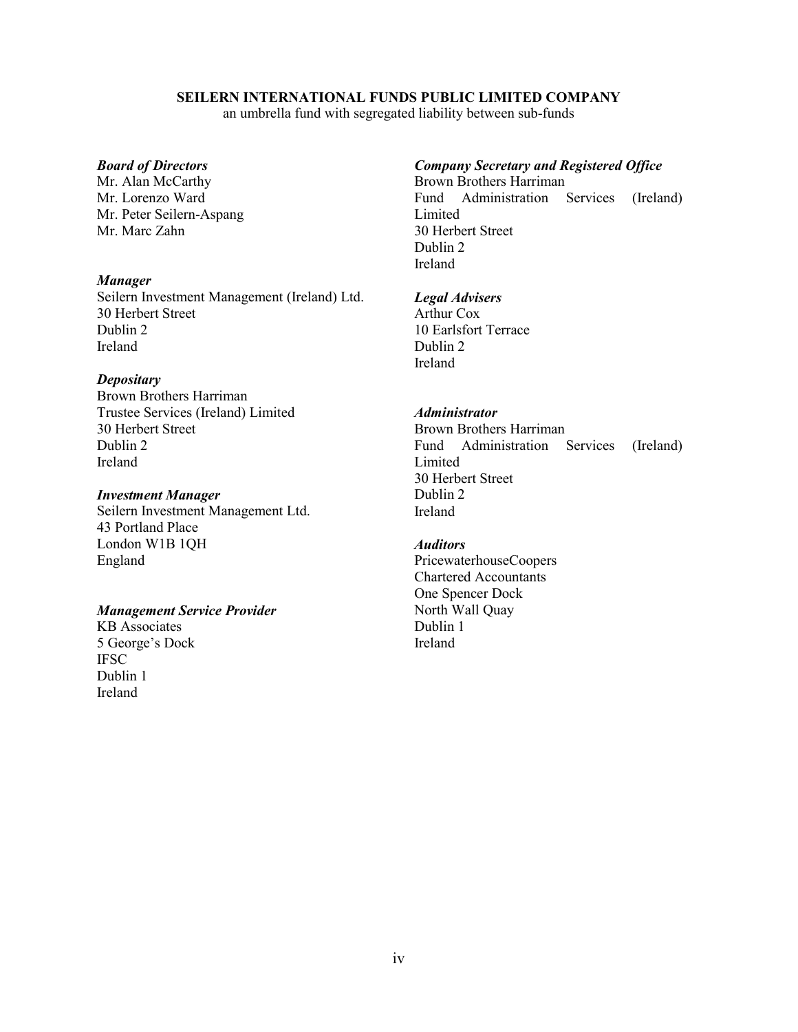## **SEILERN INTERNATIONAL FUNDS PUBLIC LIMITED COMPANY**

an umbrella fund with segregated liability between sub-funds

## *Board of Directors*

Mr. Alan McCarthy Mr. Lorenzo Ward Mr. Peter Seilern-Aspang Mr. Marc Zahn

#### *Manager*

Seilern Investment Management (Ireland) Ltd. 30 Herbert Street Dublin 2 Ireland

#### *Depositary*

Brown Brothers Harriman Trustee Services (Ireland) Limited 30 Herbert Street Dublin 2 Ireland

#### *Investment Manager*

Seilern Investment Management Ltd. 43 Portland Place London W1B 1QH England

# *Management Service Provider*

KB Associates 5 George's Dock **IFSC** Dublin 1 Ireland

## *Company Secretary and Registered Office*

Brown Brothers Harriman Fund Administration Services (Ireland) Limited 30 Herbert Street Dublin 2 Ireland

#### *Legal Advisers*

Arthur Cox 10 Earlsfort Terrace Dublin 2 Ireland

# *Administrator*

Brown Brothers Harriman Fund Administration Services (Ireland) Limited 30 Herbert Street Dublin 2 Ireland

# *Auditors*

PricewaterhouseCoopers Chartered Accountants One Spencer Dock North Wall Quay Dublin 1 Ireland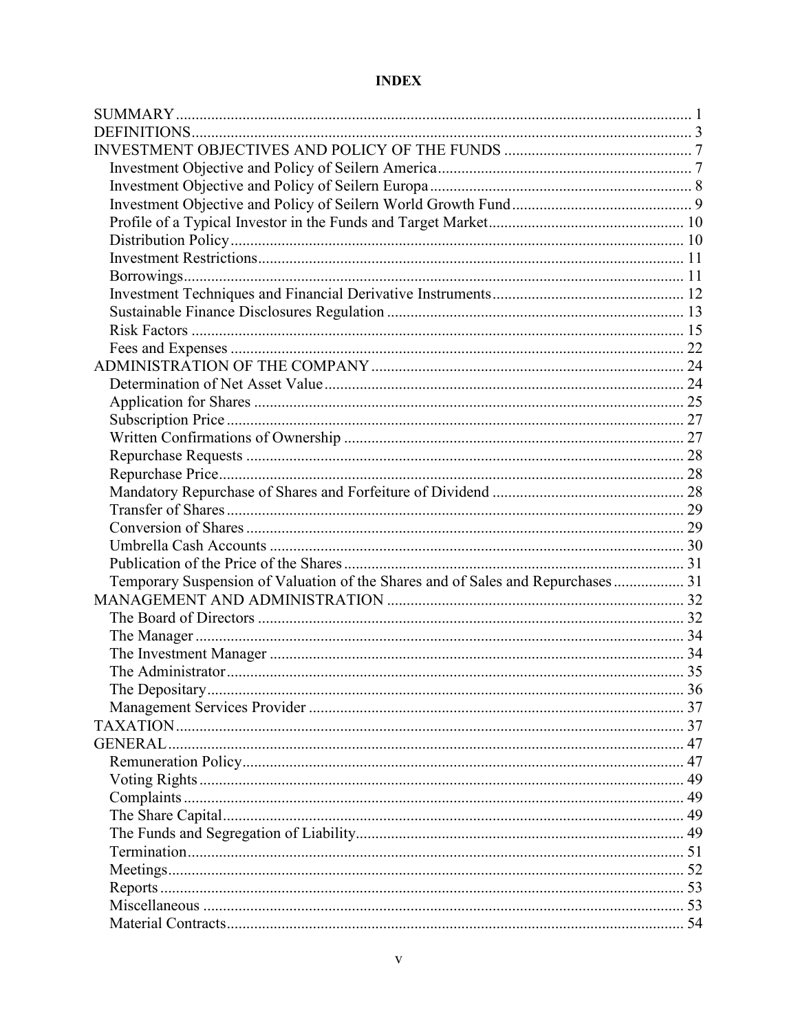# **INDEX**

| Temporary Suspension of Valuation of the Shares and of Sales and Repurchases 31 |  |
|---------------------------------------------------------------------------------|--|
|                                                                                 |  |
|                                                                                 |  |
|                                                                                 |  |
|                                                                                 |  |
|                                                                                 |  |
|                                                                                 |  |
|                                                                                 |  |
|                                                                                 |  |
|                                                                                 |  |
|                                                                                 |  |
|                                                                                 |  |
|                                                                                 |  |
|                                                                                 |  |
|                                                                                 |  |
|                                                                                 |  |
|                                                                                 |  |
|                                                                                 |  |
|                                                                                 |  |
|                                                                                 |  |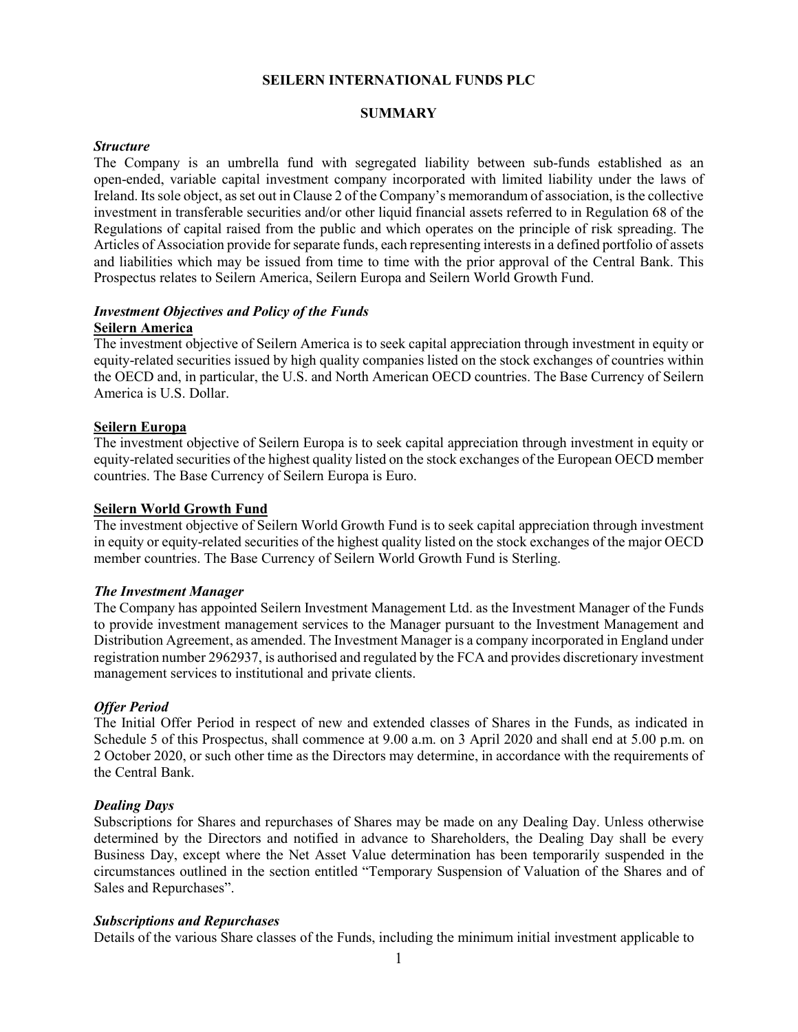#### **SEILERN INTERNATIONAL FUNDS PLC**

#### **SUMMARY**

#### *Structure*

The Company is an umbrella fund with segregated liability between sub-funds established as an open-ended, variable capital investment company incorporated with limited liability under the laws of Ireland. Its sole object, as set out in Clause 2 of the Company's memorandum of association, is the collective investment in transferable securities and/or other liquid financial assets referred to in Regulation 68 of the Regulations of capital raised from the public and which operates on the principle of risk spreading. The Articles of Association provide for separate funds, each representing interests in a defined portfolio of assets and liabilities which may be issued from time to time with the prior approval of the Central Bank. This Prospectus relates to Seilern America, Seilern Europa and Seilern World Growth Fund.

#### *Investment Objectives and Policy of the Funds*  **Seilern America**

The investment objective of Seilern America is to seek capital appreciation through investment in equity or equity-related securities issued by high quality companies listed on the stock exchanges of countries within the OECD and, in particular, the U.S. and North American OECD countries. The Base Currency of Seilern America is U.S. Dollar.

#### **Seilern Europa**

The investment objective of Seilern Europa is to seek capital appreciation through investment in equity or equity-related securities of the highest quality listed on the stock exchanges of the European OECD member countries. The Base Currency of Seilern Europa is Euro.

#### **Seilern World Growth Fund**

The investment objective of Seilern World Growth Fund is to seek capital appreciation through investment in equity or equity-related securities of the highest quality listed on the stock exchanges of the major OECD member countries. The Base Currency of Seilern World Growth Fund is Sterling.

#### *The Investment Manager*

The Company has appointed Seilern Investment Management Ltd. as the Investment Manager of the Funds to provide investment management services to the Manager pursuant to the Investment Management and Distribution Agreement, as amended. The Investment Manager is a company incorporated in England under registration number 2962937, is authorised and regulated by the FCA and provides discretionary investment management services to institutional and private clients.

#### *Offer Period*

The Initial Offer Period in respect of new and extended classes of Shares in the Funds, as indicated in Schedule 5 of this Prospectus, shall commence at 9.00 a.m. on 3 April 2020 and shall end at 5.00 p.m. on 2 October 2020, or such other time as the Directors may determine, in accordance with the requirements of the Central Bank.

#### *Dealing Days*

Subscriptions for Shares and repurchases of Shares may be made on any Dealing Day. Unless otherwise determined by the Directors and notified in advance to Shareholders, the Dealing Day shall be every Business Day, except where the Net Asset Value determination has been temporarily suspended in the circumstances outlined in the section entitled "Temporary Suspension of Valuation of the Shares and of Sales and Repurchases".

#### *Subscriptions and Repurchases*

Details of the various Share classes of the Funds, including the minimum initial investment applicable to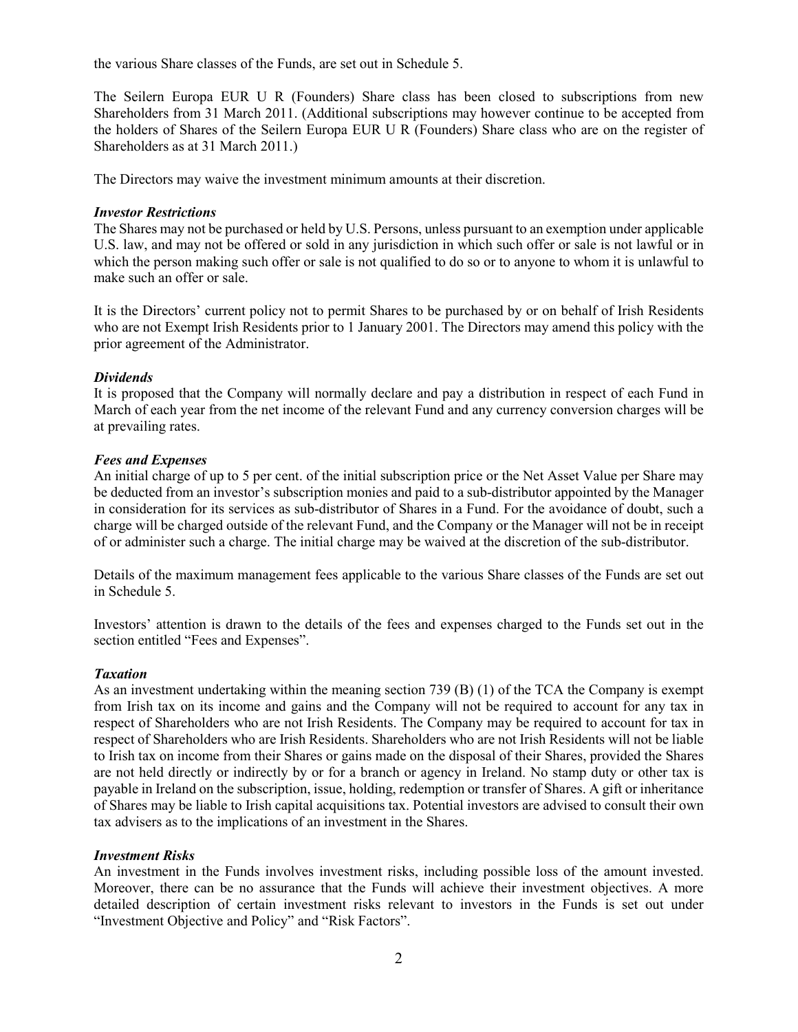the various Share classes of the Funds, are set out in Schedule 5.

The Seilern Europa EUR U R (Founders) Share class has been closed to subscriptions from new Shareholders from 31 March 2011. (Additional subscriptions may however continue to be accepted from the holders of Shares of the Seilern Europa EUR U R (Founders) Share class who are on the register of Shareholders as at 31 March 2011.)

The Directors may waive the investment minimum amounts at their discretion.

# *Investor Restrictions*

The Shares may not be purchased or held by U.S. Persons, unless pursuant to an exemption under applicable U.S. law, and may not be offered or sold in any jurisdiction in which such offer or sale is not lawful or in which the person making such offer or sale is not qualified to do so or to anyone to whom it is unlawful to make such an offer or sale.

It is the Directors' current policy not to permit Shares to be purchased by or on behalf of Irish Residents who are not Exempt Irish Residents prior to 1 January 2001. The Directors may amend this policy with the prior agreement of the Administrator.

## *Dividends*

It is proposed that the Company will normally declare and pay a distribution in respect of each Fund in March of each year from the net income of the relevant Fund and any currency conversion charges will be at prevailing rates.

## *Fees and Expenses*

An initial charge of up to 5 per cent. of the initial subscription price or the Net Asset Value per Share may be deducted from an investor's subscription monies and paid to a sub-distributor appointed by the Manager in consideration for its services as sub-distributor of Shares in a Fund. For the avoidance of doubt, such a charge will be charged outside of the relevant Fund, and the Company or the Manager will not be in receipt of or administer such a charge. The initial charge may be waived at the discretion of the sub-distributor.

Details of the maximum management fees applicable to the various Share classes of the Funds are set out in Schedule 5.

Investors' attention is drawn to the details of the fees and expenses charged to the Funds set out in the section entitled "Fees and Expenses".

#### *Taxation*

As an investment undertaking within the meaning section 739 (B) (1) of the TCA the Company is exempt from Irish tax on its income and gains and the Company will not be required to account for any tax in respect of Shareholders who are not Irish Residents. The Company may be required to account for tax in respect of Shareholders who are Irish Residents. Shareholders who are not Irish Residents will not be liable to Irish tax on income from their Shares or gains made on the disposal of their Shares, provided the Shares are not held directly or indirectly by or for a branch or agency in Ireland. No stamp duty or other tax is payable in Ireland on the subscription, issue, holding, redemption or transfer of Shares. A gift or inheritance of Shares may be liable to Irish capital acquisitions tax. Potential investors are advised to consult their own tax advisers as to the implications of an investment in the Shares.

# *Investment Risks*

An investment in the Funds involves investment risks, including possible loss of the amount invested. Moreover, there can be no assurance that the Funds will achieve their investment objectives. A more detailed description of certain investment risks relevant to investors in the Funds is set out under "Investment Objective and Policy" and "Risk Factors".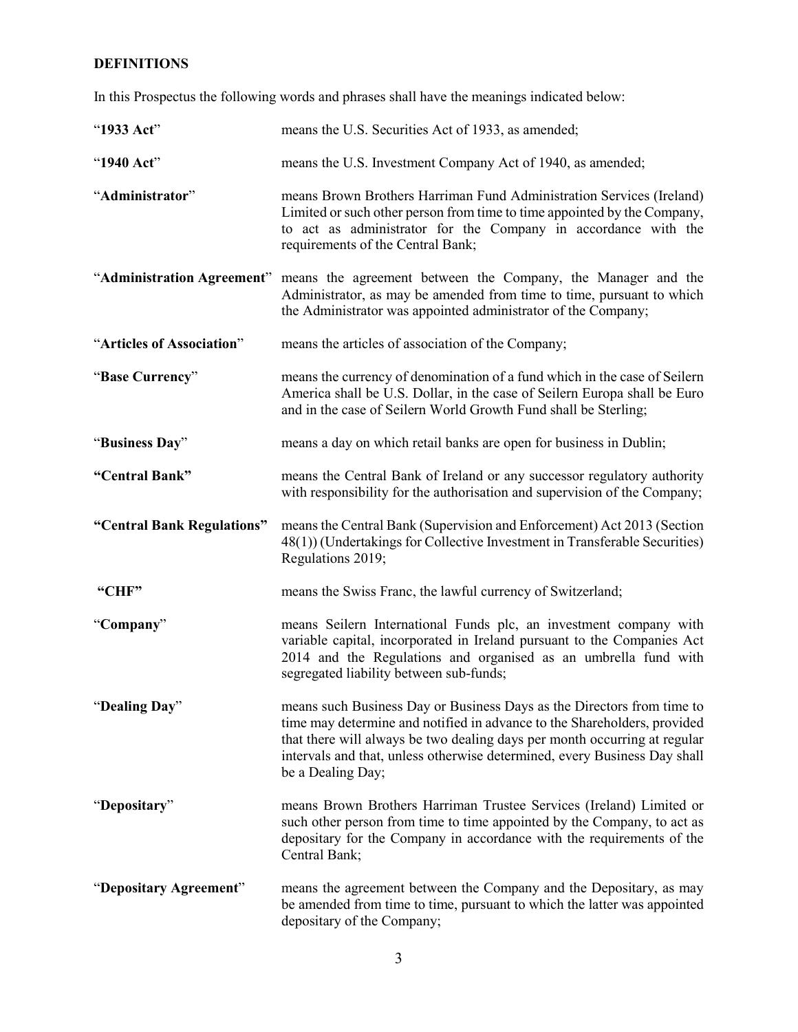# **DEFINITIONS**

In this Prospectus the following words and phrases shall have the meanings indicated below:

| "1933 Act"                 | means the U.S. Securities Act of 1933, as amended;                                                                                                                                                                                                                                                                                |
|----------------------------|-----------------------------------------------------------------------------------------------------------------------------------------------------------------------------------------------------------------------------------------------------------------------------------------------------------------------------------|
| "1940 Act"                 | means the U.S. Investment Company Act of 1940, as amended;                                                                                                                                                                                                                                                                        |
| "Administrator"            | means Brown Brothers Harriman Fund Administration Services (Ireland)<br>Limited or such other person from time to time appointed by the Company,<br>to act as administrator for the Company in accordance with the<br>requirements of the Central Bank;                                                                           |
|                            | "Administration Agreement" means the agreement between the Company, the Manager and the<br>Administrator, as may be amended from time to time, pursuant to which<br>the Administrator was appointed administrator of the Company;                                                                                                 |
| "Articles of Association"  | means the articles of association of the Company;                                                                                                                                                                                                                                                                                 |
| "Base Currency"            | means the currency of denomination of a fund which in the case of Seilern<br>America shall be U.S. Dollar, in the case of Seilern Europa shall be Euro<br>and in the case of Seilern World Growth Fund shall be Sterling;                                                                                                         |
| "Business Day"             | means a day on which retail banks are open for business in Dublin;                                                                                                                                                                                                                                                                |
| "Central Bank"             | means the Central Bank of Ireland or any successor regulatory authority<br>with responsibility for the authorisation and supervision of the Company;                                                                                                                                                                              |
| "Central Bank Regulations" | means the Central Bank (Supervision and Enforcement) Act 2013 (Section<br>48(1)) (Undertakings for Collective Investment in Transferable Securities)<br>Regulations 2019;                                                                                                                                                         |
| "CHF"                      | means the Swiss Franc, the lawful currency of Switzerland;                                                                                                                                                                                                                                                                        |
| "Company"                  | means Seilern International Funds plc, an investment company with<br>variable capital, incorporated in Ireland pursuant to the Companies Act<br>2014 and the Regulations and organised as an umbrella fund with<br>segregated liability between sub-funds;                                                                        |
| "Dealing Day"              | means such Business Day or Business Days as the Directors from time to<br>time may determine and notified in advance to the Shareholders, provided<br>that there will always be two dealing days per month occurring at regular<br>intervals and that, unless otherwise determined, every Business Day shall<br>be a Dealing Day; |
| "Depositary"               | means Brown Brothers Harriman Trustee Services (Ireland) Limited or<br>such other person from time to time appointed by the Company, to act as<br>depositary for the Company in accordance with the requirements of the<br>Central Bank;                                                                                          |
| "Depositary Agreement"     | means the agreement between the Company and the Depositary, as may<br>be amended from time to time, pursuant to which the latter was appointed<br>depositary of the Company;                                                                                                                                                      |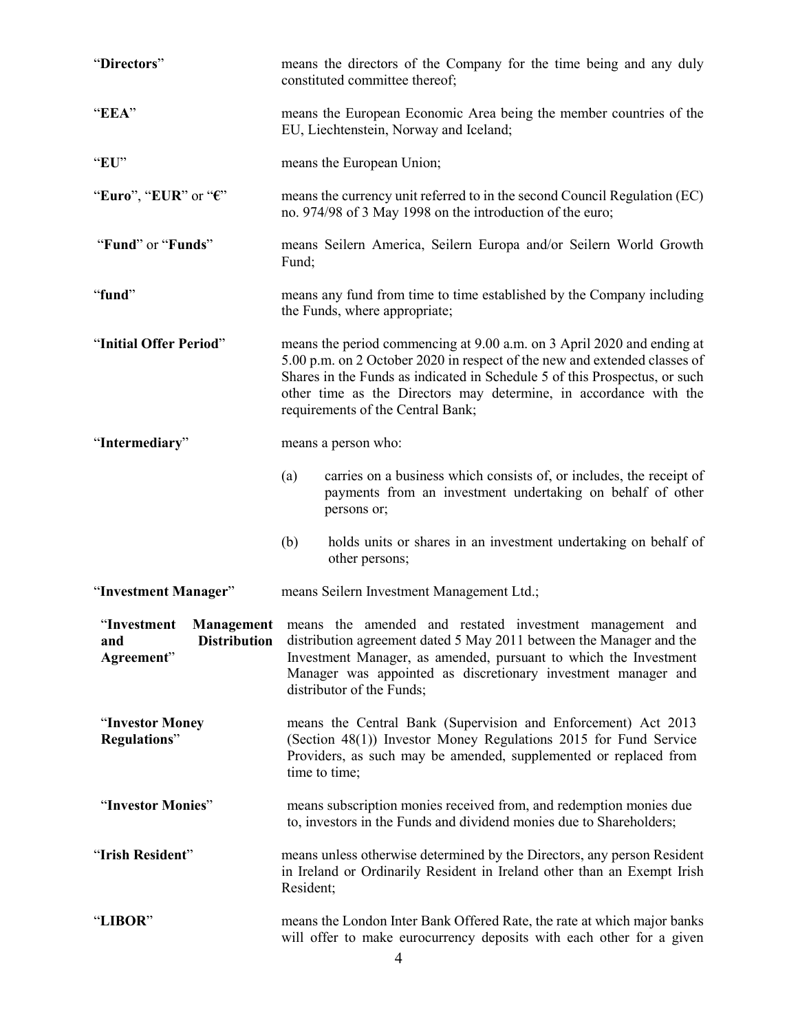| "Directors"                                             |                                                                                                                                                                                                                        | means the directors of the Company for the time being and any duly<br>constituted committee thereof;                                                                                                                                                                                                                                        |
|---------------------------------------------------------|------------------------------------------------------------------------------------------------------------------------------------------------------------------------------------------------------------------------|---------------------------------------------------------------------------------------------------------------------------------------------------------------------------------------------------------------------------------------------------------------------------------------------------------------------------------------------|
| "EEA"                                                   |                                                                                                                                                                                                                        | means the European Economic Area being the member countries of the<br>EU, Liechtenstein, Norway and Iceland;                                                                                                                                                                                                                                |
| "EU"                                                    |                                                                                                                                                                                                                        | means the European Union;                                                                                                                                                                                                                                                                                                                   |
| "Euro", "EUR" or " $\epsilon$ "                         |                                                                                                                                                                                                                        | means the currency unit referred to in the second Council Regulation (EC)<br>no. 974/98 of 3 May 1998 on the introduction of the euro;                                                                                                                                                                                                      |
| "Fund" or "Funds"                                       | Fund;                                                                                                                                                                                                                  | means Seilern America, Seilern Europa and/or Seilern World Growth                                                                                                                                                                                                                                                                           |
| "fund"                                                  |                                                                                                                                                                                                                        | means any fund from time to time established by the Company including<br>the Funds, where appropriate;                                                                                                                                                                                                                                      |
| "Initial Offer Period"                                  |                                                                                                                                                                                                                        | means the period commencing at 9.00 a.m. on 3 April 2020 and ending at<br>5.00 p.m. on 2 October 2020 in respect of the new and extended classes of<br>Shares in the Funds as indicated in Schedule 5 of this Prospectus, or such<br>other time as the Directors may determine, in accordance with the<br>requirements of the Central Bank; |
| "Intermediary"                                          |                                                                                                                                                                                                                        | means a person who:                                                                                                                                                                                                                                                                                                                         |
|                                                         | (a)                                                                                                                                                                                                                    | carries on a business which consists of, or includes, the receipt of<br>payments from an investment undertaking on behalf of other<br>persons or;                                                                                                                                                                                           |
|                                                         | (b)                                                                                                                                                                                                                    | holds units or shares in an investment undertaking on behalf of<br>other persons;                                                                                                                                                                                                                                                           |
| "Investment Manager"                                    |                                                                                                                                                                                                                        | means Seilern Investment Management Ltd.;                                                                                                                                                                                                                                                                                                   |
| "Investment<br><b>Distribution</b><br>and<br>Agreement" |                                                                                                                                                                                                                        | Management means the amended and restated investment management and<br>distribution agreement dated 5 May 2011 between the Manager and the<br>Investment Manager, as amended, pursuant to which the Investment<br>Manager was appointed as discretionary investment manager and<br>distributor of the Funds;                                |
| "Investor Money<br><b>Regulations</b> "                 | means the Central Bank (Supervision and Enforcement) Act 2013<br>(Section 48(1)) Investor Money Regulations 2015 for Fund Service<br>Providers, as such may be amended, supplemented or replaced from<br>time to time; |                                                                                                                                                                                                                                                                                                                                             |
| "Investor Monies"                                       |                                                                                                                                                                                                                        | means subscription monies received from, and redemption monies due<br>to, investors in the Funds and dividend monies due to Shareholders;                                                                                                                                                                                                   |
| "Irish Resident"                                        | Resident;                                                                                                                                                                                                              | means unless otherwise determined by the Directors, any person Resident<br>in Ireland or Ordinarily Resident in Ireland other than an Exempt Irish                                                                                                                                                                                          |
| "LIBOR"                                                 |                                                                                                                                                                                                                        | means the London Inter Bank Offered Rate, the rate at which major banks<br>will offer to make eurocurrency deposits with each other for a given                                                                                                                                                                                             |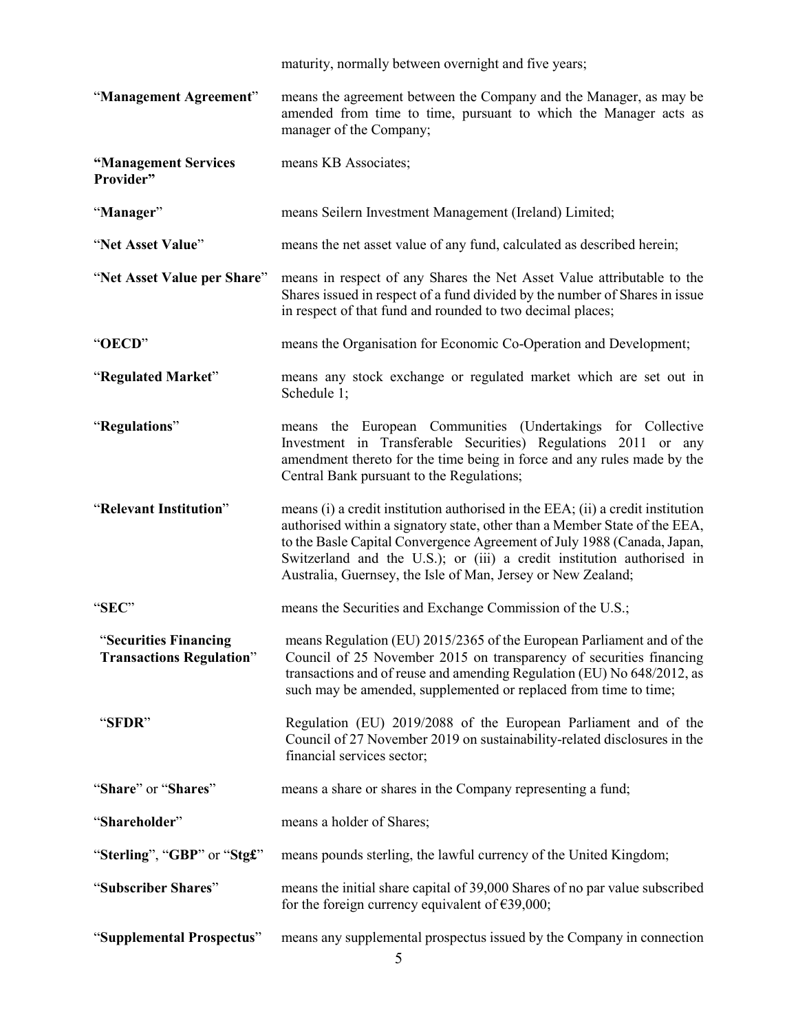|                                                          | maturity, normally between overnight and five years;                                                                                                                                                                                                                                                                                                                               |
|----------------------------------------------------------|------------------------------------------------------------------------------------------------------------------------------------------------------------------------------------------------------------------------------------------------------------------------------------------------------------------------------------------------------------------------------------|
| "Management Agreement"                                   | means the agreement between the Company and the Manager, as may be<br>amended from time to time, pursuant to which the Manager acts as<br>manager of the Company;                                                                                                                                                                                                                  |
| "Management Services<br>Provider"                        | means KB Associates;                                                                                                                                                                                                                                                                                                                                                               |
| "Manager"                                                | means Seilern Investment Management (Ireland) Limited;                                                                                                                                                                                                                                                                                                                             |
| "Net Asset Value"                                        | means the net asset value of any fund, calculated as described herein;                                                                                                                                                                                                                                                                                                             |
| "Net Asset Value per Share"                              | means in respect of any Shares the Net Asset Value attributable to the<br>Shares issued in respect of a fund divided by the number of Shares in issue<br>in respect of that fund and rounded to two decimal places;                                                                                                                                                                |
| "OECD"                                                   | means the Organisation for Economic Co-Operation and Development;                                                                                                                                                                                                                                                                                                                  |
| "Regulated Market"                                       | means any stock exchange or regulated market which are set out in<br>Schedule 1;                                                                                                                                                                                                                                                                                                   |
| "Regulations"                                            | means the European Communities (Undertakings for Collective<br>Investment in Transferable Securities) Regulations 2011 or any<br>amendment thereto for the time being in force and any rules made by the<br>Central Bank pursuant to the Regulations;                                                                                                                              |
| "Relevant Institution"                                   | means (i) a credit institution authorised in the EEA; (ii) a credit institution<br>authorised within a signatory state, other than a Member State of the EEA,<br>to the Basle Capital Convergence Agreement of July 1988 (Canada, Japan,<br>Switzerland and the U.S.); or (iii) a credit institution authorised in<br>Australia, Guernsey, the Isle of Man, Jersey or New Zealand; |
| "SEC"                                                    | means the Securities and Exchange Commission of the U.S.;                                                                                                                                                                                                                                                                                                                          |
| "Securities Financing<br><b>Transactions Regulation"</b> | means Regulation (EU) 2015/2365 of the European Parliament and of the<br>Council of 25 November 2015 on transparency of securities financing<br>transactions and of reuse and amending Regulation (EU) No 648/2012, as<br>such may be amended, supplemented or replaced from time to time;                                                                                         |
| "SFDR"                                                   | Regulation (EU) 2019/2088 of the European Parliament and of the<br>Council of 27 November 2019 on sustainability-related disclosures in the<br>financial services sector;                                                                                                                                                                                                          |
| "Share" or "Shares"                                      | means a share or shares in the Company representing a fund;                                                                                                                                                                                                                                                                                                                        |
| "Shareholder"                                            | means a holder of Shares;                                                                                                                                                                                                                                                                                                                                                          |
| "Sterling", "GBP" or "Stgf"                              | means pounds sterling, the lawful currency of the United Kingdom;                                                                                                                                                                                                                                                                                                                  |
| "Subscriber Shares"                                      | means the initial share capital of 39,000 Shares of no par value subscribed<br>for the foreign currency equivalent of $\epsilon$ 39,000;                                                                                                                                                                                                                                           |
| "Supplemental Prospectus"                                | means any supplemental prospectus issued by the Company in connection                                                                                                                                                                                                                                                                                                              |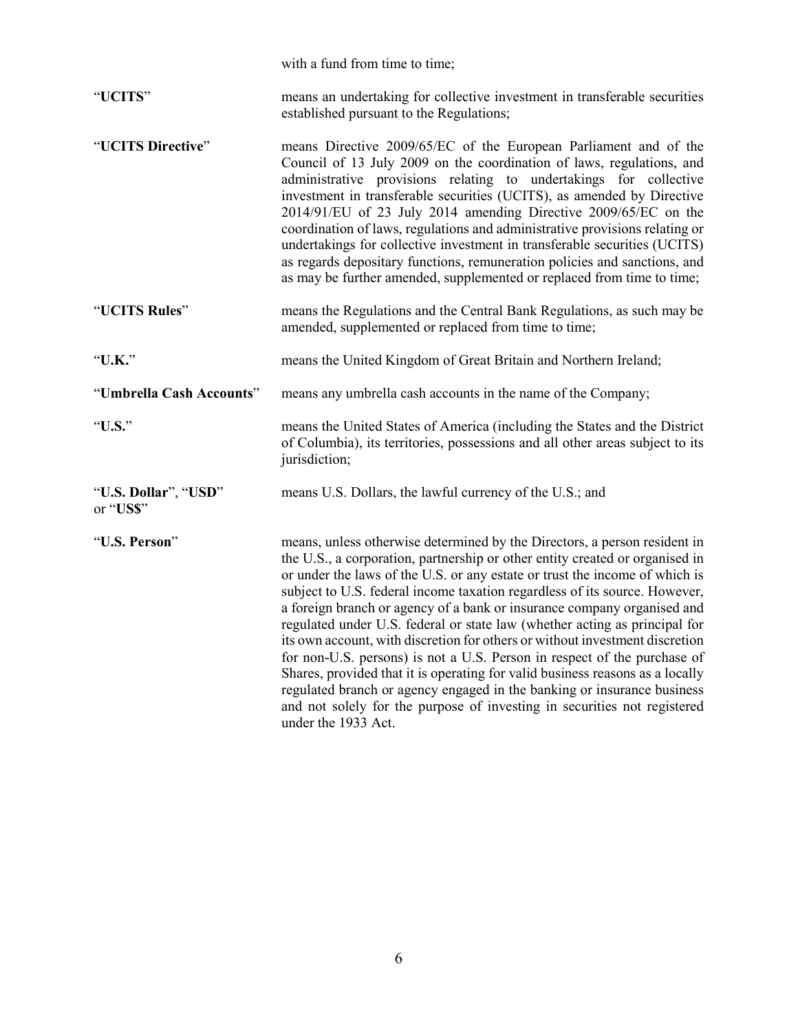|                                   | with a fund from time to time;                                                                                                                                                                                                                                                                                                                                                                                                                                                                                                                                                                                                                                                                                                                                                                                                                                                                             |
|-----------------------------------|------------------------------------------------------------------------------------------------------------------------------------------------------------------------------------------------------------------------------------------------------------------------------------------------------------------------------------------------------------------------------------------------------------------------------------------------------------------------------------------------------------------------------------------------------------------------------------------------------------------------------------------------------------------------------------------------------------------------------------------------------------------------------------------------------------------------------------------------------------------------------------------------------------|
| "UCITS"                           | means an undertaking for collective investment in transferable securities<br>established pursuant to the Regulations;                                                                                                                                                                                                                                                                                                                                                                                                                                                                                                                                                                                                                                                                                                                                                                                      |
| "UCITS Directive"                 | means Directive 2009/65/EC of the European Parliament and of the<br>Council of 13 July 2009 on the coordination of laws, regulations, and<br>administrative provisions relating to undertakings for collective<br>investment in transferable securities (UCITS), as amended by Directive<br>2014/91/EU of 23 July 2014 amending Directive 2009/65/EC on the<br>coordination of laws, regulations and administrative provisions relating or<br>undertakings for collective investment in transferable securities (UCITS)<br>as regards depositary functions, remuneration policies and sanctions, and<br>as may be further amended, supplemented or replaced from time to time;                                                                                                                                                                                                                             |
| "UCITS Rules"                     | means the Regulations and the Central Bank Regulations, as such may be<br>amended, supplemented or replaced from time to time;                                                                                                                                                                                                                                                                                                                                                                                                                                                                                                                                                                                                                                                                                                                                                                             |
| "U.K."                            | means the United Kingdom of Great Britain and Northern Ireland;                                                                                                                                                                                                                                                                                                                                                                                                                                                                                                                                                                                                                                                                                                                                                                                                                                            |
| "Umbrella Cash Accounts"          | means any umbrella cash accounts in the name of the Company;                                                                                                                                                                                                                                                                                                                                                                                                                                                                                                                                                                                                                                                                                                                                                                                                                                               |
| "U.S."                            | means the United States of America (including the States and the District<br>of Columbia), its territories, possessions and all other areas subject to its<br>jurisdiction;                                                                                                                                                                                                                                                                                                                                                                                                                                                                                                                                                                                                                                                                                                                                |
| "U.S. Dollar", "USD"<br>or "US\$" | means U.S. Dollars, the lawful currency of the U.S.; and                                                                                                                                                                                                                                                                                                                                                                                                                                                                                                                                                                                                                                                                                                                                                                                                                                                   |
| "U.S. Person"                     | means, unless otherwise determined by the Directors, a person resident in<br>the U.S., a corporation, partnership or other entity created or organised in<br>or under the laws of the U.S. or any estate or trust the income of which is<br>subject to U.S. federal income taxation regardless of its source. However,<br>a foreign branch or agency of a bank or insurance company organised and<br>regulated under U.S. federal or state law (whether acting as principal for<br>its own account, with discretion for others or without investment discretion<br>for non-U.S. persons) is not a U.S. Person in respect of the purchase of<br>Shares, provided that it is operating for valid business reasons as a locally<br>regulated branch or agency engaged in the banking or insurance business<br>and not solely for the purpose of investing in securities not registered<br>under the 1933 Act. |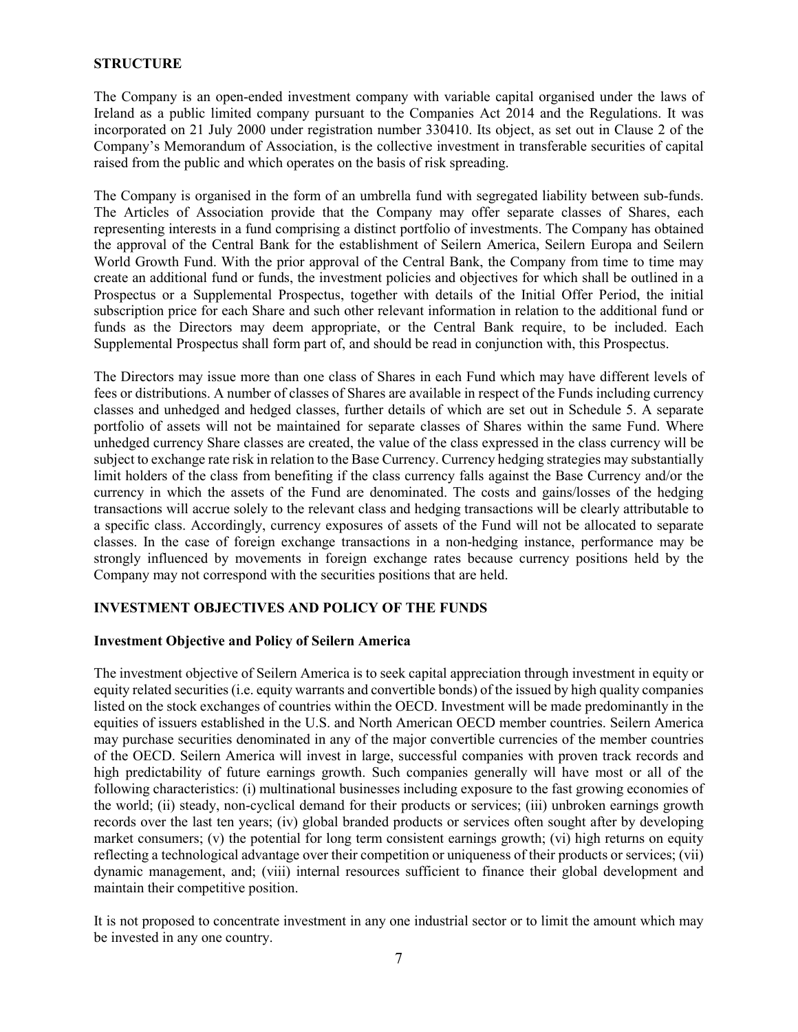# **STRUCTURE**

The Company is an open-ended investment company with variable capital organised under the laws of Ireland as a public limited company pursuant to the Companies Act 2014 and the Regulations. It was incorporated on 21 July 2000 under registration number 330410. Its object, as set out in Clause 2 of the Company's Memorandum of Association, is the collective investment in transferable securities of capital raised from the public and which operates on the basis of risk spreading.

The Company is organised in the form of an umbrella fund with segregated liability between sub-funds. The Articles of Association provide that the Company may offer separate classes of Shares, each representing interests in a fund comprising a distinct portfolio of investments. The Company has obtained the approval of the Central Bank for the establishment of Seilern America, Seilern Europa and Seilern World Growth Fund. With the prior approval of the Central Bank, the Company from time to time may create an additional fund or funds, the investment policies and objectives for which shall be outlined in a Prospectus or a Supplemental Prospectus, together with details of the Initial Offer Period, the initial subscription price for each Share and such other relevant information in relation to the additional fund or funds as the Directors may deem appropriate, or the Central Bank require, to be included. Each Supplemental Prospectus shall form part of, and should be read in conjunction with, this Prospectus.

The Directors may issue more than one class of Shares in each Fund which may have different levels of fees or distributions. A number of classes of Shares are available in respect of the Funds including currency classes and unhedged and hedged classes, further details of which are set out in Schedule 5. A separate portfolio of assets will not be maintained for separate classes of Shares within the same Fund. Where unhedged currency Share classes are created, the value of the class expressed in the class currency will be subject to exchange rate risk in relation to the Base Currency. Currency hedging strategies may substantially limit holders of the class from benefiting if the class currency falls against the Base Currency and/or the currency in which the assets of the Fund are denominated. The costs and gains/losses of the hedging transactions will accrue solely to the relevant class and hedging transactions will be clearly attributable to a specific class. Accordingly, currency exposures of assets of the Fund will not be allocated to separate classes. In the case of foreign exchange transactions in a non-hedging instance, performance may be strongly influenced by movements in foreign exchange rates because currency positions held by the Company may not correspond with the securities positions that are held.

# **INVESTMENT OBJECTIVES AND POLICY OF THE FUNDS**

#### **Investment Objective and Policy of Seilern America**

The investment objective of Seilern America is to seek capital appreciation through investment in equity or equity related securities (i.e. equity warrants and convertible bonds) of the issued by high quality companies listed on the stock exchanges of countries within the OECD. Investment will be made predominantly in the equities of issuers established in the U.S. and North American OECD member countries. Seilern America may purchase securities denominated in any of the major convertible currencies of the member countries of the OECD. Seilern America will invest in large, successful companies with proven track records and high predictability of future earnings growth. Such companies generally will have most or all of the following characteristics: (i) multinational businesses including exposure to the fast growing economies of the world; (ii) steady, non-cyclical demand for their products or services; (iii) unbroken earnings growth records over the last ten years; (iv) global branded products or services often sought after by developing market consumers; (v) the potential for long term consistent earnings growth; (vi) high returns on equity reflecting a technological advantage over their competition or uniqueness of their products or services; (vii) dynamic management, and; (viii) internal resources sufficient to finance their global development and maintain their competitive position.

It is not proposed to concentrate investment in any one industrial sector or to limit the amount which may be invested in any one country.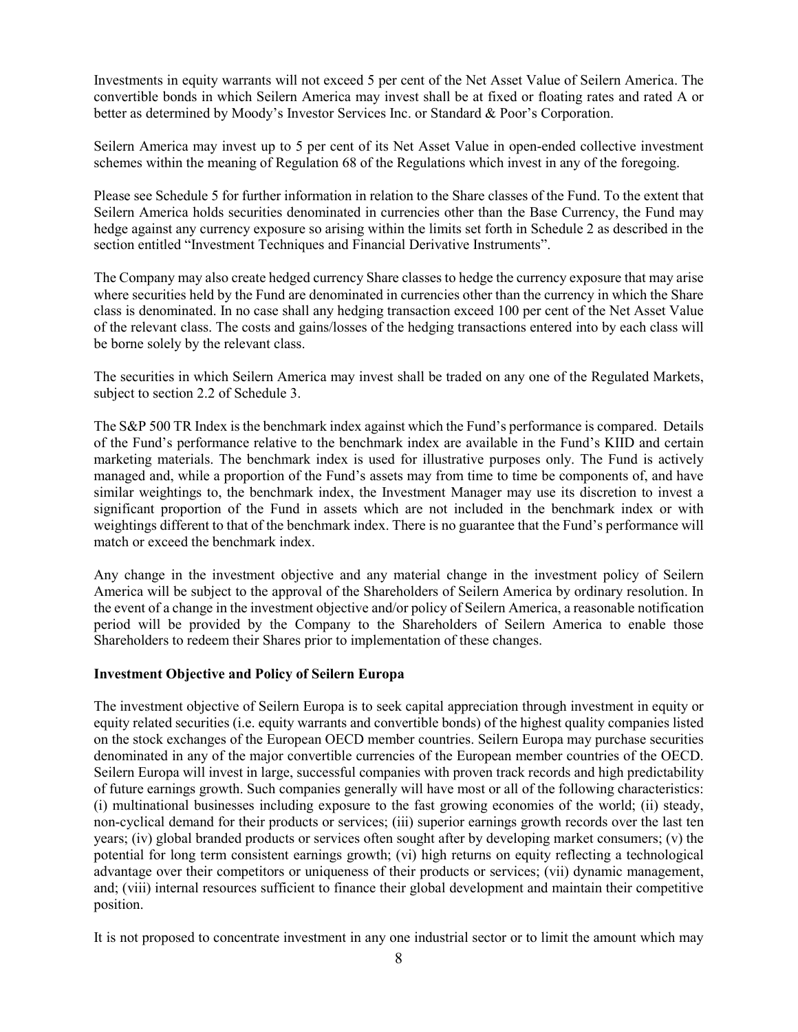Investments in equity warrants will not exceed 5 per cent of the Net Asset Value of Seilern America. The convertible bonds in which Seilern America may invest shall be at fixed or floating rates and rated A or better as determined by Moody's Investor Services Inc. or Standard & Poor's Corporation.

Seilern America may invest up to 5 per cent of its Net Asset Value in open-ended collective investment schemes within the meaning of Regulation 68 of the Regulations which invest in any of the foregoing.

Please see Schedule 5 for further information in relation to the Share classes of the Fund. To the extent that Seilern America holds securities denominated in currencies other than the Base Currency, the Fund may hedge against any currency exposure so arising within the limits set forth in Schedule 2 as described in the section entitled "Investment Techniques and Financial Derivative Instruments".

The Company may also create hedged currency Share classes to hedge the currency exposure that may arise where securities held by the Fund are denominated in currencies other than the currency in which the Share class is denominated. In no case shall any hedging transaction exceed 100 per cent of the Net Asset Value of the relevant class. The costs and gains/losses of the hedging transactions entered into by each class will be borne solely by the relevant class.

The securities in which Seilern America may invest shall be traded on any one of the Regulated Markets, subject to section 2.2 of Schedule 3.

The S&P 500 TR Index is the benchmark index against which the Fund's performance is compared. Details of the Fund's performance relative to the benchmark index are available in the Fund's KIID and certain marketing materials. The benchmark index is used for illustrative purposes only. The Fund is actively managed and, while a proportion of the Fund's assets may from time to time be components of, and have similar weightings to, the benchmark index, the Investment Manager may use its discretion to invest a significant proportion of the Fund in assets which are not included in the benchmark index or with weightings different to that of the benchmark index. There is no guarantee that the Fund's performance will match or exceed the benchmark index.

Any change in the investment objective and any material change in the investment policy of Seilern America will be subject to the approval of the Shareholders of Seilern America by ordinary resolution. In the event of a change in the investment objective and/or policy of Seilern America, a reasonable notification period will be provided by the Company to the Shareholders of Seilern America to enable those Shareholders to redeem their Shares prior to implementation of these changes.

# **Investment Objective and Policy of Seilern Europa**

The investment objective of Seilern Europa is to seek capital appreciation through investment in equity or equity related securities (i.e. equity warrants and convertible bonds) of the highest quality companies listed on the stock exchanges of the European OECD member countries. Seilern Europa may purchase securities denominated in any of the major convertible currencies of the European member countries of the OECD. Seilern Europa will invest in large, successful companies with proven track records and high predictability of future earnings growth. Such companies generally will have most or all of the following characteristics: (i) multinational businesses including exposure to the fast growing economies of the world; (ii) steady, non-cyclical demand for their products or services; (iii) superior earnings growth records over the last ten years; (iv) global branded products or services often sought after by developing market consumers; (v) the potential for long term consistent earnings growth; (vi) high returns on equity reflecting a technological advantage over their competitors or uniqueness of their products or services; (vii) dynamic management, and; (viii) internal resources sufficient to finance their global development and maintain their competitive position.

It is not proposed to concentrate investment in any one industrial sector or to limit the amount which may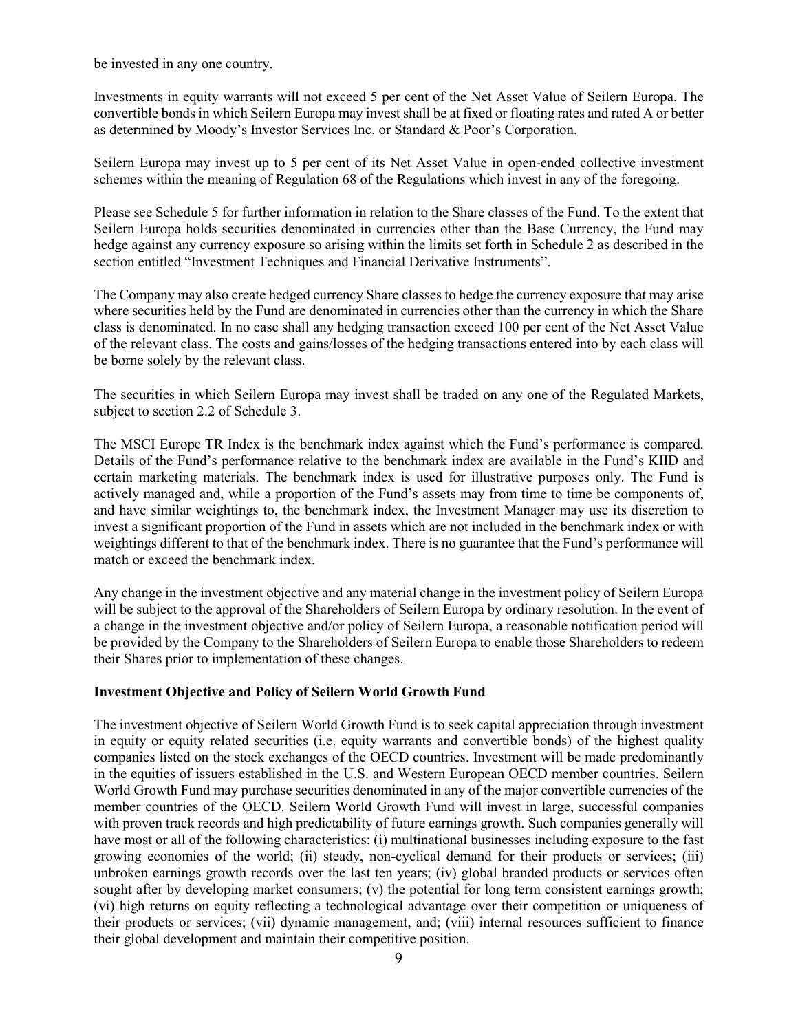be invested in any one country.

Investments in equity warrants will not exceed 5 per cent of the Net Asset Value of Seilern Europa. The convertible bonds in which Seilern Europa may invest shall be at fixed or floating rates and rated A or better as determined by Moody's Investor Services Inc. or Standard & Poor's Corporation.

Seilern Europa may invest up to 5 per cent of its Net Asset Value in open-ended collective investment schemes within the meaning of Regulation 68 of the Regulations which invest in any of the foregoing.

Please see Schedule 5 for further information in relation to the Share classes of the Fund. To the extent that Seilern Europa holds securities denominated in currencies other than the Base Currency, the Fund may hedge against any currency exposure so arising within the limits set forth in Schedule 2 as described in the section entitled "Investment Techniques and Financial Derivative Instruments".

The Company may also create hedged currency Share classes to hedge the currency exposure that may arise where securities held by the Fund are denominated in currencies other than the currency in which the Share class is denominated. In no case shall any hedging transaction exceed 100 per cent of the Net Asset Value of the relevant class. The costs and gains/losses of the hedging transactions entered into by each class will be borne solely by the relevant class.

The securities in which Seilern Europa may invest shall be traded on any one of the Regulated Markets, subject to section 2.2 of Schedule 3.

The MSCI Europe TR Index is the benchmark index against which the Fund's performance is compared. Details of the Fund's performance relative to the benchmark index are available in the Fund's KIID and certain marketing materials. The benchmark index is used for illustrative purposes only. The Fund is actively managed and, while a proportion of the Fund's assets may from time to time be components of, and have similar weightings to, the benchmark index, the Investment Manager may use its discretion to invest a significant proportion of the Fund in assets which are not included in the benchmark index or with weightings different to that of the benchmark index. There is no guarantee that the Fund's performance will match or exceed the benchmark index.

Any change in the investment objective and any material change in the investment policy of Seilern Europa will be subject to the approval of the Shareholders of Seilern Europa by ordinary resolution. In the event of a change in the investment objective and/or policy of Seilern Europa, a reasonable notification period will be provided by the Company to the Shareholders of Seilern Europa to enable those Shareholders to redeem their Shares prior to implementation of these changes.

# **Investment Objective and Policy of Seilern World Growth Fund**

The investment objective of Seilern World Growth Fund is to seek capital appreciation through investment in equity or equity related securities (i.e. equity warrants and convertible bonds) of the highest quality companies listed on the stock exchanges of the OECD countries. Investment will be made predominantly in the equities of issuers established in the U.S. and Western European OECD member countries. Seilern World Growth Fund may purchase securities denominated in any of the major convertible currencies of the member countries of the OECD. Seilern World Growth Fund will invest in large, successful companies with proven track records and high predictability of future earnings growth. Such companies generally will have most or all of the following characteristics: (i) multinational businesses including exposure to the fast growing economies of the world; (ii) steady, non-cyclical demand for their products or services; (iii) unbroken earnings growth records over the last ten years; (iv) global branded products or services often sought after by developing market consumers; (v) the potential for long term consistent earnings growth; (vi) high returns on equity reflecting a technological advantage over their competition or uniqueness of their products or services; (vii) dynamic management, and; (viii) internal resources sufficient to finance their global development and maintain their competitive position.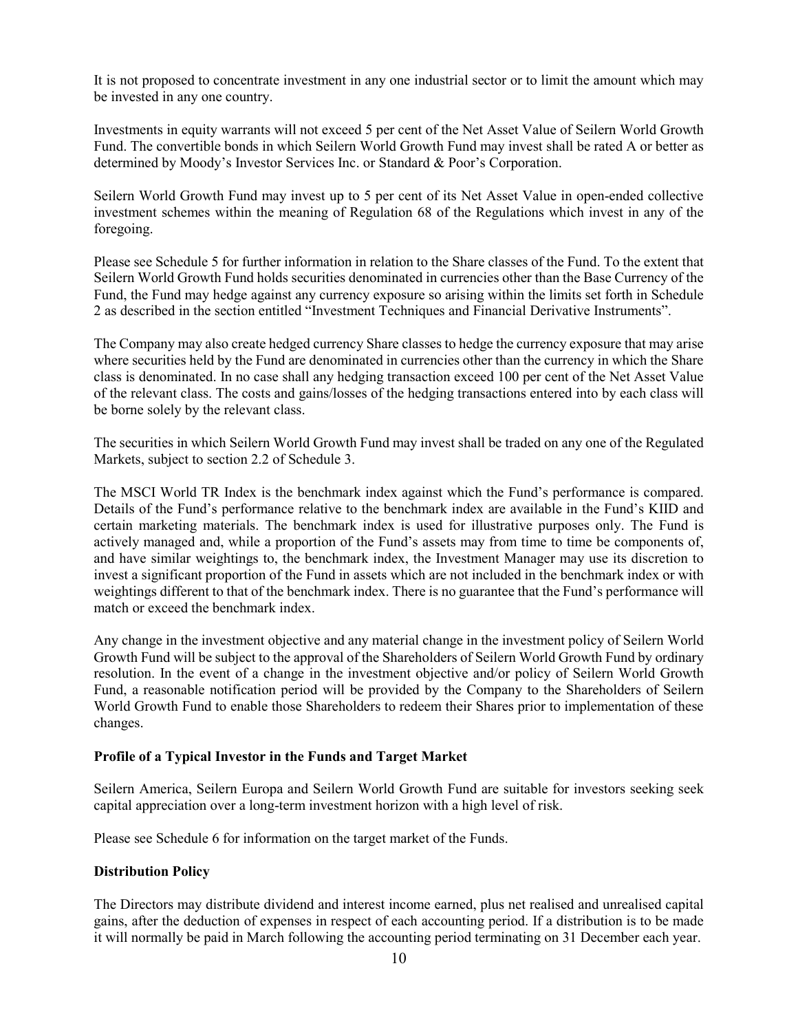It is not proposed to concentrate investment in any one industrial sector or to limit the amount which may be invested in any one country.

Investments in equity warrants will not exceed 5 per cent of the Net Asset Value of Seilern World Growth Fund. The convertible bonds in which Seilern World Growth Fund may invest shall be rated A or better as determined by Moody's Investor Services Inc. or Standard & Poor's Corporation.

Seilern World Growth Fund may invest up to 5 per cent of its Net Asset Value in open-ended collective investment schemes within the meaning of Regulation 68 of the Regulations which invest in any of the foregoing.

Please see Schedule 5 for further information in relation to the Share classes of the Fund. To the extent that Seilern World Growth Fund holds securities denominated in currencies other than the Base Currency of the Fund, the Fund may hedge against any currency exposure so arising within the limits set forth in Schedule 2 as described in the section entitled "Investment Techniques and Financial Derivative Instruments".

The Company may also create hedged currency Share classes to hedge the currency exposure that may arise where securities held by the Fund are denominated in currencies other than the currency in which the Share class is denominated. In no case shall any hedging transaction exceed 100 per cent of the Net Asset Value of the relevant class. The costs and gains/losses of the hedging transactions entered into by each class will be borne solely by the relevant class.

The securities in which Seilern World Growth Fund may invest shall be traded on any one of the Regulated Markets, subject to section 2.2 of Schedule 3.

The MSCI World TR Index is the benchmark index against which the Fund's performance is compared. Details of the Fund's performance relative to the benchmark index are available in the Fund's KIID and certain marketing materials. The benchmark index is used for illustrative purposes only. The Fund is actively managed and, while a proportion of the Fund's assets may from time to time be components of, and have similar weightings to, the benchmark index, the Investment Manager may use its discretion to invest a significant proportion of the Fund in assets which are not included in the benchmark index or with weightings different to that of the benchmark index. There is no guarantee that the Fund's performance will match or exceed the benchmark index.

Any change in the investment objective and any material change in the investment policy of Seilern World Growth Fund will be subject to the approval of the Shareholders of Seilern World Growth Fund by ordinary resolution. In the event of a change in the investment objective and/or policy of Seilern World Growth Fund, a reasonable notification period will be provided by the Company to the Shareholders of Seilern World Growth Fund to enable those Shareholders to redeem their Shares prior to implementation of these changes.

# **Profile of a Typical Investor in the Funds and Target Market**

Seilern America, Seilern Europa and Seilern World Growth Fund are suitable for investors seeking seek capital appreciation over a long-term investment horizon with a high level of risk.

Please see Schedule 6 for information on the target market of the Funds.

# **Distribution Policy**

The Directors may distribute dividend and interest income earned, plus net realised and unrealised capital gains, after the deduction of expenses in respect of each accounting period. If a distribution is to be made it will normally be paid in March following the accounting period terminating on 31 December each year.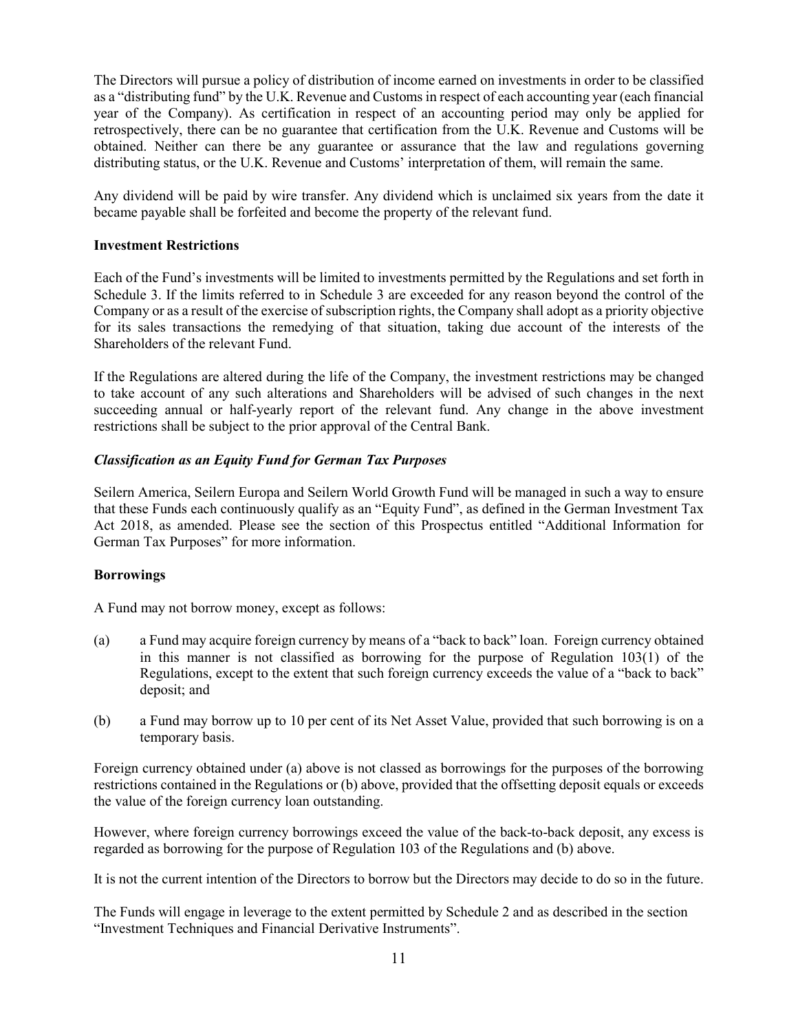The Directors will pursue a policy of distribution of income earned on investments in order to be classified as a "distributing fund" by the U.K. Revenue and Customs in respect of each accounting year (each financial year of the Company). As certification in respect of an accounting period may only be applied for retrospectively, there can be no guarantee that certification from the U.K. Revenue and Customs will be obtained. Neither can there be any guarantee or assurance that the law and regulations governing distributing status, or the U.K. Revenue and Customs' interpretation of them, will remain the same.

Any dividend will be paid by wire transfer. Any dividend which is unclaimed six years from the date it became payable shall be forfeited and become the property of the relevant fund.

## **Investment Restrictions**

Each of the Fund's investments will be limited to investments permitted by the Regulations and set forth in Schedule 3. If the limits referred to in Schedule 3 are exceeded for any reason beyond the control of the Company or as a result of the exercise of subscription rights, the Company shall adopt as a priority objective for its sales transactions the remedying of that situation, taking due account of the interests of the Shareholders of the relevant Fund.

If the Regulations are altered during the life of the Company, the investment restrictions may be changed to take account of any such alterations and Shareholders will be advised of such changes in the next succeeding annual or half-yearly report of the relevant fund. Any change in the above investment restrictions shall be subject to the prior approval of the Central Bank.

# *Classification as an Equity Fund for German Tax Purposes*

Seilern America, Seilern Europa and Seilern World Growth Fund will be managed in such a way to ensure that these Funds each continuously qualify as an "Equity Fund", as defined in the German Investment Tax Act 2018, as amended. Please see the section of this Prospectus entitled "Additional Information for German Tax Purposes" for more information.

#### **Borrowings**

A Fund may not borrow money, except as follows:

- (a) a Fund may acquire foreign currency by means of a "back to back" loan. Foreign currency obtained in this manner is not classified as borrowing for the purpose of Regulation 103(1) of the Regulations, except to the extent that such foreign currency exceeds the value of a "back to back" deposit; and
- (b) a Fund may borrow up to 10 per cent of its Net Asset Value, provided that such borrowing is on a temporary basis.

Foreign currency obtained under (a) above is not classed as borrowings for the purposes of the borrowing restrictions contained in the Regulations or (b) above, provided that the offsetting deposit equals or exceeds the value of the foreign currency loan outstanding.

However, where foreign currency borrowings exceed the value of the back-to-back deposit, any excess is regarded as borrowing for the purpose of Regulation 103 of the Regulations and (b) above.

It is not the current intention of the Directors to borrow but the Directors may decide to do so in the future.

The Funds will engage in leverage to the extent permitted by Schedule 2 and as described in the section "Investment Techniques and Financial Derivative Instruments".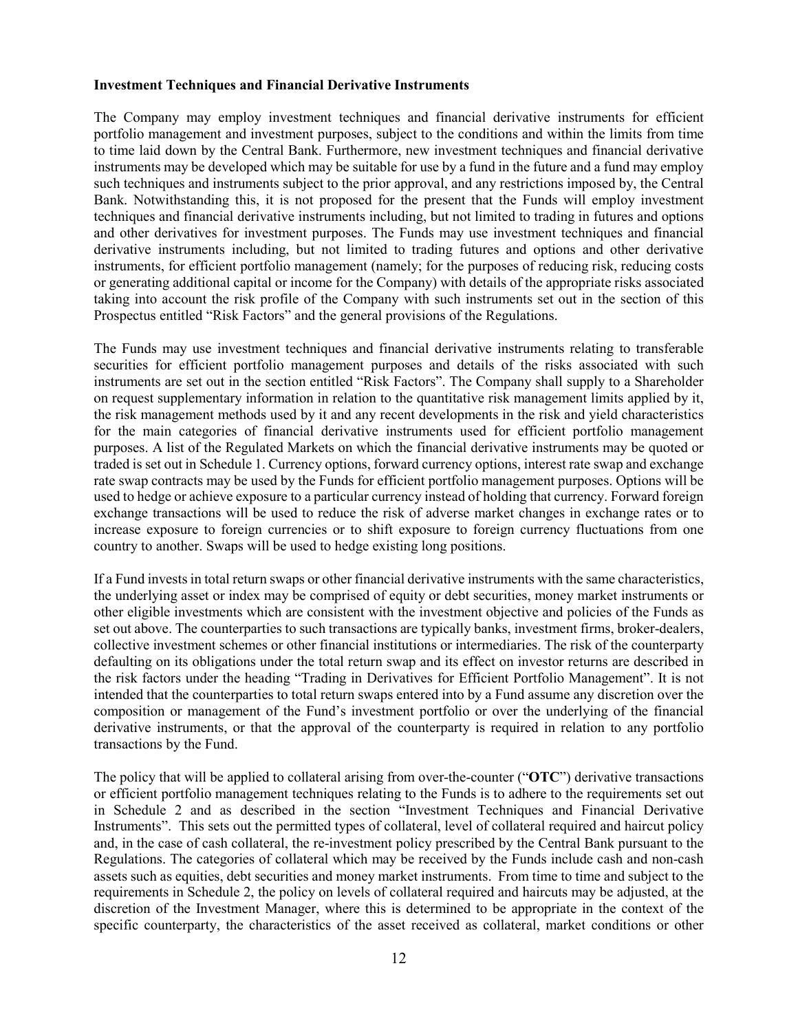## **Investment Techniques and Financial Derivative Instruments**

The Company may employ investment techniques and financial derivative instruments for efficient portfolio management and investment purposes, subject to the conditions and within the limits from time to time laid down by the Central Bank. Furthermore, new investment techniques and financial derivative instruments may be developed which may be suitable for use by a fund in the future and a fund may employ such techniques and instruments subject to the prior approval, and any restrictions imposed by, the Central Bank. Notwithstanding this, it is not proposed for the present that the Funds will employ investment techniques and financial derivative instruments including, but not limited to trading in futures and options and other derivatives for investment purposes. The Funds may use investment techniques and financial derivative instruments including, but not limited to trading futures and options and other derivative instruments, for efficient portfolio management (namely; for the purposes of reducing risk, reducing costs or generating additional capital or income for the Company) with details of the appropriate risks associated taking into account the risk profile of the Company with such instruments set out in the section of this Prospectus entitled "Risk Factors" and the general provisions of the Regulations.

The Funds may use investment techniques and financial derivative instruments relating to transferable securities for efficient portfolio management purposes and details of the risks associated with such instruments are set out in the section entitled "Risk Factors". The Company shall supply to a Shareholder on request supplementary information in relation to the quantitative risk management limits applied by it, the risk management methods used by it and any recent developments in the risk and yield characteristics for the main categories of financial derivative instruments used for efficient portfolio management purposes. A list of the Regulated Markets on which the financial derivative instruments may be quoted or traded is set out in Schedule 1. Currency options, forward currency options, interest rate swap and exchange rate swap contracts may be used by the Funds for efficient portfolio management purposes. Options will be used to hedge or achieve exposure to a particular currency instead of holding that currency. Forward foreign exchange transactions will be used to reduce the risk of adverse market changes in exchange rates or to increase exposure to foreign currencies or to shift exposure to foreign currency fluctuations from one country to another. Swaps will be used to hedge existing long positions.

If a Fund invests in total return swaps or other financial derivative instruments with the same characteristics, the underlying asset or index may be comprised of equity or debt securities, money market instruments or other eligible investments which are consistent with the investment objective and policies of the Funds as set out above. The counterparties to such transactions are typically banks, investment firms, broker-dealers, collective investment schemes or other financial institutions or intermediaries. The risk of the counterparty defaulting on its obligations under the total return swap and its effect on investor returns are described in the risk factors under the heading "Trading in Derivatives for Efficient Portfolio Management". It is not intended that the counterparties to total return swaps entered into by a Fund assume any discretion over the composition or management of the Fund's investment portfolio or over the underlying of the financial derivative instruments, or that the approval of the counterparty is required in relation to any portfolio transactions by the Fund.

The policy that will be applied to collateral arising from over-the-counter ("**OTC**") derivative transactions or efficient portfolio management techniques relating to the Funds is to adhere to the requirements set out in Schedule 2 and as described in the section "Investment Techniques and Financial Derivative Instruments". This sets out the permitted types of collateral, level of collateral required and haircut policy and, in the case of cash collateral, the re-investment policy prescribed by the Central Bank pursuant to the Regulations. The categories of collateral which may be received by the Funds include cash and non-cash assets such as equities, debt securities and money market instruments. From time to time and subject to the requirements in Schedule 2, the policy on levels of collateral required and haircuts may be adjusted, at the discretion of the Investment Manager, where this is determined to be appropriate in the context of the specific counterparty, the characteristics of the asset received as collateral, market conditions or other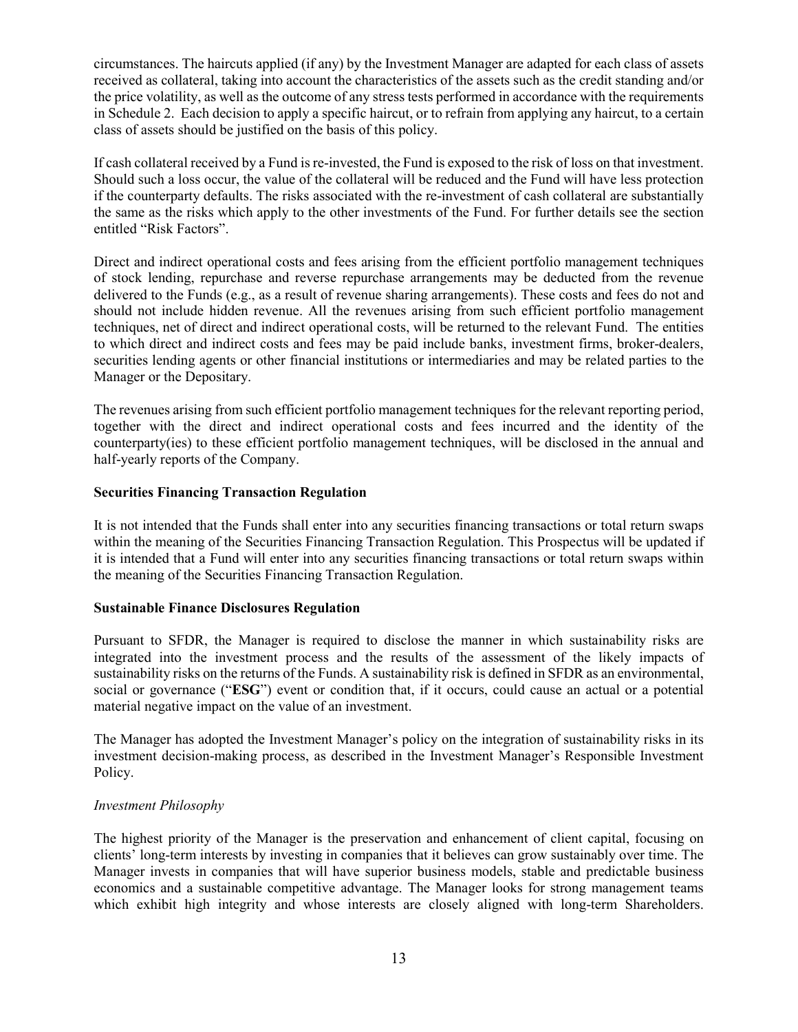circumstances. The haircuts applied (if any) by the Investment Manager are adapted for each class of assets received as collateral, taking into account the characteristics of the assets such as the credit standing and/or the price volatility, as well as the outcome of any stress tests performed in accordance with the requirements in Schedule 2. Each decision to apply a specific haircut, or to refrain from applying any haircut, to a certain class of assets should be justified on the basis of this policy.

If cash collateral received by a Fund is re-invested, the Fund is exposed to the risk of loss on that investment. Should such a loss occur, the value of the collateral will be reduced and the Fund will have less protection if the counterparty defaults. The risks associated with the re-investment of cash collateral are substantially the same as the risks which apply to the other investments of the Fund. For further details see the section entitled "Risk Factors".

Direct and indirect operational costs and fees arising from the efficient portfolio management techniques of stock lending, repurchase and reverse repurchase arrangements may be deducted from the revenue delivered to the Funds (e.g., as a result of revenue sharing arrangements). These costs and fees do not and should not include hidden revenue. All the revenues arising from such efficient portfolio management techniques, net of direct and indirect operational costs, will be returned to the relevant Fund. The entities to which direct and indirect costs and fees may be paid include banks, investment firms, broker-dealers, securities lending agents or other financial institutions or intermediaries and may be related parties to the Manager or the Depositary.

The revenues arising from such efficient portfolio management techniques for the relevant reporting period, together with the direct and indirect operational costs and fees incurred and the identity of the counterparty(ies) to these efficient portfolio management techniques, will be disclosed in the annual and half-yearly reports of the Company.

# **Securities Financing Transaction Regulation**

It is not intended that the Funds shall enter into any securities financing transactions or total return swaps within the meaning of the Securities Financing Transaction Regulation. This Prospectus will be updated if it is intended that a Fund will enter into any securities financing transactions or total return swaps within the meaning of the Securities Financing Transaction Regulation.

#### **Sustainable Finance Disclosures Regulation**

Pursuant to SFDR, the Manager is required to disclose the manner in which sustainability risks are integrated into the investment process and the results of the assessment of the likely impacts of sustainability risks on the returns of the Funds. A sustainability risk is defined in SFDR as an environmental, social or governance ("**ESG**") event or condition that, if it occurs, could cause an actual or a potential material negative impact on the value of an investment.

The Manager has adopted the Investment Manager's policy on the integration of sustainability risks in its investment decision-making process, as described in the Investment Manager's Responsible Investment Policy.

# *Investment Philosophy*

The highest priority of the Manager is the preservation and enhancement of client capital, focusing on clients' long-term interests by investing in companies that it believes can grow sustainably over time. The Manager invests in companies that will have superior business models, stable and predictable business economics and a sustainable competitive advantage. The Manager looks for strong management teams which exhibit high integrity and whose interests are closely aligned with long-term Shareholders.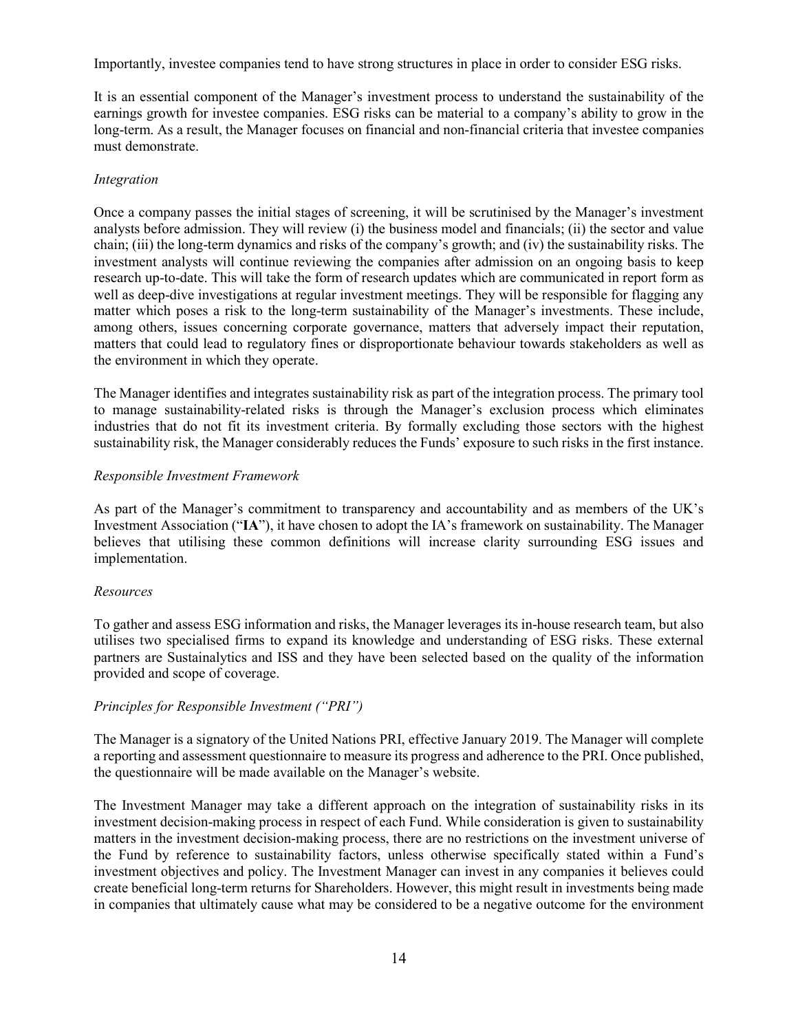Importantly, investee companies tend to have strong structures in place in order to consider ESG risks.

It is an essential component of the Manager's investment process to understand the sustainability of the earnings growth for investee companies. ESG risks can be material to a company's ability to grow in the long-term. As a result, the Manager focuses on financial and non-financial criteria that investee companies must demonstrate.

# *Integration*

Once a company passes the initial stages of screening, it will be scrutinised by the Manager's investment analysts before admission. They will review (i) the business model and financials; (ii) the sector and value chain; (iii) the long-term dynamics and risks of the company's growth; and (iv) the sustainability risks. The investment analysts will continue reviewing the companies after admission on an ongoing basis to keep research up-to-date. This will take the form of research updates which are communicated in report form as well as deep-dive investigations at regular investment meetings. They will be responsible for flagging any matter which poses a risk to the long-term sustainability of the Manager's investments. These include, among others, issues concerning corporate governance, matters that adversely impact their reputation, matters that could lead to regulatory fines or disproportionate behaviour towards stakeholders as well as the environment in which they operate.

The Manager identifies and integrates sustainability risk as part of the integration process. The primary tool to manage sustainability-related risks is through the Manager's exclusion process which eliminates industries that do not fit its investment criteria. By formally excluding those sectors with the highest sustainability risk, the Manager considerably reduces the Funds' exposure to such risks in the first instance.

# *Responsible Investment Framework*

As part of the Manager's commitment to transparency and accountability and as members of the UK's Investment Association ("**IA**"), it have chosen to adopt the IA's framework on sustainability. The Manager believes that utilising these common definitions will increase clarity surrounding ESG issues and implementation.

# *Resources*

To gather and assess ESG information and risks, the Manager leverages its in-house research team, but also utilises two specialised firms to expand its knowledge and understanding of ESG risks. These external partners are Sustainalytics and ISS and they have been selected based on the quality of the information provided and scope of coverage.

# *Principles for Responsible Investment ("PRI")*

The Manager is a signatory of the United Nations PRI, effective January 2019. The Manager will complete a reporting and assessment questionnaire to measure its progress and adherence to the PRI. Once published, the questionnaire will be made available on the Manager's website.

The Investment Manager may take a different approach on the integration of sustainability risks in its investment decision-making process in respect of each Fund. While consideration is given to sustainability matters in the investment decision-making process, there are no restrictions on the investment universe of the Fund by reference to sustainability factors, unless otherwise specifically stated within a Fund's investment objectives and policy. The Investment Manager can invest in any companies it believes could create beneficial long-term returns for Shareholders. However, this might result in investments being made in companies that ultimately cause what may be considered to be a negative outcome for the environment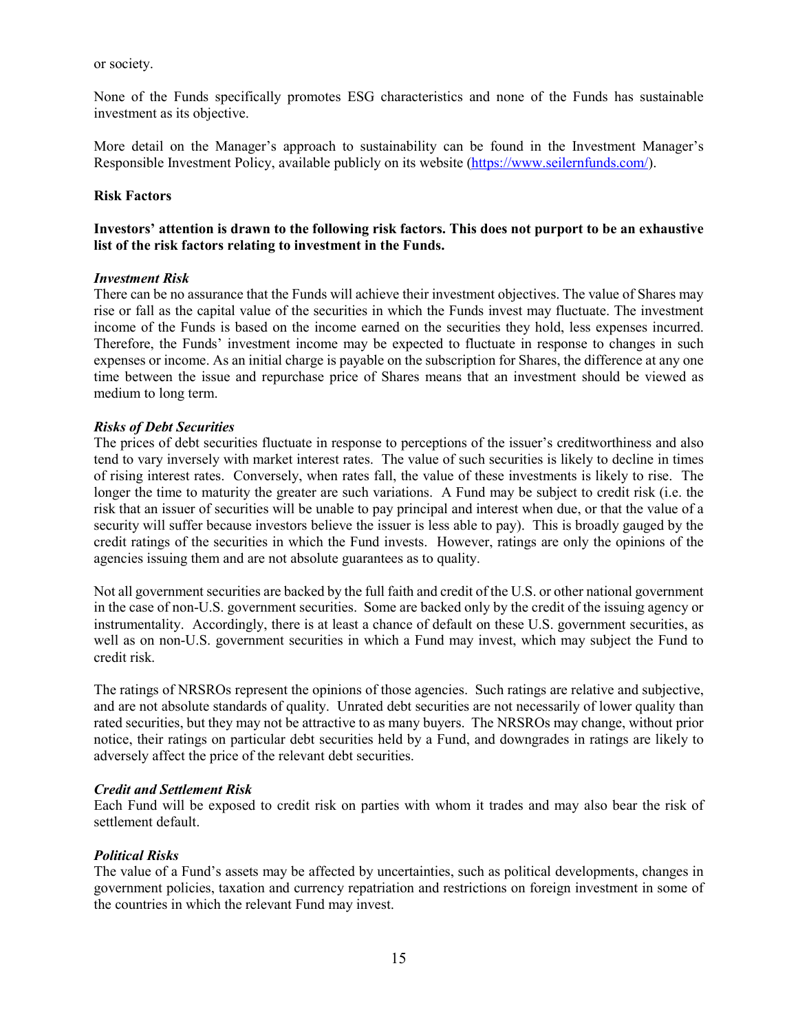or society.

None of the Funds specifically promotes ESG characteristics and none of the Funds has sustainable investment as its objective.

More detail on the Manager's approach to sustainability can be found in the Investment Manager's Responsible Investment Policy, available publicly on its website (https://www.seilernfunds.com/).

# **Risk Factors**

# **Investors' attention is drawn to the following risk factors. This does not purport to be an exhaustive list of the risk factors relating to investment in the Funds.**

## *Investment Risk*

There can be no assurance that the Funds will achieve their investment objectives. The value of Shares may rise or fall as the capital value of the securities in which the Funds invest may fluctuate. The investment income of the Funds is based on the income earned on the securities they hold, less expenses incurred. Therefore, the Funds' investment income may be expected to fluctuate in response to changes in such expenses or income. As an initial charge is payable on the subscription for Shares, the difference at any one time between the issue and repurchase price of Shares means that an investment should be viewed as medium to long term.

# *Risks of Debt Securities*

The prices of debt securities fluctuate in response to perceptions of the issuer's creditworthiness and also tend to vary inversely with market interest rates. The value of such securities is likely to decline in times of rising interest rates. Conversely, when rates fall, the value of these investments is likely to rise. The longer the time to maturity the greater are such variations. A Fund may be subject to credit risk (i.e. the risk that an issuer of securities will be unable to pay principal and interest when due, or that the value of a security will suffer because investors believe the issuer is less able to pay). This is broadly gauged by the credit ratings of the securities in which the Fund invests. However, ratings are only the opinions of the agencies issuing them and are not absolute guarantees as to quality.

Not all government securities are backed by the full faith and credit of the U.S. or other national government in the case of non-U.S. government securities. Some are backed only by the credit of the issuing agency or instrumentality. Accordingly, there is at least a chance of default on these U.S. government securities, as well as on non-U.S. government securities in which a Fund may invest, which may subject the Fund to credit risk.

The ratings of NRSROs represent the opinions of those agencies. Such ratings are relative and subjective, and are not absolute standards of quality. Unrated debt securities are not necessarily of lower quality than rated securities, but they may not be attractive to as many buyers. The NRSROs may change, without prior notice, their ratings on particular debt securities held by a Fund, and downgrades in ratings are likely to adversely affect the price of the relevant debt securities.

# *Credit and Settlement Risk*

Each Fund will be exposed to credit risk on parties with whom it trades and may also bear the risk of settlement default.

# *Political Risks*

The value of a Fund's assets may be affected by uncertainties, such as political developments, changes in government policies, taxation and currency repatriation and restrictions on foreign investment in some of the countries in which the relevant Fund may invest.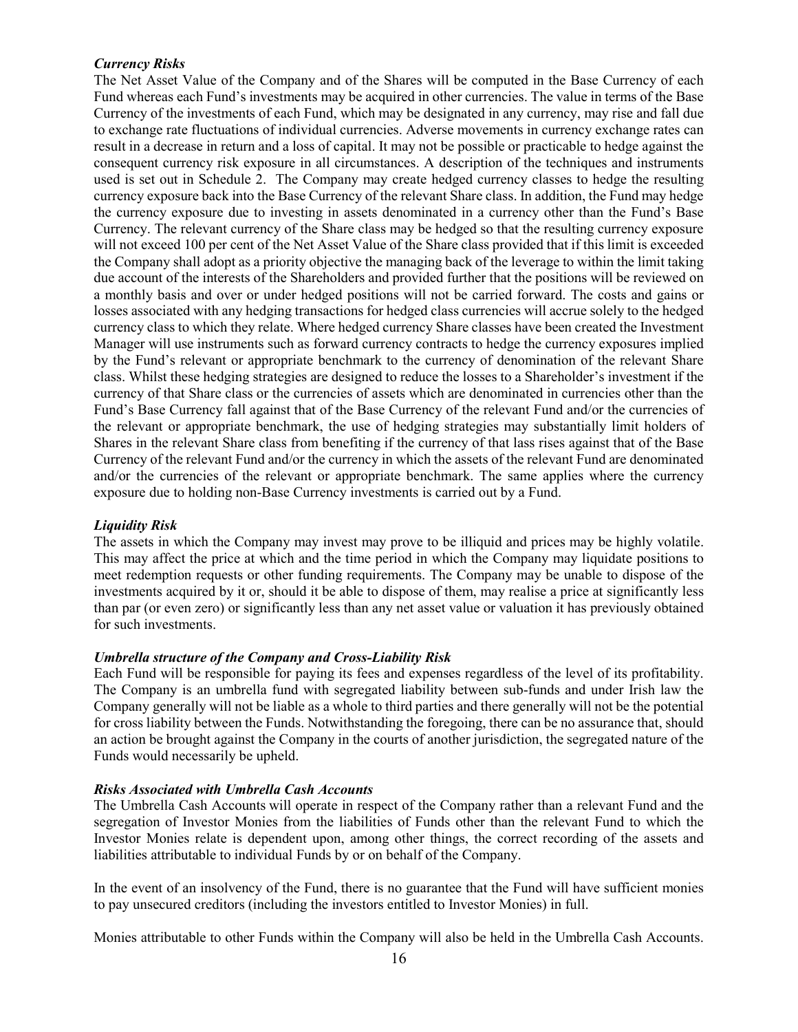# *Currency Risks*

The Net Asset Value of the Company and of the Shares will be computed in the Base Currency of each Fund whereas each Fund's investments may be acquired in other currencies. The value in terms of the Base Currency of the investments of each Fund, which may be designated in any currency, may rise and fall due to exchange rate fluctuations of individual currencies. Adverse movements in currency exchange rates can result in a decrease in return and a loss of capital. It may not be possible or practicable to hedge against the consequent currency risk exposure in all circumstances. A description of the techniques and instruments used is set out in Schedule 2. The Company may create hedged currency classes to hedge the resulting currency exposure back into the Base Currency of the relevant Share class. In addition, the Fund may hedge the currency exposure due to investing in assets denominated in a currency other than the Fund's Base Currency. The relevant currency of the Share class may be hedged so that the resulting currency exposure will not exceed 100 per cent of the Net Asset Value of the Share class provided that if this limit is exceeded the Company shall adopt as a priority objective the managing back of the leverage to within the limit taking due account of the interests of the Shareholders and provided further that the positions will be reviewed on a monthly basis and over or under hedged positions will not be carried forward. The costs and gains or losses associated with any hedging transactions for hedged class currencies will accrue solely to the hedged currency class to which they relate. Where hedged currency Share classes have been created the Investment Manager will use instruments such as forward currency contracts to hedge the currency exposures implied by the Fund's relevant or appropriate benchmark to the currency of denomination of the relevant Share class. Whilst these hedging strategies are designed to reduce the losses to a Shareholder's investment if the currency of that Share class or the currencies of assets which are denominated in currencies other than the Fund's Base Currency fall against that of the Base Currency of the relevant Fund and/or the currencies of the relevant or appropriate benchmark, the use of hedging strategies may substantially limit holders of Shares in the relevant Share class from benefiting if the currency of that lass rises against that of the Base Currency of the relevant Fund and/or the currency in which the assets of the relevant Fund are denominated and/or the currencies of the relevant or appropriate benchmark. The same applies where the currency exposure due to holding non-Base Currency investments is carried out by a Fund.

# *Liquidity Risk*

The assets in which the Company may invest may prove to be illiquid and prices may be highly volatile. This may affect the price at which and the time period in which the Company may liquidate positions to meet redemption requests or other funding requirements. The Company may be unable to dispose of the investments acquired by it or, should it be able to dispose of them, may realise a price at significantly less than par (or even zero) or significantly less than any net asset value or valuation it has previously obtained for such investments.

# *Umbrella structure of the Company and Cross-Liability Risk*

Each Fund will be responsible for paying its fees and expenses regardless of the level of its profitability. The Company is an umbrella fund with segregated liability between sub-funds and under Irish law the Company generally will not be liable as a whole to third parties and there generally will not be the potential for cross liability between the Funds. Notwithstanding the foregoing, there can be no assurance that, should an action be brought against the Company in the courts of another jurisdiction, the segregated nature of the Funds would necessarily be upheld.

# *Risks Associated with Umbrella Cash Accounts*

The Umbrella Cash Accounts will operate in respect of the Company rather than a relevant Fund and the segregation of Investor Monies from the liabilities of Funds other than the relevant Fund to which the Investor Monies relate is dependent upon, among other things, the correct recording of the assets and liabilities attributable to individual Funds by or on behalf of the Company.

In the event of an insolvency of the Fund, there is no guarantee that the Fund will have sufficient monies to pay unsecured creditors (including the investors entitled to Investor Monies) in full.

Monies attributable to other Funds within the Company will also be held in the Umbrella Cash Accounts.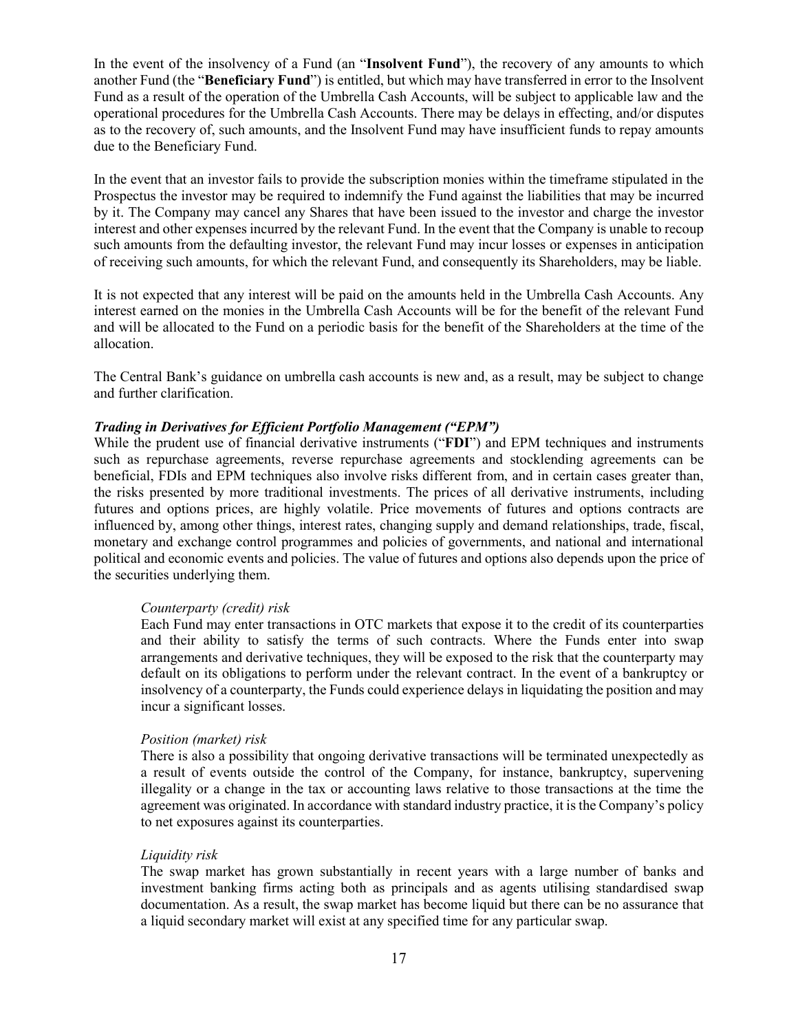In the event of the insolvency of a Fund (an "**Insolvent Fund**"), the recovery of any amounts to which another Fund (the "**Beneficiary Fund**") is entitled, but which may have transferred in error to the Insolvent Fund as a result of the operation of the Umbrella Cash Accounts, will be subject to applicable law and the operational procedures for the Umbrella Cash Accounts. There may be delays in effecting, and/or disputes as to the recovery of, such amounts, and the Insolvent Fund may have insufficient funds to repay amounts due to the Beneficiary Fund.

In the event that an investor fails to provide the subscription monies within the timeframe stipulated in the Prospectus the investor may be required to indemnify the Fund against the liabilities that may be incurred by it. The Company may cancel any Shares that have been issued to the investor and charge the investor interest and other expenses incurred by the relevant Fund. In the event that the Company is unable to recoup such amounts from the defaulting investor, the relevant Fund may incur losses or expenses in anticipation of receiving such amounts, for which the relevant Fund, and consequently its Shareholders, may be liable.

It is not expected that any interest will be paid on the amounts held in the Umbrella Cash Accounts. Any interest earned on the monies in the Umbrella Cash Accounts will be for the benefit of the relevant Fund and will be allocated to the Fund on a periodic basis for the benefit of the Shareholders at the time of the allocation.

The Central Bank's guidance on umbrella cash accounts is new and, as a result, may be subject to change and further clarification.

## *Trading in Derivatives for Efficient Portfolio Management ("EPM")*

While the prudent use of financial derivative instruments ("**FDI**") and EPM techniques and instruments such as repurchase agreements, reverse repurchase agreements and stocklending agreements can be beneficial, FDIs and EPM techniques also involve risks different from, and in certain cases greater than, the risks presented by more traditional investments. The prices of all derivative instruments, including futures and options prices, are highly volatile. Price movements of futures and options contracts are influenced by, among other things, interest rates, changing supply and demand relationships, trade, fiscal, monetary and exchange control programmes and policies of governments, and national and international political and economic events and policies. The value of futures and options also depends upon the price of the securities underlying them.

#### *Counterparty (credit) risk*

Each Fund may enter transactions in OTC markets that expose it to the credit of its counterparties and their ability to satisfy the terms of such contracts. Where the Funds enter into swap arrangements and derivative techniques, they will be exposed to the risk that the counterparty may default on its obligations to perform under the relevant contract. In the event of a bankruptcy or insolvency of a counterparty, the Funds could experience delays in liquidating the position and may incur a significant losses.

#### *Position (market) risk*

There is also a possibility that ongoing derivative transactions will be terminated unexpectedly as a result of events outside the control of the Company, for instance, bankruptcy, supervening illegality or a change in the tax or accounting laws relative to those transactions at the time the agreement was originated. In accordance with standard industry practice, it is the Company's policy to net exposures against its counterparties.

#### *Liquidity risk*

The swap market has grown substantially in recent years with a large number of banks and investment banking firms acting both as principals and as agents utilising standardised swap documentation. As a result, the swap market has become liquid but there can be no assurance that a liquid secondary market will exist at any specified time for any particular swap.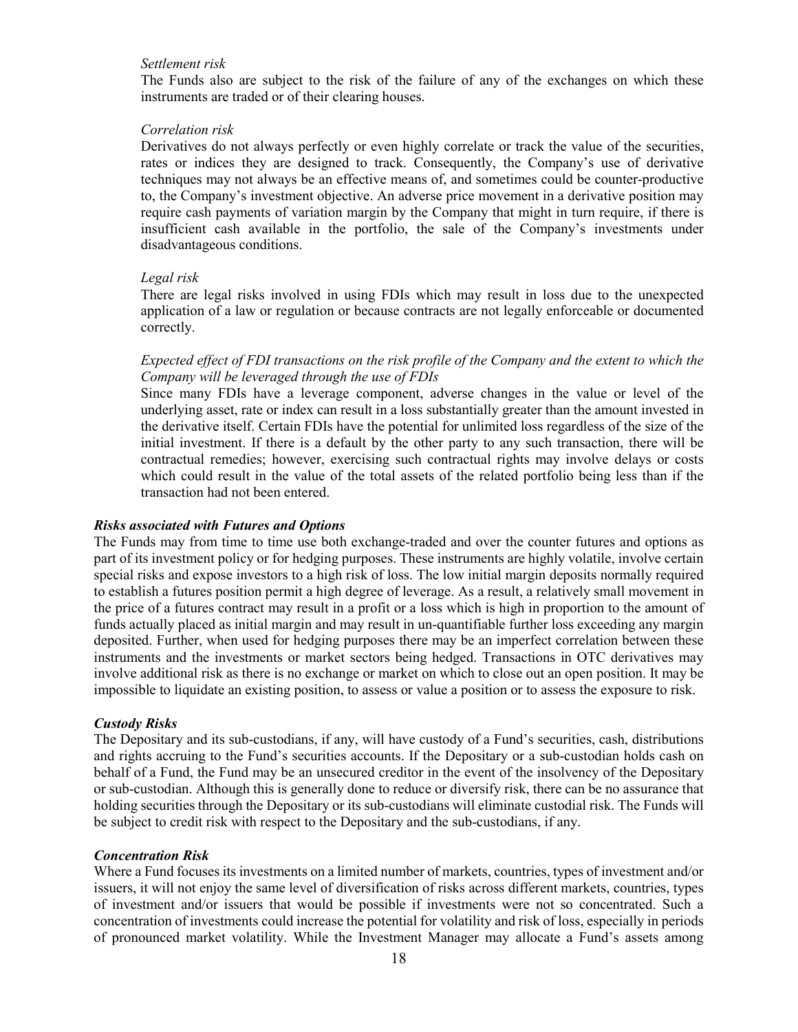## *Settlement risk*

The Funds also are subject to the risk of the failure of any of the exchanges on which these instruments are traded or of their clearing houses.

#### *Correlation risk*

Derivatives do not always perfectly or even highly correlate or track the value of the securities, rates or indices they are designed to track. Consequently, the Company's use of derivative techniques may not always be an effective means of, and sometimes could be counter-productive to, the Company's investment objective. An adverse price movement in a derivative position may require cash payments of variation margin by the Company that might in turn require, if there is insufficient cash available in the portfolio, the sale of the Company's investments under disadvantageous conditions.

#### *Legal risk*

There are legal risks involved in using FDIs which may result in loss due to the unexpected application of a law or regulation or because contracts are not legally enforceable or documented correctly.

# *Expected effect of FDI transactions on the risk profile of the Company and the extent to which the Company will be leveraged through the use of FDIs*

Since many FDIs have a leverage component, adverse changes in the value or level of the underlying asset, rate or index can result in a loss substantially greater than the amount invested in the derivative itself. Certain FDIs have the potential for unlimited loss regardless of the size of the initial investment. If there is a default by the other party to any such transaction, there will be contractual remedies; however, exercising such contractual rights may involve delays or costs which could result in the value of the total assets of the related portfolio being less than if the transaction had not been entered.

#### *Risks associated with Futures and Options*

The Funds may from time to time use both exchange-traded and over the counter futures and options as part of its investment policy or for hedging purposes. These instruments are highly volatile, involve certain special risks and expose investors to a high risk of loss. The low initial margin deposits normally required to establish a futures position permit a high degree of leverage. As a result, a relatively small movement in the price of a futures contract may result in a profit or a loss which is high in proportion to the amount of funds actually placed as initial margin and may result in un-quantifiable further loss exceeding any margin deposited. Further, when used for hedging purposes there may be an imperfect correlation between these instruments and the investments or market sectors being hedged. Transactions in OTC derivatives may involve additional risk as there is no exchange or market on which to close out an open position. It may be impossible to liquidate an existing position, to assess or value a position or to assess the exposure to risk.

# *Custody Risks*

The Depositary and its sub-custodians, if any, will have custody of a Fund's securities, cash, distributions and rights accruing to the Fund's securities accounts. If the Depositary or a sub-custodian holds cash on behalf of a Fund, the Fund may be an unsecured creditor in the event of the insolvency of the Depositary or sub-custodian. Although this is generally done to reduce or diversify risk, there can be no assurance that holding securities through the Depositary or its sub-custodians will eliminate custodial risk. The Funds will be subject to credit risk with respect to the Depositary and the sub-custodians, if any.

#### *Concentration Risk*

Where a Fund focuses its investments on a limited number of markets, countries, types of investment and/or issuers, it will not enjoy the same level of diversification of risks across different markets, countries, types of investment and/or issuers that would be possible if investments were not so concentrated. Such a concentration of investments could increase the potential for volatility and risk of loss, especially in periods of pronounced market volatility. While the Investment Manager may allocate a Fund's assets among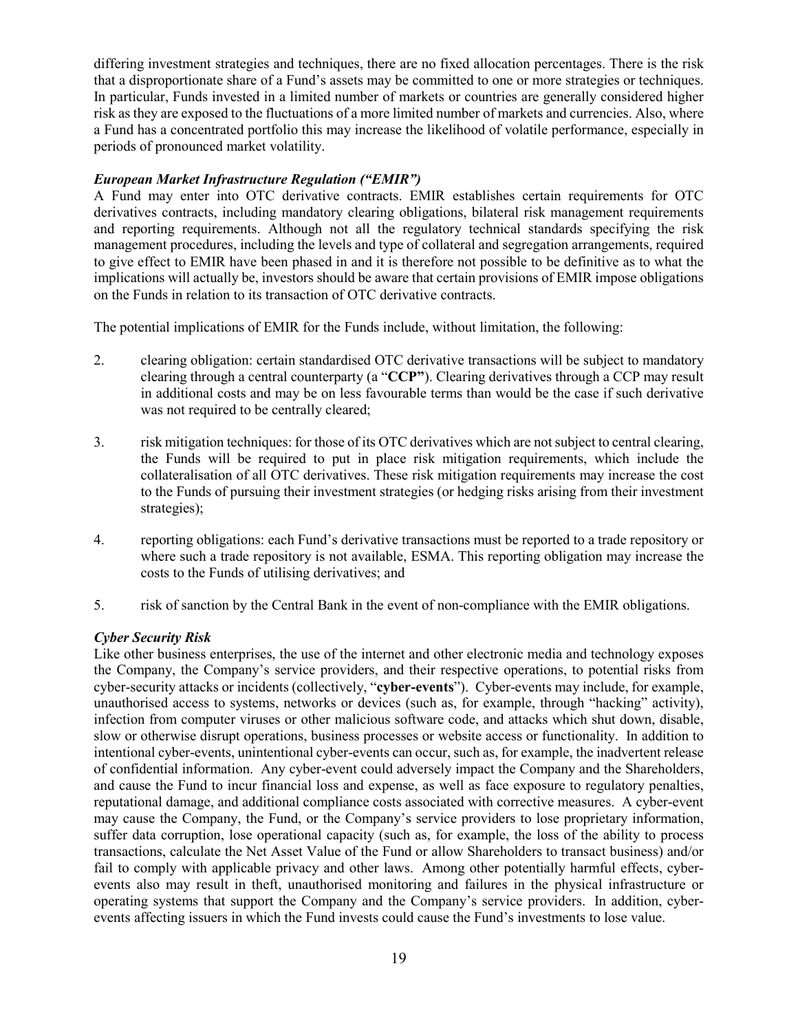differing investment strategies and techniques, there are no fixed allocation percentages. There is the risk that a disproportionate share of a Fund's assets may be committed to one or more strategies or techniques. In particular, Funds invested in a limited number of markets or countries are generally considered higher risk as they are exposed to the fluctuations of a more limited number of markets and currencies. Also, where a Fund has a concentrated portfolio this may increase the likelihood of volatile performance, especially in periods of pronounced market volatility.

# *European Market Infrastructure Regulation ("EMIR")*

A Fund may enter into OTC derivative contracts. EMIR establishes certain requirements for OTC derivatives contracts, including mandatory clearing obligations, bilateral risk management requirements and reporting requirements. Although not all the regulatory technical standards specifying the risk management procedures, including the levels and type of collateral and segregation arrangements, required to give effect to EMIR have been phased in and it is therefore not possible to be definitive as to what the implications will actually be, investors should be aware that certain provisions of EMIR impose obligations on the Funds in relation to its transaction of OTC derivative contracts.

The potential implications of EMIR for the Funds include, without limitation, the following:

- 2. clearing obligation: certain standardised OTC derivative transactions will be subject to mandatory clearing through a central counterparty (a "**CCP"**). Clearing derivatives through a CCP may result in additional costs and may be on less favourable terms than would be the case if such derivative was not required to be centrally cleared;
- 3. risk mitigation techniques: for those of its OTC derivatives which are not subject to central clearing, the Funds will be required to put in place risk mitigation requirements, which include the collateralisation of all OTC derivatives. These risk mitigation requirements may increase the cost to the Funds of pursuing their investment strategies (or hedging risks arising from their investment strategies);
- 4. reporting obligations: each Fund's derivative transactions must be reported to a trade repository or where such a trade repository is not available, ESMA. This reporting obligation may increase the costs to the Funds of utilising derivatives; and
- 5. risk of sanction by the Central Bank in the event of non-compliance with the EMIR obligations.

# *Cyber Security Risk*

Like other business enterprises, the use of the internet and other electronic media and technology exposes the Company, the Company's service providers, and their respective operations, to potential risks from cyber-security attacks or incidents (collectively, "**cyber-events**"). Cyber-events may include, for example, unauthorised access to systems, networks or devices (such as, for example, through "hacking" activity), infection from computer viruses or other malicious software code, and attacks which shut down, disable, slow or otherwise disrupt operations, business processes or website access or functionality. In addition to intentional cyber-events, unintentional cyber-events can occur, such as, for example, the inadvertent release of confidential information. Any cyber-event could adversely impact the Company and the Shareholders, and cause the Fund to incur financial loss and expense, as well as face exposure to regulatory penalties, reputational damage, and additional compliance costs associated with corrective measures. A cyber-event may cause the Company, the Fund, or the Company's service providers to lose proprietary information, suffer data corruption, lose operational capacity (such as, for example, the loss of the ability to process transactions, calculate the Net Asset Value of the Fund or allow Shareholders to transact business) and/or fail to comply with applicable privacy and other laws. Among other potentially harmful effects, cyberevents also may result in theft, unauthorised monitoring and failures in the physical infrastructure or operating systems that support the Company and the Company's service providers. In addition, cyberevents affecting issuers in which the Fund invests could cause the Fund's investments to lose value.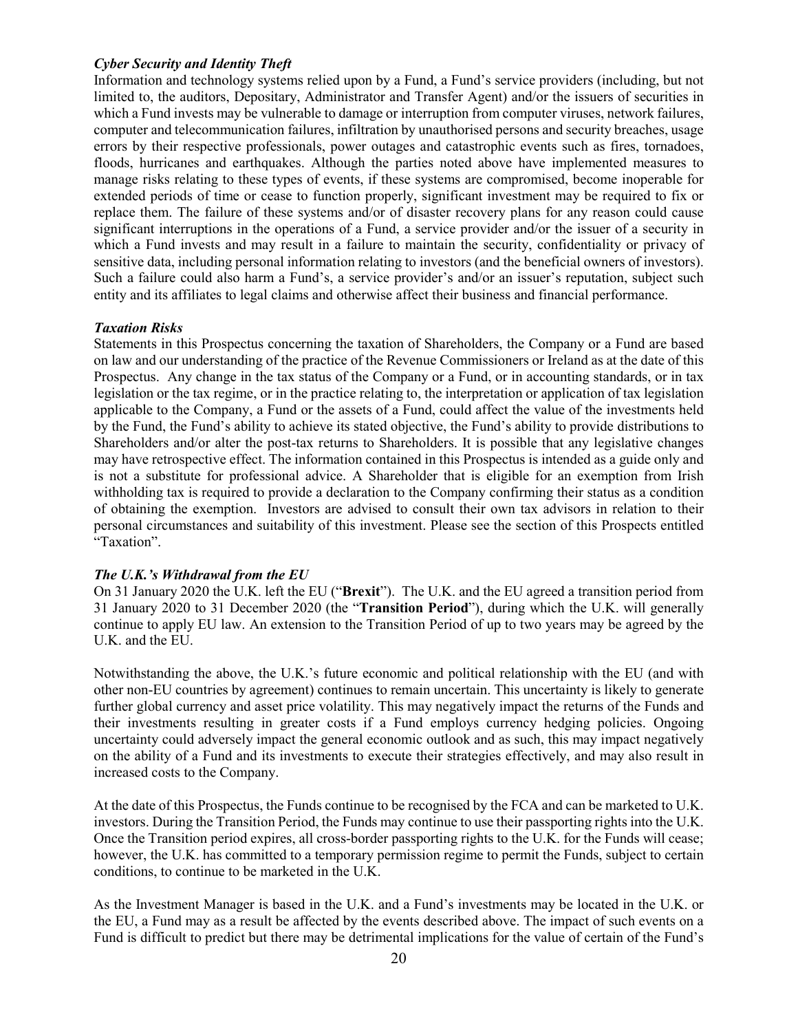# *Cyber Security and Identity Theft*

Information and technology systems relied upon by a Fund, a Fund's service providers (including, but not limited to, the auditors, Depositary, Administrator and Transfer Agent) and/or the issuers of securities in which a Fund invests may be vulnerable to damage or interruption from computer viruses, network failures, computer and telecommunication failures, infiltration by unauthorised persons and security breaches, usage errors by their respective professionals, power outages and catastrophic events such as fires, tornadoes, floods, hurricanes and earthquakes. Although the parties noted above have implemented measures to manage risks relating to these types of events, if these systems are compromised, become inoperable for extended periods of time or cease to function properly, significant investment may be required to fix or replace them. The failure of these systems and/or of disaster recovery plans for any reason could cause significant interruptions in the operations of a Fund, a service provider and/or the issuer of a security in which a Fund invests and may result in a failure to maintain the security, confidentiality or privacy of sensitive data, including personal information relating to investors (and the beneficial owners of investors). Such a failure could also harm a Fund's, a service provider's and/or an issuer's reputation, subject such entity and its affiliates to legal claims and otherwise affect their business and financial performance.

#### *Taxation Risks*

Statements in this Prospectus concerning the taxation of Shareholders, the Company or a Fund are based on law and our understanding of the practice of the Revenue Commissioners or Ireland as at the date of this Prospectus. Any change in the tax status of the Company or a Fund, or in accounting standards, or in tax legislation or the tax regime, or in the practice relating to, the interpretation or application of tax legislation applicable to the Company, a Fund or the assets of a Fund, could affect the value of the investments held by the Fund, the Fund's ability to achieve its stated objective, the Fund's ability to provide distributions to Shareholders and/or alter the post-tax returns to Shareholders. It is possible that any legislative changes may have retrospective effect. The information contained in this Prospectus is intended as a guide only and is not a substitute for professional advice. A Shareholder that is eligible for an exemption from Irish withholding tax is required to provide a declaration to the Company confirming their status as a condition of obtaining the exemption. Investors are advised to consult their own tax advisors in relation to their personal circumstances and suitability of this investment. Please see the section of this Prospects entitled "Taxation".

# *The U.K.'s Withdrawal from the EU*

On 31 January 2020 the U.K. left the EU ("**Brexit**"). The U.K. and the EU agreed a transition period from 31 January 2020 to 31 December 2020 (the "**Transition Period**"), during which the U.K. will generally continue to apply EU law. An extension to the Transition Period of up to two years may be agreed by the U.K. and the EU.

Notwithstanding the above, the U.K.'s future economic and political relationship with the EU (and with other non-EU countries by agreement) continues to remain uncertain. This uncertainty is likely to generate further global currency and asset price volatility. This may negatively impact the returns of the Funds and their investments resulting in greater costs if a Fund employs currency hedging policies. Ongoing uncertainty could adversely impact the general economic outlook and as such, this may impact negatively on the ability of a Fund and its investments to execute their strategies effectively, and may also result in increased costs to the Company.

At the date of this Prospectus, the Funds continue to be recognised by the FCA and can be marketed to U.K. investors. During the Transition Period, the Funds may continue to use their passporting rights into the U.K. Once the Transition period expires, all cross-border passporting rights to the U.K. for the Funds will cease; however, the U.K. has committed to a temporary permission regime to permit the Funds, subject to certain conditions, to continue to be marketed in the U.K.

As the Investment Manager is based in the U.K. and a Fund's investments may be located in the U.K. or the EU, a Fund may as a result be affected by the events described above. The impact of such events on a Fund is difficult to predict but there may be detrimental implications for the value of certain of the Fund's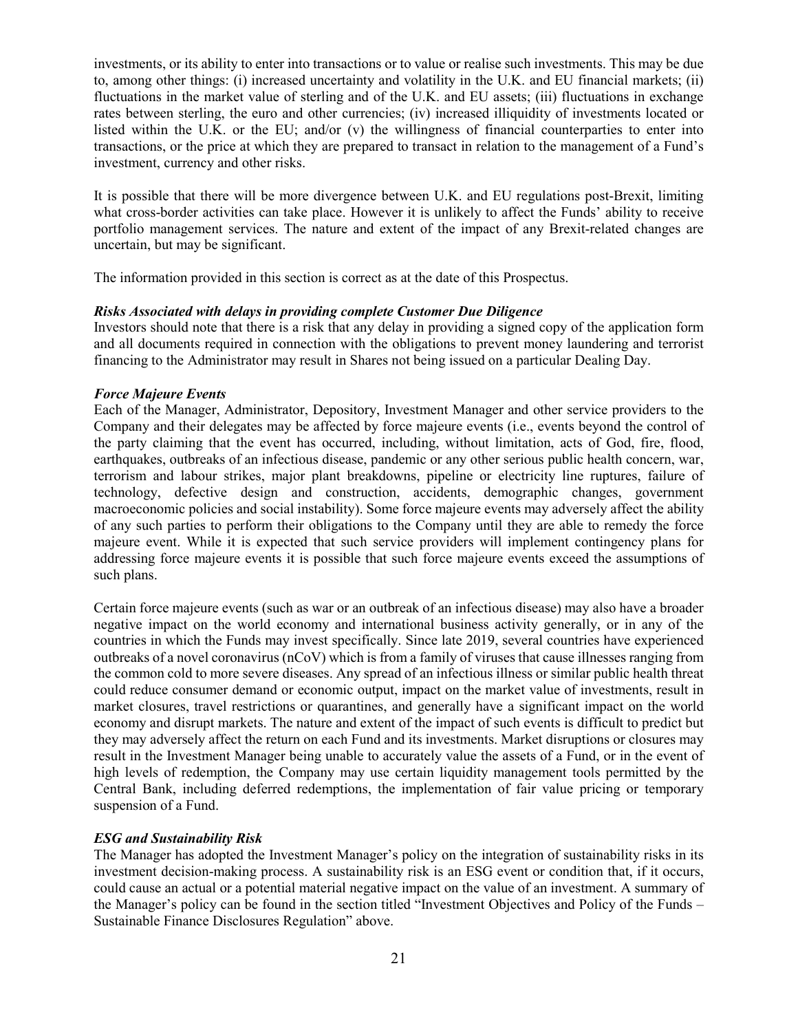investments, or its ability to enter into transactions or to value or realise such investments. This may be due to, among other things: (i) increased uncertainty and volatility in the U.K. and EU financial markets; (ii) fluctuations in the market value of sterling and of the U.K. and EU assets; (iii) fluctuations in exchange rates between sterling, the euro and other currencies; (iv) increased illiquidity of investments located or listed within the U.K. or the EU; and/or (v) the willingness of financial counterparties to enter into transactions, or the price at which they are prepared to transact in relation to the management of a Fund's investment, currency and other risks.

It is possible that there will be more divergence between U.K. and EU regulations post-Brexit, limiting what cross-border activities can take place. However it is unlikely to affect the Funds' ability to receive portfolio management services. The nature and extent of the impact of any Brexit-related changes are uncertain, but may be significant.

The information provided in this section is correct as at the date of this Prospectus.

## *Risks Associated with delays in providing complete Customer Due Diligence*

Investors should note that there is a risk that any delay in providing a signed copy of the application form and all documents required in connection with the obligations to prevent money laundering and terrorist financing to the Administrator may result in Shares not being issued on a particular Dealing Day.

## *Force Majeure Events*

Each of the Manager, Administrator, Depository, Investment Manager and other service providers to the Company and their delegates may be affected by force majeure events (i.e., events beyond the control of the party claiming that the event has occurred, including, without limitation, acts of God, fire, flood, earthquakes, outbreaks of an infectious disease, pandemic or any other serious public health concern, war, terrorism and labour strikes, major plant breakdowns, pipeline or electricity line ruptures, failure of technology, defective design and construction, accidents, demographic changes, government macroeconomic policies and social instability). Some force majeure events may adversely affect the ability of any such parties to perform their obligations to the Company until they are able to remedy the force majeure event. While it is expected that such service providers will implement contingency plans for addressing force majeure events it is possible that such force majeure events exceed the assumptions of such plans.

Certain force majeure events (such as war or an outbreak of an infectious disease) may also have a broader negative impact on the world economy and international business activity generally, or in any of the countries in which the Funds may invest specifically. Since late 2019, several countries have experienced outbreaks of a novel coronavirus (nCoV) which is from a family of viruses that cause illnesses ranging from the common cold to more severe diseases. Any spread of an infectious illness or similar public health threat could reduce consumer demand or economic output, impact on the market value of investments, result in market closures, travel restrictions or quarantines, and generally have a significant impact on the world economy and disrupt markets. The nature and extent of the impact of such events is difficult to predict but they may adversely affect the return on each Fund and its investments. Market disruptions or closures may result in the Investment Manager being unable to accurately value the assets of a Fund, or in the event of high levels of redemption, the Company may use certain liquidity management tools permitted by the Central Bank, including deferred redemptions, the implementation of fair value pricing or temporary suspension of a Fund.

# *ESG and Sustainability Risk*

The Manager has adopted the Investment Manager's policy on the integration of sustainability risks in its investment decision-making process. A sustainability risk is an ESG event or condition that, if it occurs, could cause an actual or a potential material negative impact on the value of an investment. A summary of the Manager's policy can be found in the section titled "Investment Objectives and Policy of the Funds – Sustainable Finance Disclosures Regulation" above.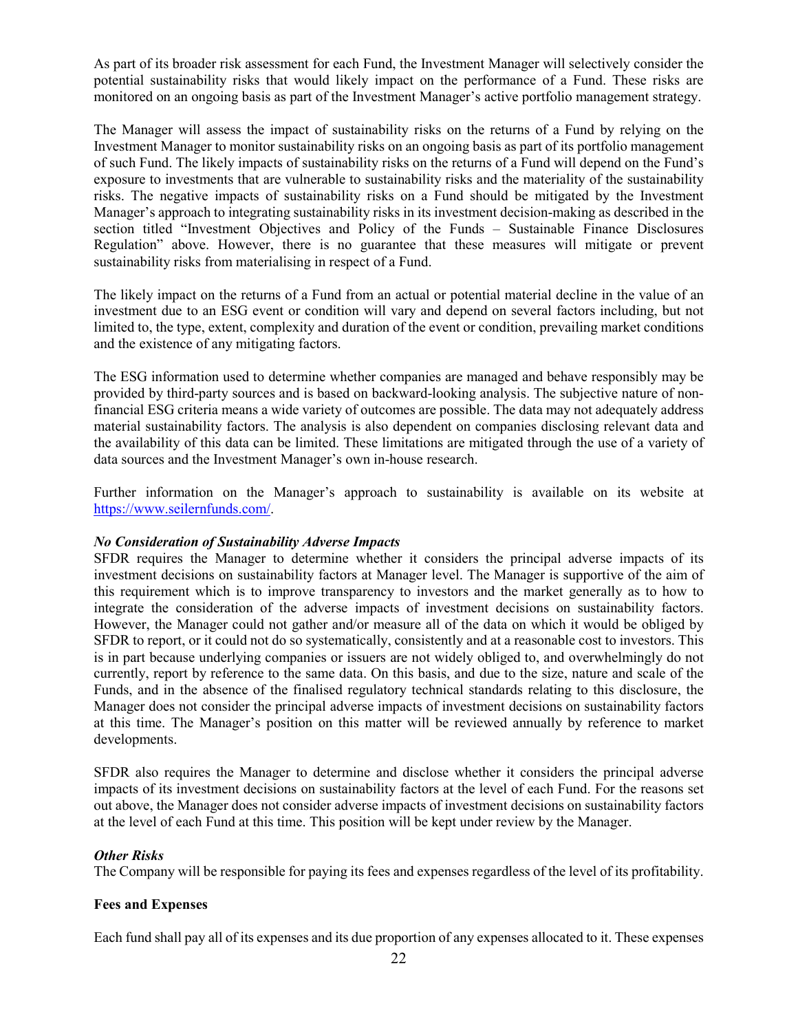As part of its broader risk assessment for each Fund, the Investment Manager will selectively consider the potential sustainability risks that would likely impact on the performance of a Fund. These risks are monitored on an ongoing basis as part of the Investment Manager's active portfolio management strategy.

The Manager will assess the impact of sustainability risks on the returns of a Fund by relying on the Investment Manager to monitor sustainability risks on an ongoing basis as part of its portfolio management of such Fund. The likely impacts of sustainability risks on the returns of a Fund will depend on the Fund's exposure to investments that are vulnerable to sustainability risks and the materiality of the sustainability risks. The negative impacts of sustainability risks on a Fund should be mitigated by the Investment Manager's approach to integrating sustainability risks in its investment decision-making as described in the section titled "Investment Objectives and Policy of the Funds – Sustainable Finance Disclosures Regulation" above. However, there is no guarantee that these measures will mitigate or prevent sustainability risks from materialising in respect of a Fund.

The likely impact on the returns of a Fund from an actual or potential material decline in the value of an investment due to an ESG event or condition will vary and depend on several factors including, but not limited to, the type, extent, complexity and duration of the event or condition, prevailing market conditions and the existence of any mitigating factors.

The ESG information used to determine whether companies are managed and behave responsibly may be provided by third-party sources and is based on backward-looking analysis. The subjective nature of nonfinancial ESG criteria means a wide variety of outcomes are possible. The data may not adequately address material sustainability factors. The analysis is also dependent on companies disclosing relevant data and the availability of this data can be limited. These limitations are mitigated through the use of a variety of data sources and the Investment Manager's own in-house research.

Further information on the Manager's approach to sustainability is available on its website at https://www.seilernfunds.com/.

# *No Consideration of Sustainability Adverse Impacts*

SFDR requires the Manager to determine whether it considers the principal adverse impacts of its investment decisions on sustainability factors at Manager level. The Manager is supportive of the aim of this requirement which is to improve transparency to investors and the market generally as to how to integrate the consideration of the adverse impacts of investment decisions on sustainability factors. However, the Manager could not gather and/or measure all of the data on which it would be obliged by SFDR to report, or it could not do so systematically, consistently and at a reasonable cost to investors. This is in part because underlying companies or issuers are not widely obliged to, and overwhelmingly do not currently, report by reference to the same data. On this basis, and due to the size, nature and scale of the Funds, and in the absence of the finalised regulatory technical standards relating to this disclosure, the Manager does not consider the principal adverse impacts of investment decisions on sustainability factors at this time. The Manager's position on this matter will be reviewed annually by reference to market developments.

SFDR also requires the Manager to determine and disclose whether it considers the principal adverse impacts of its investment decisions on sustainability factors at the level of each Fund. For the reasons set out above, the Manager does not consider adverse impacts of investment decisions on sustainability factors at the level of each Fund at this time. This position will be kept under review by the Manager.

# *Other Risks*

The Company will be responsible for paying its fees and expenses regardless of the level of its profitability.

# **Fees and Expenses**

Each fund shall pay all of its expenses and its due proportion of any expenses allocated to it. These expenses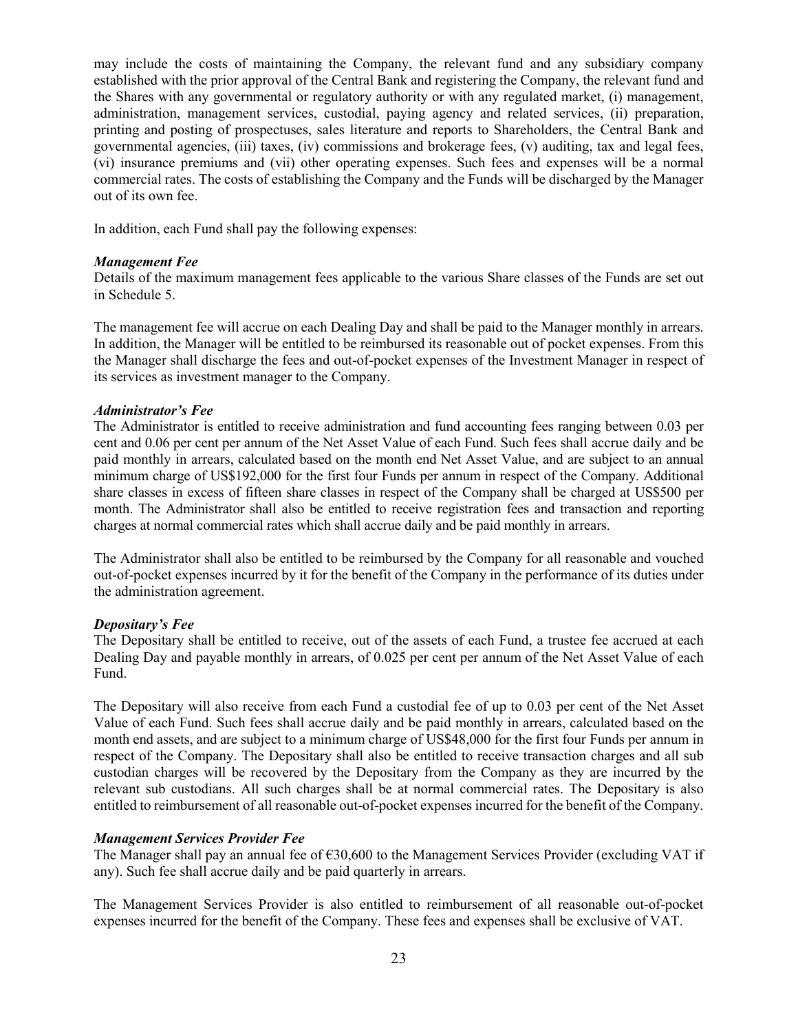may include the costs of maintaining the Company, the relevant fund and any subsidiary company established with the prior approval of the Central Bank and registering the Company, the relevant fund and the Shares with any governmental or regulatory authority or with any regulated market, (i) management, administration, management services, custodial, paying agency and related services, (ii) preparation, printing and posting of prospectuses, sales literature and reports to Shareholders, the Central Bank and governmental agencies, (iii) taxes, (iv) commissions and brokerage fees, (v) auditing, tax and legal fees, (vi) insurance premiums and (vii) other operating expenses. Such fees and expenses will be a normal commercial rates. The costs of establishing the Company and the Funds will be discharged by the Manager out of its own fee.

In addition, each Fund shall pay the following expenses:

## *Management Fee*

Details of the maximum management fees applicable to the various Share classes of the Funds are set out in Schedule 5.

The management fee will accrue on each Dealing Day and shall be paid to the Manager monthly in arrears. In addition, the Manager will be entitled to be reimbursed its reasonable out of pocket expenses. From this the Manager shall discharge the fees and out-of-pocket expenses of the Investment Manager in respect of its services as investment manager to the Company.

## *Administrator's Fee*

The Administrator is entitled to receive administration and fund accounting fees ranging between 0.03 per cent and 0.06 per cent per annum of the Net Asset Value of each Fund. Such fees shall accrue daily and be paid monthly in arrears, calculated based on the month end Net Asset Value, and are subject to an annual minimum charge of US\$192,000 for the first four Funds per annum in respect of the Company. Additional share classes in excess of fifteen share classes in respect of the Company shall be charged at US\$500 per month. The Administrator shall also be entitled to receive registration fees and transaction and reporting charges at normal commercial rates which shall accrue daily and be paid monthly in arrears.

The Administrator shall also be entitled to be reimbursed by the Company for all reasonable and vouched out-of-pocket expenses incurred by it for the benefit of the Company in the performance of its duties under the administration agreement.

#### *Depositary's Fee*

The Depositary shall be entitled to receive, out of the assets of each Fund, a trustee fee accrued at each Dealing Day and payable monthly in arrears, of 0.025 per cent per annum of the Net Asset Value of each Fund.

The Depositary will also receive from each Fund a custodial fee of up to 0.03 per cent of the Net Asset Value of each Fund. Such fees shall accrue daily and be paid monthly in arrears, calculated based on the month end assets, and are subject to a minimum charge of US\$48,000 for the first four Funds per annum in respect of the Company. The Depositary shall also be entitled to receive transaction charges and all sub custodian charges will be recovered by the Depositary from the Company as they are incurred by the relevant sub custodians. All such charges shall be at normal commercial rates. The Depositary is also entitled to reimbursement of all reasonable out-of-pocket expenses incurred for the benefit of the Company.

# *Management Services Provider Fee*

The Manager shall pay an annual fee of  $630,600$  to the Management Services Provider (excluding VAT if any). Such fee shall accrue daily and be paid quarterly in arrears.

The Management Services Provider is also entitled to reimbursement of all reasonable out-of-pocket expenses incurred for the benefit of the Company. These fees and expenses shall be exclusive of VAT.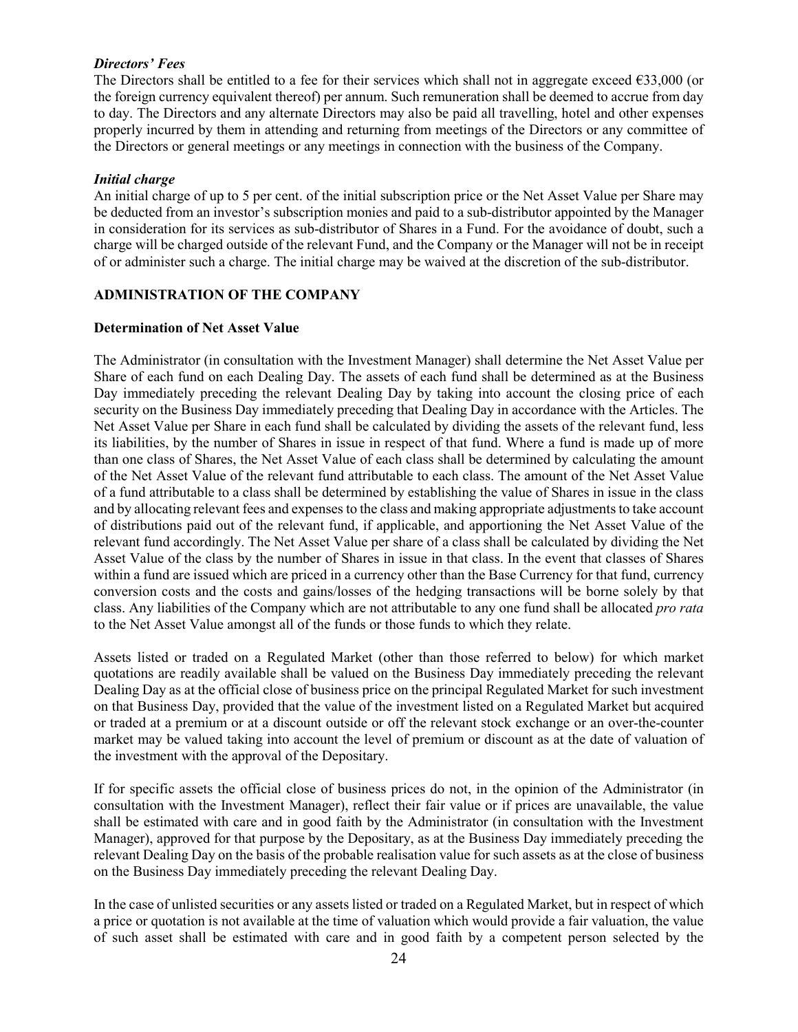# *Directors' Fees*

The Directors shall be entitled to a fee for their services which shall not in aggregate exceed €33,000 (or the foreign currency equivalent thereof) per annum. Such remuneration shall be deemed to accrue from day to day. The Directors and any alternate Directors may also be paid all travelling, hotel and other expenses properly incurred by them in attending and returning from meetings of the Directors or any committee of the Directors or general meetings or any meetings in connection with the business of the Company.

# *Initial charge*

An initial charge of up to 5 per cent. of the initial subscription price or the Net Asset Value per Share may be deducted from an investor's subscription monies and paid to a sub-distributor appointed by the Manager in consideration for its services as sub-distributor of Shares in a Fund. For the avoidance of doubt, such a charge will be charged outside of the relevant Fund, and the Company or the Manager will not be in receipt of or administer such a charge. The initial charge may be waived at the discretion of the sub-distributor.

# **ADMINISTRATION OF THE COMPANY**

# **Determination of Net Asset Value**

The Administrator (in consultation with the Investment Manager) shall determine the Net Asset Value per Share of each fund on each Dealing Day. The assets of each fund shall be determined as at the Business Day immediately preceding the relevant Dealing Day by taking into account the closing price of each security on the Business Day immediately preceding that Dealing Day in accordance with the Articles. The Net Asset Value per Share in each fund shall be calculated by dividing the assets of the relevant fund, less its liabilities, by the number of Shares in issue in respect of that fund. Where a fund is made up of more than one class of Shares, the Net Asset Value of each class shall be determined by calculating the amount of the Net Asset Value of the relevant fund attributable to each class. The amount of the Net Asset Value of a fund attributable to a class shall be determined by establishing the value of Shares in issue in the class and by allocating relevant fees and expenses to the class and making appropriate adjustments to take account of distributions paid out of the relevant fund, if applicable, and apportioning the Net Asset Value of the relevant fund accordingly. The Net Asset Value per share of a class shall be calculated by dividing the Net Asset Value of the class by the number of Shares in issue in that class. In the event that classes of Shares within a fund are issued which are priced in a currency other than the Base Currency for that fund, currency conversion costs and the costs and gains/losses of the hedging transactions will be borne solely by that class. Any liabilities of the Company which are not attributable to any one fund shall be allocated *pro rata* to the Net Asset Value amongst all of the funds or those funds to which they relate.

Assets listed or traded on a Regulated Market (other than those referred to below) for which market quotations are readily available shall be valued on the Business Day immediately preceding the relevant Dealing Day as at the official close of business price on the principal Regulated Market for such investment on that Business Day, provided that the value of the investment listed on a Regulated Market but acquired or traded at a premium or at a discount outside or off the relevant stock exchange or an over-the-counter market may be valued taking into account the level of premium or discount as at the date of valuation of the investment with the approval of the Depositary.

If for specific assets the official close of business prices do not, in the opinion of the Administrator (in consultation with the Investment Manager), reflect their fair value or if prices are unavailable, the value shall be estimated with care and in good faith by the Administrator (in consultation with the Investment Manager), approved for that purpose by the Depositary, as at the Business Day immediately preceding the relevant Dealing Day on the basis of the probable realisation value for such assets as at the close of business on the Business Day immediately preceding the relevant Dealing Day.

In the case of unlisted securities or any assets listed or traded on a Regulated Market, but in respect of which a price or quotation is not available at the time of valuation which would provide a fair valuation, the value of such asset shall be estimated with care and in good faith by a competent person selected by the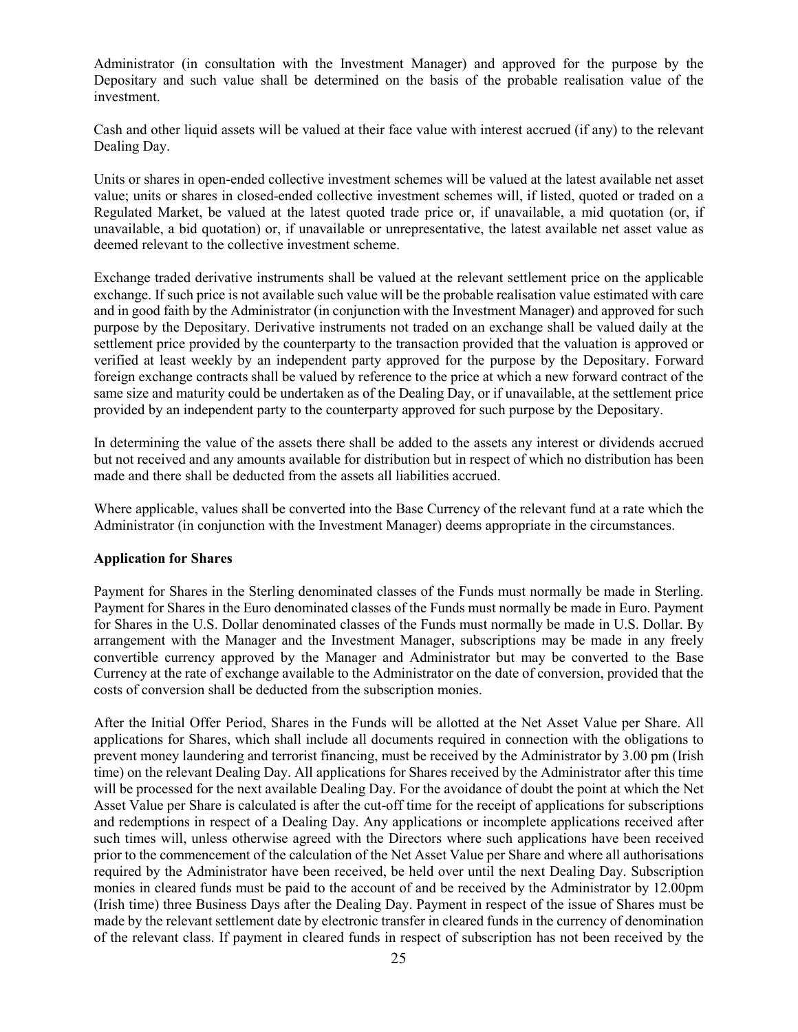Administrator (in consultation with the Investment Manager) and approved for the purpose by the Depositary and such value shall be determined on the basis of the probable realisation value of the investment.

Cash and other liquid assets will be valued at their face value with interest accrued (if any) to the relevant Dealing Day.

Units or shares in open-ended collective investment schemes will be valued at the latest available net asset value; units or shares in closed-ended collective investment schemes will, if listed, quoted or traded on a Regulated Market, be valued at the latest quoted trade price or, if unavailable, a mid quotation (or, if unavailable, a bid quotation) or, if unavailable or unrepresentative, the latest available net asset value as deemed relevant to the collective investment scheme.

Exchange traded derivative instruments shall be valued at the relevant settlement price on the applicable exchange. If such price is not available such value will be the probable realisation value estimated with care and in good faith by the Administrator (in conjunction with the Investment Manager) and approved for such purpose by the Depositary. Derivative instruments not traded on an exchange shall be valued daily at the settlement price provided by the counterparty to the transaction provided that the valuation is approved or verified at least weekly by an independent party approved for the purpose by the Depositary. Forward foreign exchange contracts shall be valued by reference to the price at which a new forward contract of the same size and maturity could be undertaken as of the Dealing Day, or if unavailable, at the settlement price provided by an independent party to the counterparty approved for such purpose by the Depositary.

In determining the value of the assets there shall be added to the assets any interest or dividends accrued but not received and any amounts available for distribution but in respect of which no distribution has been made and there shall be deducted from the assets all liabilities accrued.

Where applicable, values shall be converted into the Base Currency of the relevant fund at a rate which the Administrator (in conjunction with the Investment Manager) deems appropriate in the circumstances.

# **Application for Shares**

Payment for Shares in the Sterling denominated classes of the Funds must normally be made in Sterling. Payment for Shares in the Euro denominated classes of the Funds must normally be made in Euro. Payment for Shares in the U.S. Dollar denominated classes of the Funds must normally be made in U.S. Dollar. By arrangement with the Manager and the Investment Manager, subscriptions may be made in any freely convertible currency approved by the Manager and Administrator but may be converted to the Base Currency at the rate of exchange available to the Administrator on the date of conversion, provided that the costs of conversion shall be deducted from the subscription monies.

After the Initial Offer Period, Shares in the Funds will be allotted at the Net Asset Value per Share. All applications for Shares, which shall include all documents required in connection with the obligations to prevent money laundering and terrorist financing, must be received by the Administrator by 3.00 pm (Irish time) on the relevant Dealing Day. All applications for Shares received by the Administrator after this time will be processed for the next available Dealing Day. For the avoidance of doubt the point at which the Net Asset Value per Share is calculated is after the cut-off time for the receipt of applications for subscriptions and redemptions in respect of a Dealing Day. Any applications or incomplete applications received after such times will, unless otherwise agreed with the Directors where such applications have been received prior to the commencement of the calculation of the Net Asset Value per Share and where all authorisations required by the Administrator have been received, be held over until the next Dealing Day. Subscription monies in cleared funds must be paid to the account of and be received by the Administrator by 12.00pm (Irish time) three Business Days after the Dealing Day. Payment in respect of the issue of Shares must be made by the relevant settlement date by electronic transfer in cleared funds in the currency of denomination of the relevant class. If payment in cleared funds in respect of subscription has not been received by the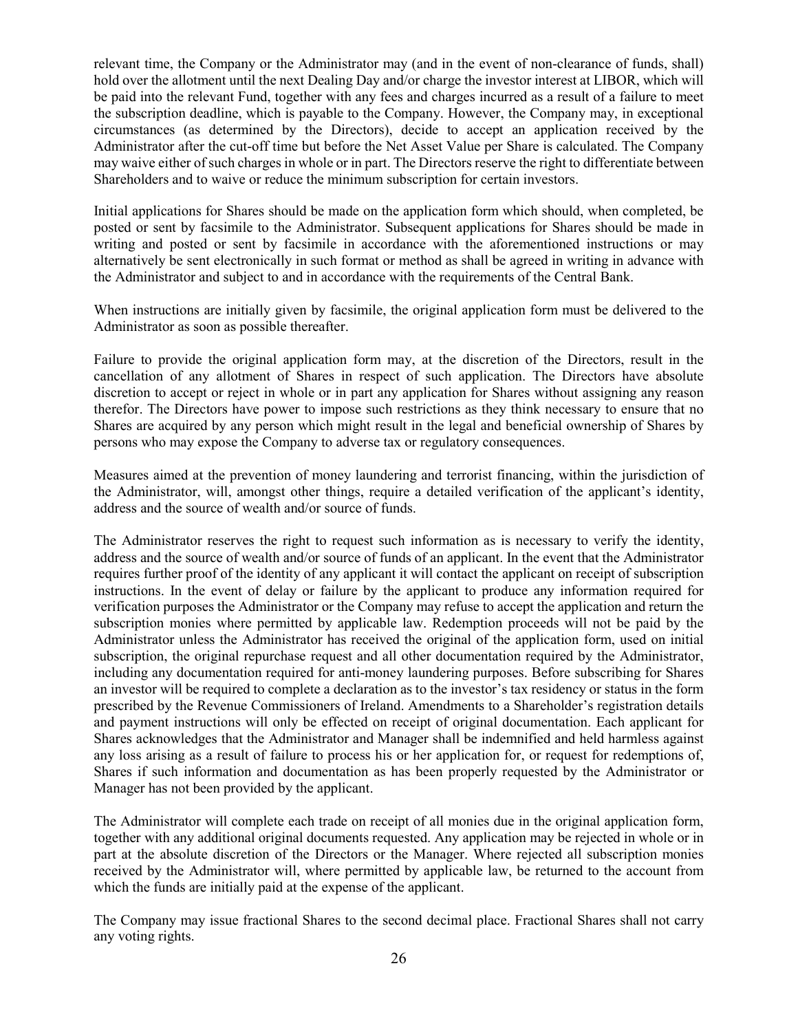relevant time, the Company or the Administrator may (and in the event of non-clearance of funds, shall) hold over the allotment until the next Dealing Day and/or charge the investor interest at LIBOR, which will be paid into the relevant Fund, together with any fees and charges incurred as a result of a failure to meet the subscription deadline, which is payable to the Company. However, the Company may, in exceptional circumstances (as determined by the Directors), decide to accept an application received by the Administrator after the cut-off time but before the Net Asset Value per Share is calculated. The Company may waive either of such charges in whole or in part. The Directors reserve the right to differentiate between Shareholders and to waive or reduce the minimum subscription for certain investors.

Initial applications for Shares should be made on the application form which should, when completed, be posted or sent by facsimile to the Administrator. Subsequent applications for Shares should be made in writing and posted or sent by facsimile in accordance with the aforementioned instructions or may alternatively be sent electronically in such format or method as shall be agreed in writing in advance with the Administrator and subject to and in accordance with the requirements of the Central Bank.

When instructions are initially given by facsimile, the original application form must be delivered to the Administrator as soon as possible thereafter.

Failure to provide the original application form may, at the discretion of the Directors, result in the cancellation of any allotment of Shares in respect of such application. The Directors have absolute discretion to accept or reject in whole or in part any application for Shares without assigning any reason therefor. The Directors have power to impose such restrictions as they think necessary to ensure that no Shares are acquired by any person which might result in the legal and beneficial ownership of Shares by persons who may expose the Company to adverse tax or regulatory consequences.

Measures aimed at the prevention of money laundering and terrorist financing, within the jurisdiction of the Administrator, will, amongst other things, require a detailed verification of the applicant's identity, address and the source of wealth and/or source of funds.

The Administrator reserves the right to request such information as is necessary to verify the identity, address and the source of wealth and/or source of funds of an applicant. In the event that the Administrator requires further proof of the identity of any applicant it will contact the applicant on receipt of subscription instructions. In the event of delay or failure by the applicant to produce any information required for verification purposes the Administrator or the Company may refuse to accept the application and return the subscription monies where permitted by applicable law. Redemption proceeds will not be paid by the Administrator unless the Administrator has received the original of the application form, used on initial subscription, the original repurchase request and all other documentation required by the Administrator, including any documentation required for anti-money laundering purposes. Before subscribing for Shares an investor will be required to complete a declaration as to the investor's tax residency or status in the form prescribed by the Revenue Commissioners of Ireland. Amendments to a Shareholder's registration details and payment instructions will only be effected on receipt of original documentation. Each applicant for Shares acknowledges that the Administrator and Manager shall be indemnified and held harmless against any loss arising as a result of failure to process his or her application for, or request for redemptions of, Shares if such information and documentation as has been properly requested by the Administrator or Manager has not been provided by the applicant.

The Administrator will complete each trade on receipt of all monies due in the original application form, together with any additional original documents requested. Any application may be rejected in whole or in part at the absolute discretion of the Directors or the Manager. Where rejected all subscription monies received by the Administrator will, where permitted by applicable law, be returned to the account from which the funds are initially paid at the expense of the applicant.

The Company may issue fractional Shares to the second decimal place. Fractional Shares shall not carry any voting rights.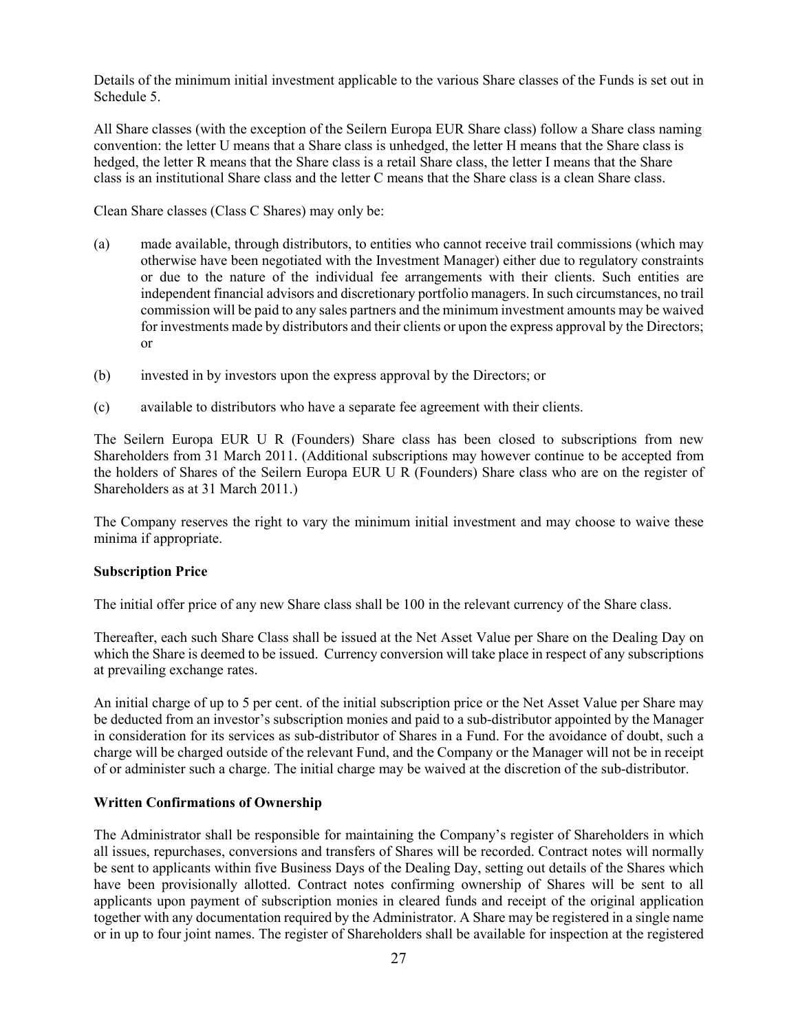Details of the minimum initial investment applicable to the various Share classes of the Funds is set out in Schedule 5.

All Share classes (with the exception of the Seilern Europa EUR Share class) follow a Share class naming convention: the letter U means that a Share class is unhedged, the letter H means that the Share class is hedged, the letter R means that the Share class is a retail Share class, the letter I means that the Share class is an institutional Share class and the letter C means that the Share class is a clean Share class.

Clean Share classes (Class C Shares) may only be:

- (a) made available, through distributors, to entities who cannot receive trail commissions (which may otherwise have been negotiated with the Investment Manager) either due to regulatory constraints or due to the nature of the individual fee arrangements with their clients. Such entities are independent financial advisors and discretionary portfolio managers. In such circumstances, no trail commission will be paid to any sales partners and the minimum investment amounts may be waived for investments made by distributors and their clients or upon the express approval by the Directors; or
- (b) invested in by investors upon the express approval by the Directors; or
- (c) available to distributors who have a separate fee agreement with their clients.

The Seilern Europa EUR U R (Founders) Share class has been closed to subscriptions from new Shareholders from 31 March 2011. (Additional subscriptions may however continue to be accepted from the holders of Shares of the Seilern Europa EUR U R (Founders) Share class who are on the register of Shareholders as at 31 March 2011.)

The Company reserves the right to vary the minimum initial investment and may choose to waive these minima if appropriate.

#### **Subscription Price**

The initial offer price of any new Share class shall be 100 in the relevant currency of the Share class.

Thereafter, each such Share Class shall be issued at the Net Asset Value per Share on the Dealing Day on which the Share is deemed to be issued. Currency conversion will take place in respect of any subscriptions at prevailing exchange rates.

An initial charge of up to 5 per cent. of the initial subscription price or the Net Asset Value per Share may be deducted from an investor's subscription monies and paid to a sub-distributor appointed by the Manager in consideration for its services as sub-distributor of Shares in a Fund. For the avoidance of doubt, such a charge will be charged outside of the relevant Fund, and the Company or the Manager will not be in receipt of or administer such a charge. The initial charge may be waived at the discretion of the sub-distributor.

# **Written Confirmations of Ownership**

The Administrator shall be responsible for maintaining the Company's register of Shareholders in which all issues, repurchases, conversions and transfers of Shares will be recorded. Contract notes will normally be sent to applicants within five Business Days of the Dealing Day, setting out details of the Shares which have been provisionally allotted. Contract notes confirming ownership of Shares will be sent to all applicants upon payment of subscription monies in cleared funds and receipt of the original application together with any documentation required by the Administrator. A Share may be registered in a single name or in up to four joint names. The register of Shareholders shall be available for inspection at the registered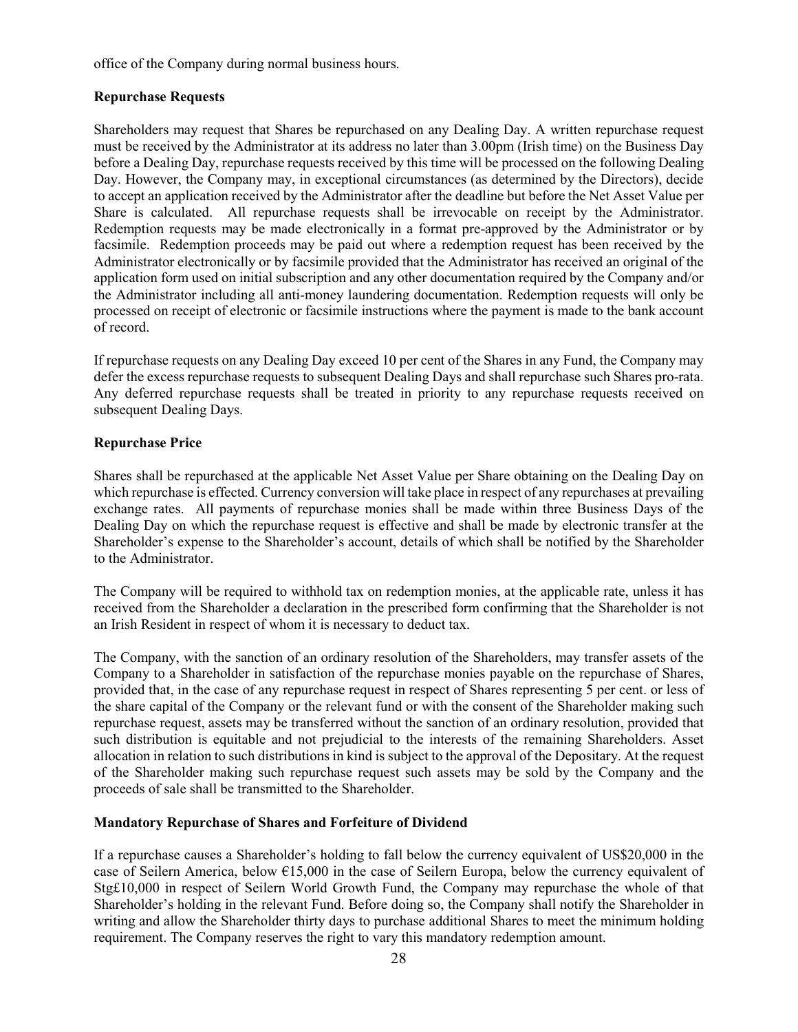office of the Company during normal business hours.

# **Repurchase Requests**

Shareholders may request that Shares be repurchased on any Dealing Day. A written repurchase request must be received by the Administrator at its address no later than 3.00pm (Irish time) on the Business Day before a Dealing Day, repurchase requests received by this time will be processed on the following Dealing Day. However, the Company may, in exceptional circumstances (as determined by the Directors), decide to accept an application received by the Administrator after the deadline but before the Net Asset Value per Share is calculated. All repurchase requests shall be irrevocable on receipt by the Administrator. Redemption requests may be made electronically in a format pre-approved by the Administrator or by facsimile. Redemption proceeds may be paid out where a redemption request has been received by the Administrator electronically or by facsimile provided that the Administrator has received an original of the application form used on initial subscription and any other documentation required by the Company and/or the Administrator including all anti-money laundering documentation. Redemption requests will only be processed on receipt of electronic or facsimile instructions where the payment is made to the bank account of record.

If repurchase requests on any Dealing Day exceed 10 per cent of the Shares in any Fund, the Company may defer the excess repurchase requests to subsequent Dealing Days and shall repurchase such Shares pro-rata. Any deferred repurchase requests shall be treated in priority to any repurchase requests received on subsequent Dealing Days.

# **Repurchase Price**

Shares shall be repurchased at the applicable Net Asset Value per Share obtaining on the Dealing Day on which repurchase is effected. Currency conversion will take place in respect of any repurchases at prevailing exchange rates. All payments of repurchase monies shall be made within three Business Days of the Dealing Day on which the repurchase request is effective and shall be made by electronic transfer at the Shareholder's expense to the Shareholder's account, details of which shall be notified by the Shareholder to the Administrator.

The Company will be required to withhold tax on redemption monies, at the applicable rate, unless it has received from the Shareholder a declaration in the prescribed form confirming that the Shareholder is not an Irish Resident in respect of whom it is necessary to deduct tax.

The Company, with the sanction of an ordinary resolution of the Shareholders, may transfer assets of the Company to a Shareholder in satisfaction of the repurchase monies payable on the repurchase of Shares, provided that, in the case of any repurchase request in respect of Shares representing 5 per cent. or less of the share capital of the Company or the relevant fund or with the consent of the Shareholder making such repurchase request, assets may be transferred without the sanction of an ordinary resolution, provided that such distribution is equitable and not prejudicial to the interests of the remaining Shareholders. Asset allocation in relation to such distributions in kind is subject to the approval of the Depositary. At the request of the Shareholder making such repurchase request such assets may be sold by the Company and the proceeds of sale shall be transmitted to the Shareholder.

# **Mandatory Repurchase of Shares and Forfeiture of Dividend**

If a repurchase causes a Shareholder's holding to fall below the currency equivalent of US\$20,000 in the case of Seilern America, below €15,000 in the case of Seilern Europa, below the currency equivalent of Stg£10,000 in respect of Seilern World Growth Fund, the Company may repurchase the whole of that Shareholder's holding in the relevant Fund. Before doing so, the Company shall notify the Shareholder in writing and allow the Shareholder thirty days to purchase additional Shares to meet the minimum holding requirement. The Company reserves the right to vary this mandatory redemption amount.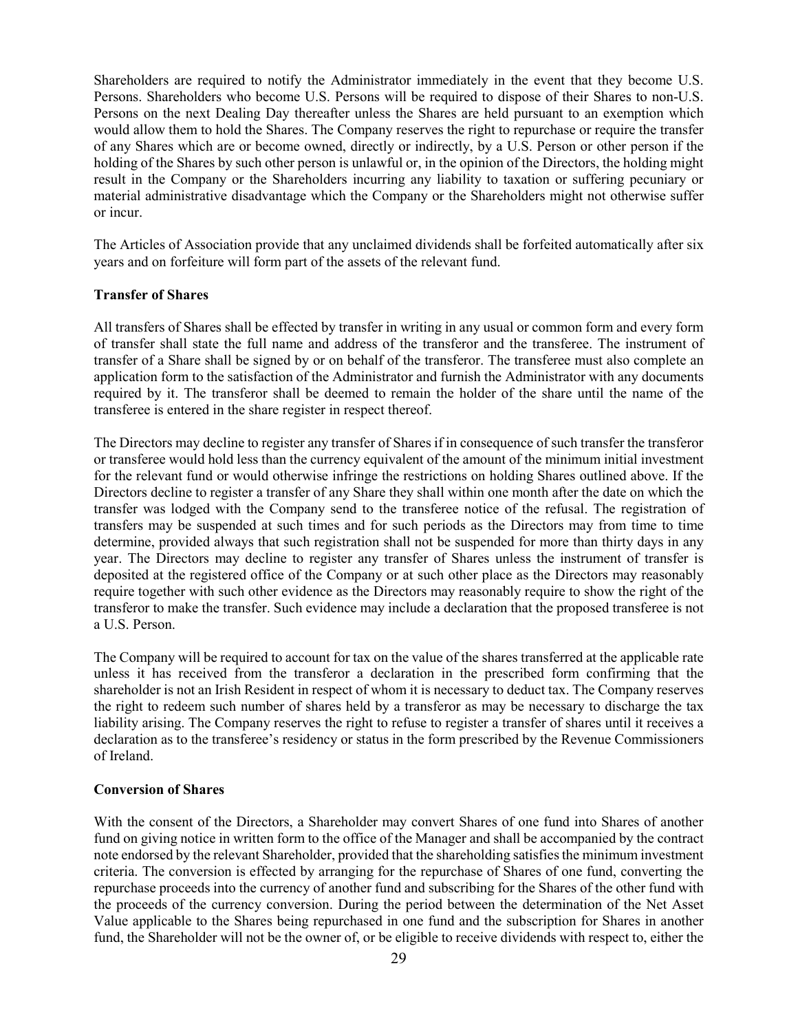Shareholders are required to notify the Administrator immediately in the event that they become U.S. Persons. Shareholders who become U.S. Persons will be required to dispose of their Shares to non-U.S. Persons on the next Dealing Day thereafter unless the Shares are held pursuant to an exemption which would allow them to hold the Shares. The Company reserves the right to repurchase or require the transfer of any Shares which are or become owned, directly or indirectly, by a U.S. Person or other person if the holding of the Shares by such other person is unlawful or, in the opinion of the Directors, the holding might result in the Company or the Shareholders incurring any liability to taxation or suffering pecuniary or material administrative disadvantage which the Company or the Shareholders might not otherwise suffer or incur.

The Articles of Association provide that any unclaimed dividends shall be forfeited automatically after six years and on forfeiture will form part of the assets of the relevant fund.

## **Transfer of Shares**

All transfers of Shares shall be effected by transfer in writing in any usual or common form and every form of transfer shall state the full name and address of the transferor and the transferee. The instrument of transfer of a Share shall be signed by or on behalf of the transferor. The transferee must also complete an application form to the satisfaction of the Administrator and furnish the Administrator with any documents required by it. The transferor shall be deemed to remain the holder of the share until the name of the transferee is entered in the share register in respect thereof.

The Directors may decline to register any transfer of Shares if in consequence of such transfer the transferor or transferee would hold less than the currency equivalent of the amount of the minimum initial investment for the relevant fund or would otherwise infringe the restrictions on holding Shares outlined above. If the Directors decline to register a transfer of any Share they shall within one month after the date on which the transfer was lodged with the Company send to the transferee notice of the refusal. The registration of transfers may be suspended at such times and for such periods as the Directors may from time to time determine, provided always that such registration shall not be suspended for more than thirty days in any year. The Directors may decline to register any transfer of Shares unless the instrument of transfer is deposited at the registered office of the Company or at such other place as the Directors may reasonably require together with such other evidence as the Directors may reasonably require to show the right of the transferor to make the transfer. Such evidence may include a declaration that the proposed transferee is not a U.S. Person.

The Company will be required to account for tax on the value of the shares transferred at the applicable rate unless it has received from the transferor a declaration in the prescribed form confirming that the shareholder is not an Irish Resident in respect of whom it is necessary to deduct tax. The Company reserves the right to redeem such number of shares held by a transferor as may be necessary to discharge the tax liability arising. The Company reserves the right to refuse to register a transfer of shares until it receives a declaration as to the transferee's residency or status in the form prescribed by the Revenue Commissioners of Ireland.

#### **Conversion of Shares**

With the consent of the Directors, a Shareholder may convert Shares of one fund into Shares of another fund on giving notice in written form to the office of the Manager and shall be accompanied by the contract note endorsed by the relevant Shareholder, provided that the shareholding satisfies the minimum investment criteria. The conversion is effected by arranging for the repurchase of Shares of one fund, converting the repurchase proceeds into the currency of another fund and subscribing for the Shares of the other fund with the proceeds of the currency conversion. During the period between the determination of the Net Asset Value applicable to the Shares being repurchased in one fund and the subscription for Shares in another fund, the Shareholder will not be the owner of, or be eligible to receive dividends with respect to, either the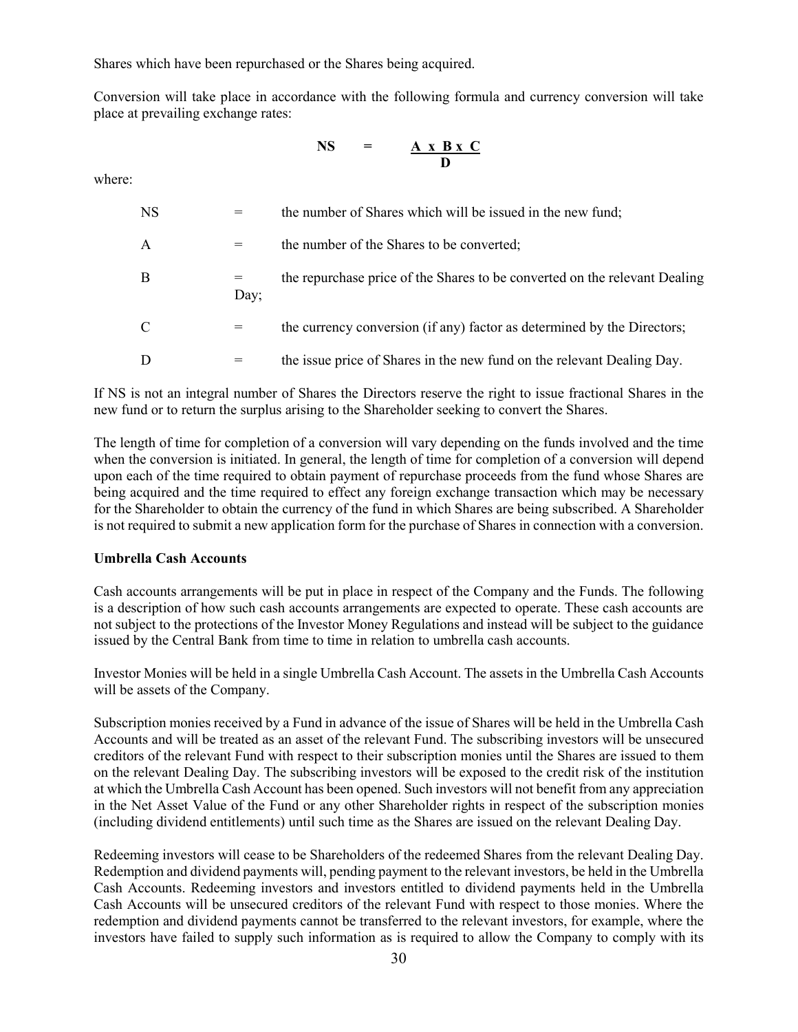Shares which have been repurchased or the Shares being acquired.

Conversion will take place in accordance with the following formula and currency conversion will take place at prevailing exchange rates:

$$
NS = \frac{A \times B \times C}{D}
$$

where:

| <b>NS</b> | $=$  | the number of Shares which will be issued in the new fund;                 |
|-----------|------|----------------------------------------------------------------------------|
| A         | $=$  | the number of the Shares to be converted;                                  |
| В         | Day; | the repurchase price of the Shares to be converted on the relevant Dealing |
| C         | $=$  | the currency conversion (if any) factor as determined by the Directors;    |
| D         | $=$  | the issue price of Shares in the new fund on the relevant Dealing Day.     |

If NS is not an integral number of Shares the Directors reserve the right to issue fractional Shares in the new fund or to return the surplus arising to the Shareholder seeking to convert the Shares.

The length of time for completion of a conversion will vary depending on the funds involved and the time when the conversion is initiated. In general, the length of time for completion of a conversion will depend upon each of the time required to obtain payment of repurchase proceeds from the fund whose Shares are being acquired and the time required to effect any foreign exchange transaction which may be necessary for the Shareholder to obtain the currency of the fund in which Shares are being subscribed. A Shareholder is not required to submit a new application form for the purchase of Shares in connection with a conversion.

## **Umbrella Cash Accounts**

Cash accounts arrangements will be put in place in respect of the Company and the Funds. The following is a description of how such cash accounts arrangements are expected to operate. These cash accounts are not subject to the protections of the Investor Money Regulations and instead will be subject to the guidance issued by the Central Bank from time to time in relation to umbrella cash accounts.

Investor Monies will be held in a single Umbrella Cash Account. The assets in the Umbrella Cash Accounts will be assets of the Company.

Subscription monies received by a Fund in advance of the issue of Shares will be held in the Umbrella Cash Accounts and will be treated as an asset of the relevant Fund. The subscribing investors will be unsecured creditors of the relevant Fund with respect to their subscription monies until the Shares are issued to them on the relevant Dealing Day. The subscribing investors will be exposed to the credit risk of the institution at which the Umbrella Cash Account has been opened. Such investors will not benefit from any appreciation in the Net Asset Value of the Fund or any other Shareholder rights in respect of the subscription monies (including dividend entitlements) until such time as the Shares are issued on the relevant Dealing Day.

Redeeming investors will cease to be Shareholders of the redeemed Shares from the relevant Dealing Day. Redemption and dividend payments will, pending payment to the relevant investors, be held in the Umbrella Cash Accounts. Redeeming investors and investors entitled to dividend payments held in the Umbrella Cash Accounts will be unsecured creditors of the relevant Fund with respect to those monies. Where the redemption and dividend payments cannot be transferred to the relevant investors, for example, where the investors have failed to supply such information as is required to allow the Company to comply with its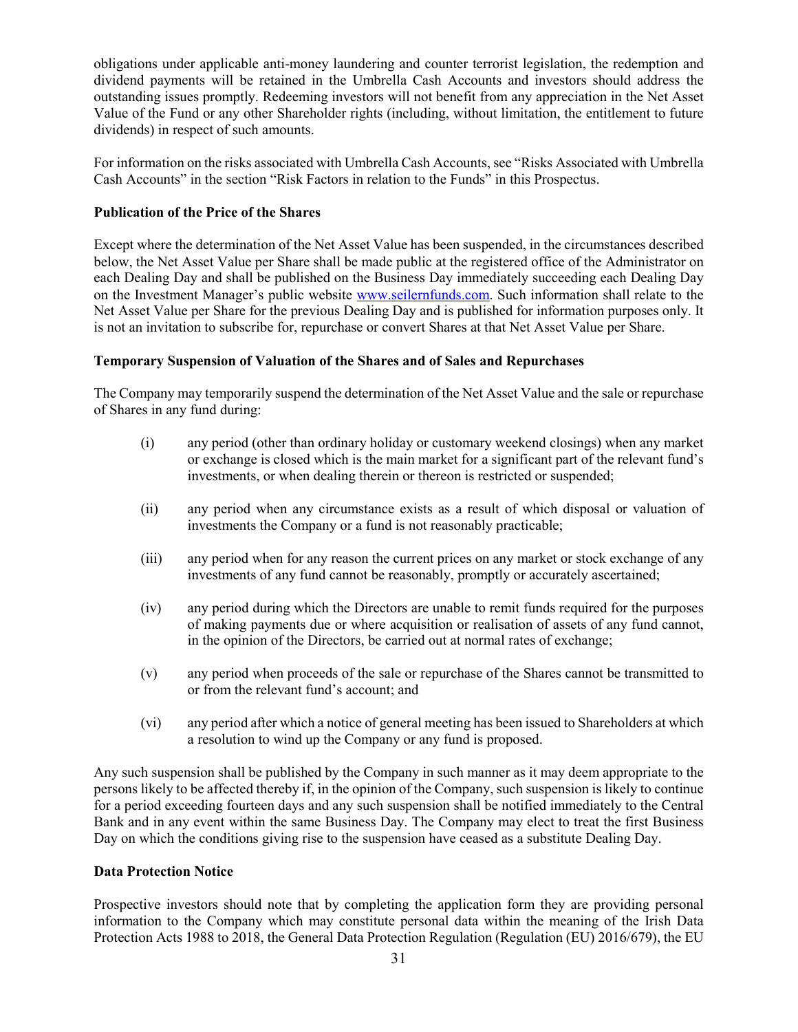obligations under applicable anti-money laundering and counter terrorist legislation, the redemption and dividend payments will be retained in the Umbrella Cash Accounts and investors should address the outstanding issues promptly. Redeeming investors will not benefit from any appreciation in the Net Asset Value of the Fund or any other Shareholder rights (including, without limitation, the entitlement to future dividends) in respect of such amounts.

For information on the risks associated with Umbrella Cash Accounts, see "Risks Associated with Umbrella Cash Accounts" in the section "Risk Factors in relation to the Funds" in this Prospectus.

## **Publication of the Price of the Shares**

Except where the determination of the Net Asset Value has been suspended, in the circumstances described below, the Net Asset Value per Share shall be made public at the registered office of the Administrator on each Dealing Day and shall be published on the Business Day immediately succeeding each Dealing Day on the Investment Manager's public website www.seilernfunds.com. Such information shall relate to the Net Asset Value per Share for the previous Dealing Day and is published for information purposes only. It is not an invitation to subscribe for, repurchase or convert Shares at that Net Asset Value per Share.

# **Temporary Suspension of Valuation of the Shares and of Sales and Repurchases**

The Company may temporarily suspend the determination of the Net Asset Value and the sale or repurchase of Shares in any fund during:

- (i) any period (other than ordinary holiday or customary weekend closings) when any market or exchange is closed which is the main market for a significant part of the relevant fund's investments, or when dealing therein or thereon is restricted or suspended;
- (ii) any period when any circumstance exists as a result of which disposal or valuation of investments the Company or a fund is not reasonably practicable;
- (iii) any period when for any reason the current prices on any market or stock exchange of any investments of any fund cannot be reasonably, promptly or accurately ascertained;
- (iv) any period during which the Directors are unable to remit funds required for the purposes of making payments due or where acquisition or realisation of assets of any fund cannot, in the opinion of the Directors, be carried out at normal rates of exchange;
- (v) any period when proceeds of the sale or repurchase of the Shares cannot be transmitted to or from the relevant fund's account; and
- (vi) any period after which a notice of general meeting has been issued to Shareholders at which a resolution to wind up the Company or any fund is proposed.

Any such suspension shall be published by the Company in such manner as it may deem appropriate to the persons likely to be affected thereby if, in the opinion of the Company, such suspension is likely to continue for a period exceeding fourteen days and any such suspension shall be notified immediately to the Central Bank and in any event within the same Business Day. The Company may elect to treat the first Business Day on which the conditions giving rise to the suspension have ceased as a substitute Dealing Day.

## **Data Protection Notice**

Prospective investors should note that by completing the application form they are providing personal information to the Company which may constitute personal data within the meaning of the Irish Data Protection Acts 1988 to 2018, the General Data Protection Regulation (Regulation (EU) 2016/679), the EU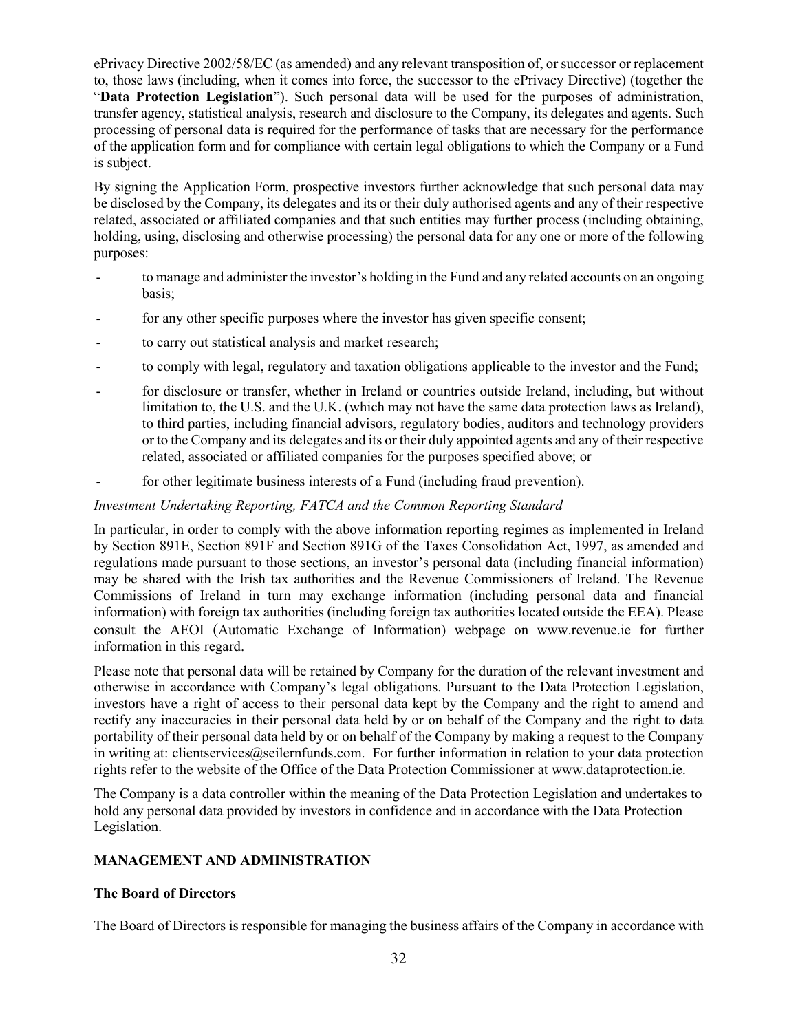ePrivacy Directive 2002/58/EC (as amended) and any relevant transposition of, or successor or replacement to, those laws (including, when it comes into force, the successor to the ePrivacy Directive) (together the "**Data Protection Legislation**"). Such personal data will be used for the purposes of administration, transfer agency, statistical analysis, research and disclosure to the Company, its delegates and agents. Such processing of personal data is required for the performance of tasks that are necessary for the performance of the application form and for compliance with certain legal obligations to which the Company or a Fund is subject.

By signing the Application Form, prospective investors further acknowledge that such personal data may be disclosed by the Company, its delegates and its or their duly authorised agents and any of their respective related, associated or affiliated companies and that such entities may further process (including obtaining, holding, using, disclosing and otherwise processing) the personal data for any one or more of the following purposes:

- to manage and administer the investor's holding in the Fund and any related accounts on an ongoing basis;
- for any other specific purposes where the investor has given specific consent;
- to carry out statistical analysis and market research;
- to comply with legal, regulatory and taxation obligations applicable to the investor and the Fund;
- for disclosure or transfer, whether in Ireland or countries outside Ireland, including, but without limitation to, the U.S. and the U.K. (which may not have the same data protection laws as Ireland), to third parties, including financial advisors, regulatory bodies, auditors and technology providers or to the Company and its delegates and its or their duly appointed agents and any of their respective related, associated or affiliated companies for the purposes specified above; or
- for other legitimate business interests of a Fund (including fraud prevention).

# *Investment Undertaking Reporting, FATCA and the Common Reporting Standard*

In particular, in order to comply with the above information reporting regimes as implemented in Ireland by Section 891E, Section 891F and Section 891G of the Taxes Consolidation Act, 1997, as amended and regulations made pursuant to those sections, an investor's personal data (including financial information) may be shared with the Irish tax authorities and the Revenue Commissioners of Ireland. The Revenue Commissions of Ireland in turn may exchange information (including personal data and financial information) with foreign tax authorities (including foreign tax authorities located outside the EEA). Please consult the AEOI (Automatic Exchange of Information) webpage on www.revenue.ie for further information in this regard.

Please note that personal data will be retained by Company for the duration of the relevant investment and otherwise in accordance with Company's legal obligations. Pursuant to the Data Protection Legislation, investors have a right of access to their personal data kept by the Company and the right to amend and rectify any inaccuracies in their personal data held by or on behalf of the Company and the right to data portability of their personal data held by or on behalf of the Company by making a request to the Company in writing at: clientservices@seilernfunds.com. For further information in relation to your data protection rights refer to the website of the Office of the Data Protection Commissioner at www.dataprotection.ie.

The Company is a data controller within the meaning of the Data Protection Legislation and undertakes to hold any personal data provided by investors in confidence and in accordance with the Data Protection Legislation.

# **MANAGEMENT AND ADMINISTRATION**

## **The Board of Directors**

The Board of Directors is responsible for managing the business affairs of the Company in accordance with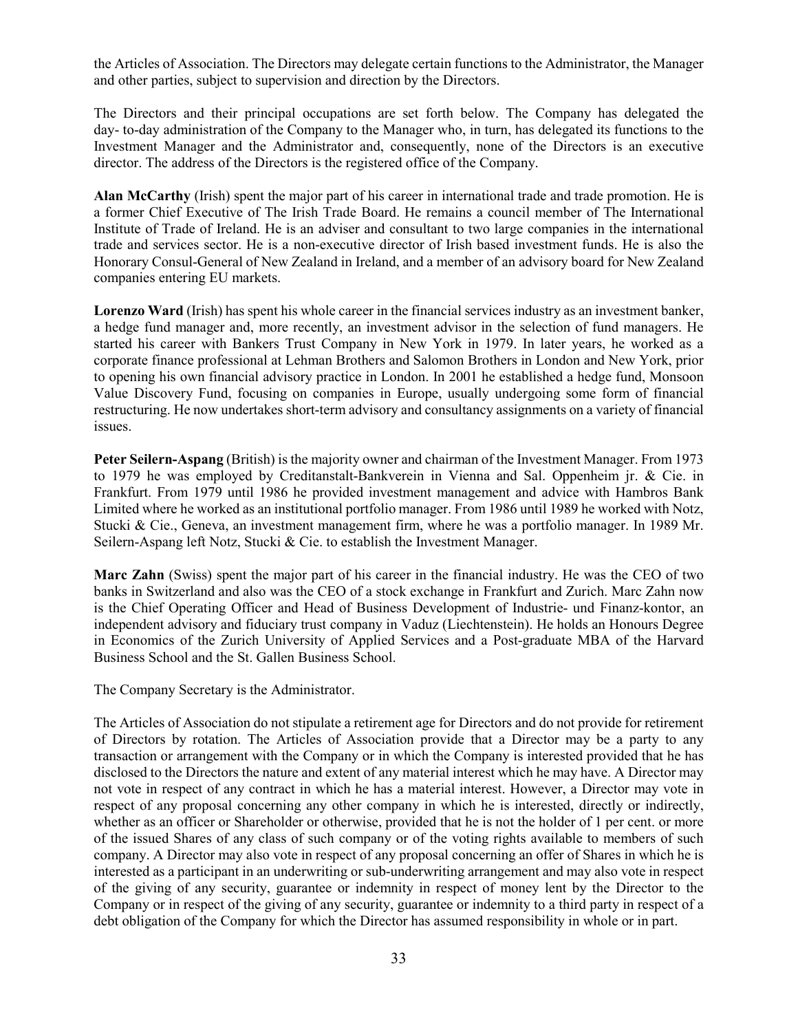the Articles of Association. The Directors may delegate certain functions to the Administrator, the Manager and other parties, subject to supervision and direction by the Directors.

The Directors and their principal occupations are set forth below. The Company has delegated the day- to-day administration of the Company to the Manager who, in turn, has delegated its functions to the Investment Manager and the Administrator and, consequently, none of the Directors is an executive director. The address of the Directors is the registered office of the Company.

**Alan McCarthy** (Irish) spent the major part of his career in international trade and trade promotion. He is a former Chief Executive of The Irish Trade Board. He remains a council member of The International Institute of Trade of Ireland. He is an adviser and consultant to two large companies in the international trade and services sector. He is a non-executive director of Irish based investment funds. He is also the Honorary Consul-General of New Zealand in Ireland, and a member of an advisory board for New Zealand companies entering EU markets.

**Lorenzo Ward** (Irish) has spent his whole career in the financial services industry as an investment banker, a hedge fund manager and, more recently, an investment advisor in the selection of fund managers. He started his career with Bankers Trust Company in New York in 1979. In later years, he worked as a corporate finance professional at Lehman Brothers and Salomon Brothers in London and New York, prior to opening his own financial advisory practice in London. In 2001 he established a hedge fund, Monsoon Value Discovery Fund, focusing on companies in Europe, usually undergoing some form of financial restructuring. He now undertakes short-term advisory and consultancy assignments on a variety of financial issues.

**Peter Seilern-Aspang** (British) is the majority owner and chairman of the Investment Manager. From 1973 to 1979 he was employed by Creditanstalt-Bankverein in Vienna and Sal. Oppenheim jr. & Cie. in Frankfurt. From 1979 until 1986 he provided investment management and advice with Hambros Bank Limited where he worked as an institutional portfolio manager. From 1986 until 1989 he worked with Notz, Stucki & Cie., Geneva, an investment management firm, where he was a portfolio manager. In 1989 Mr. Seilern-Aspang left Notz, Stucki & Cie. to establish the Investment Manager.

**Marc Zahn** (Swiss) spent the major part of his career in the financial industry. He was the CEO of two banks in Switzerland and also was the CEO of a stock exchange in Frankfurt and Zurich. Marc Zahn now is the Chief Operating Officer and Head of Business Development of Industrie- und Finanz-kontor, an independent advisory and fiduciary trust company in Vaduz (Liechtenstein). He holds an Honours Degree in Economics of the Zurich University of Applied Services and a Post-graduate MBA of the Harvard Business School and the St. Gallen Business School.

The Company Secretary is the Administrator.

The Articles of Association do not stipulate a retirement age for Directors and do not provide for retirement of Directors by rotation. The Articles of Association provide that a Director may be a party to any transaction or arrangement with the Company or in which the Company is interested provided that he has disclosed to the Directors the nature and extent of any material interest which he may have. A Director may not vote in respect of any contract in which he has a material interest. However, a Director may vote in respect of any proposal concerning any other company in which he is interested, directly or indirectly, whether as an officer or Shareholder or otherwise, provided that he is not the holder of 1 per cent. or more of the issued Shares of any class of such company or of the voting rights available to members of such company. A Director may also vote in respect of any proposal concerning an offer of Shares in which he is interested as a participant in an underwriting or sub-underwriting arrangement and may also vote in respect of the giving of any security, guarantee or indemnity in respect of money lent by the Director to the Company or in respect of the giving of any security, guarantee or indemnity to a third party in respect of a debt obligation of the Company for which the Director has assumed responsibility in whole or in part.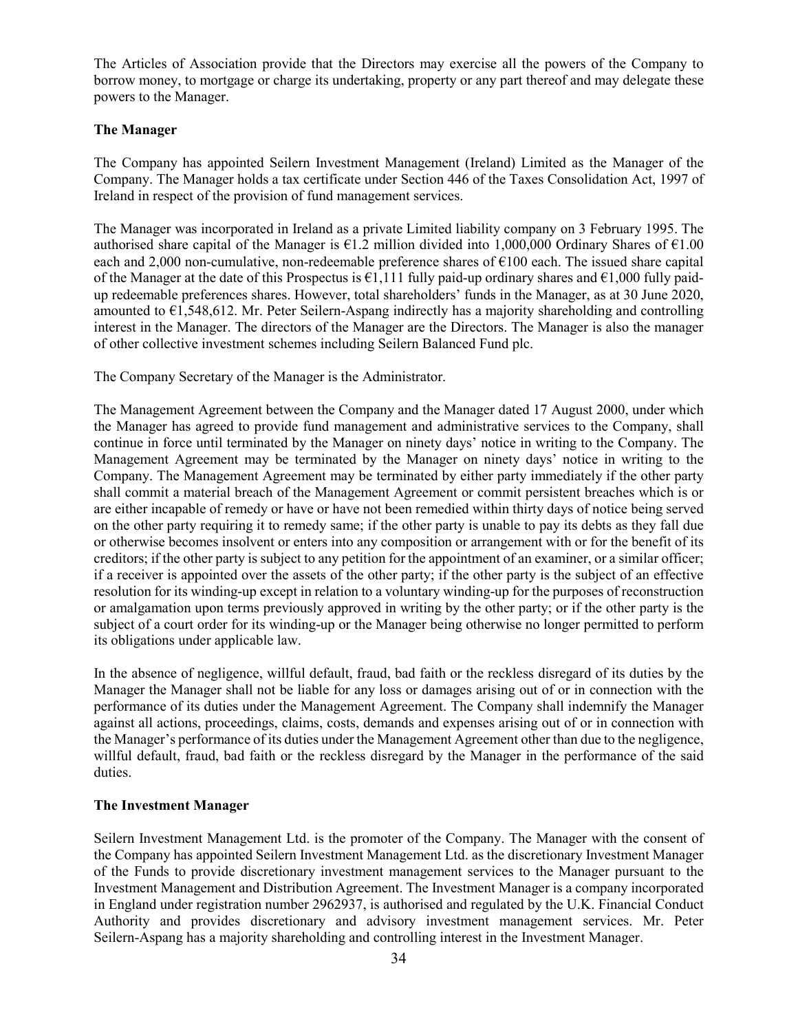The Articles of Association provide that the Directors may exercise all the powers of the Company to borrow money, to mortgage or charge its undertaking, property or any part thereof and may delegate these powers to the Manager.

# **The Manager**

The Company has appointed Seilern Investment Management (Ireland) Limited as the Manager of the Company. The Manager holds a tax certificate under Section 446 of the Taxes Consolidation Act, 1997 of Ireland in respect of the provision of fund management services.

The Manager was incorporated in Ireland as a private Limited liability company on 3 February 1995. The authorised share capital of the Manager is  $\epsilon$ 1.2 million divided into 1,000,000 Ordinary Shares of  $\epsilon$ 1.00 each and 2,000 non-cumulative, non-redeemable preference shares of  $\epsilon$ 100 each. The issued share capital of the Manager at the date of this Prospectus is  $\epsilon$ 1,111 fully paid-up ordinary shares and  $\epsilon$ 1,000 fully paidup redeemable preferences shares. However, total shareholders' funds in the Manager, as at 30 June 2020, amounted to  $\epsilon$ 1,548,612. Mr. Peter Seilern-Aspang indirectly has a majority shareholding and controlling interest in the Manager. The directors of the Manager are the Directors. The Manager is also the manager of other collective investment schemes including Seilern Balanced Fund plc.

The Company Secretary of the Manager is the Administrator.

The Management Agreement between the Company and the Manager dated 17 August 2000, under which the Manager has agreed to provide fund management and administrative services to the Company, shall continue in force until terminated by the Manager on ninety days' notice in writing to the Company. The Management Agreement may be terminated by the Manager on ninety days' notice in writing to the Company. The Management Agreement may be terminated by either party immediately if the other party shall commit a material breach of the Management Agreement or commit persistent breaches which is or are either incapable of remedy or have or have not been remedied within thirty days of notice being served on the other party requiring it to remedy same; if the other party is unable to pay its debts as they fall due or otherwise becomes insolvent or enters into any composition or arrangement with or for the benefit of its creditors; if the other party is subject to any petition for the appointment of an examiner, or a similar officer; if a receiver is appointed over the assets of the other party; if the other party is the subject of an effective resolution for its winding-up except in relation to a voluntary winding-up for the purposes of reconstruction or amalgamation upon terms previously approved in writing by the other party; or if the other party is the subject of a court order for its winding-up or the Manager being otherwise no longer permitted to perform its obligations under applicable law.

In the absence of negligence, willful default, fraud, bad faith or the reckless disregard of its duties by the Manager the Manager shall not be liable for any loss or damages arising out of or in connection with the performance of its duties under the Management Agreement. The Company shall indemnify the Manager against all actions, proceedings, claims, costs, demands and expenses arising out of or in connection with the Manager's performance of its duties under the Management Agreement other than due to the negligence, willful default, fraud, bad faith or the reckless disregard by the Manager in the performance of the said duties.

## **The Investment Manager**

Seilern Investment Management Ltd. is the promoter of the Company. The Manager with the consent of the Company has appointed Seilern Investment Management Ltd. as the discretionary Investment Manager of the Funds to provide discretionary investment management services to the Manager pursuant to the Investment Management and Distribution Agreement. The Investment Manager is a company incorporated in England under registration number 2962937, is authorised and regulated by the U.K. Financial Conduct Authority and provides discretionary and advisory investment management services. Mr. Peter Seilern-Aspang has a majority shareholding and controlling interest in the Investment Manager.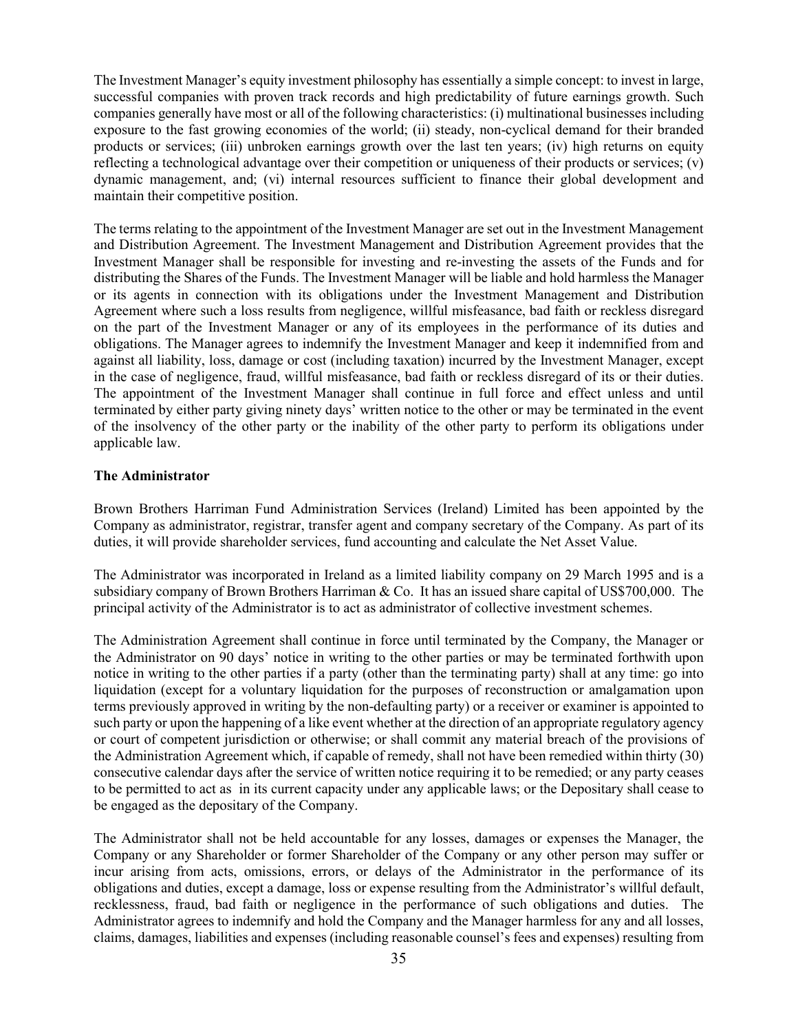The Investment Manager's equity investment philosophy has essentially a simple concept: to invest in large, successful companies with proven track records and high predictability of future earnings growth. Such companies generally have most or all of the following characteristics: (i) multinational businesses including exposure to the fast growing economies of the world; (ii) steady, non-cyclical demand for their branded products or services; (iii) unbroken earnings growth over the last ten years; (iv) high returns on equity reflecting a technological advantage over their competition or uniqueness of their products or services; (v) dynamic management, and; (vi) internal resources sufficient to finance their global development and maintain their competitive position.

The terms relating to the appointment of the Investment Manager are set out in the Investment Management and Distribution Agreement. The Investment Management and Distribution Agreement provides that the Investment Manager shall be responsible for investing and re-investing the assets of the Funds and for distributing the Shares of the Funds. The Investment Manager will be liable and hold harmless the Manager or its agents in connection with its obligations under the Investment Management and Distribution Agreement where such a loss results from negligence, willful misfeasance, bad faith or reckless disregard on the part of the Investment Manager or any of its employees in the performance of its duties and obligations. The Manager agrees to indemnify the Investment Manager and keep it indemnified from and against all liability, loss, damage or cost (including taxation) incurred by the Investment Manager, except in the case of negligence, fraud, willful misfeasance, bad faith or reckless disregard of its or their duties. The appointment of the Investment Manager shall continue in full force and effect unless and until terminated by either party giving ninety days' written notice to the other or may be terminated in the event of the insolvency of the other party or the inability of the other party to perform its obligations under applicable law.

## **The Administrator**

Brown Brothers Harriman Fund Administration Services (Ireland) Limited has been appointed by the Company as administrator, registrar, transfer agent and company secretary of the Company. As part of its duties, it will provide shareholder services, fund accounting and calculate the Net Asset Value.

The Administrator was incorporated in Ireland as a limited liability company on 29 March 1995 and is a subsidiary company of Brown Brothers Harriman & Co. It has an issued share capital of US\$700,000. The principal activity of the Administrator is to act as administrator of collective investment schemes.

The Administration Agreement shall continue in force until terminated by the Company, the Manager or the Administrator on 90 days' notice in writing to the other parties or may be terminated forthwith upon notice in writing to the other parties if a party (other than the terminating party) shall at any time: go into liquidation (except for a voluntary liquidation for the purposes of reconstruction or amalgamation upon terms previously approved in writing by the non-defaulting party) or a receiver or examiner is appointed to such party or upon the happening of a like event whether at the direction of an appropriate regulatory agency or court of competent jurisdiction or otherwise; or shall commit any material breach of the provisions of the Administration Agreement which, if capable of remedy, shall not have been remedied within thirty (30) consecutive calendar days after the service of written notice requiring it to be remedied; or any party ceases to be permitted to act as in its current capacity under any applicable laws; or the Depositary shall cease to be engaged as the depositary of the Company.

The Administrator shall not be held accountable for any losses, damages or expenses the Manager, the Company or any Shareholder or former Shareholder of the Company or any other person may suffer or incur arising from acts, omissions, errors, or delays of the Administrator in the performance of its obligations and duties, except a damage, loss or expense resulting from the Administrator's willful default, recklessness, fraud, bad faith or negligence in the performance of such obligations and duties. The Administrator agrees to indemnify and hold the Company and the Manager harmless for any and all losses, claims, damages, liabilities and expenses (including reasonable counsel's fees and expenses) resulting from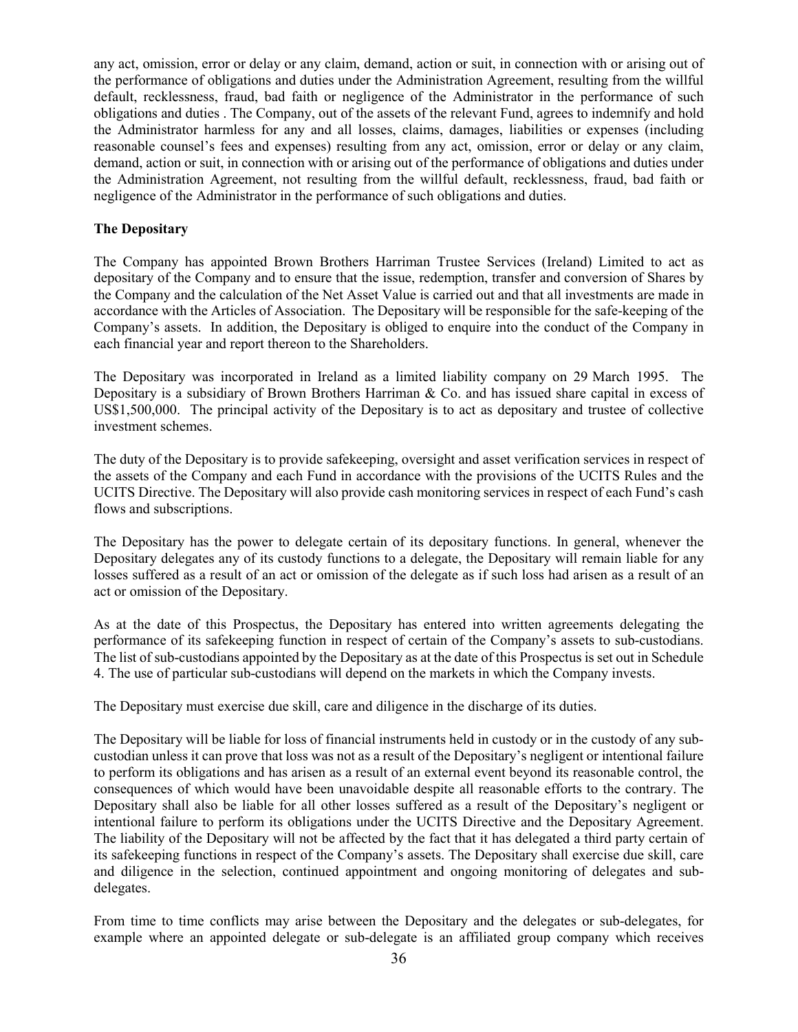any act, omission, error or delay or any claim, demand, action or suit, in connection with or arising out of the performance of obligations and duties under the Administration Agreement, resulting from the willful default, recklessness, fraud, bad faith or negligence of the Administrator in the performance of such obligations and duties . The Company, out of the assets of the relevant Fund, agrees to indemnify and hold the Administrator harmless for any and all losses, claims, damages, liabilities or expenses (including reasonable counsel's fees and expenses) resulting from any act, omission, error or delay or any claim, demand, action or suit, in connection with or arising out of the performance of obligations and duties under the Administration Agreement, not resulting from the willful default, recklessness, fraud, bad faith or negligence of the Administrator in the performance of such obligations and duties.

## **The Depositary**

The Company has appointed Brown Brothers Harriman Trustee Services (Ireland) Limited to act as depositary of the Company and to ensure that the issue, redemption, transfer and conversion of Shares by the Company and the calculation of the Net Asset Value is carried out and that all investments are made in accordance with the Articles of Association. The Depositary will be responsible for the safe-keeping of the Company's assets. In addition, the Depositary is obliged to enquire into the conduct of the Company in each financial year and report thereon to the Shareholders.

The Depositary was incorporated in Ireland as a limited liability company on 29 March 1995. The Depositary is a subsidiary of Brown Brothers Harriman & Co. and has issued share capital in excess of US\$1,500,000. The principal activity of the Depositary is to act as depositary and trustee of collective investment schemes.

The duty of the Depositary is to provide safekeeping, oversight and asset verification services in respect of the assets of the Company and each Fund in accordance with the provisions of the UCITS Rules and the UCITS Directive. The Depositary will also provide cash monitoring services in respect of each Fund's cash flows and subscriptions.

The Depositary has the power to delegate certain of its depositary functions. In general, whenever the Depositary delegates any of its custody functions to a delegate, the Depositary will remain liable for any losses suffered as a result of an act or omission of the delegate as if such loss had arisen as a result of an act or omission of the Depositary.

As at the date of this Prospectus, the Depositary has entered into written agreements delegating the performance of its safekeeping function in respect of certain of the Company's assets to sub-custodians. The list of sub-custodians appointed by the Depositary as at the date of this Prospectus is set out in Schedule 4. The use of particular sub-custodians will depend on the markets in which the Company invests.

The Depositary must exercise due skill, care and diligence in the discharge of its duties.

The Depositary will be liable for loss of financial instruments held in custody or in the custody of any subcustodian unless it can prove that loss was not as a result of the Depositary's negligent or intentional failure to perform its obligations and has arisen as a result of an external event beyond its reasonable control, the consequences of which would have been unavoidable despite all reasonable efforts to the contrary. The Depositary shall also be liable for all other losses suffered as a result of the Depositary's negligent or intentional failure to perform its obligations under the UCITS Directive and the Depositary Agreement. The liability of the Depositary will not be affected by the fact that it has delegated a third party certain of its safekeeping functions in respect of the Company's assets. The Depositary shall exercise due skill, care and diligence in the selection, continued appointment and ongoing monitoring of delegates and subdelegates.

From time to time conflicts may arise between the Depositary and the delegates or sub-delegates, for example where an appointed delegate or sub-delegate is an affiliated group company which receives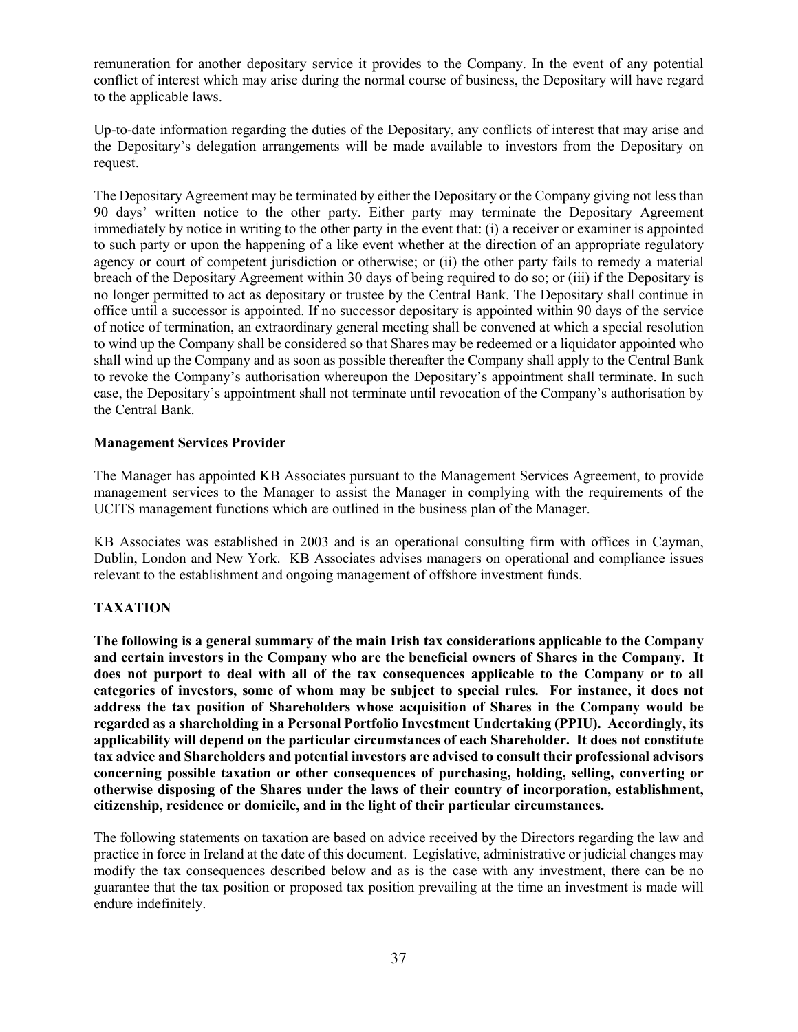remuneration for another depositary service it provides to the Company. In the event of any potential conflict of interest which may arise during the normal course of business, the Depositary will have regard to the applicable laws.

Up-to-date information regarding the duties of the Depositary, any conflicts of interest that may arise and the Depositary's delegation arrangements will be made available to investors from the Depositary on request.

The Depositary Agreement may be terminated by either the Depositary or the Company giving not less than 90 days' written notice to the other party. Either party may terminate the Depositary Agreement immediately by notice in writing to the other party in the event that: (i) a receiver or examiner is appointed to such party or upon the happening of a like event whether at the direction of an appropriate regulatory agency or court of competent jurisdiction or otherwise; or (ii) the other party fails to remedy a material breach of the Depositary Agreement within 30 days of being required to do so; or (iii) if the Depositary is no longer permitted to act as depositary or trustee by the Central Bank. The Depositary shall continue in office until a successor is appointed. If no successor depositary is appointed within 90 days of the service of notice of termination, an extraordinary general meeting shall be convened at which a special resolution to wind up the Company shall be considered so that Shares may be redeemed or a liquidator appointed who shall wind up the Company and as soon as possible thereafter the Company shall apply to the Central Bank to revoke the Company's authorisation whereupon the Depositary's appointment shall terminate. In such case, the Depositary's appointment shall not terminate until revocation of the Company's authorisation by the Central Bank.

## **Management Services Provider**

The Manager has appointed KB Associates pursuant to the Management Services Agreement, to provide management services to the Manager to assist the Manager in complying with the requirements of the UCITS management functions which are outlined in the business plan of the Manager.

KB Associates was established in 2003 and is an operational consulting firm with offices in Cayman, Dublin, London and New York. KB Associates advises managers on operational and compliance issues relevant to the establishment and ongoing management of offshore investment funds.

# **TAXATION**

**The following is a general summary of the main Irish tax considerations applicable to the Company and certain investors in the Company who are the beneficial owners of Shares in the Company. It does not purport to deal with all of the tax consequences applicable to the Company or to all categories of investors, some of whom may be subject to special rules. For instance, it does not address the tax position of Shareholders whose acquisition of Shares in the Company would be regarded as a shareholding in a Personal Portfolio Investment Undertaking (PPIU). Accordingly, its applicability will depend on the particular circumstances of each Shareholder. It does not constitute tax advice and Shareholders and potential investors are advised to consult their professional advisors concerning possible taxation or other consequences of purchasing, holding, selling, converting or otherwise disposing of the Shares under the laws of their country of incorporation, establishment, citizenship, residence or domicile, and in the light of their particular circumstances.**

The following statements on taxation are based on advice received by the Directors regarding the law and practice in force in Ireland at the date of this document. Legislative, administrative or judicial changes may modify the tax consequences described below and as is the case with any investment, there can be no guarantee that the tax position or proposed tax position prevailing at the time an investment is made will endure indefinitely.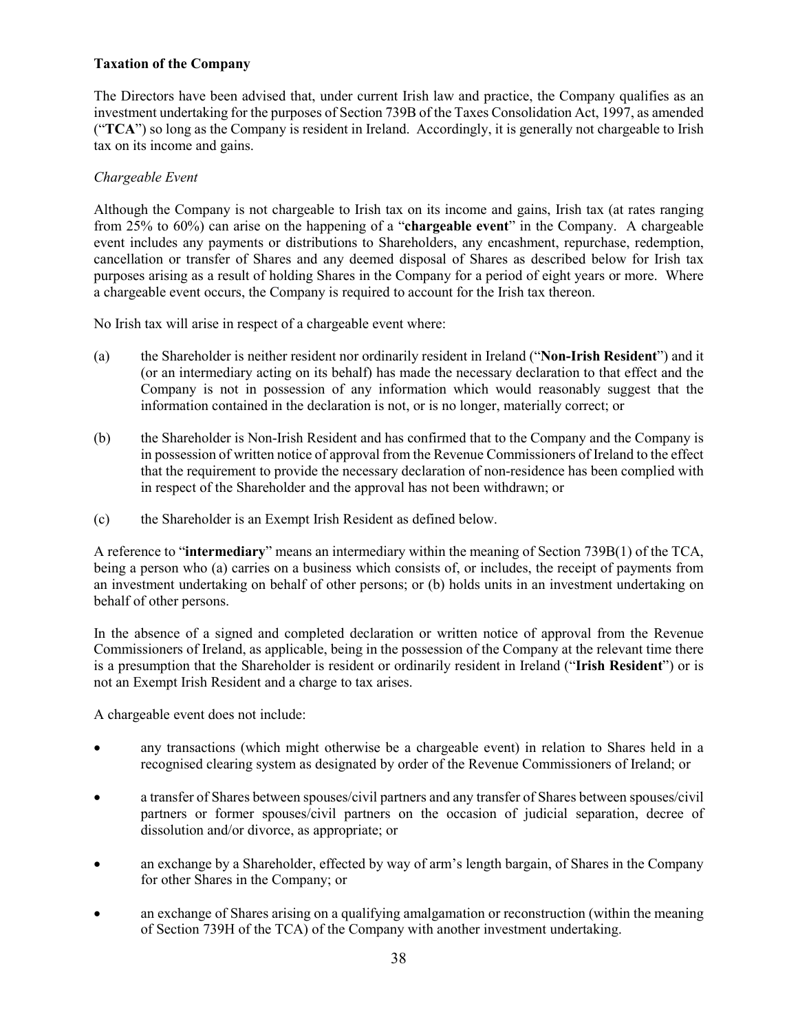# **Taxation of the Company**

The Directors have been advised that, under current Irish law and practice, the Company qualifies as an investment undertaking for the purposes of Section 739B of the Taxes Consolidation Act, 1997, as amended ("**TCA**") so long as the Company is resident in Ireland. Accordingly, it is generally not chargeable to Irish tax on its income and gains.

## *Chargeable Event*

Although the Company is not chargeable to Irish tax on its income and gains, Irish tax (at rates ranging from 25% to 60%) can arise on the happening of a "**chargeable event**" in the Company. A chargeable event includes any payments or distributions to Shareholders, any encashment, repurchase, redemption, cancellation or transfer of Shares and any deemed disposal of Shares as described below for Irish tax purposes arising as a result of holding Shares in the Company for a period of eight years or more. Where a chargeable event occurs, the Company is required to account for the Irish tax thereon.

No Irish tax will arise in respect of a chargeable event where:

- (a) the Shareholder is neither resident nor ordinarily resident in Ireland ("**Non-Irish Resident**") and it (or an intermediary acting on its behalf) has made the necessary declaration to that effect and the Company is not in possession of any information which would reasonably suggest that the information contained in the declaration is not, or is no longer, materially correct; or
- (b) the Shareholder is Non-Irish Resident and has confirmed that to the Company and the Company is in possession of written notice of approval from the Revenue Commissioners of Ireland to the effect that the requirement to provide the necessary declaration of non-residence has been complied with in respect of the Shareholder and the approval has not been withdrawn; or
- (c) the Shareholder is an Exempt Irish Resident as defined below.

A reference to "**intermediary**" means an intermediary within the meaning of Section 739B(1) of the TCA, being a person who (a) carries on a business which consists of, or includes, the receipt of payments from an investment undertaking on behalf of other persons; or (b) holds units in an investment undertaking on behalf of other persons.

In the absence of a signed and completed declaration or written notice of approval from the Revenue Commissioners of Ireland, as applicable, being in the possession of the Company at the relevant time there is a presumption that the Shareholder is resident or ordinarily resident in Ireland ("**Irish Resident**") or is not an Exempt Irish Resident and a charge to tax arises.

A chargeable event does not include:

- any transactions (which might otherwise be a chargeable event) in relation to Shares held in a recognised clearing system as designated by order of the Revenue Commissioners of Ireland; or
- a transfer of Shares between spouses/civil partners and any transfer of Shares between spouses/civil partners or former spouses/civil partners on the occasion of judicial separation, decree of dissolution and/or divorce, as appropriate; or
- an exchange by a Shareholder, effected by way of arm's length bargain, of Shares in the Company for other Shares in the Company; or
- an exchange of Shares arising on a qualifying amalgamation or reconstruction (within the meaning of Section 739H of the TCA) of the Company with another investment undertaking.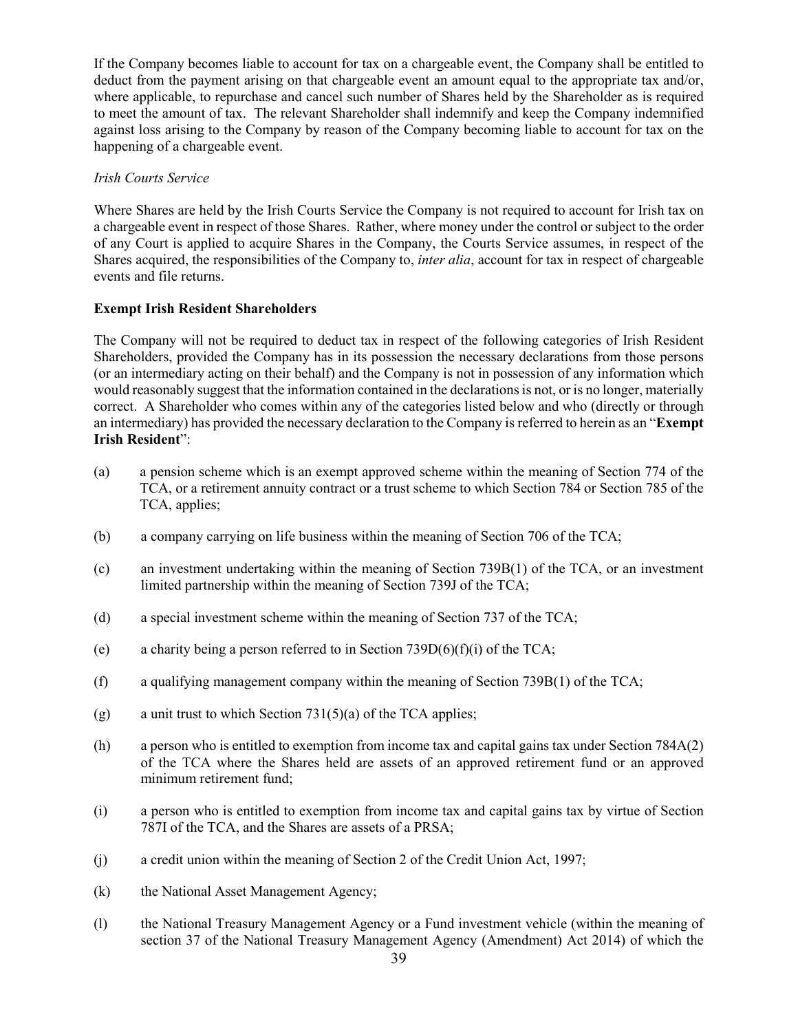If the Company becomes liable to account for tax on a chargeable event, the Company shall be entitled to deduct from the payment arising on that chargeable event an amount equal to the appropriate tax and/or, where applicable, to repurchase and cancel such number of Shares held by the Shareholder as is required to meet the amount of tax. The relevant Shareholder shall indemnify and keep the Company indemnified against loss arising to the Company by reason of the Company becoming liable to account for tax on the happening of a chargeable event.

## *Irish Courts Service*

Where Shares are held by the Irish Courts Service the Company is not required to account for Irish tax on a chargeable event in respect of those Shares. Rather, where money under the control or subject to the order of any Court is applied to acquire Shares in the Company, the Courts Service assumes, in respect of the Shares acquired, the responsibilities of the Company to, *inter alia*, account for tax in respect of chargeable events and file returns.

# **Exempt Irish Resident Shareholders**

The Company will not be required to deduct tax in respect of the following categories of Irish Resident Shareholders, provided the Company has in its possession the necessary declarations from those persons (or an intermediary acting on their behalf) and the Company is not in possession of any information which would reasonably suggest that the information contained in the declarations is not, or is no longer, materially correct. A Shareholder who comes within any of the categories listed below and who (directly or through an intermediary) has provided the necessary declaration to the Company is referred to herein as an "**Exempt Irish Resident**":

- (a) a pension scheme which is an exempt approved scheme within the meaning of Section 774 of the TCA, or a retirement annuity contract or a trust scheme to which Section 784 or Section 785 of the TCA, applies;
- (b) a company carrying on life business within the meaning of Section 706 of the TCA;
- (c) an investment undertaking within the meaning of Section 739B(1) of the TCA, or an investment limited partnership within the meaning of Section 739J of the TCA;
- (d) a special investment scheme within the meaning of Section 737 of the TCA;
- (e) a charity being a person referred to in Section  $739D(6)(f)(i)$  of the TCA;
- (f) a qualifying management company within the meaning of Section 739B(1) of the TCA;
- (g) a unit trust to which Section  $731(5)(a)$  of the TCA applies;
- (h) a person who is entitled to exemption from income tax and capital gains tax under Section 784A(2) of the TCA where the Shares held are assets of an approved retirement fund or an approved minimum retirement fund;
- (i) a person who is entitled to exemption from income tax and capital gains tax by virtue of Section 787I of the TCA, and the Shares are assets of a PRSA;
- (j) a credit union within the meaning of Section 2 of the Credit Union Act, 1997;
- (k) the National Asset Management Agency;
- (l) the National Treasury Management Agency or a Fund investment vehicle (within the meaning of section 37 of the National Treasury Management Agency (Amendment) Act 2014) of which the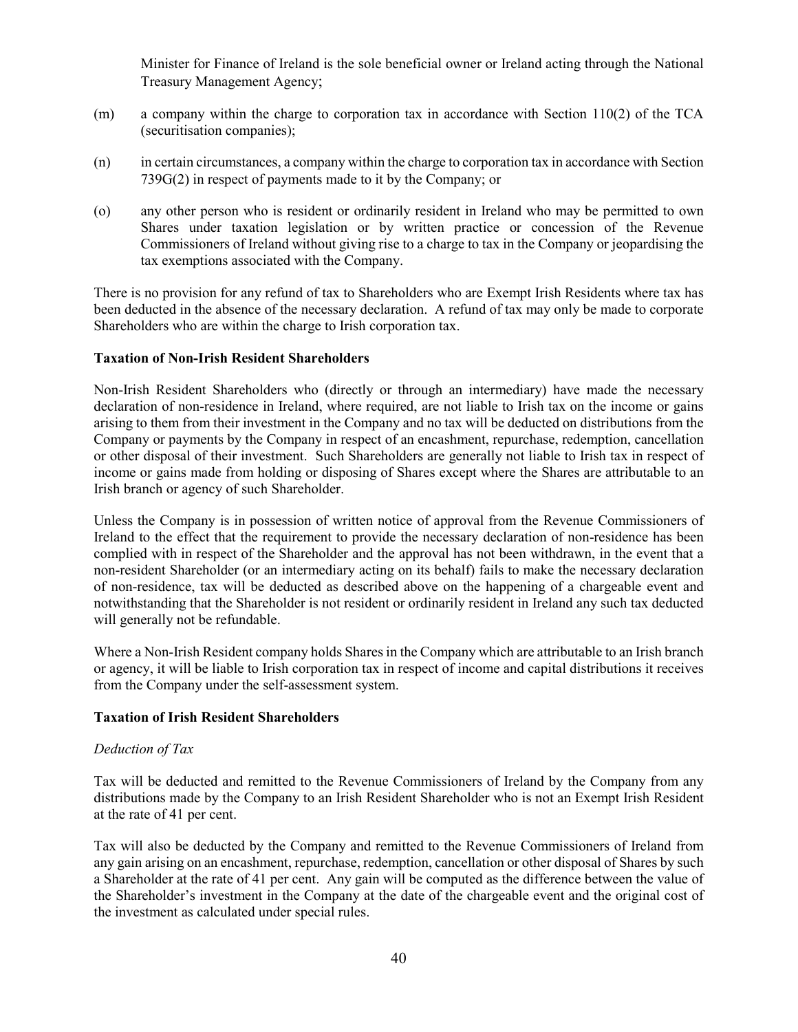Minister for Finance of Ireland is the sole beneficial owner or Ireland acting through the National Treasury Management Agency;

- (m) a company within the charge to corporation tax in accordance with Section 110(2) of the TCA (securitisation companies);
- (n) in certain circumstances, a company within the charge to corporation tax in accordance with Section 739G(2) in respect of payments made to it by the Company; or
- (o) any other person who is resident or ordinarily resident in Ireland who may be permitted to own Shares under taxation legislation or by written practice or concession of the Revenue Commissioners of Ireland without giving rise to a charge to tax in the Company or jeopardising the tax exemptions associated with the Company.

There is no provision for any refund of tax to Shareholders who are Exempt Irish Residents where tax has been deducted in the absence of the necessary declaration. A refund of tax may only be made to corporate Shareholders who are within the charge to Irish corporation tax.

## **Taxation of Non-Irish Resident Shareholders**

Non-Irish Resident Shareholders who (directly or through an intermediary) have made the necessary declaration of non-residence in Ireland, where required, are not liable to Irish tax on the income or gains arising to them from their investment in the Company and no tax will be deducted on distributions from the Company or payments by the Company in respect of an encashment, repurchase, redemption, cancellation or other disposal of their investment. Such Shareholders are generally not liable to Irish tax in respect of income or gains made from holding or disposing of Shares except where the Shares are attributable to an Irish branch or agency of such Shareholder.

Unless the Company is in possession of written notice of approval from the Revenue Commissioners of Ireland to the effect that the requirement to provide the necessary declaration of non-residence has been complied with in respect of the Shareholder and the approval has not been withdrawn, in the event that a non-resident Shareholder (or an intermediary acting on its behalf) fails to make the necessary declaration of non-residence, tax will be deducted as described above on the happening of a chargeable event and notwithstanding that the Shareholder is not resident or ordinarily resident in Ireland any such tax deducted will generally not be refundable.

Where a Non-Irish Resident company holds Shares in the Company which are attributable to an Irish branch or agency, it will be liable to Irish corporation tax in respect of income and capital distributions it receives from the Company under the self-assessment system.

#### **Taxation of Irish Resident Shareholders**

## *Deduction of Tax*

Tax will be deducted and remitted to the Revenue Commissioners of Ireland by the Company from any distributions made by the Company to an Irish Resident Shareholder who is not an Exempt Irish Resident at the rate of 41 per cent.

Tax will also be deducted by the Company and remitted to the Revenue Commissioners of Ireland from any gain arising on an encashment, repurchase, redemption, cancellation or other disposal of Shares by such a Shareholder at the rate of 41 per cent. Any gain will be computed as the difference between the value of the Shareholder's investment in the Company at the date of the chargeable event and the original cost of the investment as calculated under special rules.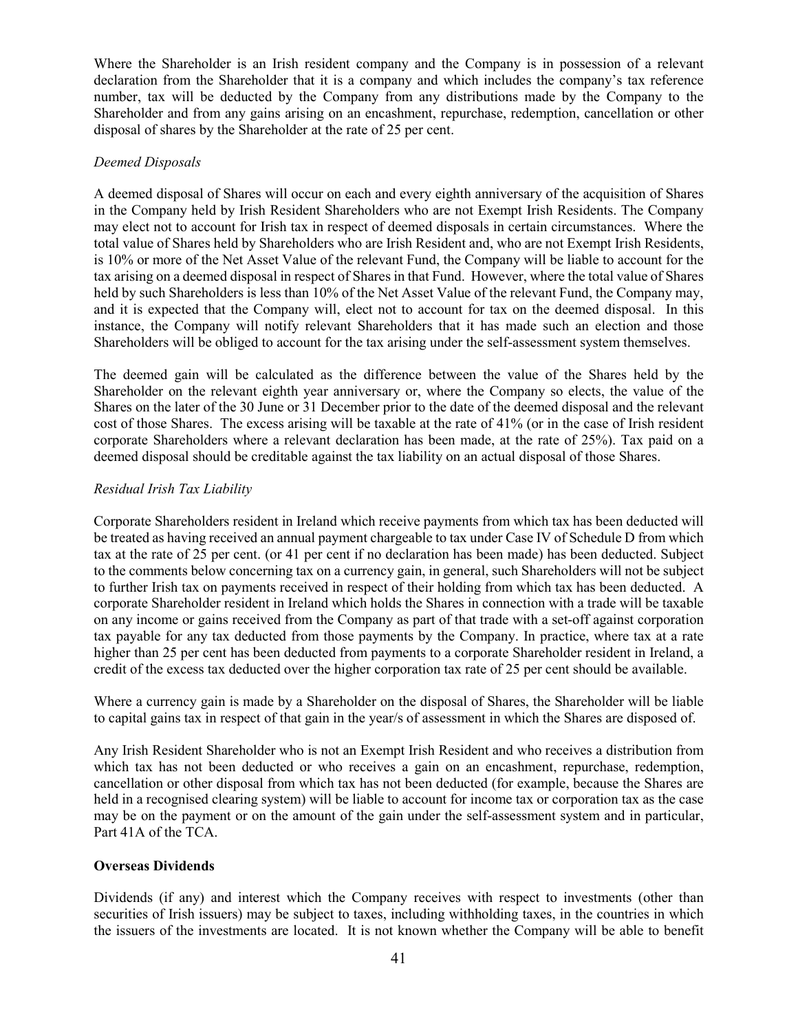Where the Shareholder is an Irish resident company and the Company is in possession of a relevant declaration from the Shareholder that it is a company and which includes the company's tax reference number, tax will be deducted by the Company from any distributions made by the Company to the Shareholder and from any gains arising on an encashment, repurchase, redemption, cancellation or other disposal of shares by the Shareholder at the rate of 25 per cent.

## *Deemed Disposals*

A deemed disposal of Shares will occur on each and every eighth anniversary of the acquisition of Shares in the Company held by Irish Resident Shareholders who are not Exempt Irish Residents. The Company may elect not to account for Irish tax in respect of deemed disposals in certain circumstances. Where the total value of Shares held by Shareholders who are Irish Resident and, who are not Exempt Irish Residents, is 10% or more of the Net Asset Value of the relevant Fund, the Company will be liable to account for the tax arising on a deemed disposal in respect of Shares in that Fund. However, where the total value of Shares held by such Shareholders is less than 10% of the Net Asset Value of the relevant Fund, the Company may, and it is expected that the Company will, elect not to account for tax on the deemed disposal. In this instance, the Company will notify relevant Shareholders that it has made such an election and those Shareholders will be obliged to account for the tax arising under the self-assessment system themselves.

The deemed gain will be calculated as the difference between the value of the Shares held by the Shareholder on the relevant eighth year anniversary or, where the Company so elects, the value of the Shares on the later of the 30 June or 31 December prior to the date of the deemed disposal and the relevant cost of those Shares. The excess arising will be taxable at the rate of 41% (or in the case of Irish resident corporate Shareholders where a relevant declaration has been made, at the rate of 25%). Tax paid on a deemed disposal should be creditable against the tax liability on an actual disposal of those Shares.

## *Residual Irish Tax Liability*

Corporate Shareholders resident in Ireland which receive payments from which tax has been deducted will be treated as having received an annual payment chargeable to tax under Case IV of Schedule D from which tax at the rate of 25 per cent. (or 41 per cent if no declaration has been made) has been deducted. Subject to the comments below concerning tax on a currency gain, in general, such Shareholders will not be subject to further Irish tax on payments received in respect of their holding from which tax has been deducted. A corporate Shareholder resident in Ireland which holds the Shares in connection with a trade will be taxable on any income or gains received from the Company as part of that trade with a set-off against corporation tax payable for any tax deducted from those payments by the Company. In practice, where tax at a rate higher than 25 per cent has been deducted from payments to a corporate Shareholder resident in Ireland, a credit of the excess tax deducted over the higher corporation tax rate of 25 per cent should be available.

Where a currency gain is made by a Shareholder on the disposal of Shares, the Shareholder will be liable to capital gains tax in respect of that gain in the year/s of assessment in which the Shares are disposed of.

Any Irish Resident Shareholder who is not an Exempt Irish Resident and who receives a distribution from which tax has not been deducted or who receives a gain on an encashment, repurchase, redemption, cancellation or other disposal from which tax has not been deducted (for example, because the Shares are held in a recognised clearing system) will be liable to account for income tax or corporation tax as the case may be on the payment or on the amount of the gain under the self-assessment system and in particular, Part 41A of the TCA.

## **Overseas Dividends**

Dividends (if any) and interest which the Company receives with respect to investments (other than securities of Irish issuers) may be subject to taxes, including withholding taxes, in the countries in which the issuers of the investments are located. It is not known whether the Company will be able to benefit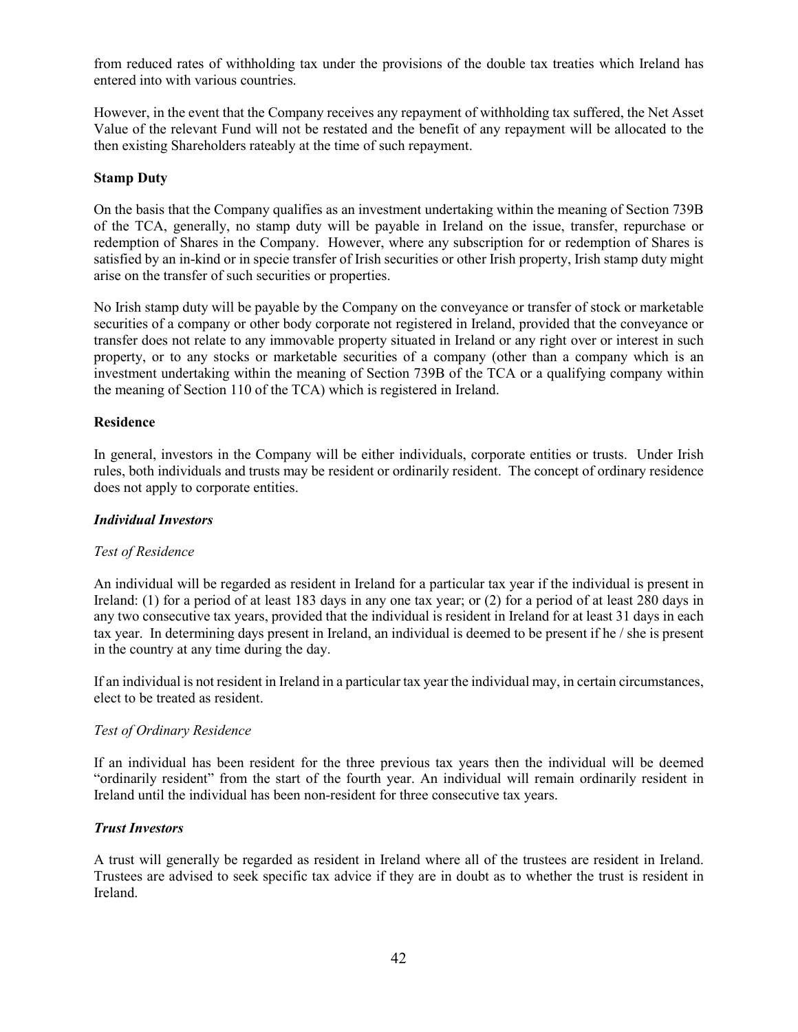from reduced rates of withholding tax under the provisions of the double tax treaties which Ireland has entered into with various countries.

However, in the event that the Company receives any repayment of withholding tax suffered, the Net Asset Value of the relevant Fund will not be restated and the benefit of any repayment will be allocated to the then existing Shareholders rateably at the time of such repayment.

## **Stamp Duty**

On the basis that the Company qualifies as an investment undertaking within the meaning of Section 739B of the TCA, generally, no stamp duty will be payable in Ireland on the issue, transfer, repurchase or redemption of Shares in the Company. However, where any subscription for or redemption of Shares is satisfied by an in-kind or in specie transfer of Irish securities or other Irish property, Irish stamp duty might arise on the transfer of such securities or properties.

No Irish stamp duty will be payable by the Company on the conveyance or transfer of stock or marketable securities of a company or other body corporate not registered in Ireland, provided that the conveyance or transfer does not relate to any immovable property situated in Ireland or any right over or interest in such property, or to any stocks or marketable securities of a company (other than a company which is an investment undertaking within the meaning of Section 739B of the TCA or a qualifying company within the meaning of Section 110 of the TCA) which is registered in Ireland.

#### **Residence**

In general, investors in the Company will be either individuals, corporate entities or trusts. Under Irish rules, both individuals and trusts may be resident or ordinarily resident. The concept of ordinary residence does not apply to corporate entities.

#### *Individual Investors*

## *Test of Residence*

An individual will be regarded as resident in Ireland for a particular tax year if the individual is present in Ireland: (1) for a period of at least 183 days in any one tax year; or (2) for a period of at least 280 days in any two consecutive tax years, provided that the individual is resident in Ireland for at least 31 days in each tax year. In determining days present in Ireland, an individual is deemed to be present if he / she is present in the country at any time during the day.

If an individual is not resident in Ireland in a particular tax year the individual may, in certain circumstances, elect to be treated as resident.

#### *Test of Ordinary Residence*

If an individual has been resident for the three previous tax years then the individual will be deemed "ordinarily resident" from the start of the fourth year. An individual will remain ordinarily resident in Ireland until the individual has been non-resident for three consecutive tax years.

## *Trust Investors*

A trust will generally be regarded as resident in Ireland where all of the trustees are resident in Ireland. Trustees are advised to seek specific tax advice if they are in doubt as to whether the trust is resident in Ireland.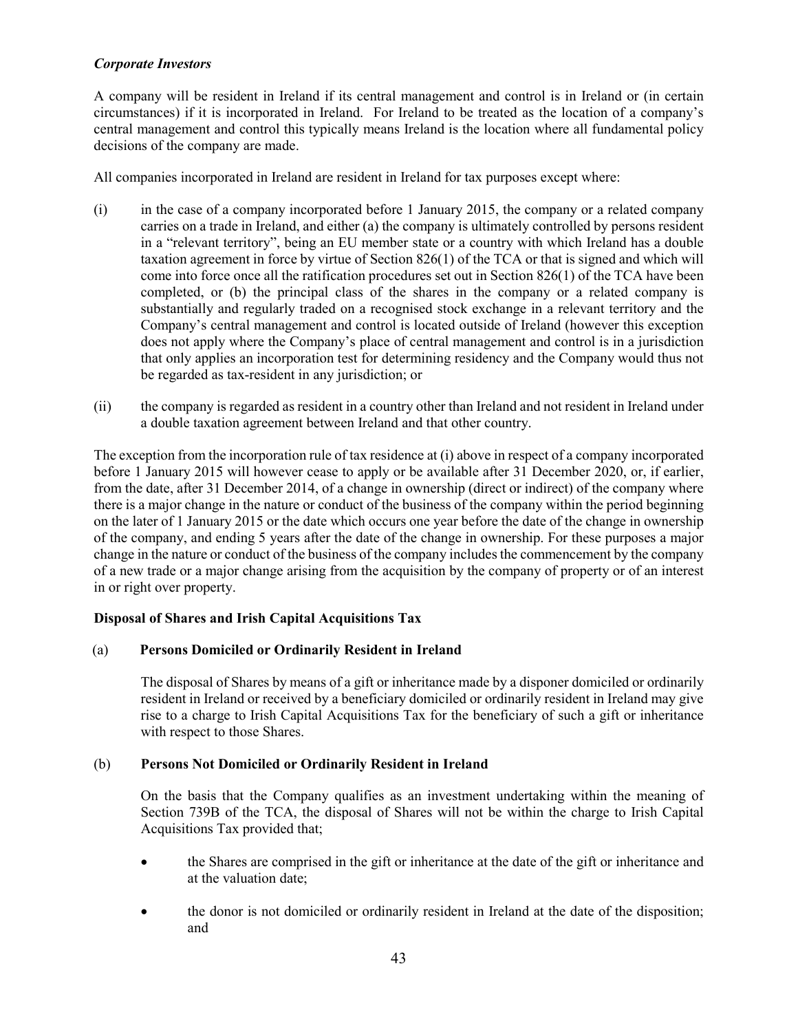# *Corporate Investors*

A company will be resident in Ireland if its central management and control is in Ireland or (in certain circumstances) if it is incorporated in Ireland. For Ireland to be treated as the location of a company's central management and control this typically means Ireland is the location where all fundamental policy decisions of the company are made.

All companies incorporated in Ireland are resident in Ireland for tax purposes except where:

- (i) in the case of a company incorporated before 1 January 2015, the company or a related company carries on a trade in Ireland, and either (a) the company is ultimately controlled by persons resident in a "relevant territory", being an EU member state or a country with which Ireland has a double taxation agreement in force by virtue of Section 826(1) of the TCA or that is signed and which will come into force once all the ratification procedures set out in Section 826(1) of the TCA have been completed, or (b) the principal class of the shares in the company or a related company is substantially and regularly traded on a recognised stock exchange in a relevant territory and the Company's central management and control is located outside of Ireland (however this exception does not apply where the Company's place of central management and control is in a jurisdiction that only applies an incorporation test for determining residency and the Company would thus not be regarded as tax-resident in any jurisdiction; or
- (ii) the company is regarded as resident in a country other than Ireland and not resident in Ireland under a double taxation agreement between Ireland and that other country.

The exception from the incorporation rule of tax residence at (i) above in respect of a company incorporated before 1 January 2015 will however cease to apply or be available after 31 December 2020, or, if earlier, from the date, after 31 December 2014, of a change in ownership (direct or indirect) of the company where there is a major change in the nature or conduct of the business of the company within the period beginning on the later of 1 January 2015 or the date which occurs one year before the date of the change in ownership of the company, and ending 5 years after the date of the change in ownership. For these purposes a major change in the nature or conduct of the business of the company includes the commencement by the company of a new trade or a major change arising from the acquisition by the company of property or of an interest in or right over property.

# **Disposal of Shares and Irish Capital Acquisitions Tax**

## (a) **Persons Domiciled or Ordinarily Resident in Ireland**

The disposal of Shares by means of a gift or inheritance made by a disponer domiciled or ordinarily resident in Ireland or received by a beneficiary domiciled or ordinarily resident in Ireland may give rise to a charge to Irish Capital Acquisitions Tax for the beneficiary of such a gift or inheritance with respect to those Shares.

## (b) **Persons Not Domiciled or Ordinarily Resident in Ireland**

On the basis that the Company qualifies as an investment undertaking within the meaning of Section 739B of the TCA, the disposal of Shares will not be within the charge to Irish Capital Acquisitions Tax provided that;

- the Shares are comprised in the gift or inheritance at the date of the gift or inheritance and at the valuation date;
- the donor is not domiciled or ordinarily resident in Ireland at the date of the disposition; and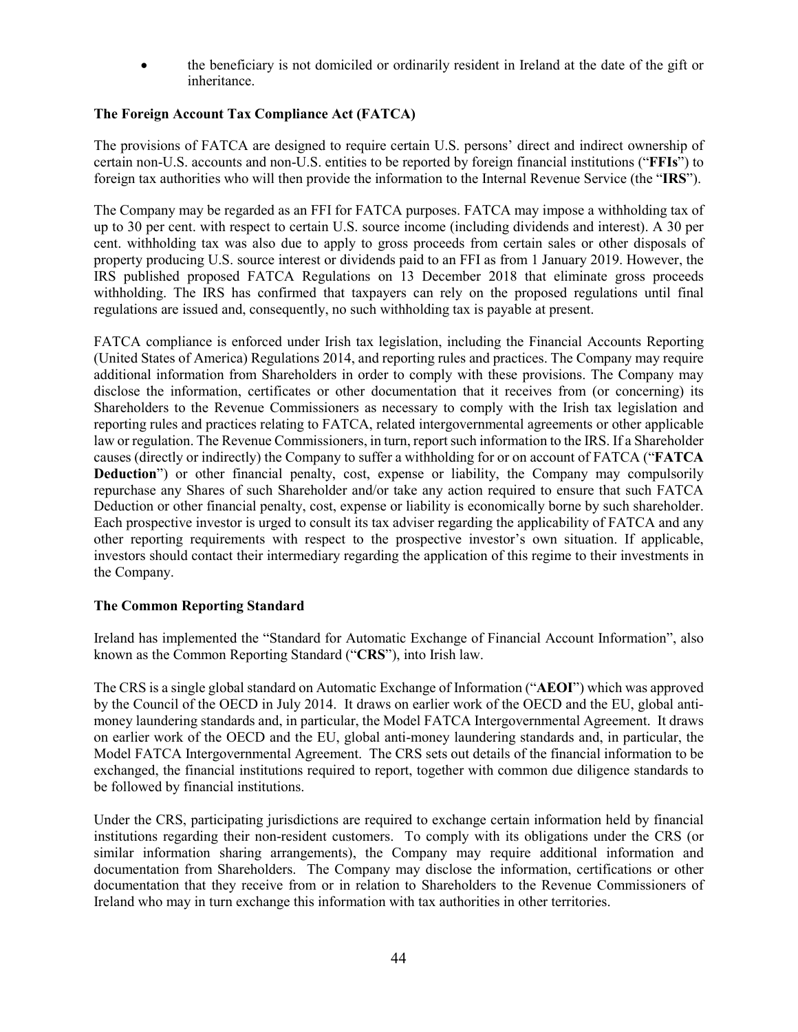• the beneficiary is not domiciled or ordinarily resident in Ireland at the date of the gift or inheritance.

# **The Foreign Account Tax Compliance Act (FATCA)**

The provisions of FATCA are designed to require certain U.S. persons' direct and indirect ownership of certain non-U.S. accounts and non-U.S. entities to be reported by foreign financial institutions ("**FFIs**") to foreign tax authorities who will then provide the information to the Internal Revenue Service (the "**IRS**").

The Company may be regarded as an FFI for FATCA purposes. FATCA may impose a withholding tax of up to 30 per cent. with respect to certain U.S. source income (including dividends and interest). A 30 per cent. withholding tax was also due to apply to gross proceeds from certain sales or other disposals of property producing U.S. source interest or dividends paid to an FFI as from 1 January 2019. However, the IRS published proposed FATCA Regulations on 13 December 2018 that eliminate gross proceeds withholding. The IRS has confirmed that taxpayers can rely on the proposed regulations until final regulations are issued and, consequently, no such withholding tax is payable at present.

FATCA compliance is enforced under Irish tax legislation, including the Financial Accounts Reporting (United States of America) Regulations 2014, and reporting rules and practices. The Company may require additional information from Shareholders in order to comply with these provisions. The Company may disclose the information, certificates or other documentation that it receives from (or concerning) its Shareholders to the Revenue Commissioners as necessary to comply with the Irish tax legislation and reporting rules and practices relating to FATCA, related intergovernmental agreements or other applicable law or regulation. The Revenue Commissioners, in turn, report such information to the IRS. If a Shareholder causes (directly or indirectly) the Company to suffer a withholding for or on account of FATCA ("**FATCA Deduction**") or other financial penalty, cost, expense or liability, the Company may compulsorily repurchase any Shares of such Shareholder and/or take any action required to ensure that such FATCA Deduction or other financial penalty, cost, expense or liability is economically borne by such shareholder. Each prospective investor is urged to consult its tax adviser regarding the applicability of FATCA and any other reporting requirements with respect to the prospective investor's own situation. If applicable, investors should contact their intermediary regarding the application of this regime to their investments in the Company.

## **The Common Reporting Standard**

Ireland has implemented the "Standard for Automatic Exchange of Financial Account Information", also known as the Common Reporting Standard ("**CRS**"), into Irish law.

The CRS is a single global standard on Automatic Exchange of Information ("**AEOI**") which was approved by the Council of the OECD in July 2014. It draws on earlier work of the OECD and the EU, global antimoney laundering standards and, in particular, the Model FATCA Intergovernmental Agreement. It draws on earlier work of the OECD and the EU, global anti-money laundering standards and, in particular, the Model FATCA Intergovernmental Agreement. The CRS sets out details of the financial information to be exchanged, the financial institutions required to report, together with common due diligence standards to be followed by financial institutions.

Under the CRS, participating jurisdictions are required to exchange certain information held by financial institutions regarding their non-resident customers. To comply with its obligations under the CRS (or similar information sharing arrangements), the Company may require additional information and documentation from Shareholders. The Company may disclose the information, certifications or other documentation that they receive from or in relation to Shareholders to the Revenue Commissioners of Ireland who may in turn exchange this information with tax authorities in other territories.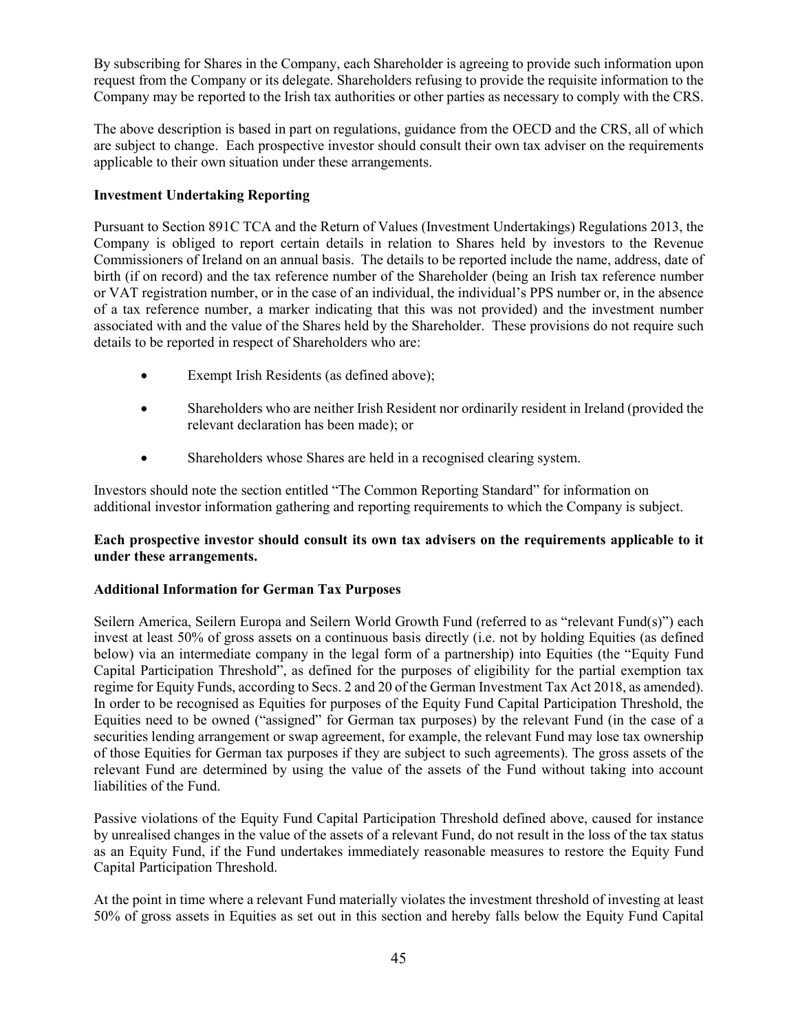By subscribing for Shares in the Company, each Shareholder is agreeing to provide such information upon request from the Company or its delegate. Shareholders refusing to provide the requisite information to the Company may be reported to the Irish tax authorities or other parties as necessary to comply with the CRS.

The above description is based in part on regulations, guidance from the OECD and the CRS, all of which are subject to change. Each prospective investor should consult their own tax adviser on the requirements applicable to their own situation under these arrangements.

# **Investment Undertaking Reporting**

Pursuant to Section 891C TCA and the Return of Values (Investment Undertakings) Regulations 2013, the Company is obliged to report certain details in relation to Shares held by investors to the Revenue Commissioners of Ireland on an annual basis. The details to be reported include the name, address, date of birth (if on record) and the tax reference number of the Shareholder (being an Irish tax reference number or VAT registration number, or in the case of an individual, the individual's PPS number or, in the absence of a tax reference number, a marker indicating that this was not provided) and the investment number associated with and the value of the Shares held by the Shareholder. These provisions do not require such details to be reported in respect of Shareholders who are:

- Exempt Irish Residents (as defined above);
- Shareholders who are neither Irish Resident nor ordinarily resident in Ireland (provided the relevant declaration has been made); or
- Shareholders whose Shares are held in a recognised clearing system.

Investors should note the section entitled "The Common Reporting Standard" for information on additional investor information gathering and reporting requirements to which the Company is subject.

# **Each prospective investor should consult its own tax advisers on the requirements applicable to it under these arrangements.**

# **Additional Information for German Tax Purposes**

Seilern America, Seilern Europa and Seilern World Growth Fund (referred to as "relevant Fund(s)") each invest at least 50% of gross assets on a continuous basis directly (i.e. not by holding Equities (as defined below) via an intermediate company in the legal form of a partnership) into Equities (the "Equity Fund Capital Participation Threshold", as defined for the purposes of eligibility for the partial exemption tax regime for Equity Funds, according to Secs. 2 and 20 of the German Investment Tax Act 2018, as amended). In order to be recognised as Equities for purposes of the Equity Fund Capital Participation Threshold, the Equities need to be owned ("assigned" for German tax purposes) by the relevant Fund (in the case of a securities lending arrangement or swap agreement, for example, the relevant Fund may lose tax ownership of those Equities for German tax purposes if they are subject to such agreements). The gross assets of the relevant Fund are determined by using the value of the assets of the Fund without taking into account liabilities of the Fund.

Passive violations of the Equity Fund Capital Participation Threshold defined above, caused for instance by unrealised changes in the value of the assets of a relevant Fund, do not result in the loss of the tax status as an Equity Fund, if the Fund undertakes immediately reasonable measures to restore the Equity Fund Capital Participation Threshold.

At the point in time where a relevant Fund materially violates the investment threshold of investing at least 50% of gross assets in Equities as set out in this section and hereby falls below the Equity Fund Capital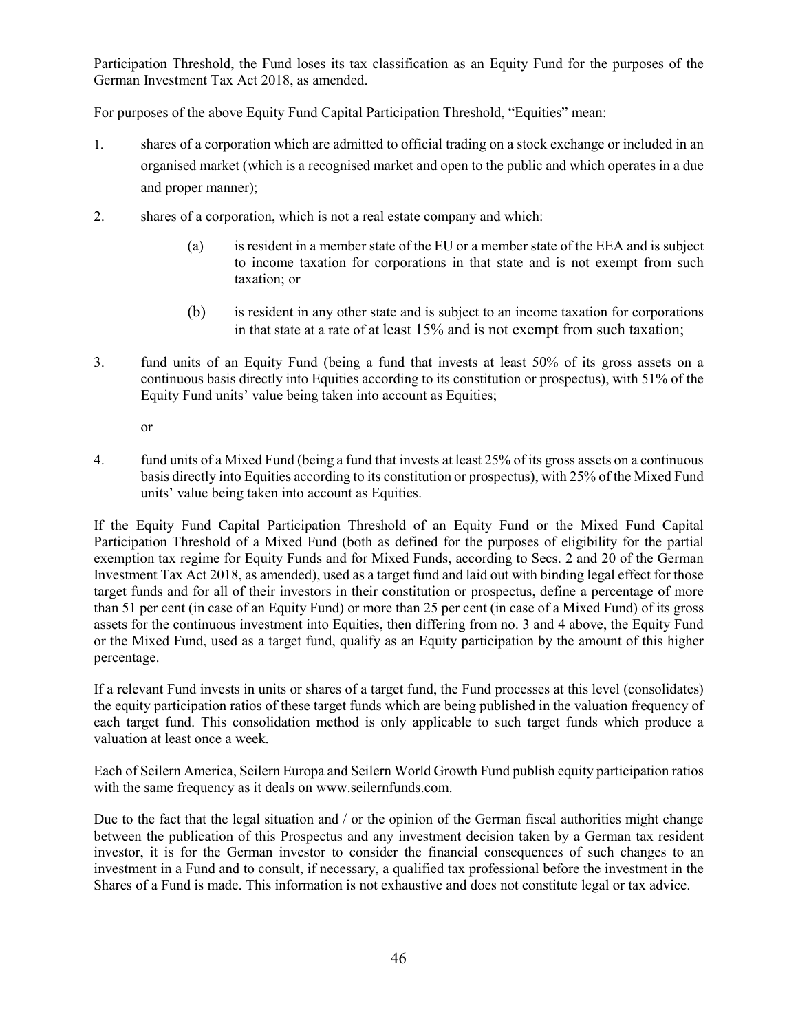Participation Threshold, the Fund loses its tax classification as an Equity Fund for the purposes of the German Investment Tax Act 2018, as amended.

For purposes of the above Equity Fund Capital Participation Threshold, "Equities" mean:

- 1. shares of a corporation which are admitted to official trading on a stock exchange or included in an organised market (which is a recognised market and open to the public and which operates in a due and proper manner);
- 2. shares of a corporation, which is not a real estate company and which:
	- (a) is resident in a member state of the EU or a member state of the EEA and is subject to income taxation for corporations in that state and is not exempt from such taxation; or
	- (b) is resident in any other state and is subject to an income taxation for corporations in that state at a rate of at least 15% and is not exempt from such taxation;
- 3. fund units of an Equity Fund (being a fund that invests at least 50% of its gross assets on a continuous basis directly into Equities according to its constitution or prospectus), with 51% of the Equity Fund units' value being taken into account as Equities;

or

4. fund units of a Mixed Fund (being a fund that invests at least 25% of its gross assets on a continuous basis directly into Equities according to its constitution or prospectus), with 25% of the Mixed Fund units' value being taken into account as Equities.

If the Equity Fund Capital Participation Threshold of an Equity Fund or the Mixed Fund Capital Participation Threshold of a Mixed Fund (both as defined for the purposes of eligibility for the partial exemption tax regime for Equity Funds and for Mixed Funds, according to Secs. 2 and 20 of the German Investment Tax Act 2018, as amended), used as a target fund and laid out with binding legal effect for those target funds and for all of their investors in their constitution or prospectus, define a percentage of more than 51 per cent (in case of an Equity Fund) or more than 25 per cent (in case of a Mixed Fund) of its gross assets for the continuous investment into Equities, then differing from no. 3 and 4 above, the Equity Fund or the Mixed Fund, used as a target fund, qualify as an Equity participation by the amount of this higher percentage.

If a relevant Fund invests in units or shares of a target fund, the Fund processes at this level (consolidates) the equity participation ratios of these target funds which are being published in the valuation frequency of each target fund. This consolidation method is only applicable to such target funds which produce a valuation at least once a week.

Each of Seilern America, Seilern Europa and Seilern World Growth Fund publish equity participation ratios with the same frequency as it deals on www.seilernfunds.com.

Due to the fact that the legal situation and / or the opinion of the German fiscal authorities might change between the publication of this Prospectus and any investment decision taken by a German tax resident investor, it is for the German investor to consider the financial consequences of such changes to an investment in a Fund and to consult, if necessary, a qualified tax professional before the investment in the Shares of a Fund is made. This information is not exhaustive and does not constitute legal or tax advice.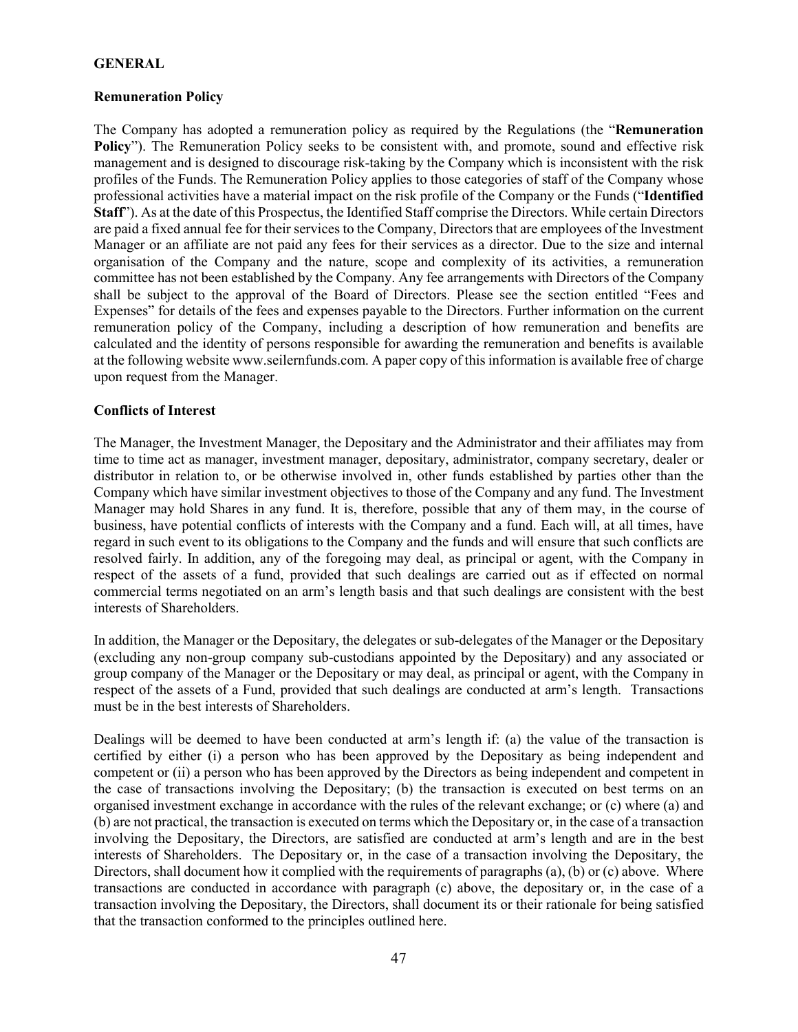## **GENERAL**

# **Remuneration Policy**

The Company has adopted a remuneration policy as required by the Regulations (the "**Remuneration Policy**"). The Remuneration Policy seeks to be consistent with, and promote, sound and effective risk management and is designed to discourage risk-taking by the Company which is inconsistent with the risk profiles of the Funds. The Remuneration Policy applies to those categories of staff of the Company whose professional activities have a material impact on the risk profile of the Company or the Funds ("**Identified Staff**"). As at the date of this Prospectus, the Identified Staff comprise the Directors. While certain Directors are paid a fixed annual fee for their services to the Company, Directors that are employees of the Investment Manager or an affiliate are not paid any fees for their services as a director. Due to the size and internal organisation of the Company and the nature, scope and complexity of its activities, a remuneration committee has not been established by the Company. Any fee arrangements with Directors of the Company shall be subject to the approval of the Board of Directors. Please see the section entitled "Fees and Expenses" for details of the fees and expenses payable to the Directors. Further information on the current remuneration policy of the Company, including a description of how remuneration and benefits are calculated and the identity of persons responsible for awarding the remuneration and benefits is available at the following website www.seilernfunds.com. A paper copy of this information is available free of charge upon request from the Manager.

# **Conflicts of Interest**

The Manager, the Investment Manager, the Depositary and the Administrator and their affiliates may from time to time act as manager, investment manager, depositary, administrator, company secretary, dealer or distributor in relation to, or be otherwise involved in, other funds established by parties other than the Company which have similar investment objectives to those of the Company and any fund. The Investment Manager may hold Shares in any fund. It is, therefore, possible that any of them may, in the course of business, have potential conflicts of interests with the Company and a fund. Each will, at all times, have regard in such event to its obligations to the Company and the funds and will ensure that such conflicts are resolved fairly. In addition, any of the foregoing may deal, as principal or agent, with the Company in respect of the assets of a fund, provided that such dealings are carried out as if effected on normal commercial terms negotiated on an arm's length basis and that such dealings are consistent with the best interests of Shareholders.

In addition, the Manager or the Depositary, the delegates or sub-delegates of the Manager or the Depositary (excluding any non-group company sub-custodians appointed by the Depositary) and any associated or group company of the Manager or the Depositary or may deal, as principal or agent, with the Company in respect of the assets of a Fund, provided that such dealings are conducted at arm's length. Transactions must be in the best interests of Shareholders.

Dealings will be deemed to have been conducted at arm's length if: (a) the value of the transaction is certified by either (i) a person who has been approved by the Depositary as being independent and competent or (ii) a person who has been approved by the Directors as being independent and competent in the case of transactions involving the Depositary; (b) the transaction is executed on best terms on an organised investment exchange in accordance with the rules of the relevant exchange; or (c) where (a) and (b) are not practical, the transaction is executed on terms which the Depositary or, in the case of a transaction involving the Depositary, the Directors, are satisfied are conducted at arm's length and are in the best interests of Shareholders. The Depositary or, in the case of a transaction involving the Depositary, the Directors, shall document how it complied with the requirements of paragraphs (a), (b) or (c) above. Where transactions are conducted in accordance with paragraph (c) above, the depositary or, in the case of a transaction involving the Depositary, the Directors, shall document its or their rationale for being satisfied that the transaction conformed to the principles outlined here.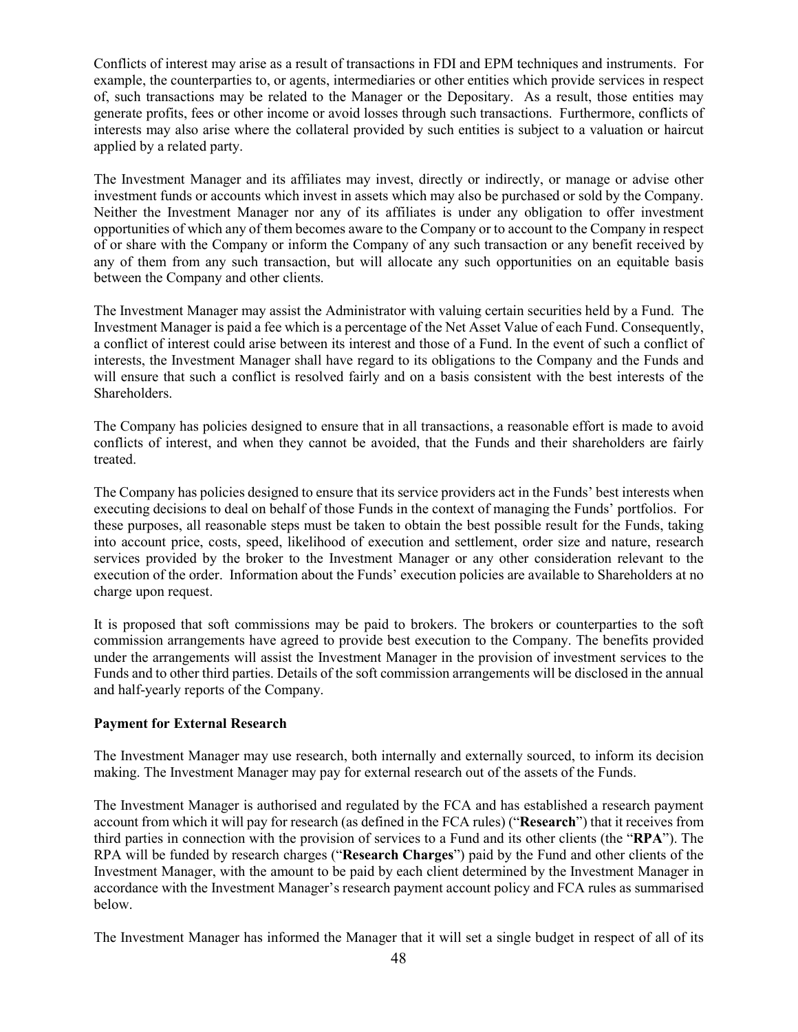Conflicts of interest may arise as a result of transactions in FDI and EPM techniques and instruments. For example, the counterparties to, or agents, intermediaries or other entities which provide services in respect of, such transactions may be related to the Manager or the Depositary. As a result, those entities may generate profits, fees or other income or avoid losses through such transactions. Furthermore, conflicts of interests may also arise where the collateral provided by such entities is subject to a valuation or haircut applied by a related party.

The Investment Manager and its affiliates may invest, directly or indirectly, or manage or advise other investment funds or accounts which invest in assets which may also be purchased or sold by the Company. Neither the Investment Manager nor any of its affiliates is under any obligation to offer investment opportunities of which any of them becomes aware to the Company or to account to the Company in respect of or share with the Company or inform the Company of any such transaction or any benefit received by any of them from any such transaction, but will allocate any such opportunities on an equitable basis between the Company and other clients.

The Investment Manager may assist the Administrator with valuing certain securities held by a Fund. The Investment Manager is paid a fee which is a percentage of the Net Asset Value of each Fund. Consequently, a conflict of interest could arise between its interest and those of a Fund. In the event of such a conflict of interests, the Investment Manager shall have regard to its obligations to the Company and the Funds and will ensure that such a conflict is resolved fairly and on a basis consistent with the best interests of the Shareholders.

The Company has policies designed to ensure that in all transactions, a reasonable effort is made to avoid conflicts of interest, and when they cannot be avoided, that the Funds and their shareholders are fairly treated.

The Company has policies designed to ensure that its service providers act in the Funds' best interests when executing decisions to deal on behalf of those Funds in the context of managing the Funds' portfolios. For these purposes, all reasonable steps must be taken to obtain the best possible result for the Funds, taking into account price, costs, speed, likelihood of execution and settlement, order size and nature, research services provided by the broker to the Investment Manager or any other consideration relevant to the execution of the order. Information about the Funds' execution policies are available to Shareholders at no charge upon request.

It is proposed that soft commissions may be paid to brokers. The brokers or counterparties to the soft commission arrangements have agreed to provide best execution to the Company. The benefits provided under the arrangements will assist the Investment Manager in the provision of investment services to the Funds and to other third parties. Details of the soft commission arrangements will be disclosed in the annual and half-yearly reports of the Company.

## **Payment for External Research**

The Investment Manager may use research, both internally and externally sourced, to inform its decision making. The Investment Manager may pay for external research out of the assets of the Funds.

The Investment Manager is authorised and regulated by the FCA and has established a research payment account from which it will pay for research (as defined in the FCA rules) ("**Research**") that it receives from third parties in connection with the provision of services to a Fund and its other clients (the "**RPA**"). The RPA will be funded by research charges ("**Research Charges**") paid by the Fund and other clients of the Investment Manager, with the amount to be paid by each client determined by the Investment Manager in accordance with the Investment Manager's research payment account policy and FCA rules as summarised below.

The Investment Manager has informed the Manager that it will set a single budget in respect of all of its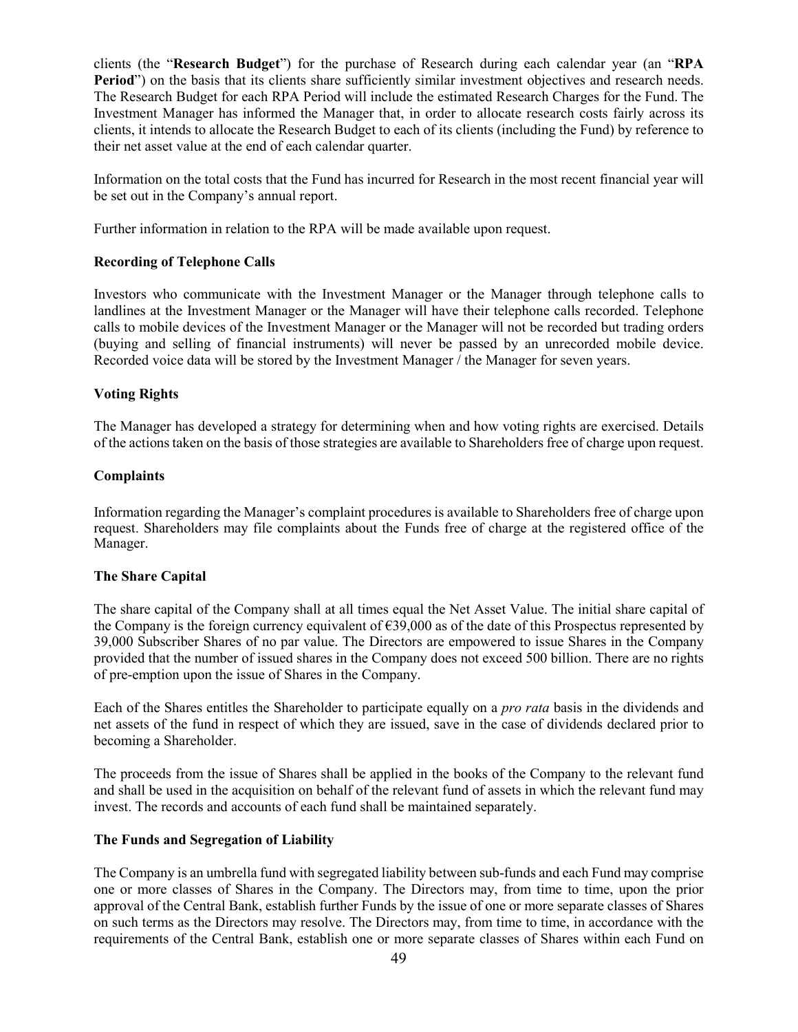clients (the "**Research Budget**") for the purchase of Research during each calendar year (an "**RPA Period**") on the basis that its clients share sufficiently similar investment objectives and research needs. The Research Budget for each RPA Period will include the estimated Research Charges for the Fund. The Investment Manager has informed the Manager that, in order to allocate research costs fairly across its clients, it intends to allocate the Research Budget to each of its clients (including the Fund) by reference to their net asset value at the end of each calendar quarter.

Information on the total costs that the Fund has incurred for Research in the most recent financial year will be set out in the Company's annual report.

Further information in relation to the RPA will be made available upon request.

# **Recording of Telephone Calls**

Investors who communicate with the Investment Manager or the Manager through telephone calls to landlines at the Investment Manager or the Manager will have their telephone calls recorded. Telephone calls to mobile devices of the Investment Manager or the Manager will not be recorded but trading orders (buying and selling of financial instruments) will never be passed by an unrecorded mobile device. Recorded voice data will be stored by the Investment Manager  $\overline{\ell}$  the Manager for seven years.

# **Voting Rights**

The Manager has developed a strategy for determining when and how voting rights are exercised. Details of the actions taken on the basis of those strategies are available to Shareholders free of charge upon request.

## **Complaints**

Information regarding the Manager's complaint procedures is available to Shareholders free of charge upon request. Shareholders may file complaints about the Funds free of charge at the registered office of the Manager.

## **The Share Capital**

The share capital of the Company shall at all times equal the Net Asset Value. The initial share capital of the Company is the foreign currency equivalent of  $\epsilon$ 39,000 as of the date of this Prospectus represented by 39,000 Subscriber Shares of no par value. The Directors are empowered to issue Shares in the Company provided that the number of issued shares in the Company does not exceed 500 billion. There are no rights of pre-emption upon the issue of Shares in the Company.

Each of the Shares entitles the Shareholder to participate equally on a *pro rata* basis in the dividends and net assets of the fund in respect of which they are issued, save in the case of dividends declared prior to becoming a Shareholder.

The proceeds from the issue of Shares shall be applied in the books of the Company to the relevant fund and shall be used in the acquisition on behalf of the relevant fund of assets in which the relevant fund may invest. The records and accounts of each fund shall be maintained separately.

## **The Funds and Segregation of Liability**

The Company is an umbrella fund with segregated liability between sub-funds and each Fund may comprise one or more classes of Shares in the Company. The Directors may, from time to time, upon the prior approval of the Central Bank, establish further Funds by the issue of one or more separate classes of Shares on such terms as the Directors may resolve. The Directors may, from time to time, in accordance with the requirements of the Central Bank, establish one or more separate classes of Shares within each Fund on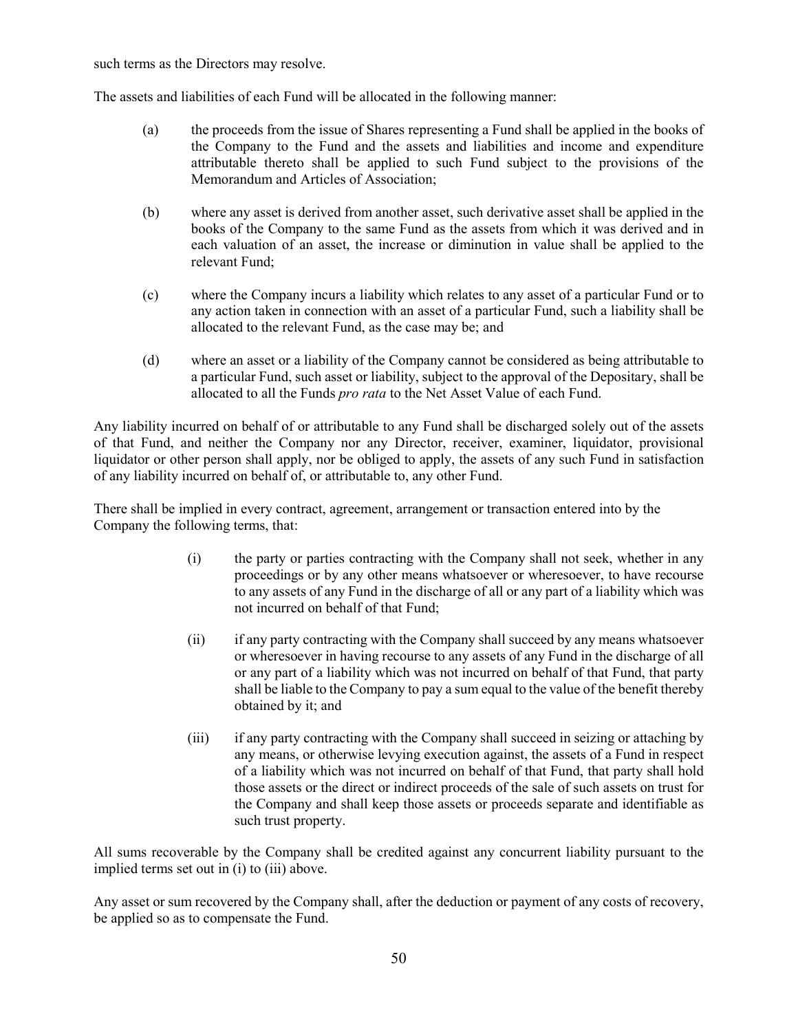such terms as the Directors may resolve.

The assets and liabilities of each Fund will be allocated in the following manner:

- (a) the proceeds from the issue of Shares representing a Fund shall be applied in the books of the Company to the Fund and the assets and liabilities and income and expenditure attributable thereto shall be applied to such Fund subject to the provisions of the Memorandum and Articles of Association;
- (b) where any asset is derived from another asset, such derivative asset shall be applied in the books of the Company to the same Fund as the assets from which it was derived and in each valuation of an asset, the increase or diminution in value shall be applied to the relevant Fund;
- (c) where the Company incurs a liability which relates to any asset of a particular Fund or to any action taken in connection with an asset of a particular Fund, such a liability shall be allocated to the relevant Fund, as the case may be; and
- (d) where an asset or a liability of the Company cannot be considered as being attributable to a particular Fund, such asset or liability, subject to the approval of the Depositary, shall be allocated to all the Funds *pro rata* to the Net Asset Value of each Fund.

Any liability incurred on behalf of or attributable to any Fund shall be discharged solely out of the assets of that Fund, and neither the Company nor any Director, receiver, examiner, liquidator, provisional liquidator or other person shall apply, nor be obliged to apply, the assets of any such Fund in satisfaction of any liability incurred on behalf of, or attributable to, any other Fund.

There shall be implied in every contract, agreement, arrangement or transaction entered into by the Company the following terms, that:

- (i) the party or parties contracting with the Company shall not seek, whether in any proceedings or by any other means whatsoever or wheresoever, to have recourse to any assets of any Fund in the discharge of all or any part of a liability which was not incurred on behalf of that Fund;
- (ii) if any party contracting with the Company shall succeed by any means whatsoever or wheresoever in having recourse to any assets of any Fund in the discharge of all or any part of a liability which was not incurred on behalf of that Fund, that party shall be liable to the Company to pay a sum equal to the value of the benefit thereby obtained by it; and
- (iii) if any party contracting with the Company shall succeed in seizing or attaching by any means, or otherwise levying execution against, the assets of a Fund in respect of a liability which was not incurred on behalf of that Fund, that party shall hold those assets or the direct or indirect proceeds of the sale of such assets on trust for the Company and shall keep those assets or proceeds separate and identifiable as such trust property.

All sums recoverable by the Company shall be credited against any concurrent liability pursuant to the implied terms set out in (i) to (iii) above.

Any asset or sum recovered by the Company shall, after the deduction or payment of any costs of recovery, be applied so as to compensate the Fund.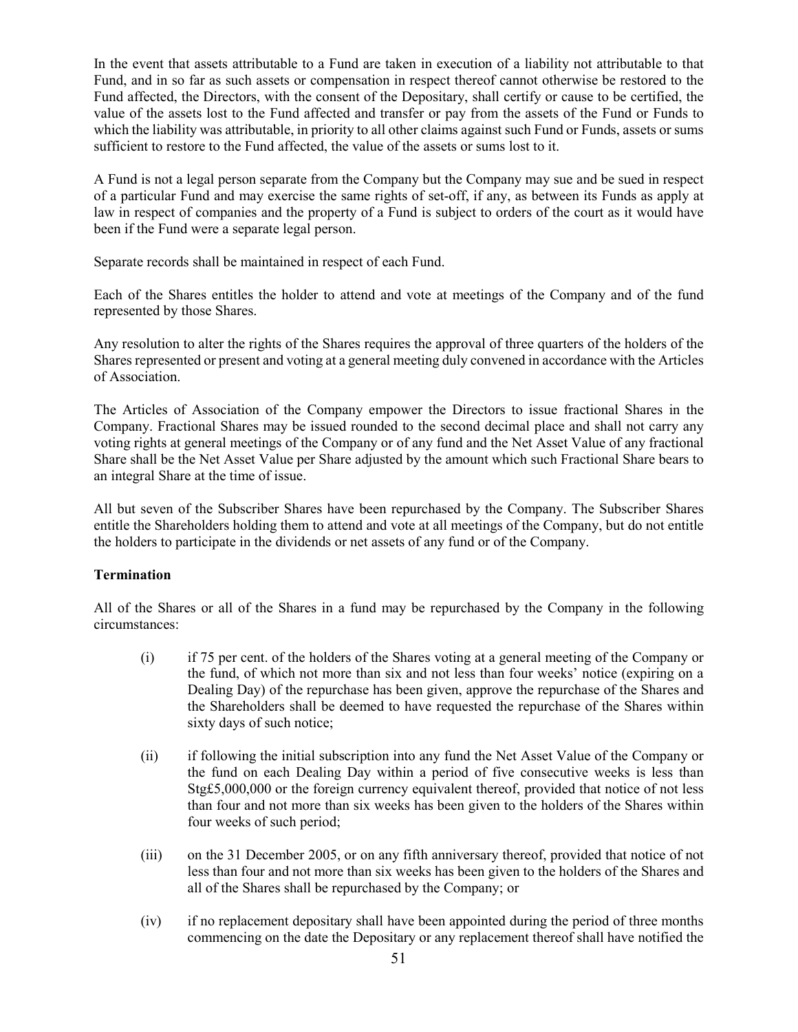In the event that assets attributable to a Fund are taken in execution of a liability not attributable to that Fund, and in so far as such assets or compensation in respect thereof cannot otherwise be restored to the Fund affected, the Directors, with the consent of the Depositary, shall certify or cause to be certified, the value of the assets lost to the Fund affected and transfer or pay from the assets of the Fund or Funds to which the liability was attributable, in priority to all other claims against such Fund or Funds, assets or sums sufficient to restore to the Fund affected, the value of the assets or sums lost to it.

A Fund is not a legal person separate from the Company but the Company may sue and be sued in respect of a particular Fund and may exercise the same rights of set-off, if any, as between its Funds as apply at law in respect of companies and the property of a Fund is subject to orders of the court as it would have been if the Fund were a separate legal person.

Separate records shall be maintained in respect of each Fund.

Each of the Shares entitles the holder to attend and vote at meetings of the Company and of the fund represented by those Shares.

Any resolution to alter the rights of the Shares requires the approval of three quarters of the holders of the Shares represented or present and voting at a general meeting duly convened in accordance with the Articles of Association.

The Articles of Association of the Company empower the Directors to issue fractional Shares in the Company. Fractional Shares may be issued rounded to the second decimal place and shall not carry any voting rights at general meetings of the Company or of any fund and the Net Asset Value of any fractional Share shall be the Net Asset Value per Share adjusted by the amount which such Fractional Share bears to an integral Share at the time of issue.

All but seven of the Subscriber Shares have been repurchased by the Company. The Subscriber Shares entitle the Shareholders holding them to attend and vote at all meetings of the Company, but do not entitle the holders to participate in the dividends or net assets of any fund or of the Company.

# **Termination**

All of the Shares or all of the Shares in a fund may be repurchased by the Company in the following circumstances:

- (i) if 75 per cent. of the holders of the Shares voting at a general meeting of the Company or the fund, of which not more than six and not less than four weeks' notice (expiring on a Dealing Day) of the repurchase has been given, approve the repurchase of the Shares and the Shareholders shall be deemed to have requested the repurchase of the Shares within sixty days of such notice;
- (ii) if following the initial subscription into any fund the Net Asset Value of the Company or the fund on each Dealing Day within a period of five consecutive weeks is less than Stg£5,000,000 or the foreign currency equivalent thereof, provided that notice of not less than four and not more than six weeks has been given to the holders of the Shares within four weeks of such period;
- (iii) on the 31 December 2005, or on any fifth anniversary thereof, provided that notice of not less than four and not more than six weeks has been given to the holders of the Shares and all of the Shares shall be repurchased by the Company; or
- (iv) if no replacement depositary shall have been appointed during the period of three months commencing on the date the Depositary or any replacement thereof shall have notified the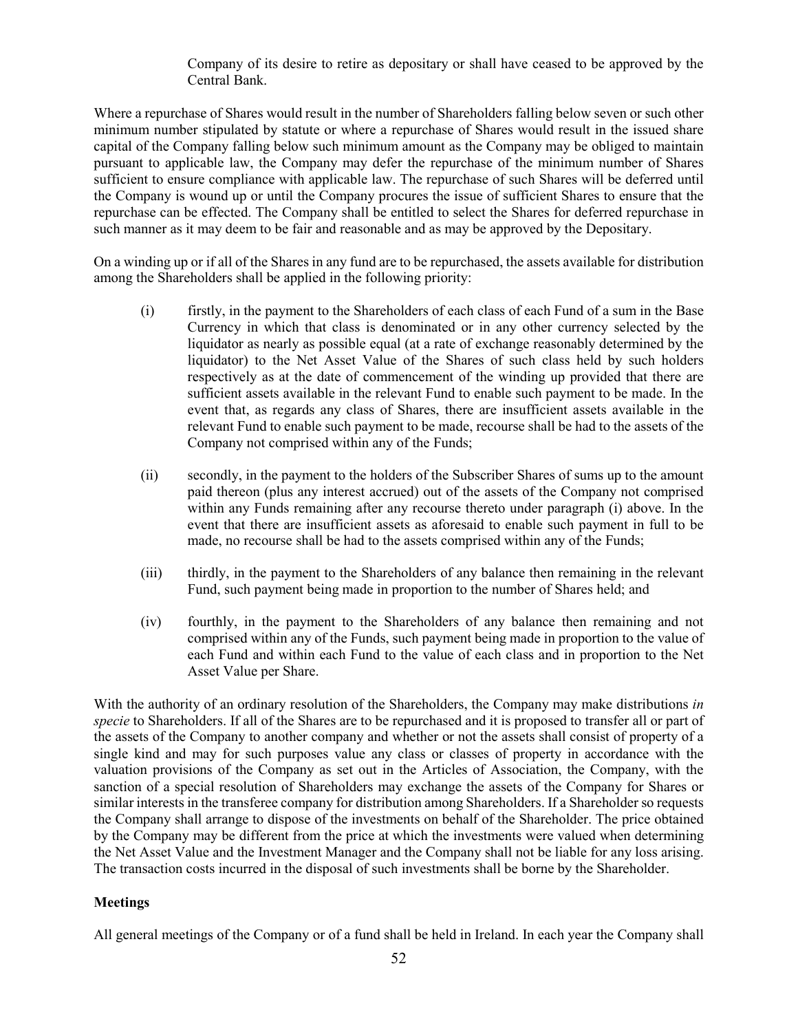Company of its desire to retire as depositary or shall have ceased to be approved by the Central Bank.

Where a repurchase of Shares would result in the number of Shareholders falling below seven or such other minimum number stipulated by statute or where a repurchase of Shares would result in the issued share capital of the Company falling below such minimum amount as the Company may be obliged to maintain pursuant to applicable law, the Company may defer the repurchase of the minimum number of Shares sufficient to ensure compliance with applicable law. The repurchase of such Shares will be deferred until the Company is wound up or until the Company procures the issue of sufficient Shares to ensure that the repurchase can be effected. The Company shall be entitled to select the Shares for deferred repurchase in such manner as it may deem to be fair and reasonable and as may be approved by the Depositary.

On a winding up or if all of the Shares in any fund are to be repurchased, the assets available for distribution among the Shareholders shall be applied in the following priority:

- (i) firstly, in the payment to the Shareholders of each class of each Fund of a sum in the Base Currency in which that class is denominated or in any other currency selected by the liquidator as nearly as possible equal (at a rate of exchange reasonably determined by the liquidator) to the Net Asset Value of the Shares of such class held by such holders respectively as at the date of commencement of the winding up provided that there are sufficient assets available in the relevant Fund to enable such payment to be made. In the event that, as regards any class of Shares, there are insufficient assets available in the relevant Fund to enable such payment to be made, recourse shall be had to the assets of the Company not comprised within any of the Funds;
- (ii) secondly, in the payment to the holders of the Subscriber Shares of sums up to the amount paid thereon (plus any interest accrued) out of the assets of the Company not comprised within any Funds remaining after any recourse thereto under paragraph (i) above. In the event that there are insufficient assets as aforesaid to enable such payment in full to be made, no recourse shall be had to the assets comprised within any of the Funds;
- (iii) thirdly, in the payment to the Shareholders of any balance then remaining in the relevant Fund, such payment being made in proportion to the number of Shares held; and
- (iv) fourthly, in the payment to the Shareholders of any balance then remaining and not comprised within any of the Funds, such payment being made in proportion to the value of each Fund and within each Fund to the value of each class and in proportion to the Net Asset Value per Share.

With the authority of an ordinary resolution of the Shareholders, the Company may make distributions *in specie* to Shareholders. If all of the Shares are to be repurchased and it is proposed to transfer all or part of the assets of the Company to another company and whether or not the assets shall consist of property of a single kind and may for such purposes value any class or classes of property in accordance with the valuation provisions of the Company as set out in the Articles of Association, the Company, with the sanction of a special resolution of Shareholders may exchange the assets of the Company for Shares or similar interests in the transferee company for distribution among Shareholders. If a Shareholder so requests the Company shall arrange to dispose of the investments on behalf of the Shareholder. The price obtained by the Company may be different from the price at which the investments were valued when determining the Net Asset Value and the Investment Manager and the Company shall not be liable for any loss arising. The transaction costs incurred in the disposal of such investments shall be borne by the Shareholder.

## **Meetings**

All general meetings of the Company or of a fund shall be held in Ireland. In each year the Company shall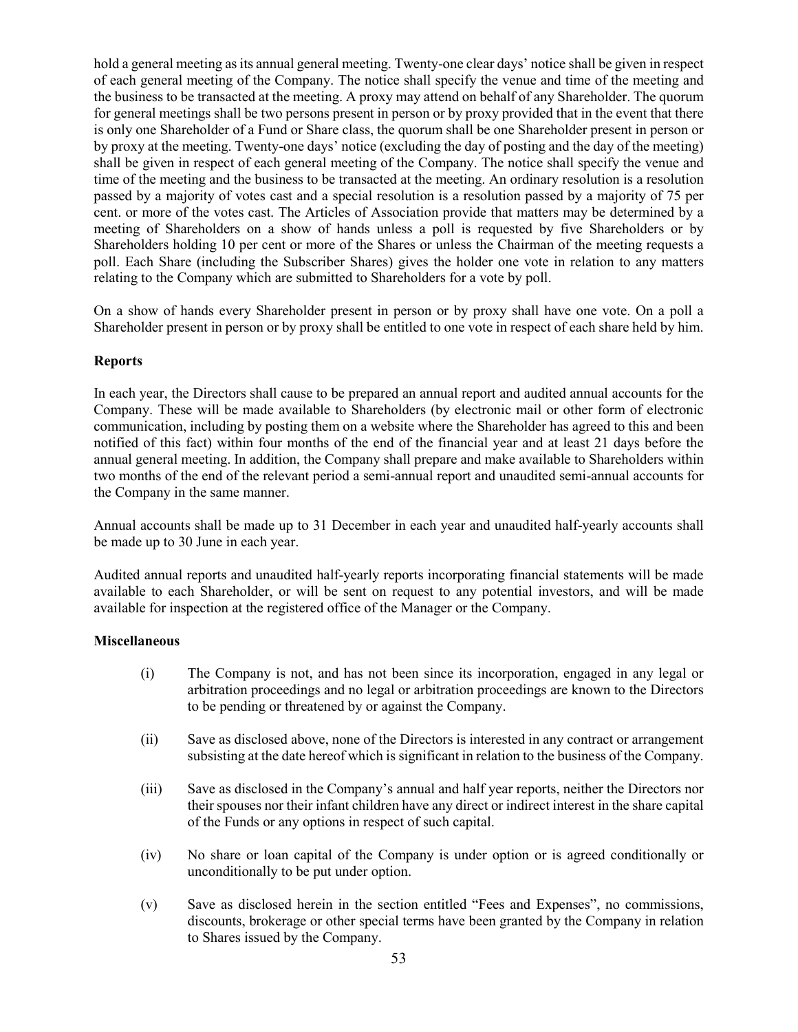hold a general meeting as its annual general meeting. Twenty-one clear days' notice shall be given in respect of each general meeting of the Company. The notice shall specify the venue and time of the meeting and the business to be transacted at the meeting. A proxy may attend on behalf of any Shareholder. The quorum for general meetings shall be two persons present in person or by proxy provided that in the event that there is only one Shareholder of a Fund or Share class, the quorum shall be one Shareholder present in person or by proxy at the meeting. Twenty-one days' notice (excluding the day of posting and the day of the meeting) shall be given in respect of each general meeting of the Company. The notice shall specify the venue and time of the meeting and the business to be transacted at the meeting. An ordinary resolution is a resolution passed by a majority of votes cast and a special resolution is a resolution passed by a majority of 75 per cent. or more of the votes cast. The Articles of Association provide that matters may be determined by a meeting of Shareholders on a show of hands unless a poll is requested by five Shareholders or by Shareholders holding 10 per cent or more of the Shares or unless the Chairman of the meeting requests a poll. Each Share (including the Subscriber Shares) gives the holder one vote in relation to any matters relating to the Company which are submitted to Shareholders for a vote by poll.

On a show of hands every Shareholder present in person or by proxy shall have one vote. On a poll a Shareholder present in person or by proxy shall be entitled to one vote in respect of each share held by him.

#### **Reports**

In each year, the Directors shall cause to be prepared an annual report and audited annual accounts for the Company. These will be made available to Shareholders (by electronic mail or other form of electronic communication, including by posting them on a website where the Shareholder has agreed to this and been notified of this fact) within four months of the end of the financial year and at least 21 days before the annual general meeting. In addition, the Company shall prepare and make available to Shareholders within two months of the end of the relevant period a semi-annual report and unaudited semi-annual accounts for the Company in the same manner.

Annual accounts shall be made up to 31 December in each year and unaudited half-yearly accounts shall be made up to 30 June in each year.

Audited annual reports and unaudited half-yearly reports incorporating financial statements will be made available to each Shareholder, or will be sent on request to any potential investors, and will be made available for inspection at the registered office of the Manager or the Company.

## **Miscellaneous**

- (i) The Company is not, and has not been since its incorporation, engaged in any legal or arbitration proceedings and no legal or arbitration proceedings are known to the Directors to be pending or threatened by or against the Company.
- (ii) Save as disclosed above, none of the Directors is interested in any contract or arrangement subsisting at the date hereof which is significant in relation to the business of the Company.
- (iii) Save as disclosed in the Company's annual and half year reports, neither the Directors nor their spouses nor their infant children have any direct or indirect interest in the share capital of the Funds or any options in respect of such capital.
- (iv) No share or loan capital of the Company is under option or is agreed conditionally or unconditionally to be put under option.
- (v) Save as disclosed herein in the section entitled "Fees and Expenses", no commissions, discounts, brokerage or other special terms have been granted by the Company in relation to Shares issued by the Company.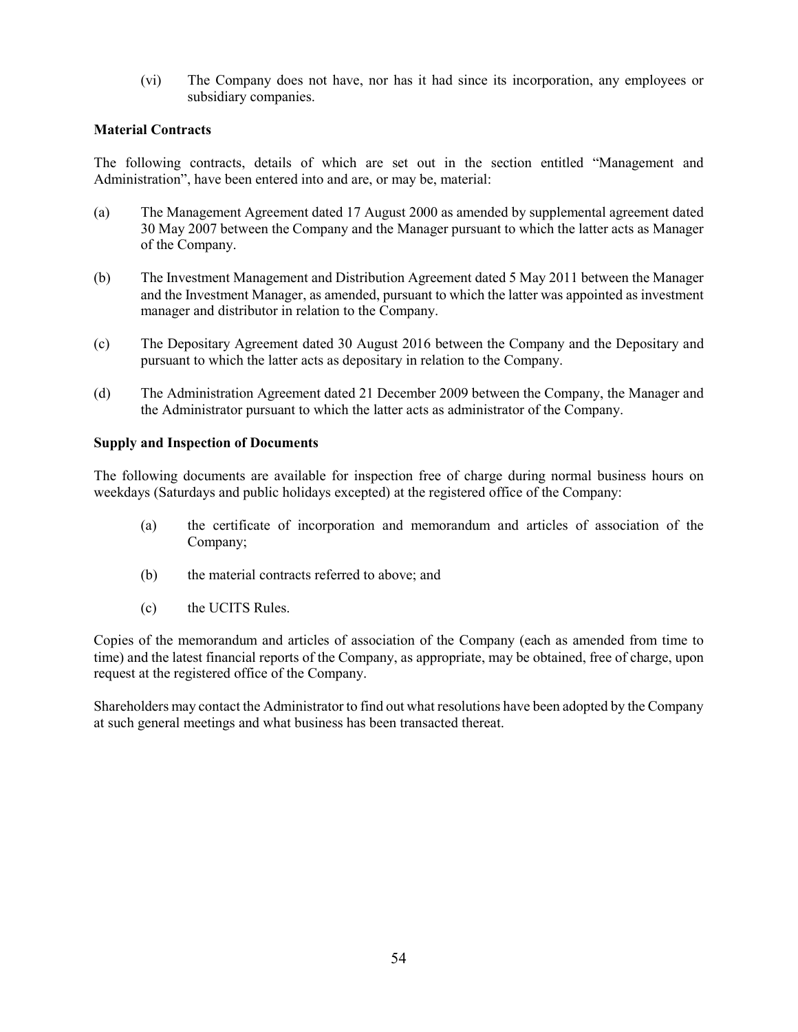(vi) The Company does not have, nor has it had since its incorporation, any employees or subsidiary companies.

## **Material Contracts**

The following contracts, details of which are set out in the section entitled "Management and Administration", have been entered into and are, or may be, material:

- (a) The Management Agreement dated 17 August 2000 as amended by supplemental agreement dated 30 May 2007 between the Company and the Manager pursuant to which the latter acts as Manager of the Company.
- (b) The Investment Management and Distribution Agreement dated 5 May 2011 between the Manager and the Investment Manager, as amended, pursuant to which the latter was appointed as investment manager and distributor in relation to the Company.
- (c) The Depositary Agreement dated 30 August 2016 between the Company and the Depositary and pursuant to which the latter acts as depositary in relation to the Company.
- (d) The Administration Agreement dated 21 December 2009 between the Company, the Manager and the Administrator pursuant to which the latter acts as administrator of the Company.

#### **Supply and Inspection of Documents**

The following documents are available for inspection free of charge during normal business hours on weekdays (Saturdays and public holidays excepted) at the registered office of the Company:

- (a) the certificate of incorporation and memorandum and articles of association of the Company;
- (b) the material contracts referred to above; and
- (c) the UCITS Rules.

Copies of the memorandum and articles of association of the Company (each as amended from time to time) and the latest financial reports of the Company, as appropriate, may be obtained, free of charge, upon request at the registered office of the Company.

Shareholders may contact the Administrator to find out what resolutions have been adopted by the Company at such general meetings and what business has been transacted thereat.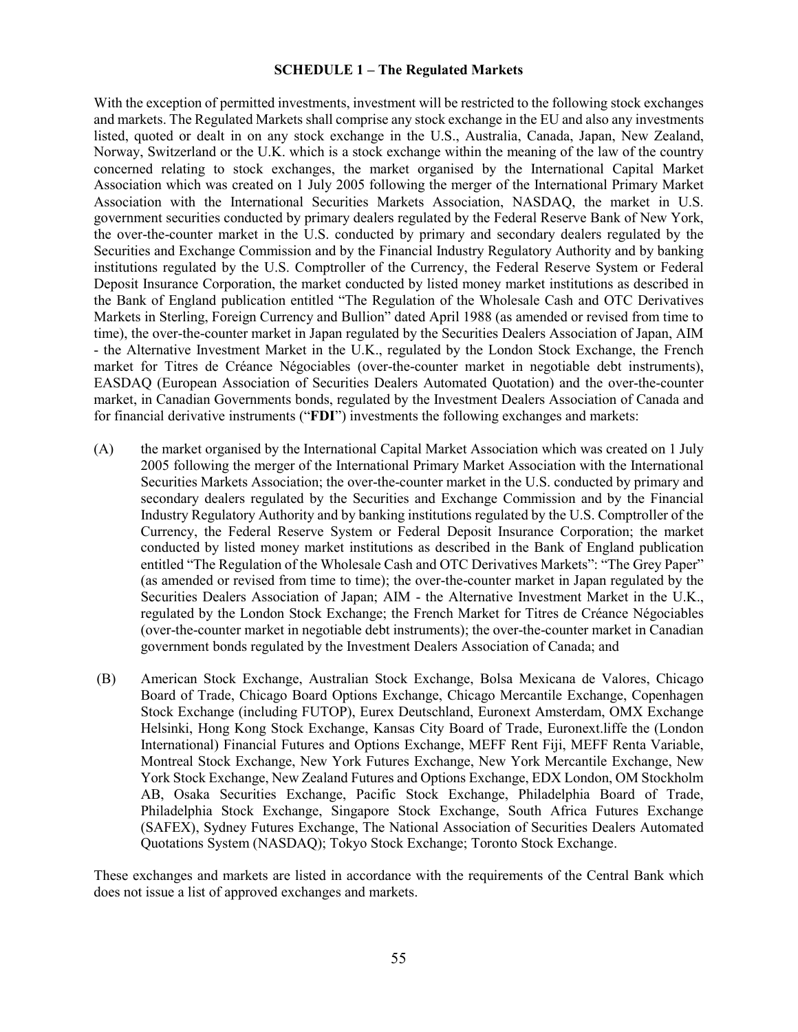#### **SCHEDULE 1 – The Regulated Markets**

With the exception of permitted investments, investment will be restricted to the following stock exchanges and markets. The Regulated Markets shall comprise any stock exchange in the EU and also any investments listed, quoted or dealt in on any stock exchange in the U.S., Australia, Canada, Japan, New Zealand, Norway, Switzerland or the U.K. which is a stock exchange within the meaning of the law of the country concerned relating to stock exchanges, the market organised by the International Capital Market Association which was created on 1 July 2005 following the merger of the International Primary Market Association with the International Securities Markets Association, NASDAQ, the market in U.S. government securities conducted by primary dealers regulated by the Federal Reserve Bank of New York, the over-the-counter market in the U.S. conducted by primary and secondary dealers regulated by the Securities and Exchange Commission and by the Financial Industry Regulatory Authority and by banking institutions regulated by the U.S. Comptroller of the Currency, the Federal Reserve System or Federal Deposit Insurance Corporation, the market conducted by listed money market institutions as described in the Bank of England publication entitled "The Regulation of the Wholesale Cash and OTC Derivatives Markets in Sterling, Foreign Currency and Bullion" dated April 1988 (as amended or revised from time to time), the over-the-counter market in Japan regulated by the Securities Dealers Association of Japan, AIM - the Alternative Investment Market in the U.K., regulated by the London Stock Exchange, the French market for Titres de Créance Négociables (over-the-counter market in negotiable debt instruments), EASDAQ (European Association of Securities Dealers Automated Quotation) and the over-the-counter market, in Canadian Governments bonds, regulated by the Investment Dealers Association of Canada and for financial derivative instruments ("**FDI**") investments the following exchanges and markets:

- (A) the market organised by the International Capital Market Association which was created on 1 July 2005 following the merger of the International Primary Market Association with the International Securities Markets Association; the over-the-counter market in the U.S. conducted by primary and secondary dealers regulated by the Securities and Exchange Commission and by the Financial Industry Regulatory Authority and by banking institutions regulated by the U.S. Comptroller of the Currency, the Federal Reserve System or Federal Deposit Insurance Corporation; the market conducted by listed money market institutions as described in the Bank of England publication entitled "The Regulation of the Wholesale Cash and OTC Derivatives Markets": "The Grey Paper" (as amended or revised from time to time); the over-the-counter market in Japan regulated by the Securities Dealers Association of Japan; AIM - the Alternative Investment Market in the U.K., regulated by the London Stock Exchange; the French Market for Titres de Créance Négociables (over-the-counter market in negotiable debt instruments); the over-the-counter market in Canadian government bonds regulated by the Investment Dealers Association of Canada; and
- (B) American Stock Exchange, Australian Stock Exchange, Bolsa Mexicana de Valores, Chicago Board of Trade, Chicago Board Options Exchange, Chicago Mercantile Exchange, Copenhagen Stock Exchange (including FUTOP), Eurex Deutschland, Euronext Amsterdam, OMX Exchange Helsinki, Hong Kong Stock Exchange, Kansas City Board of Trade, Euronext.liffe the (London International) Financial Futures and Options Exchange, MEFF Rent Fiji, MEFF Renta Variable, Montreal Stock Exchange, New York Futures Exchange, New York Mercantile Exchange, New York Stock Exchange, New Zealand Futures and Options Exchange, EDX London, OM Stockholm AB, Osaka Securities Exchange, Pacific Stock Exchange, Philadelphia Board of Trade, Philadelphia Stock Exchange, Singapore Stock Exchange, South Africa Futures Exchange (SAFEX), Sydney Futures Exchange, The National Association of Securities Dealers Automated Quotations System (NASDAQ); Tokyo Stock Exchange; Toronto Stock Exchange.

These exchanges and markets are listed in accordance with the requirements of the Central Bank which does not issue a list of approved exchanges and markets.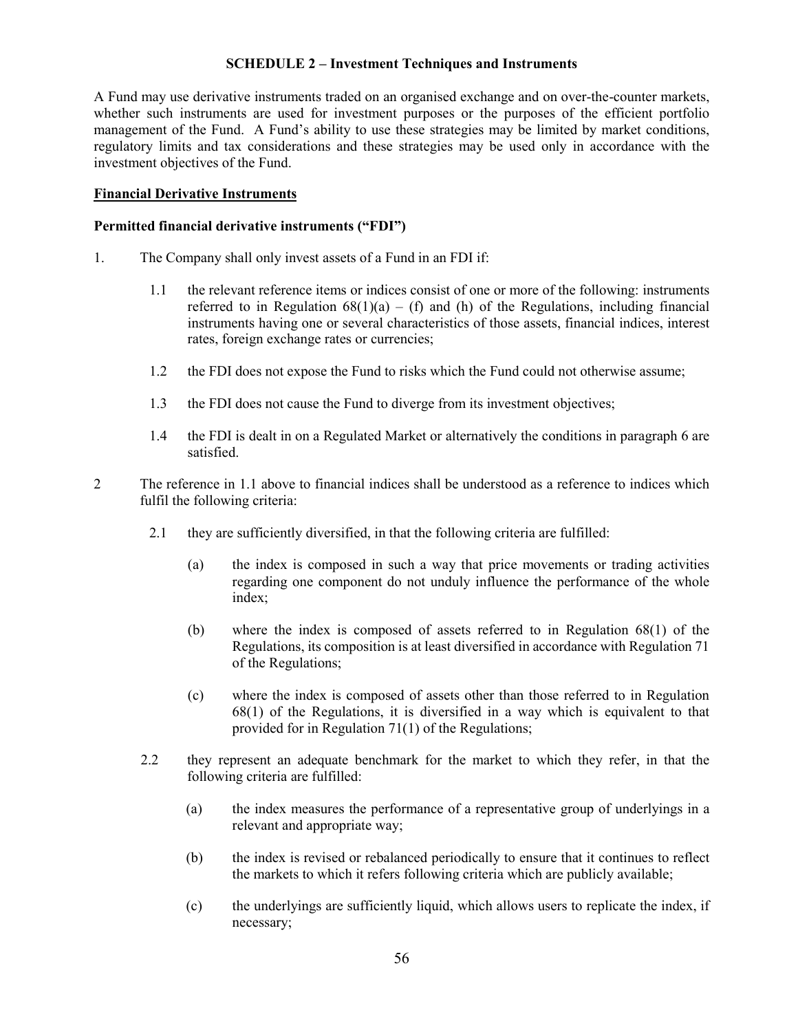#### **SCHEDULE 2 – Investment Techniques and Instruments**

A Fund may use derivative instruments traded on an organised exchange and on over-the-counter markets, whether such instruments are used for investment purposes or the purposes of the efficient portfolio management of the Fund. A Fund's ability to use these strategies may be limited by market conditions, regulatory limits and tax considerations and these strategies may be used only in accordance with the investment objectives of the Fund.

#### **Financial Derivative Instruments**

#### **Permitted financial derivative instruments ("FDI")**

- 1. The Company shall only invest assets of a Fund in an FDI if:
	- 1.1 the relevant reference items or indices consist of one or more of the following: instruments referred to in Regulation  $68(1)(a) - (f)$  and (h) of the Regulations, including financial instruments having one or several characteristics of those assets, financial indices, interest rates, foreign exchange rates or currencies;
	- 1.2 the FDI does not expose the Fund to risks which the Fund could not otherwise assume;
	- 1.3 the FDI does not cause the Fund to diverge from its investment objectives;
	- 1.4 the FDI is dealt in on a Regulated Market or alternatively the conditions in paragraph 6 are satisfied.
- 2 The reference in 1.1 above to financial indices shall be understood as a reference to indices which fulfil the following criteria:
	- 2.1 they are sufficiently diversified, in that the following criteria are fulfilled:
		- (a) the index is composed in such a way that price movements or trading activities regarding one component do not unduly influence the performance of the whole index;
		- (b) where the index is composed of assets referred to in Regulation 68(1) of the Regulations, its composition is at least diversified in accordance with Regulation 71 of the Regulations;
		- (c) where the index is composed of assets other than those referred to in Regulation 68(1) of the Regulations, it is diversified in a way which is equivalent to that provided for in Regulation 71(1) of the Regulations;
	- 2.2 they represent an adequate benchmark for the market to which they refer, in that the following criteria are fulfilled:
		- (a) the index measures the performance of a representative group of underlyings in a relevant and appropriate way;
		- (b) the index is revised or rebalanced periodically to ensure that it continues to reflect the markets to which it refers following criteria which are publicly available;
		- (c) the underlyings are sufficiently liquid, which allows users to replicate the index, if necessary;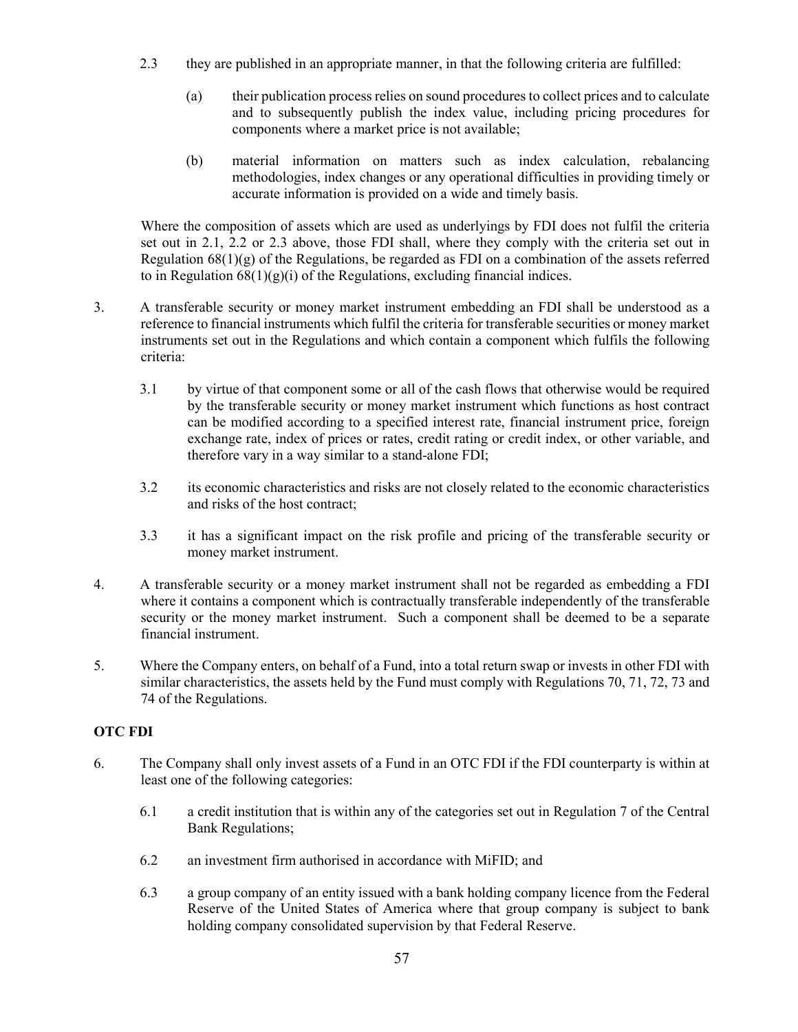- 2.3 they are published in an appropriate manner, in that the following criteria are fulfilled:
	- (a) their publication process relies on sound procedures to collect prices and to calculate and to subsequently publish the index value, including pricing procedures for components where a market price is not available;
	- (b) material information on matters such as index calculation, rebalancing methodologies, index changes or any operational difficulties in providing timely or accurate information is provided on a wide and timely basis.

Where the composition of assets which are used as underlyings by FDI does not fulfil the criteria set out in 2.1, 2.2 or 2.3 above, those FDI shall, where they comply with the criteria set out in Regulation  $68(1)(g)$  of the Regulations, be regarded as FDI on a combination of the assets referred to in Regulation  $68(1)(g)(i)$  of the Regulations, excluding financial indices.

- 3. A transferable security or money market instrument embedding an FDI shall be understood as a reference to financial instruments which fulfil the criteria for transferable securities or money market instruments set out in the Regulations and which contain a component which fulfils the following criteria:
	- 3.1 by virtue of that component some or all of the cash flows that otherwise would be required by the transferable security or money market instrument which functions as host contract can be modified according to a specified interest rate, financial instrument price, foreign exchange rate, index of prices or rates, credit rating or credit index, or other variable, and therefore vary in a way similar to a stand-alone FDI;
	- 3.2 its economic characteristics and risks are not closely related to the economic characteristics and risks of the host contract;
	- 3.3 it has a significant impact on the risk profile and pricing of the transferable security or money market instrument.
- 4. A transferable security or a money market instrument shall not be regarded as embedding a FDI where it contains a component which is contractually transferable independently of the transferable security or the money market instrument. Such a component shall be deemed to be a separate financial instrument.
- 5. Where the Company enters, on behalf of a Fund, into a total return swap or invests in other FDI with similar characteristics, the assets held by the Fund must comply with Regulations 70, 71, 72, 73 and 74 of the Regulations.

# **OTC FDI**

- 6. The Company shall only invest assets of a Fund in an OTC FDI if the FDI counterparty is within at least one of the following categories:
	- 6.1 a credit institution that is within any of the categories set out in Regulation 7 of the Central Bank Regulations;
	- 6.2 an investment firm authorised in accordance with MiFID; and
	- 6.3 a group company of an entity issued with a bank holding company licence from the Federal Reserve of the United States of America where that group company is subject to bank holding company consolidated supervision by that Federal Reserve.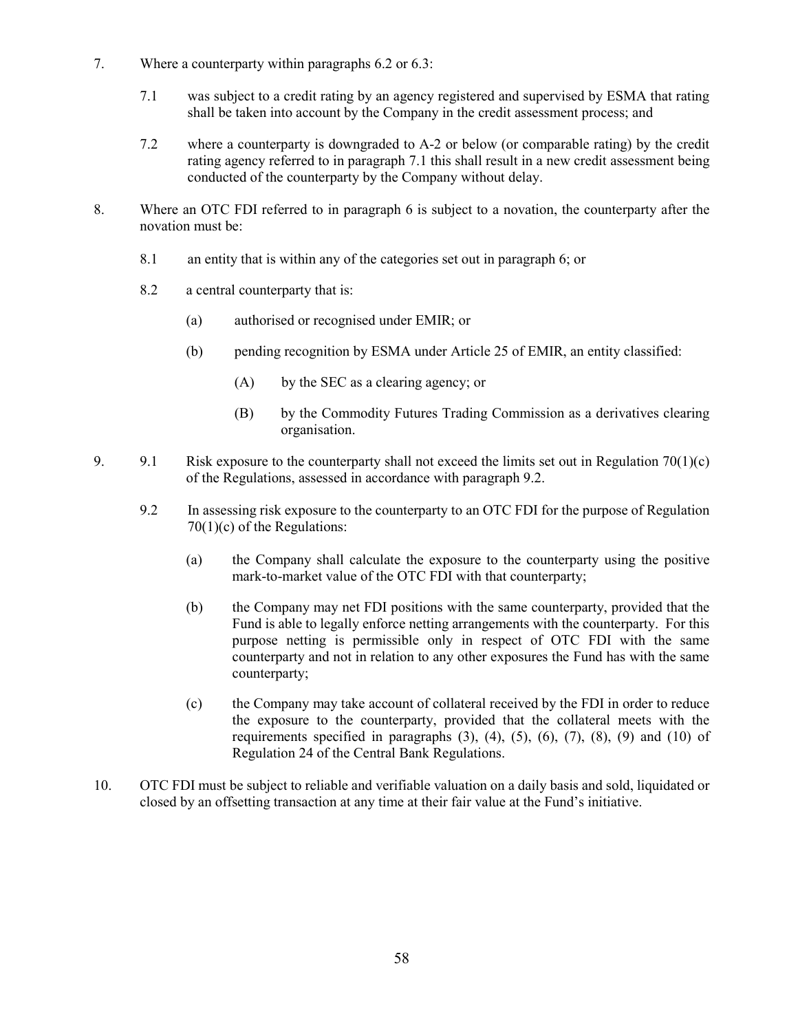- 7. Where a counterparty within paragraphs 6.2 or 6.3:
	- 7.1 was subject to a credit rating by an agency registered and supervised by ESMA that rating shall be taken into account by the Company in the credit assessment process; and
	- 7.2 where a counterparty is downgraded to A-2 or below (or comparable rating) by the credit rating agency referred to in paragraph 7.1 this shall result in a new credit assessment being conducted of the counterparty by the Company without delay.
- 8. Where an OTC FDI referred to in paragraph 6 is subject to a novation, the counterparty after the novation must be:
	- 8.1 an entity that is within any of the categories set out in paragraph 6; or
	- 8.2 a central counterparty that is:
		- (a) authorised or recognised under EMIR; or
		- (b) pending recognition by ESMA under Article 25 of EMIR, an entity classified:
			- (A) by the SEC as a clearing agency; or
			- (B) by the Commodity Futures Trading Commission as a derivatives clearing organisation.
- 9. 9.1 Risk exposure to the counterparty shall not exceed the limits set out in Regulation 70(1)(c) of the Regulations, assessed in accordance with paragraph 9.2.
	- 9.2 In assessing risk exposure to the counterparty to an OTC FDI for the purpose of Regulation 70(1)(c) of the Regulations:
		- (a) the Company shall calculate the exposure to the counterparty using the positive mark-to-market value of the OTC FDI with that counterparty;
		- (b) the Company may net FDI positions with the same counterparty, provided that the Fund is able to legally enforce netting arrangements with the counterparty. For this purpose netting is permissible only in respect of OTC FDI with the same counterparty and not in relation to any other exposures the Fund has with the same counterparty;
		- (c) the Company may take account of collateral received by the FDI in order to reduce the exposure to the counterparty, provided that the collateral meets with the requirements specified in paragraphs  $(3)$ ,  $(4)$ ,  $(5)$ ,  $(6)$ ,  $(7)$ ,  $(8)$ ,  $(9)$  and  $(10)$  of Regulation 24 of the Central Bank Regulations.
- 10. OTC FDI must be subject to reliable and verifiable valuation on a daily basis and sold, liquidated or closed by an offsetting transaction at any time at their fair value at the Fund's initiative.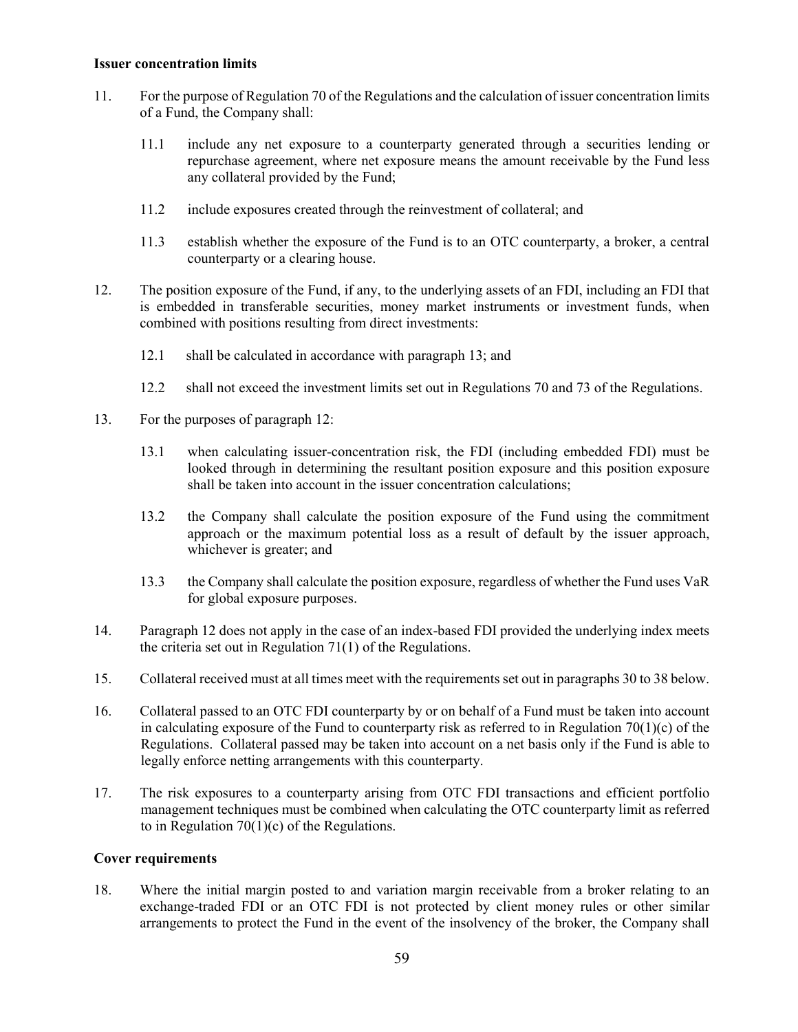#### **Issuer concentration limits**

- 11. For the purpose of Regulation 70 of the Regulations and the calculation of issuer concentration limits of a Fund, the Company shall:
	- 11.1 include any net exposure to a counterparty generated through a securities lending or repurchase agreement, where net exposure means the amount receivable by the Fund less any collateral provided by the Fund;
	- 11.2 include exposures created through the reinvestment of collateral; and
	- 11.3 establish whether the exposure of the Fund is to an OTC counterparty, a broker, a central counterparty or a clearing house.
- 12. The position exposure of the Fund, if any, to the underlying assets of an FDI, including an FDI that is embedded in transferable securities, money market instruments or investment funds, when combined with positions resulting from direct investments:
	- 12.1 shall be calculated in accordance with paragraph 13; and
	- 12.2 shall not exceed the investment limits set out in Regulations 70 and 73 of the Regulations.
- 13. For the purposes of paragraph 12:
	- 13.1 when calculating issuer-concentration risk, the FDI (including embedded FDI) must be looked through in determining the resultant position exposure and this position exposure shall be taken into account in the issuer concentration calculations;
	- 13.2 the Company shall calculate the position exposure of the Fund using the commitment approach or the maximum potential loss as a result of default by the issuer approach, whichever is greater; and
	- 13.3 the Company shall calculate the position exposure, regardless of whether the Fund uses VaR for global exposure purposes.
- 14. Paragraph 12 does not apply in the case of an index-based FDI provided the underlying index meets the criteria set out in Regulation 71(1) of the Regulations.
- 15. Collateral received must at all times meet with the requirements set out in paragraphs 30 to 38 below.
- 16. Collateral passed to an OTC FDI counterparty by or on behalf of a Fund must be taken into account in calculating exposure of the Fund to counterparty risk as referred to in Regulation  $70(1)(c)$  of the Regulations. Collateral passed may be taken into account on a net basis only if the Fund is able to legally enforce netting arrangements with this counterparty.
- 17. The risk exposures to a counterparty arising from OTC FDI transactions and efficient portfolio management techniques must be combined when calculating the OTC counterparty limit as referred to in Regulation 70(1)(c) of the Regulations.

#### **Cover requirements**

18. Where the initial margin posted to and variation margin receivable from a broker relating to an exchange-traded FDI or an OTC FDI is not protected by client money rules or other similar arrangements to protect the Fund in the event of the insolvency of the broker, the Company shall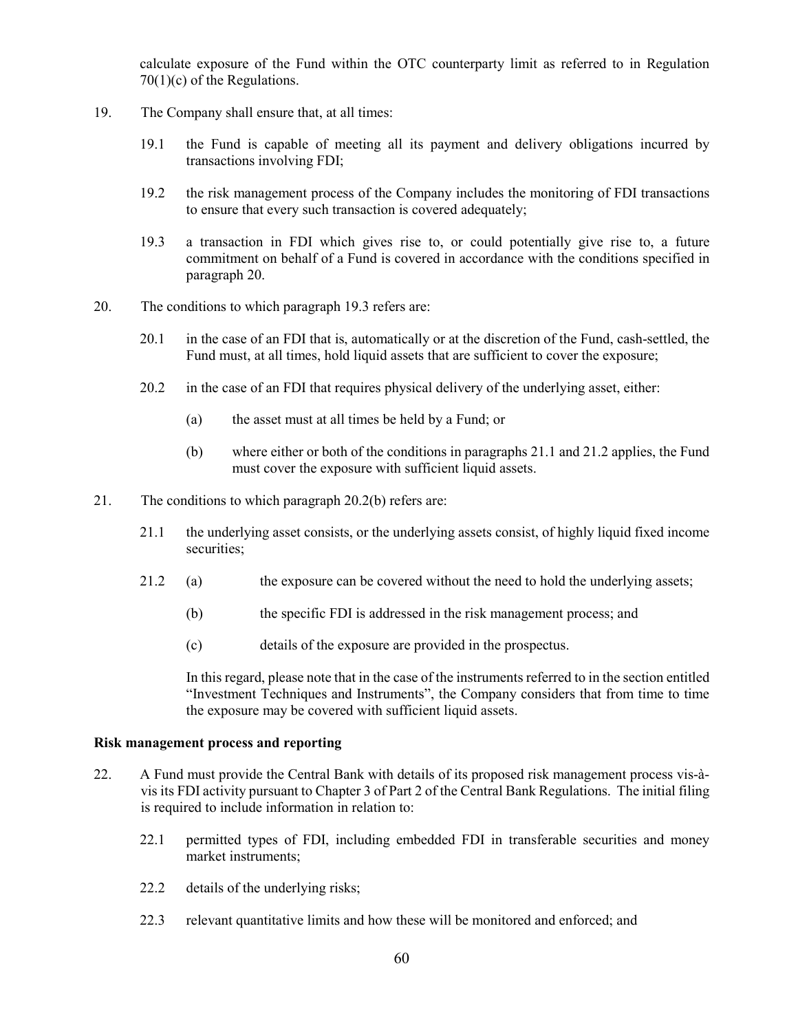calculate exposure of the Fund within the OTC counterparty limit as referred to in Regulation 70(1)(c) of the Regulations.

- 19. The Company shall ensure that, at all times:
	- 19.1 the Fund is capable of meeting all its payment and delivery obligations incurred by transactions involving FDI;
	- 19.2 the risk management process of the Company includes the monitoring of FDI transactions to ensure that every such transaction is covered adequately;
	- 19.3 a transaction in FDI which gives rise to, or could potentially give rise to, a future commitment on behalf of a Fund is covered in accordance with the conditions specified in paragraph 20.
- 20. The conditions to which paragraph 19.3 refers are:
	- 20.1 in the case of an FDI that is, automatically or at the discretion of the Fund, cash-settled, the Fund must, at all times, hold liquid assets that are sufficient to cover the exposure;
	- 20.2 in the case of an FDI that requires physical delivery of the underlying asset, either:
		- (a) the asset must at all times be held by a Fund; or
		- (b) where either or both of the conditions in paragraphs 21.1 and 21.2 applies, the Fund must cover the exposure with sufficient liquid assets.
- 21. The conditions to which paragraph 20.2(b) refers are:
	- 21.1 the underlying asset consists, or the underlying assets consist, of highly liquid fixed income securities;
	- 21.2 (a) the exposure can be covered without the need to hold the underlying assets;
		- (b) the specific FDI is addressed in the risk management process; and
		- (c) details of the exposure are provided in the prospectus.

In this regard, please note that in the case of the instruments referred to in the section entitled "Investment Techniques and Instruments", the Company considers that from time to time the exposure may be covered with sufficient liquid assets.

#### **Risk management process and reporting**

- 22. A Fund must provide the Central Bank with details of its proposed risk management process vis-àvis its FDI activity pursuant to Chapter 3 of Part 2 of the Central Bank Regulations. The initial filing is required to include information in relation to:
	- 22.1 permitted types of FDI, including embedded FDI in transferable securities and money market instruments;
	- 22.2 details of the underlying risks;
	- 22.3 relevant quantitative limits and how these will be monitored and enforced; and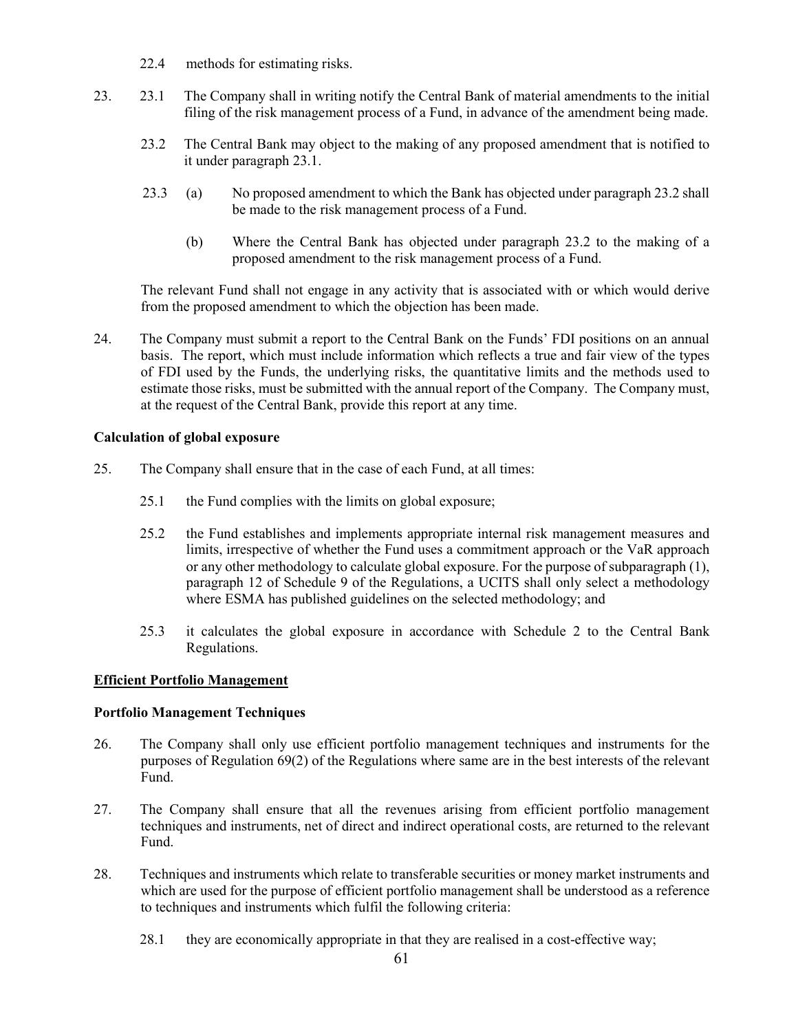- 22.4 methods for estimating risks.
- 23. 23.1 The Company shall in writing notify the Central Bank of material amendments to the initial filing of the risk management process of a Fund, in advance of the amendment being made.
	- 23.2 The Central Bank may object to the making of any proposed amendment that is notified to it under paragraph 23.1.
	- 23.3 (a) No proposed amendment to which the Bank has objected under paragraph 23.2 shall be made to the risk management process of a Fund.
		- (b) Where the Central Bank has objected under paragraph 23.2 to the making of a proposed amendment to the risk management process of a Fund.

The relevant Fund shall not engage in any activity that is associated with or which would derive from the proposed amendment to which the objection has been made.

24. The Company must submit a report to the Central Bank on the Funds' FDI positions on an annual basis. The report, which must include information which reflects a true and fair view of the types of FDI used by the Funds, the underlying risks, the quantitative limits and the methods used to estimate those risks, must be submitted with the annual report of the Company. The Company must, at the request of the Central Bank, provide this report at any time.

## **Calculation of global exposure**

- 25. The Company shall ensure that in the case of each Fund, at all times:
	- 25.1 the Fund complies with the limits on global exposure;
	- 25.2 the Fund establishes and implements appropriate internal risk management measures and limits, irrespective of whether the Fund uses a commitment approach or the VaR approach or any other methodology to calculate global exposure. For the purpose of subparagraph (1), paragraph 12 of Schedule 9 of the Regulations, a UCITS shall only select a methodology where ESMA has published guidelines on the selected methodology; and
	- 25.3 it calculates the global exposure in accordance with Schedule 2 to the Central Bank Regulations.

#### **Efficient Portfolio Management**

#### **Portfolio Management Techniques**

- 26. The Company shall only use efficient portfolio management techniques and instruments for the purposes of Regulation 69(2) of the Regulations where same are in the best interests of the relevant Fund.
- 27. The Company shall ensure that all the revenues arising from efficient portfolio management techniques and instruments, net of direct and indirect operational costs, are returned to the relevant Fund.
- 28. Techniques and instruments which relate to transferable securities or money market instruments and which are used for the purpose of efficient portfolio management shall be understood as a reference to techniques and instruments which fulfil the following criteria:
	- 28.1 they are economically appropriate in that they are realised in a cost-effective way;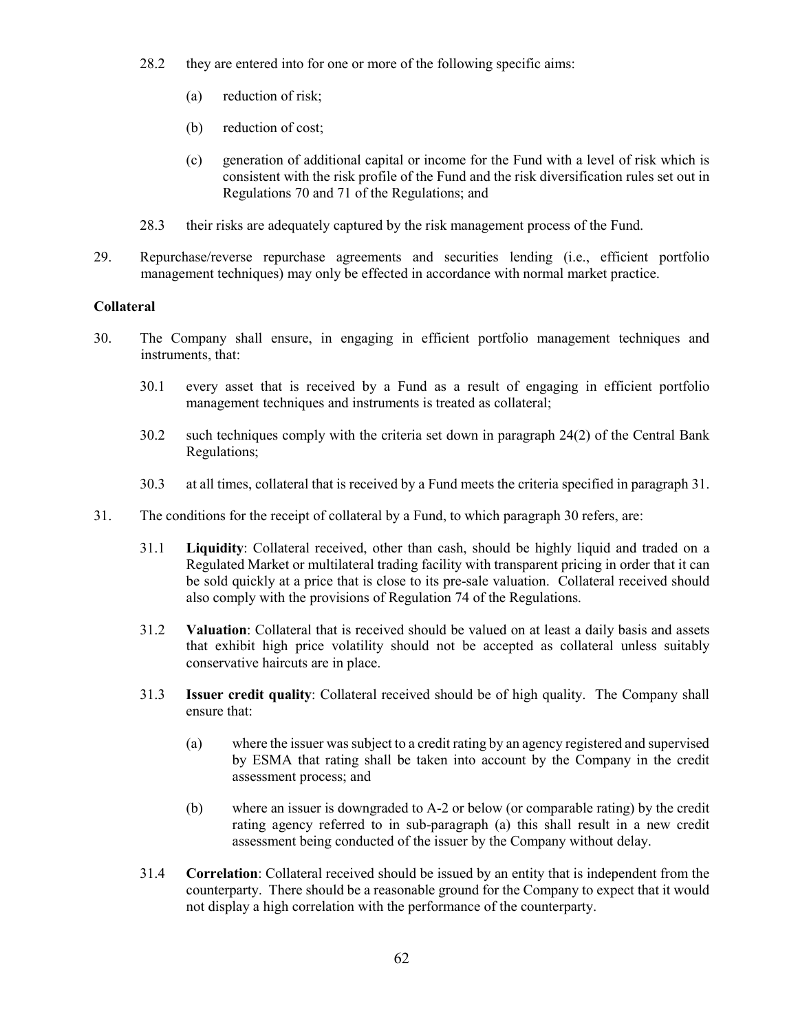- 28.2 they are entered into for one or more of the following specific aims:
	- (a) reduction of risk;
	- (b) reduction of cost;
	- (c) generation of additional capital or income for the Fund with a level of risk which is consistent with the risk profile of the Fund and the risk diversification rules set out in Regulations 70 and 71 of the Regulations; and
- 28.3 their risks are adequately captured by the risk management process of the Fund.
- 29. Repurchase/reverse repurchase agreements and securities lending (i.e., efficient portfolio management techniques) may only be effected in accordance with normal market practice.

## **Collateral**

- 30. The Company shall ensure, in engaging in efficient portfolio management techniques and instruments, that:
	- 30.1 every asset that is received by a Fund as a result of engaging in efficient portfolio management techniques and instruments is treated as collateral;
	- 30.2 such techniques comply with the criteria set down in paragraph 24(2) of the Central Bank Regulations;
	- 30.3 at all times, collateral that is received by a Fund meets the criteria specified in paragraph 31.
- 31. The conditions for the receipt of collateral by a Fund, to which paragraph 30 refers, are:
	- 31.1 **Liquidity**: Collateral received, other than cash, should be highly liquid and traded on a Regulated Market or multilateral trading facility with transparent pricing in order that it can be sold quickly at a price that is close to its pre-sale valuation. Collateral received should also comply with the provisions of Regulation 74 of the Regulations.
	- 31.2 **Valuation**: Collateral that is received should be valued on at least a daily basis and assets that exhibit high price volatility should not be accepted as collateral unless suitably conservative haircuts are in place.
	- 31.3 **Issuer credit quality**: Collateral received should be of high quality. The Company shall ensure that:
		- (a) where the issuer was subject to a credit rating by an agency registered and supervised by ESMA that rating shall be taken into account by the Company in the credit assessment process; and
		- (b) where an issuer is downgraded to A-2 or below (or comparable rating) by the credit rating agency referred to in sub-paragraph (a) this shall result in a new credit assessment being conducted of the issuer by the Company without delay.
	- 31.4 **Correlation**: Collateral received should be issued by an entity that is independent from the counterparty. There should be a reasonable ground for the Company to expect that it would not display a high correlation with the performance of the counterparty.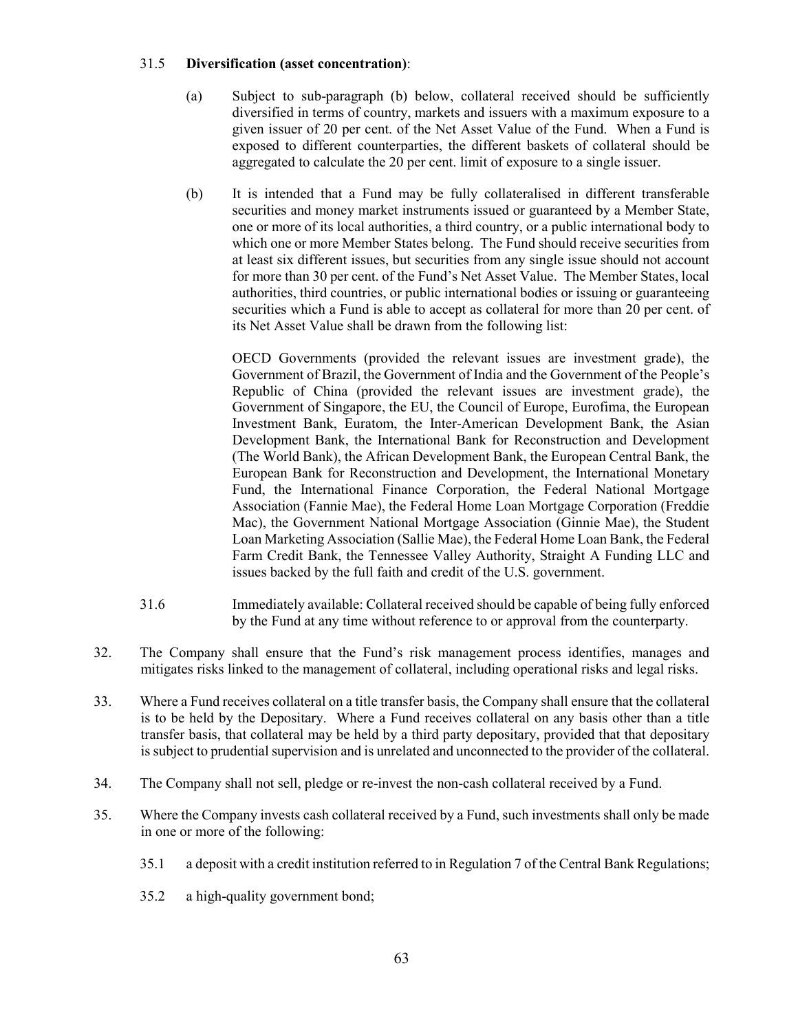## 31.5 **Diversification (asset concentration)**:

- (a) Subject to sub-paragraph (b) below, collateral received should be sufficiently diversified in terms of country, markets and issuers with a maximum exposure to a given issuer of 20 per cent. of the Net Asset Value of the Fund. When a Fund is exposed to different counterparties, the different baskets of collateral should be aggregated to calculate the 20 per cent. limit of exposure to a single issuer.
- (b) It is intended that a Fund may be fully collateralised in different transferable securities and money market instruments issued or guaranteed by a Member State, one or more of its local authorities, a third country, or a public international body to which one or more Member States belong. The Fund should receive securities from at least six different issues, but securities from any single issue should not account for more than 30 per cent. of the Fund's Net Asset Value. The Member States, local authorities, third countries, or public international bodies or issuing or guaranteeing securities which a Fund is able to accept as collateral for more than 20 per cent. of its Net Asset Value shall be drawn from the following list:

OECD Governments (provided the relevant issues are investment grade), the Government of Brazil, the Government of India and the Government of the People's Republic of China (provided the relevant issues are investment grade), the Government of Singapore, the EU, the Council of Europe, Eurofima, the European Investment Bank, Euratom, the Inter-American Development Bank, the Asian Development Bank, the International Bank for Reconstruction and Development (The World Bank), the African Development Bank, the European Central Bank, the European Bank for Reconstruction and Development, the International Monetary Fund, the International Finance Corporation, the Federal National Mortgage Association (Fannie Mae), the Federal Home Loan Mortgage Corporation (Freddie Mac), the Government National Mortgage Association (Ginnie Mae), the Student Loan Marketing Association (Sallie Mae), the Federal Home Loan Bank, the Federal Farm Credit Bank, the Tennessee Valley Authority, Straight A Funding LLC and issues backed by the full faith and credit of the U.S. government.

- 31.6 Immediately available: Collateral received should be capable of being fully enforced by the Fund at any time without reference to or approval from the counterparty.
- 32. The Company shall ensure that the Fund's risk management process identifies, manages and mitigates risks linked to the management of collateral, including operational risks and legal risks.
- 33. Where a Fund receives collateral on a title transfer basis, the Company shall ensure that the collateral is to be held by the Depositary. Where a Fund receives collateral on any basis other than a title transfer basis, that collateral may be held by a third party depositary, provided that that depositary is subject to prudential supervision and is unrelated and unconnected to the provider of the collateral.
- 34. The Company shall not sell, pledge or re-invest the non-cash collateral received by a Fund.
- 35. Where the Company invests cash collateral received by a Fund, such investments shall only be made in one or more of the following:
	- 35.1 a deposit with a credit institution referred to in Regulation 7 of the Central Bank Regulations;
	- 35.2 a high-quality government bond;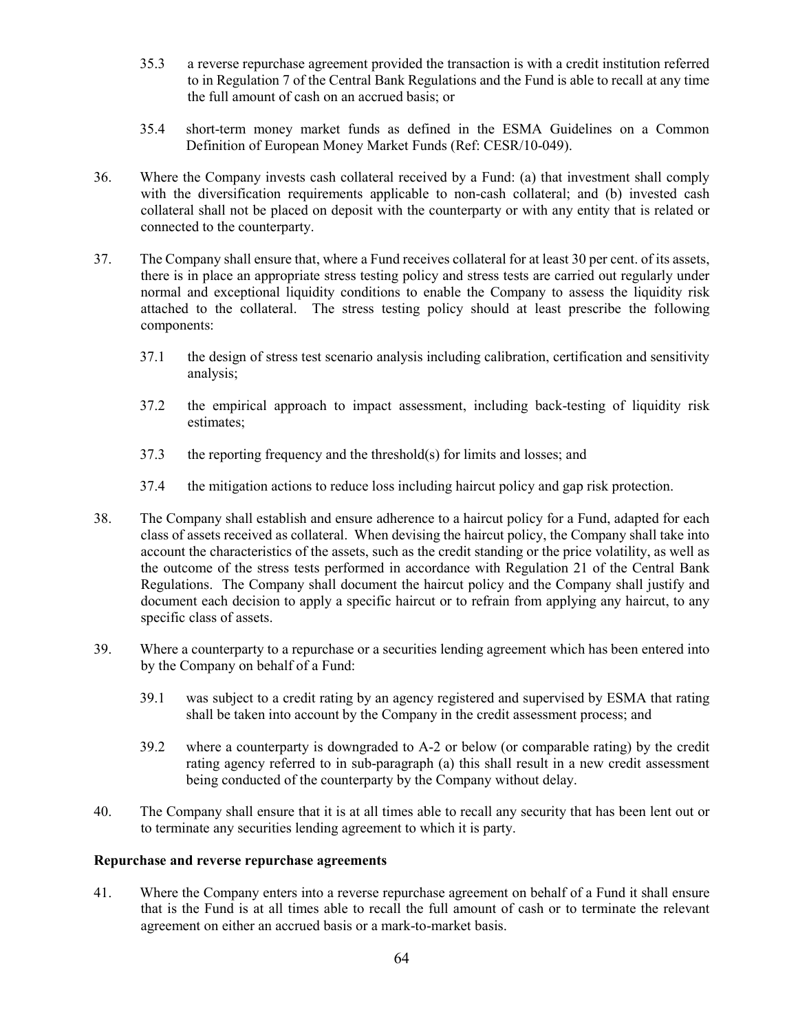- 35.3 a reverse repurchase agreement provided the transaction is with a credit institution referred to in Regulation 7 of the Central Bank Regulations and the Fund is able to recall at any time the full amount of cash on an accrued basis; or
- 35.4 short-term money market funds as defined in the ESMA Guidelines on a Common Definition of European Money Market Funds (Ref: CESR/10-049).
- 36. Where the Company invests cash collateral received by a Fund: (a) that investment shall comply with the diversification requirements applicable to non-cash collateral; and (b) invested cash collateral shall not be placed on deposit with the counterparty or with any entity that is related or connected to the counterparty.
- 37. The Company shall ensure that, where a Fund receives collateral for at least 30 per cent. of its assets, there is in place an appropriate stress testing policy and stress tests are carried out regularly under normal and exceptional liquidity conditions to enable the Company to assess the liquidity risk attached to the collateral. The stress testing policy should at least prescribe the following components:
	- 37.1 the design of stress test scenario analysis including calibration, certification and sensitivity analysis;
	- 37.2 the empirical approach to impact assessment, including back-testing of liquidity risk estimates;
	- 37.3 the reporting frequency and the threshold(s) for limits and losses; and
	- 37.4 the mitigation actions to reduce loss including haircut policy and gap risk protection.
- 38. The Company shall establish and ensure adherence to a haircut policy for a Fund, adapted for each class of assets received as collateral. When devising the haircut policy, the Company shall take into account the characteristics of the assets, such as the credit standing or the price volatility, as well as the outcome of the stress tests performed in accordance with Regulation 21 of the Central Bank Regulations. The Company shall document the haircut policy and the Company shall justify and document each decision to apply a specific haircut or to refrain from applying any haircut, to any specific class of assets.
- 39. Where a counterparty to a repurchase or a securities lending agreement which has been entered into by the Company on behalf of a Fund:
	- 39.1 was subject to a credit rating by an agency registered and supervised by ESMA that rating shall be taken into account by the Company in the credit assessment process; and
	- 39.2 where a counterparty is downgraded to A-2 or below (or comparable rating) by the credit rating agency referred to in sub-paragraph (a) this shall result in a new credit assessment being conducted of the counterparty by the Company without delay.
- 40. The Company shall ensure that it is at all times able to recall any security that has been lent out or to terminate any securities lending agreement to which it is party.

#### **Repurchase and reverse repurchase agreements**

41. Where the Company enters into a reverse repurchase agreement on behalf of a Fund it shall ensure that is the Fund is at all times able to recall the full amount of cash or to terminate the relevant agreement on either an accrued basis or a mark-to-market basis.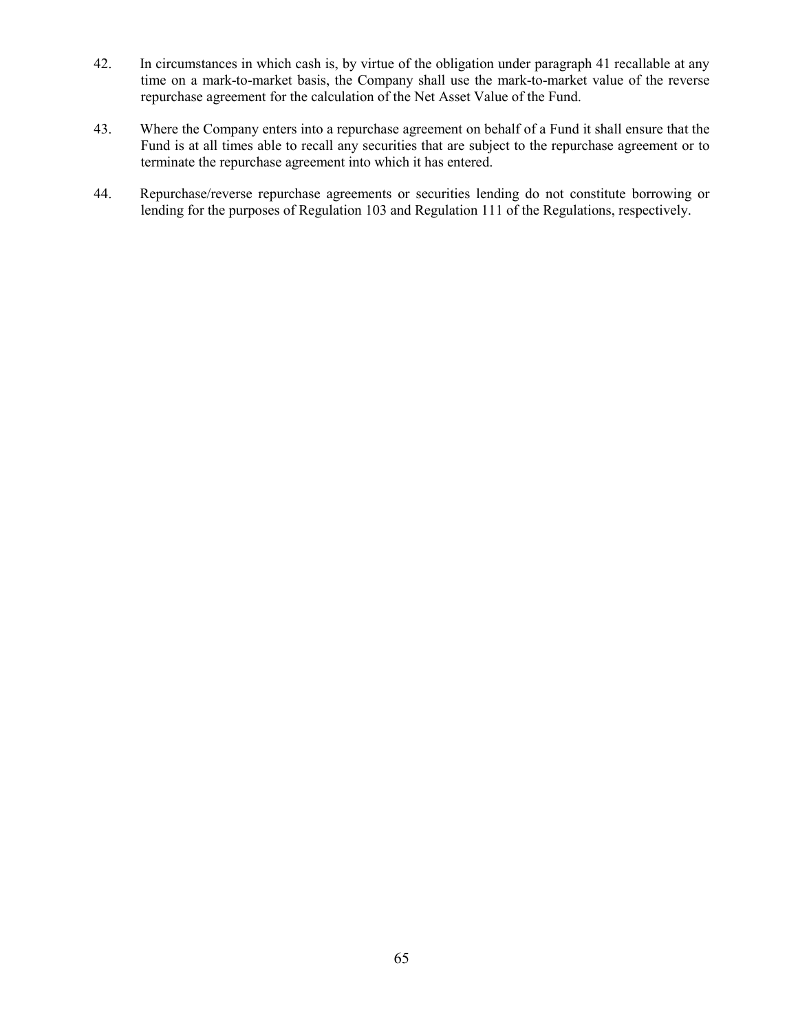- 42. In circumstances in which cash is, by virtue of the obligation under paragraph 41 recallable at any time on a mark-to-market basis, the Company shall use the mark-to-market value of the reverse repurchase agreement for the calculation of the Net Asset Value of the Fund.
- 43. Where the Company enters into a repurchase agreement on behalf of a Fund it shall ensure that the Fund is at all times able to recall any securities that are subject to the repurchase agreement or to terminate the repurchase agreement into which it has entered.
- 44. Repurchase/reverse repurchase agreements or securities lending do not constitute borrowing or lending for the purposes of Regulation 103 and Regulation 111 of the Regulations, respectively.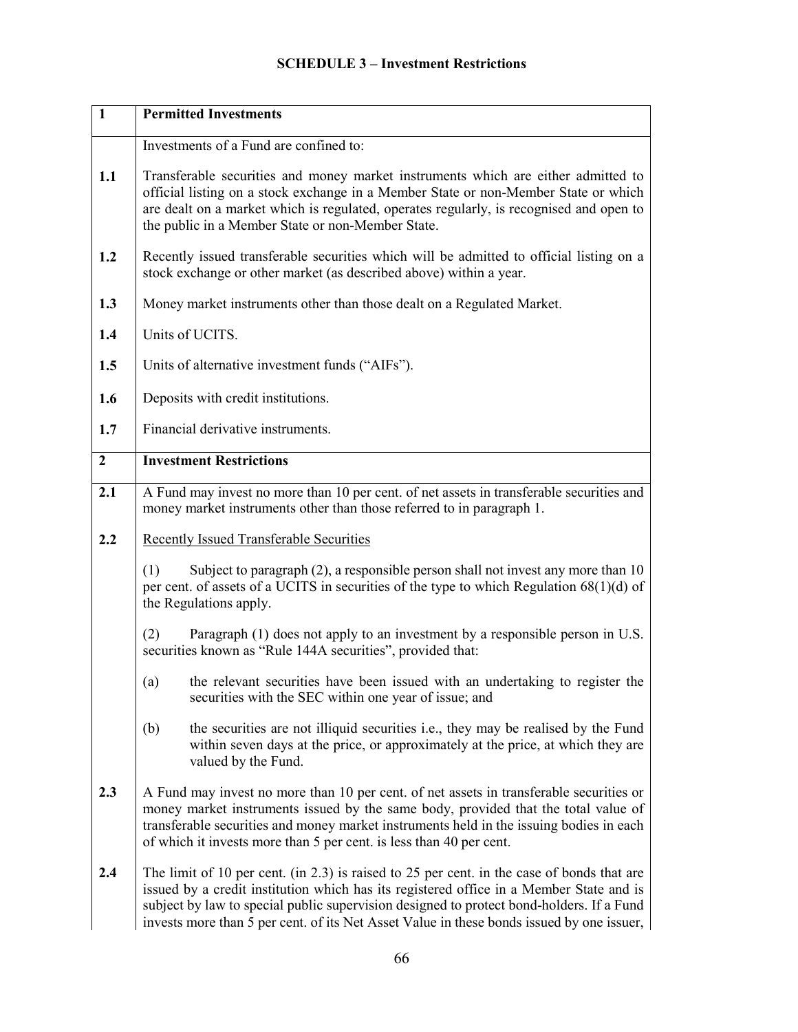## **SCHEDULE 3 – Investment Restrictions**

| $\mathbf{1}$   | <b>Permitted Investments</b>                                                                                                                                                                                                                                                                                                                                                        |  |  |  |  |  |  |  |
|----------------|-------------------------------------------------------------------------------------------------------------------------------------------------------------------------------------------------------------------------------------------------------------------------------------------------------------------------------------------------------------------------------------|--|--|--|--|--|--|--|
|                | Investments of a Fund are confined to:                                                                                                                                                                                                                                                                                                                                              |  |  |  |  |  |  |  |
| 1.1            | Transferable securities and money market instruments which are either admitted to<br>official listing on a stock exchange in a Member State or non-Member State or which<br>are dealt on a market which is regulated, operates regularly, is recognised and open to<br>the public in a Member State or non-Member State.                                                            |  |  |  |  |  |  |  |
| 1.2            | Recently issued transferable securities which will be admitted to official listing on a<br>stock exchange or other market (as described above) within a year.                                                                                                                                                                                                                       |  |  |  |  |  |  |  |
| 1.3            | Money market instruments other than those dealt on a Regulated Market.                                                                                                                                                                                                                                                                                                              |  |  |  |  |  |  |  |
| 1.4            | Units of UCITS.                                                                                                                                                                                                                                                                                                                                                                     |  |  |  |  |  |  |  |
| 1.5            | Units of alternative investment funds ("AIFs").                                                                                                                                                                                                                                                                                                                                     |  |  |  |  |  |  |  |
| 1.6            | Deposits with credit institutions.                                                                                                                                                                                                                                                                                                                                                  |  |  |  |  |  |  |  |
| 1.7            | Financial derivative instruments.                                                                                                                                                                                                                                                                                                                                                   |  |  |  |  |  |  |  |
| $\overline{2}$ | <b>Investment Restrictions</b>                                                                                                                                                                                                                                                                                                                                                      |  |  |  |  |  |  |  |
| 2.1            | A Fund may invest no more than 10 per cent. of net assets in transferable securities and<br>money market instruments other than those referred to in paragraph 1.                                                                                                                                                                                                                   |  |  |  |  |  |  |  |
| 2.2            | <b>Recently Issued Transferable Securities</b>                                                                                                                                                                                                                                                                                                                                      |  |  |  |  |  |  |  |
|                | (1)<br>Subject to paragraph $(2)$ , a responsible person shall not invest any more than 10<br>per cent. of assets of a UCITS in securities of the type to which Regulation 68(1)(d) of<br>the Regulations apply.                                                                                                                                                                    |  |  |  |  |  |  |  |
|                | Paragraph (1) does not apply to an investment by a responsible person in U.S.<br>(2)<br>securities known as "Rule 144A securities", provided that:                                                                                                                                                                                                                                  |  |  |  |  |  |  |  |
|                | the relevant securities have been issued with an undertaking to register the<br>(a)<br>securities with the SEC within one year of issue; and                                                                                                                                                                                                                                        |  |  |  |  |  |  |  |
|                | the securities are not illiquid securities i.e., they may be realised by the Fund<br>(b)<br>within seven days at the price, or approximately at the price, at which they are<br>valued by the Fund.                                                                                                                                                                                 |  |  |  |  |  |  |  |
| 2.3            | A Fund may invest no more than 10 per cent. of net assets in transferable securities or<br>money market instruments issued by the same body, provided that the total value of<br>transferable securities and money market instruments held in the issuing bodies in each<br>of which it invests more than 5 per cent. is less than 40 per cent.                                     |  |  |  |  |  |  |  |
| 2.4            | The limit of 10 per cent. (in $2.3$ ) is raised to $25$ per cent. in the case of bonds that are<br>issued by a credit institution which has its registered office in a Member State and is<br>subject by law to special public supervision designed to protect bond-holders. If a Fund<br>invests more than 5 per cent. of its Net Asset Value in these bonds issued by one issuer, |  |  |  |  |  |  |  |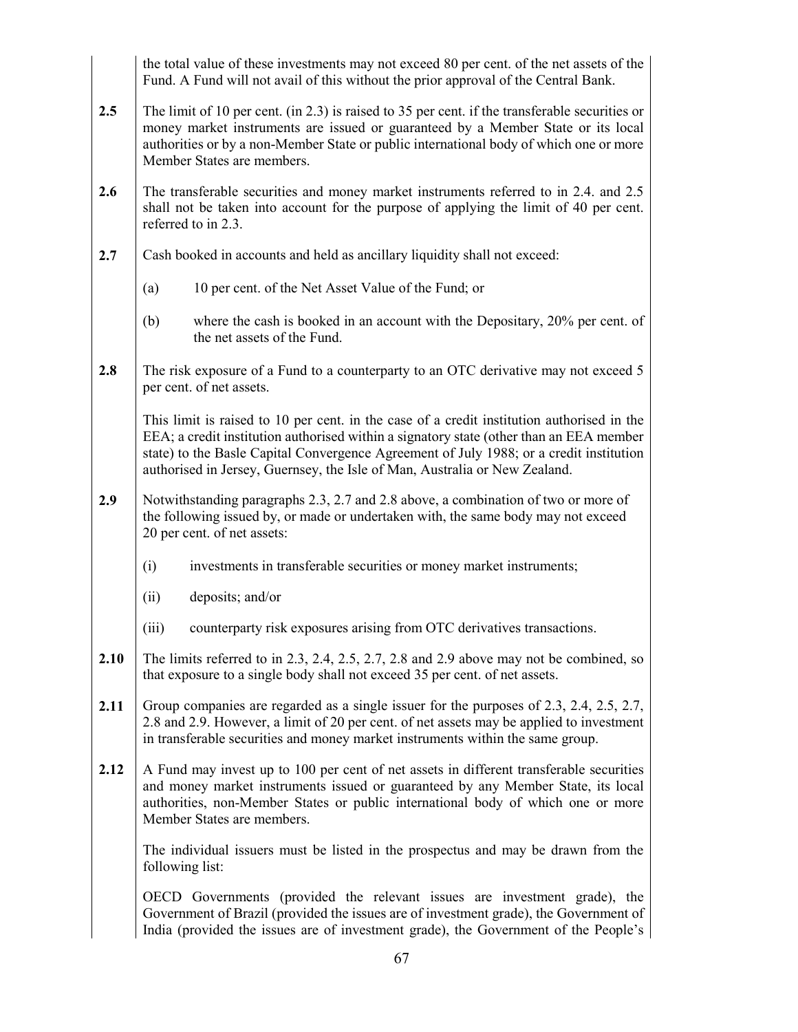the total value of these investments may not exceed 80 per cent. of the net assets of the Fund. A Fund will not avail of this without the prior approval of the Central Bank.

- **2.5** The limit of 10 per cent. (in 2.3) is raised to 35 per cent. if the transferable securities or money market instruments are issued or guaranteed by a Member State or its local authorities or by a non-Member State or public international body of which one or more Member States are members.
- **2.6** The transferable securities and money market instruments referred to in 2.4. and 2.5 shall not be taken into account for the purpose of applying the limit of 40 per cent. referred to in 2.3.
- **2.7** Cash booked in accounts and held as ancillary liquidity shall not exceed:
	- (a) 10 per cent. of the Net Asset Value of the Fund; or
	- (b) where the cash is booked in an account with the Depositary, 20% per cent. of the net assets of the Fund.
- **2.8** The risk exposure of a Fund to a counterparty to an OTC derivative may not exceed 5 per cent. of net assets.

This limit is raised to 10 per cent. in the case of a credit institution authorised in the EEA; a credit institution authorised within a signatory state (other than an EEA member state) to the Basle Capital Convergence Agreement of July 1988; or a credit institution authorised in Jersey, Guernsey, the Isle of Man, Australia or New Zealand.

- **2.9** Notwithstanding paragraphs 2.3, 2.7 and 2.8 above, a combination of two or more of the following issued by, or made or undertaken with, the same body may not exceed 20 per cent. of net assets:
	- (i) investments in transferable securities or money market instruments;
	- (ii) deposits; and/or
	- (iii) counterparty risk exposures arising from OTC derivatives transactions.
- **2.10** The limits referred to in 2.3, 2.4, 2.5, 2.7, 2.8 and 2.9 above may not be combined, so that exposure to a single body shall not exceed 35 per cent. of net assets.
- **2.11** Group companies are regarded as a single issuer for the purposes of 2.3, 2.4, 2.5, 2.7, 2.8 and 2.9. However, a limit of 20 per cent. of net assets may be applied to investment in transferable securities and money market instruments within the same group.
- **2.12** A Fund may invest up to 100 per cent of net assets in different transferable securities and money market instruments issued or guaranteed by any Member State, its local authorities, non-Member States or public international body of which one or more Member States are members.

The individual issuers must be listed in the prospectus and may be drawn from the following list:

OECD Governments (provided the relevant issues are investment grade), the Government of Brazil (provided the issues are of investment grade), the Government of India (provided the issues are of investment grade), the Government of the People's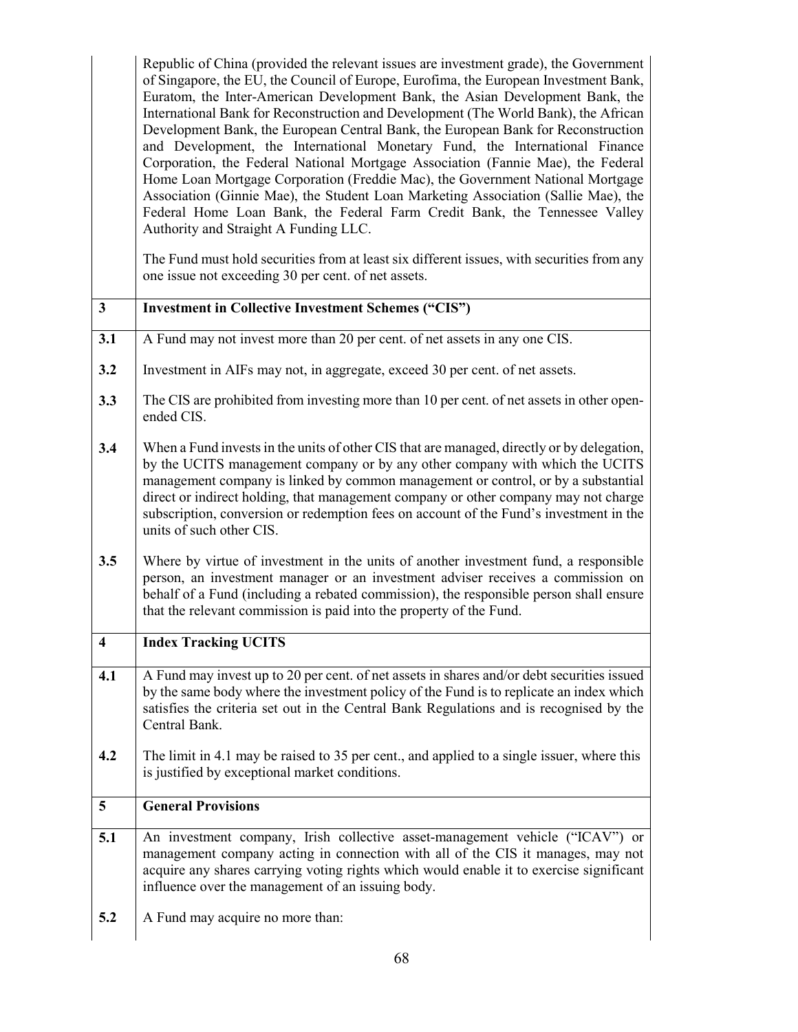|                         | Republic of China (provided the relevant issues are investment grade), the Government<br>of Singapore, the EU, the Council of Europe, Eurofima, the European Investment Bank,<br>Euratom, the Inter-American Development Bank, the Asian Development Bank, the<br>International Bank for Reconstruction and Development (The World Bank), the African<br>Development Bank, the European Central Bank, the European Bank for Reconstruction<br>and Development, the International Monetary Fund, the International Finance<br>Corporation, the Federal National Mortgage Association (Fannie Mae), the Federal<br>Home Loan Mortgage Corporation (Freddie Mac), the Government National Mortgage<br>Association (Ginnie Mae), the Student Loan Marketing Association (Sallie Mae), the<br>Federal Home Loan Bank, the Federal Farm Credit Bank, the Tennessee Valley<br>Authority and Straight A Funding LLC.<br>The Fund must hold securities from at least six different issues, with securities from any<br>one issue not exceeding 30 per cent. of net assets. |  |  |  |  |  |  |
|-------------------------|-------------------------------------------------------------------------------------------------------------------------------------------------------------------------------------------------------------------------------------------------------------------------------------------------------------------------------------------------------------------------------------------------------------------------------------------------------------------------------------------------------------------------------------------------------------------------------------------------------------------------------------------------------------------------------------------------------------------------------------------------------------------------------------------------------------------------------------------------------------------------------------------------------------------------------------------------------------------------------------------------------------------------------------------------------------------|--|--|--|--|--|--|
| $\mathbf{3}$            | <b>Investment in Collective Investment Schemes ("CIS")</b>                                                                                                                                                                                                                                                                                                                                                                                                                                                                                                                                                                                                                                                                                                                                                                                                                                                                                                                                                                                                        |  |  |  |  |  |  |
|                         |                                                                                                                                                                                                                                                                                                                                                                                                                                                                                                                                                                                                                                                                                                                                                                                                                                                                                                                                                                                                                                                                   |  |  |  |  |  |  |
| 3.1                     | A Fund may not invest more than 20 per cent. of net assets in any one CIS.                                                                                                                                                                                                                                                                                                                                                                                                                                                                                                                                                                                                                                                                                                                                                                                                                                                                                                                                                                                        |  |  |  |  |  |  |
| 3.2                     | Investment in AIFs may not, in aggregate, exceed 30 per cent. of net assets.                                                                                                                                                                                                                                                                                                                                                                                                                                                                                                                                                                                                                                                                                                                                                                                                                                                                                                                                                                                      |  |  |  |  |  |  |
| 3.3                     | The CIS are prohibited from investing more than 10 per cent. of net assets in other open-<br>ended CIS.                                                                                                                                                                                                                                                                                                                                                                                                                                                                                                                                                                                                                                                                                                                                                                                                                                                                                                                                                           |  |  |  |  |  |  |
| 3.4                     | When a Fund invests in the units of other CIS that are managed, directly or by delegation,<br>by the UCITS management company or by any other company with which the UCITS<br>management company is linked by common management or control, or by a substantial<br>direct or indirect holding, that management company or other company may not charge<br>subscription, conversion or redemption fees on account of the Fund's investment in the<br>units of such other CIS.                                                                                                                                                                                                                                                                                                                                                                                                                                                                                                                                                                                      |  |  |  |  |  |  |
| 3.5                     | Where by virtue of investment in the units of another investment fund, a responsible<br>person, an investment manager or an investment adviser receives a commission on<br>behalf of a Fund (including a rebated commission), the responsible person shall ensure<br>that the relevant commission is paid into the property of the Fund.                                                                                                                                                                                                                                                                                                                                                                                                                                                                                                                                                                                                                                                                                                                          |  |  |  |  |  |  |
| 4                       | <b>Index Tracking UCITS</b>                                                                                                                                                                                                                                                                                                                                                                                                                                                                                                                                                                                                                                                                                                                                                                                                                                                                                                                                                                                                                                       |  |  |  |  |  |  |
| 4.1                     | A Fund may invest up to 20 per cent. of net assets in shares and/or debt securities issued<br>by the same body where the investment policy of the Fund is to replicate an index which<br>satisfies the criteria set out in the Central Bank Regulations and is recognised by the<br>Central Bank.                                                                                                                                                                                                                                                                                                                                                                                                                                                                                                                                                                                                                                                                                                                                                                 |  |  |  |  |  |  |
| 4.2                     | The limit in 4.1 may be raised to 35 per cent., and applied to a single issuer, where this<br>is justified by exceptional market conditions.                                                                                                                                                                                                                                                                                                                                                                                                                                                                                                                                                                                                                                                                                                                                                                                                                                                                                                                      |  |  |  |  |  |  |
| $\overline{\mathbf{5}}$ | <b>General Provisions</b>                                                                                                                                                                                                                                                                                                                                                                                                                                                                                                                                                                                                                                                                                                                                                                                                                                                                                                                                                                                                                                         |  |  |  |  |  |  |
| 5.1                     | An investment company, Irish collective asset-management vehicle ("ICAV") or<br>management company acting in connection with all of the CIS it manages, may not<br>acquire any shares carrying voting rights which would enable it to exercise significant<br>influence over the management of an issuing body.                                                                                                                                                                                                                                                                                                                                                                                                                                                                                                                                                                                                                                                                                                                                                   |  |  |  |  |  |  |
| 5.2                     | A Fund may acquire no more than:                                                                                                                                                                                                                                                                                                                                                                                                                                                                                                                                                                                                                                                                                                                                                                                                                                                                                                                                                                                                                                  |  |  |  |  |  |  |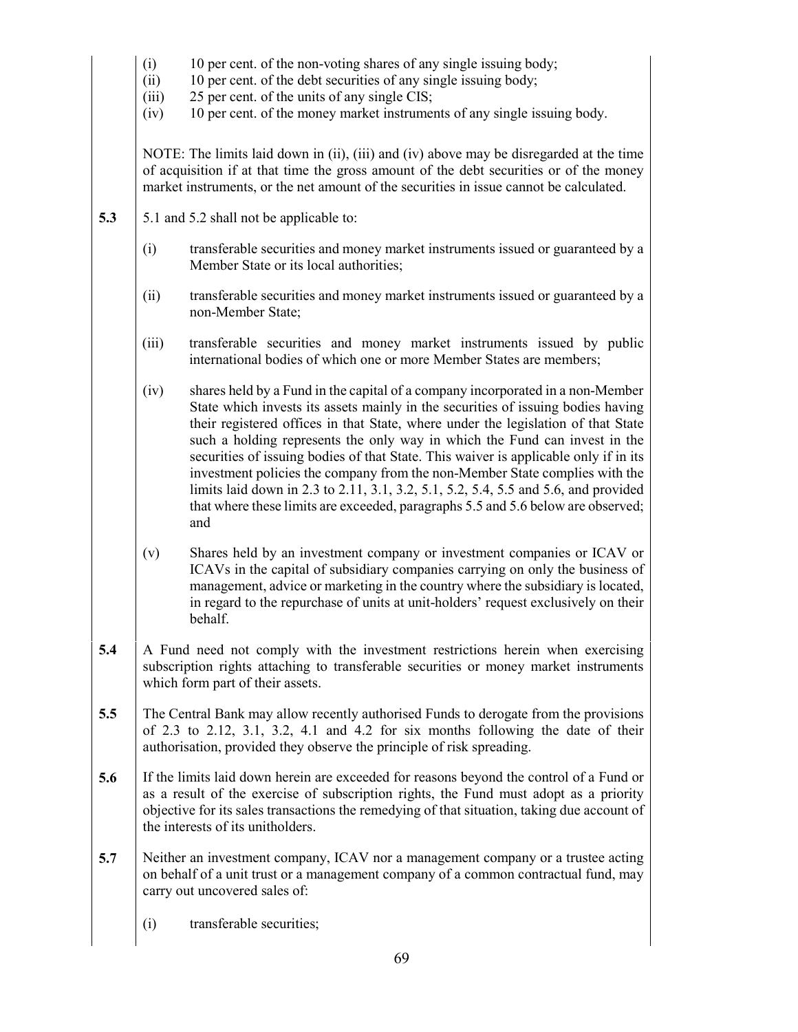- (i) 10 per cent. of the non-voting shares of any single issuing body;
- (ii) 10 per cent. of the debt securities of any single issuing body;
- (iii) 25 per cent. of the units of any single CIS;
- (iv) 10 per cent. of the money market instruments of any single issuing body.

NOTE: The limits laid down in (ii), (iii) and (iv) above may be disregarded at the time of acquisition if at that time the gross amount of the debt securities or of the money market instruments, or the net amount of the securities in issue cannot be calculated.

- **5.3** <br>**5.1** and 5.2 shall not be applicable to:
	- (i) transferable securities and money market instruments issued or guaranteed by a Member State or its local authorities;
	- (ii) transferable securities and money market instruments issued or guaranteed by a non-Member State;
	- (iii) transferable securities and money market instruments issued by public international bodies of which one or more Member States are members;
	- (iv) shares held by a Fund in the capital of a company incorporated in a non-Member State which invests its assets mainly in the securities of issuing bodies having their registered offices in that State, where under the legislation of that State such a holding represents the only way in which the Fund can invest in the securities of issuing bodies of that State. This waiver is applicable only if in its investment policies the company from the non-Member State complies with the limits laid down in 2.3 to 2.11, 3.1, 3.2, 5.1, 5.2, 5.4, 5.5 and 5.6, and provided that where these limits are exceeded, paragraphs 5.5 and 5.6 below are observed; and
	- (v) Shares held by an investment company or investment companies or ICAV or ICAVs in the capital of subsidiary companies carrying on only the business of management, advice or marketing in the country where the subsidiary is located, in regard to the repurchase of units at unit-holders' request exclusively on their behalf.
- **5.4** A Fund need not comply with the investment restrictions herein when exercising subscription rights attaching to transferable securities or money market instruments which form part of their assets.
- **5.5** The Central Bank may allow recently authorised Funds to derogate from the provisions of 2.3 to 2.12, 3.1, 3.2, 4.1 and 4.2 for six months following the date of their authorisation, provided they observe the principle of risk spreading.
- **5.6** If the limits laid down herein are exceeded for reasons beyond the control of a Fund or as a result of the exercise of subscription rights, the Fund must adopt as a priority objective for its sales transactions the remedying of that situation, taking due account of the interests of its unitholders.
- **5.7** Neither an investment company, ICAV nor a management company or a trustee acting on behalf of a unit trust or a management company of a common contractual fund, may carry out uncovered sales of:
	- (i) transferable securities;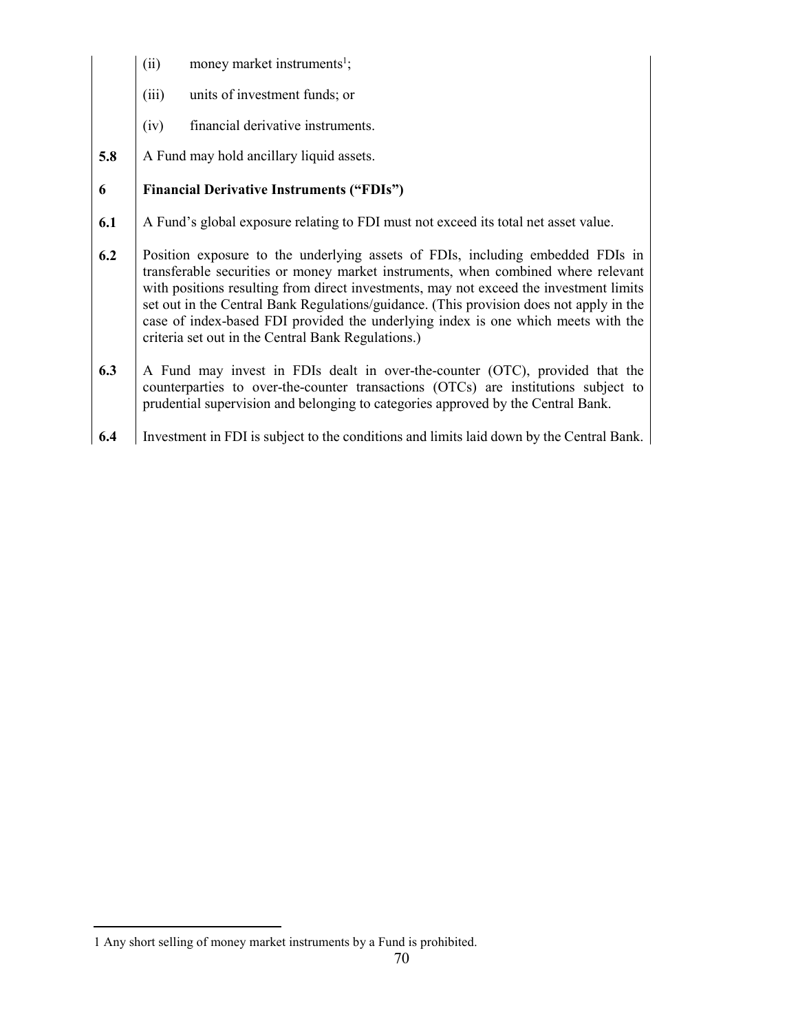- $(ii)$  money market instruments<sup>1</sup>;
- (iii) units of investment funds; or
- (iv) financial derivative instruments.
- **5.8** A Fund may hold ancillary liquid assets.

# **6 Financial Derivative Instruments ("FDIs")**

- **6.1** A Fund's global exposure relating to FDI must not exceed its total net asset value.
- **6.2** Position exposure to the underlying assets of FDIs, including embedded FDIs in transferable securities or money market instruments, when combined where relevant with positions resulting from direct investments, may not exceed the investment limits set out in the Central Bank Regulations/guidance. (This provision does not apply in the case of index-based FDI provided the underlying index is one which meets with the criteria set out in the Central Bank Regulations.)
- **6.3** A Fund may invest in FDIs dealt in over-the-counter (OTC), provided that the counterparties to over-the-counter transactions (OTCs) are institutions subject to prudential supervision and belonging to categories approved by the Central Bank.
- **6.4** Investment in FDI is subject to the conditions and limits laid down by the Central Bank.

 $\overline{a}$ 

<sup>1</sup> Any short selling of money market instruments by a Fund is prohibited.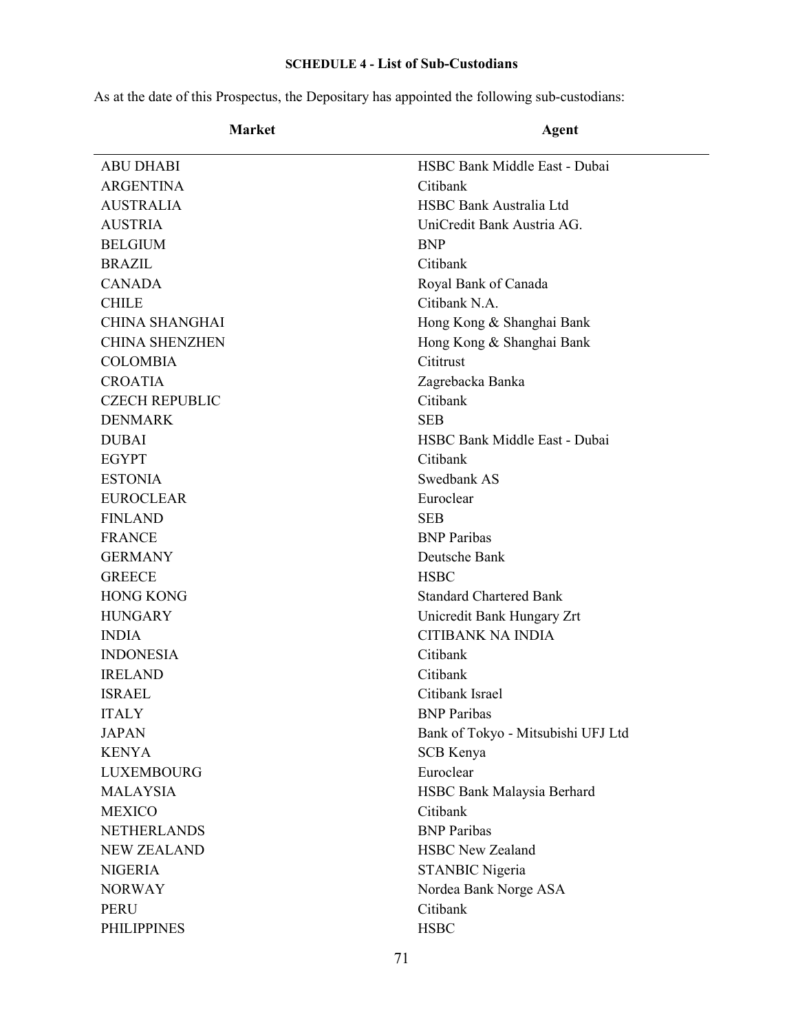# **SCHEDULE 4 - List of Sub-Custodians**

As at the date of this Prospectus, the Depositary has appointed the following sub-custodians:

| Market |  |  |
|--------|--|--|
|--------|--|--|

# Agent

| <b>ABU DHABI</b>      | HSBC Bank Middle East - Dubai      |  |  |
|-----------------------|------------------------------------|--|--|
| <b>ARGENTINA</b>      | Citibank                           |  |  |
| <b>AUSTRALIA</b>      | HSBC Bank Australia Ltd            |  |  |
| <b>AUSTRIA</b>        | UniCredit Bank Austria AG.         |  |  |
| <b>BELGIUM</b>        | <b>BNP</b>                         |  |  |
| <b>BRAZIL</b>         | Citibank                           |  |  |
| <b>CANADA</b>         | Royal Bank of Canada               |  |  |
| <b>CHILE</b>          | Citibank N.A.                      |  |  |
| <b>CHINA SHANGHAI</b> | Hong Kong & Shanghai Bank          |  |  |
| <b>CHINA SHENZHEN</b> | Hong Kong & Shanghai Bank          |  |  |
| <b>COLOMBIA</b>       | Cititrust                          |  |  |
| <b>CROATIA</b>        | Zagrebacka Banka                   |  |  |
| <b>CZECH REPUBLIC</b> | Citibank                           |  |  |
| <b>DENMARK</b>        | <b>SEB</b>                         |  |  |
| <b>DUBAI</b>          | HSBC Bank Middle East - Dubai      |  |  |
| <b>EGYPT</b>          | Citibank                           |  |  |
| <b>ESTONIA</b>        | Swedbank AS                        |  |  |
| <b>EUROCLEAR</b>      | Euroclear                          |  |  |
| <b>FINLAND</b>        | <b>SEB</b>                         |  |  |
| <b>FRANCE</b>         | <b>BNP</b> Paribas                 |  |  |
| <b>GERMANY</b>        | Deutsche Bank                      |  |  |
| <b>GREECE</b>         | <b>HSBC</b>                        |  |  |
| <b>HONG KONG</b>      | <b>Standard Chartered Bank</b>     |  |  |
| <b>HUNGARY</b>        | Unicredit Bank Hungary Zrt         |  |  |
| <b>INDIA</b>          | <b>CITIBANK NA INDIA</b>           |  |  |
| <b>INDONESIA</b>      | Citibank                           |  |  |
| <b>IRELAND</b>        | Citibank                           |  |  |
| <b>ISRAEL</b>         | Citibank Israel                    |  |  |
| <b>ITALY</b>          | <b>BNP</b> Paribas                 |  |  |
| <b>JAPAN</b>          | Bank of Tokyo - Mitsubishi UFJ Ltd |  |  |
| <b>KENYA</b>          | SCB Kenya                          |  |  |
| <b>LUXEMBOURG</b>     | Euroclear                          |  |  |
| <b>MALAYSIA</b>       | HSBC Bank Malaysia Berhard         |  |  |
| <b>MEXICO</b>         | Citibank                           |  |  |
| <b>NETHERLANDS</b>    | <b>BNP</b> Paribas                 |  |  |
| <b>NEW ZEALAND</b>    | <b>HSBC New Zealand</b>            |  |  |
| <b>NIGERIA</b>        | <b>STANBIC Nigeria</b>             |  |  |
| <b>NORWAY</b>         | Nordea Bank Norge ASA              |  |  |
| <b>PERU</b>           | Citibank                           |  |  |
| <b>PHILIPPINES</b>    | <b>HSBC</b>                        |  |  |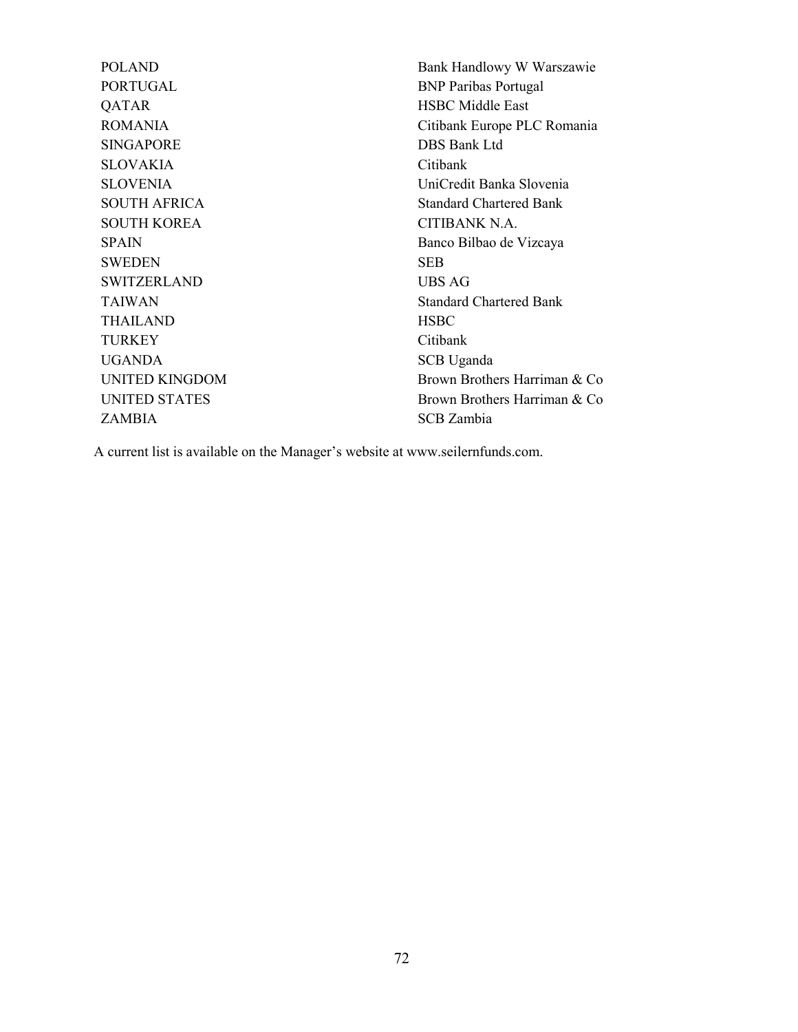PORTUGAL BNP Paribas Portugal QATAR HSBC Middle East SINGAPORE DBS Bank Ltd SLOVAKIA Citibank SOUTH KOREA CITIBANK N.A. SWEDEN SEB SWITZERLAND UBS AG THAILAND HSBC TURKEY Citibank UGANDA SCB Uganda ZAMBIA SCB Zambia

POLAND Bank Handlowy W Warszawie ROMANIA Citibank Europe PLC Romania SLOVENIA UniCredit Banka Slovenia SOUTH AFRICA Standard Chartered Bank SPAIN Banco Bilbao de Vizcaya TAIWAN Standard Chartered Bank UNITED KINGDOM Brown Brothers Harriman & Co UNITED STATES Brown Brothers Harriman & Co

A current list is available on the Manager's website at www.seilernfunds.com.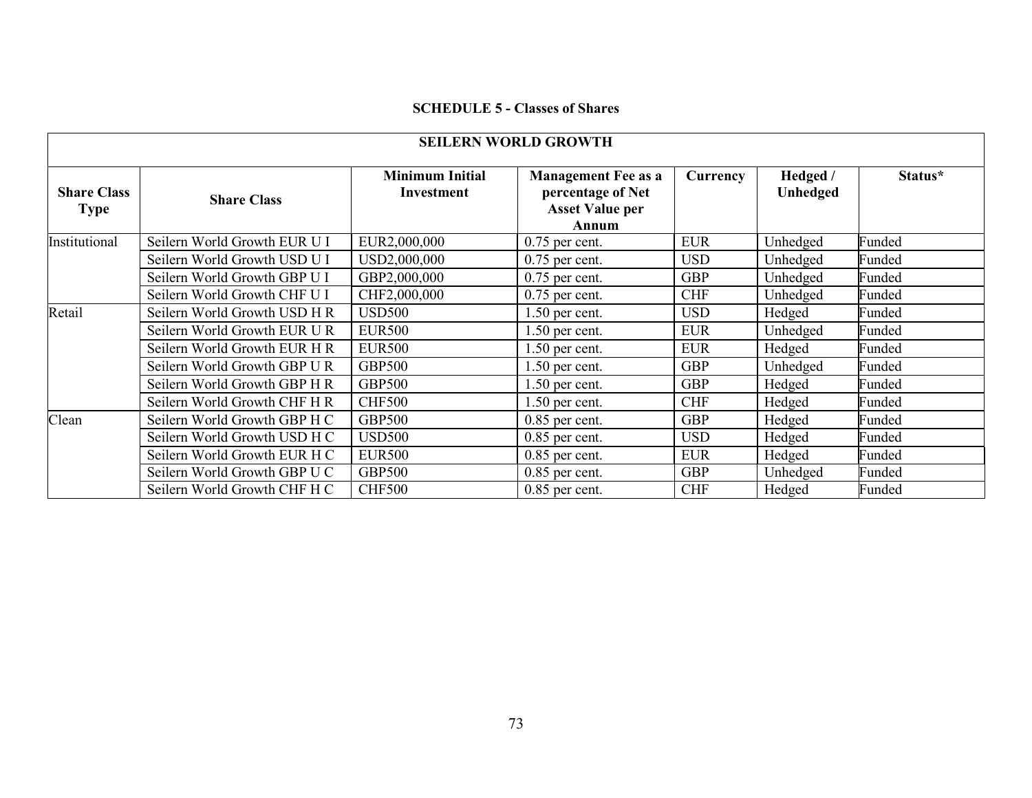#### **SCHEDULE 5 - Classes of Shares**

| <b>SEILERN WORLD GROWTH</b>       |                              |                                      |                                                                                    |            |                      |         |
|-----------------------------------|------------------------------|--------------------------------------|------------------------------------------------------------------------------------|------------|----------------------|---------|
| <b>Share Class</b><br><b>Type</b> | <b>Share Class</b>           | <b>Minimum Initial</b><br>Investment | <b>Management Fee as a</b><br>percentage of Net<br><b>Asset Value per</b><br>Annum | Currency   | Hedged /<br>Unhedged | Status* |
| Institutional                     | Seilern World Growth EUR U I | EUR2,000,000                         | $0.75$ per cent.                                                                   | <b>EUR</b> | Unhedged             | Funded  |
|                                   | Seilern World Growth USD U I | USD2,000,000                         | $0.75$ per cent.                                                                   | <b>USD</b> | Unhedged             | Funded  |
|                                   | Seilern World Growth GBP U I | GBP2,000,000                         | $0.75$ per cent.                                                                   | <b>GBP</b> | Unhedged             | Funded  |
|                                   | Seilern World Growth CHF U I | CHF2,000,000                         | $0.75$ per cent.                                                                   | <b>CHF</b> | Unhedged             | Funded  |
| Retail                            | Seilern World Growth USD H R | <b>USD500</b>                        | $1.50$ per cent.                                                                   | <b>USD</b> | Hedged               | Funded  |
|                                   | Seilern World Growth EUR U R | <b>EUR500</b>                        | $1.50$ per cent.                                                                   | <b>EUR</b> | Unhedged             | Funded  |
|                                   | Seilern World Growth EUR H R | <b>EUR500</b>                        | $1.50$ per cent.                                                                   | <b>EUR</b> | Hedged               | Funded  |
|                                   | Seilern World Growth GBP U R | <b>GBP500</b>                        | $1.50$ per cent.                                                                   | <b>GBP</b> | Unhedged             | Funded  |
|                                   | Seilern World Growth GBP H R | <b>GBP500</b>                        | $1.50$ per cent.                                                                   | <b>GBP</b> | Hedged               | Funded  |
|                                   | Seilern World Growth CHF H R | <b>CHF500</b>                        | $1.50$ per cent.                                                                   | <b>CHF</b> | Hedged               | Funded  |
| Clean                             | Seilern World Growth GBP H C | <b>GBP500</b>                        | $0.85$ per cent.                                                                   | <b>GBP</b> | Hedged               | Funded  |
|                                   | Seilern World Growth USD H C | <b>USD500</b>                        | $0.85$ per cent.                                                                   | <b>USD</b> | Hedged               | Funded  |
|                                   | Seilern World Growth EUR H C | <b>EUR500</b>                        | $0.85$ per cent.                                                                   | <b>EUR</b> | Hedged               | Funded  |
|                                   | Seilern World Growth GBP U C | <b>GBP500</b>                        | $0.85$ per cent.                                                                   | <b>GBP</b> | Unhedged             | Funded  |
|                                   | Seilern World Growth CHF H C | <b>CHF500</b>                        | $0.85$ per cent.                                                                   | <b>CHF</b> | Hedged               | Funded  |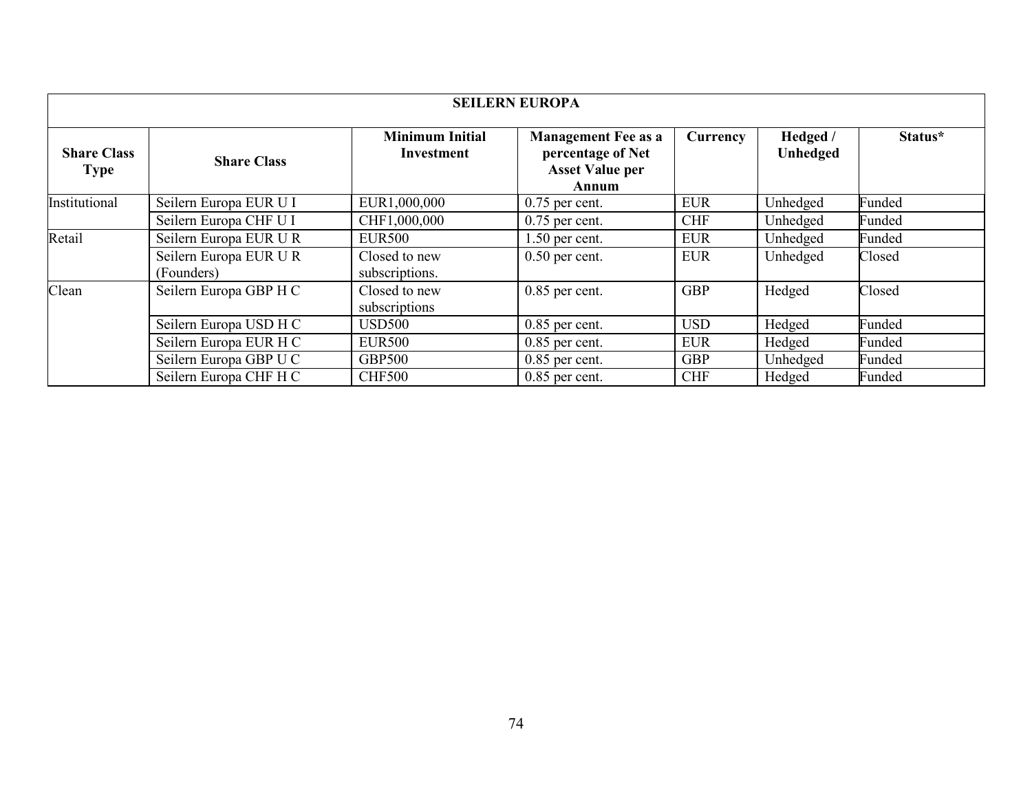| <b>SEILERN EUROPA</b>             |                                      |                                      |                                                                                    |            |                      |         |
|-----------------------------------|--------------------------------------|--------------------------------------|------------------------------------------------------------------------------------|------------|----------------------|---------|
| <b>Share Class</b><br><b>Type</b> | <b>Share Class</b>                   | <b>Minimum Initial</b><br>Investment | <b>Management Fee as a</b><br>percentage of Net<br><b>Asset Value per</b><br>Annum | Currency   | Hedged /<br>Unhedged | Status* |
| Institutional                     | Seilern Europa EUR U I               | EUR1,000,000                         | $0.75$ per cent.                                                                   | <b>EUR</b> | Unhedged             | Funded  |
|                                   | Seilern Europa CHF U I               | CHF1,000,000                         | $0.75$ per cent.                                                                   | <b>CHF</b> | Unhedged             | Funded  |
| Retail                            | Seilern Europa EUR U R               | <b>EUR500</b>                        | $1.50$ per cent.                                                                   | <b>EUR</b> | Unhedged             | Funded  |
|                                   | Seilern Europa EUR U R<br>(Founders) | Closed to new<br>subscriptions.      | $0.50$ per cent.                                                                   | <b>EUR</b> | Unhedged             | Closed  |
| Clean                             | Seilern Europa GBP H C               | Closed to new<br>subscriptions       | $0.85$ per cent.                                                                   | <b>GBP</b> | Hedged               | Closed  |
|                                   | Seilern Europa USD H C               | <b>USD500</b>                        | $0.85$ per cent.                                                                   | <b>USD</b> | Hedged               | Funded  |
|                                   | Seilern Europa EUR H C               | <b>EUR500</b>                        | $0.85$ per cent.                                                                   | <b>EUR</b> | Hedged               | Funded  |
|                                   | Seilern Europa GBP U C               | <b>GBP500</b>                        | $0.85$ per cent.                                                                   | <b>GBP</b> | Unhedged             | Funded  |
|                                   | Seilern Europa CHF H C               | <b>CHF500</b>                        | $0.85$ per cent.                                                                   | <b>CHF</b> | Hedged               | Funded  |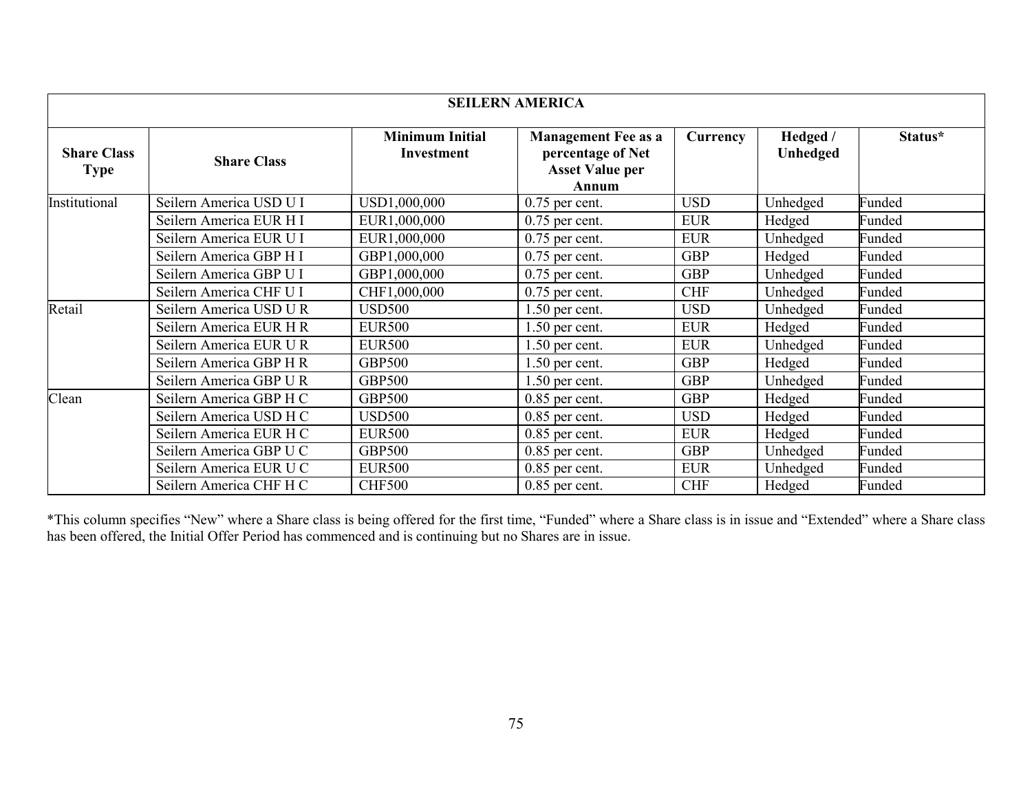| <b>SEILERN AMERICA</b>            |                         |                                             |                                                                                    |            |                             |         |
|-----------------------------------|-------------------------|---------------------------------------------|------------------------------------------------------------------------------------|------------|-----------------------------|---------|
| <b>Share Class</b><br><b>Type</b> | <b>Share Class</b>      | <b>Minimum Initial</b><br><b>Investment</b> | <b>Management Fee as a</b><br>percentage of Net<br><b>Asset Value per</b><br>Annum | Currency   | Hedged /<br><b>Unhedged</b> | Status* |
| Institutional                     | Seilern America USD U I | USD1,000,000                                | $0.75$ per cent.                                                                   | <b>USD</b> | Unhedged                    | Funded  |
|                                   | Seilern America EUR H I | EUR1,000,000                                | $0.75$ per cent.                                                                   | <b>EUR</b> | Hedged                      | Funded  |
|                                   | Seilern America EUR U I | EUR1,000,000                                | $0.75$ per cent.                                                                   | <b>EUR</b> | Unhedged                    | Funded  |
|                                   | Seilern America GBP H I | GBP1,000,000                                | $0.75$ per cent.                                                                   | <b>GBP</b> | Hedged                      | Funded  |
|                                   | Seilern America GBP U I | GBP1,000,000                                | $0.75$ per cent.                                                                   | <b>GBP</b> | Unhedged                    | Funded  |
|                                   | Seilern America CHF U I | CHF1,000,000                                | $0.75$ per cent.                                                                   | <b>CHF</b> | Unhedged                    | Funded  |
| Retail                            | Seilern America USD U R | <b>USD500</b>                               | $1.50$ per cent.                                                                   | <b>USD</b> | Unhedged                    | Funded  |
|                                   | Seilern America EUR H R | <b>EUR500</b>                               | $1.50$ per cent.                                                                   | <b>EUR</b> | Hedged                      | Funded  |
|                                   | Seilern America EUR U R | <b>EUR500</b>                               | $1.50$ per cent.                                                                   | <b>EUR</b> | Unhedged                    | Funded  |
|                                   | Seilern America GBP H R | <b>GBP500</b>                               | $1.50$ per cent.                                                                   | <b>GBP</b> | Hedged                      | Funded  |
|                                   | Seilern America GBP UR  | <b>GBP500</b>                               | $1.50$ per cent.                                                                   | <b>GBP</b> | Unhedged                    | Funded  |
| Clean                             | Seilern America GBP H C | <b>GBP500</b>                               | $0.85$ per cent.                                                                   | <b>GBP</b> | Hedged                      | Funded  |
|                                   | Seilern America USD H C | <b>USD500</b>                               | $0.85$ per cent.                                                                   | <b>USD</b> | Hedged                      | Funded  |
|                                   | Seilern America EUR H C | <b>EUR500</b>                               | $0.85$ per cent.                                                                   | <b>EUR</b> | Hedged                      | Funded  |
|                                   | Seilern America GBP U C | <b>GBP500</b>                               | $0.85$ per cent.                                                                   | <b>GBP</b> | Unhedged                    | Funded  |
|                                   | Seilern America EUR U C | <b>EUR500</b>                               | $0.85$ per cent.                                                                   | <b>EUR</b> | Unhedged                    | Funded  |
|                                   | Seilern America CHF H C | <b>CHF500</b>                               | $0.85$ per cent.                                                                   | <b>CHF</b> | Hedged                      | Funded  |

\*This column specifies "New" where a Share class is being offered for the first time, "Funded" where a Share class is in issue and "Extended" where a Share class has been offered, the Initial Offer Period has commenced and is continuing but no Shares are in issue.